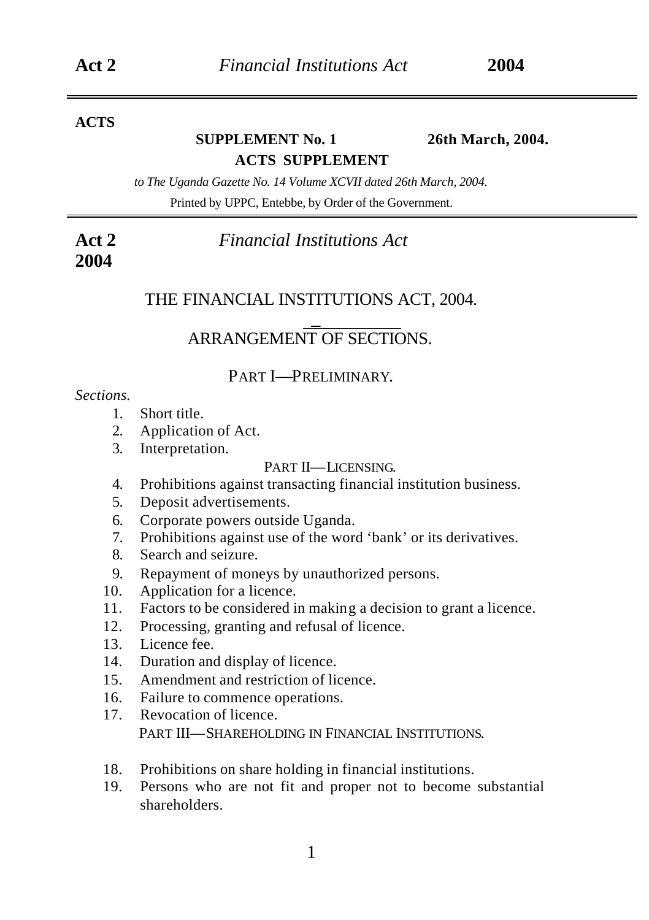### **ACTS**

# **SUPPLEMENT No. 1 26th March, 2004. ACTS SUPPLEMENT**

*to The Uganda Gazette No. 14 Volume XCVII dated 26th March, 2004.* Printed by UPPC, Entebbe, by Order of the Government.

**Act 2** *Financial Institutions Act*  **2004**

# THE FINANCIAL INSTITUTIONS ACT, 2004. \_

# ARRANGEMENT OF SECTIONS.

### PART I—PRELIMINARY.

#### *Sections.*

- 1. Short title.
- 2. Application of Act.
- 3. Interpretation.

#### PART II—LICENSING.

- 4. Prohibitions against transacting financial institution business.
- 5. Deposit advertisements.
- 6. Corporate powers outside Uganda.
- 7. Prohibitions against use of the word 'bank' or its derivatives.
- 8. Search and seizure.
- 9. Repayment of moneys by unauthorized persons.
- 10. Application for a licence.
- 11. Factors to be considered in making a decision to grant a licence.
- 12. Processing, granting and refusal of licence.
- 13. Licence fee.
- 14. Duration and display of licence.
- 15. Amendment and restriction of licence.
- 16. Failure to commence operations.
- 17. Revocation of licence. PART III—SHAREHOLDING IN FINANCIAL INSTITUTIONS.
- 18. Prohibitions on share holding in financial institutions.
- 19. Persons who are not fit and proper not to become substantial shareholders.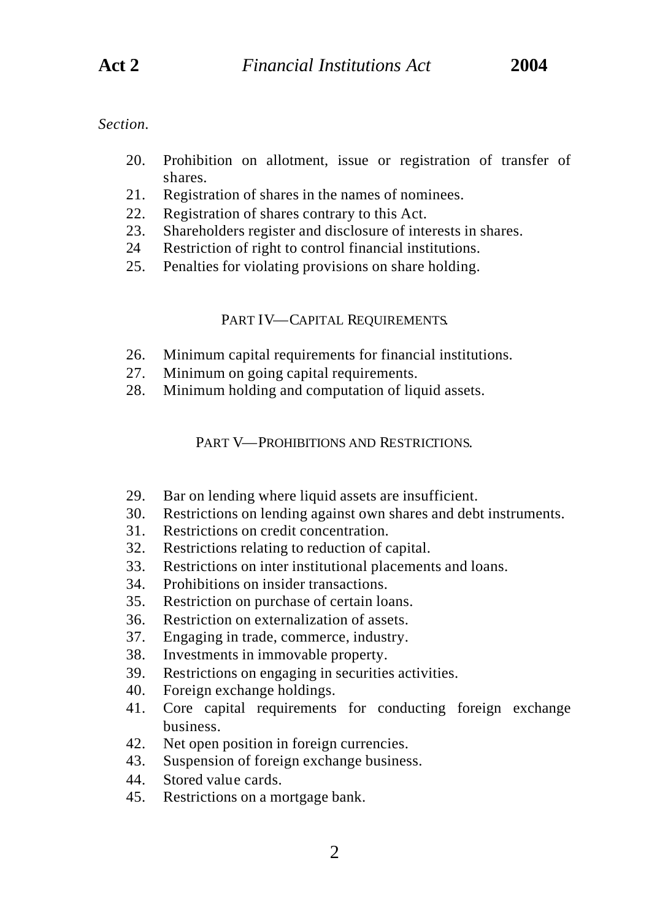- 20. Prohibition on allotment, issue or registration of transfer of shares.
- 21. Registration of shares in the names of nominees.
- 22. Registration of shares contrary to this Act.
- 23. Shareholders register and disclosure of interests in shares.
- 24 Restriction of right to control financial institutions.
- 25. Penalties for violating provisions on share holding.

### PART IV—CAPITAL REQUIREMENTS.

- 26. Minimum capital requirements for financial institutions.
- 27. Minimum on going capital requirements.
- 28. Minimum holding and computation of liquid assets.

### PART V—PROHIBITIONS AND RESTRICTIONS.

- 29. Bar on lending where liquid assets are insufficient.
- 30. Restrictions on lending against own shares and debt instruments.
- 31. Restrictions on credit concentration.
- 32. Restrictions relating to reduction of capital.
- 33. Restrictions on inter institutional placements and loans.
- 34. Prohibitions on insider transactions.
- 35. Restriction on purchase of certain loans.
- 36. Restriction on externalization of assets.
- 37. Engaging in trade, commerce, industry.
- 38. Investments in immovable property.
- 39. Restrictions on engaging in securities activities.
- 40. Foreign exchange holdings.
- 41. Core capital requirements for conducting foreign exchange business.
- 42. Net open position in foreign currencies.
- 43. Suspension of foreign exchange business.
- 44. Stored value cards.
- 45. Restrictions on a mortgage bank.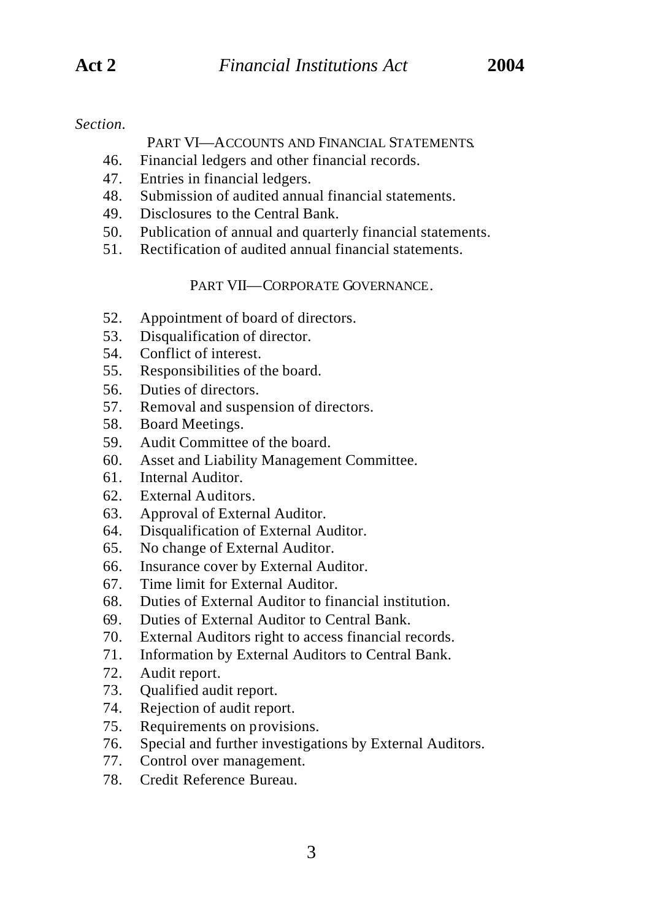### PART VI—ACCOUNTS AND FINANCIAL STATEMENTS.

- 46. Financial ledgers and other financial records.
- 47. Entries in financial ledgers.
- 48. Submission of audited annual financial statements.
- 49. Disclosures to the Central Bank.
- 50. Publication of annual and quarterly financial statements.
- 51. Rectification of audited annual financial statements.

PART VII—CORPORATE GOVERNANCE.

- 52. Appointment of board of directors.
- 53. Disqualification of director.
- 54. Conflict of interest.
- 55. Responsibilities of the board.
- 56. Duties of directors.
- 57. Removal and suspension of directors.
- 58. Board Meetings.
- 59. Audit Committee of the board.
- 60. Asset and Liability Management Committee.
- 61. Internal Auditor.
- 62. External Auditors.
- 63. Approval of External Auditor.
- 64. Disqualification of External Auditor.
- 65. No change of External Auditor.
- 66. Insurance cover by External Auditor.
- 67. Time limit for External Auditor.
- 68. Duties of External Auditor to financial institution.
- 69. Duties of External Auditor to Central Bank.
- 70. External Auditors right to access financial records.
- 71. Information by External Auditors to Central Bank.
- 72. Audit report.
- 73. Qualified audit report.
- 74. Rejection of audit report.
- 75. Requirements on provisions.
- 76. Special and further investigations by External Auditors.
- 77. Control over management.
- 78. Credit Reference Bureau.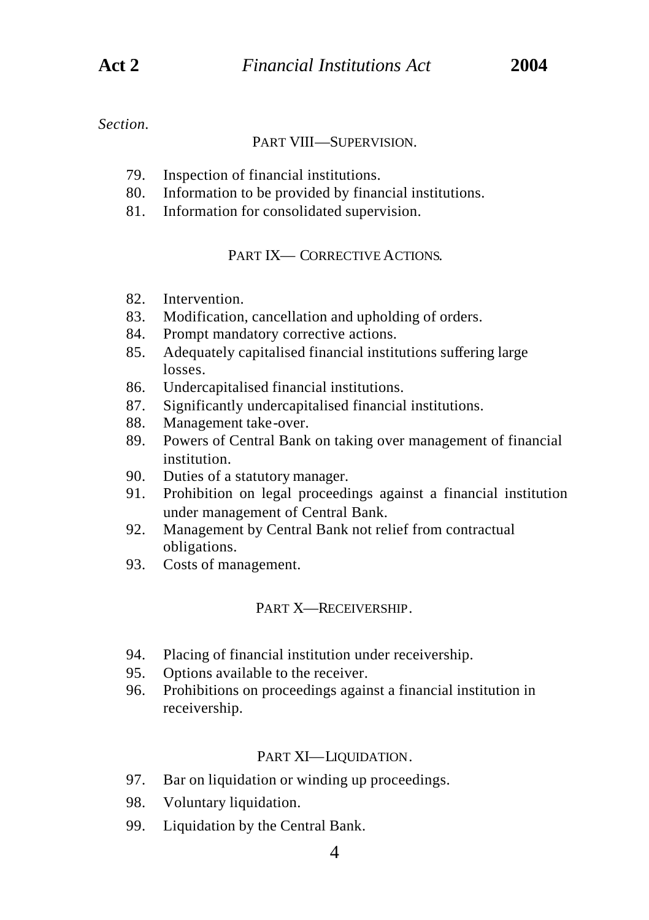#### PART VIII—SUPERVISION.

- 79. Inspection of financial institutions.
- 80. Information to be provided by financial institutions.
- 81. Information for consolidated supervision.

### PART IX— CORRECTIVE A CTIONS.

- 82. Intervention.
- 83. Modification, cancellation and upholding of orders.
- 84. Prompt mandatory corrective actions.
- 85. Adequately capitalised financial institutions suffering large losses.
- 86. Undercapitalised financial institutions.
- 87. Significantly undercapitalised financial institutions.
- 88. Management take-over.
- 89. Powers of Central Bank on taking over management of financial institution.
- 90. Duties of a statutory manager.
- 91. Prohibition on legal proceedings against a financial institution under management of Central Bank.
- 92. Management by Central Bank not relief from contractual obligations.
- 93. Costs of management.

### PART X—RECEIVERSHIP.

- 94. Placing of financial institution under receivership.
- 95. Options available to the receiver.
- 96. Prohibitions on proceedings against a financial institution in receivership.

### PART XI—LIQUIDATION.

- 97. Bar on liquidation or winding up proceedings.
- 98. Voluntary liquidation.
- 99. Liquidation by the Central Bank.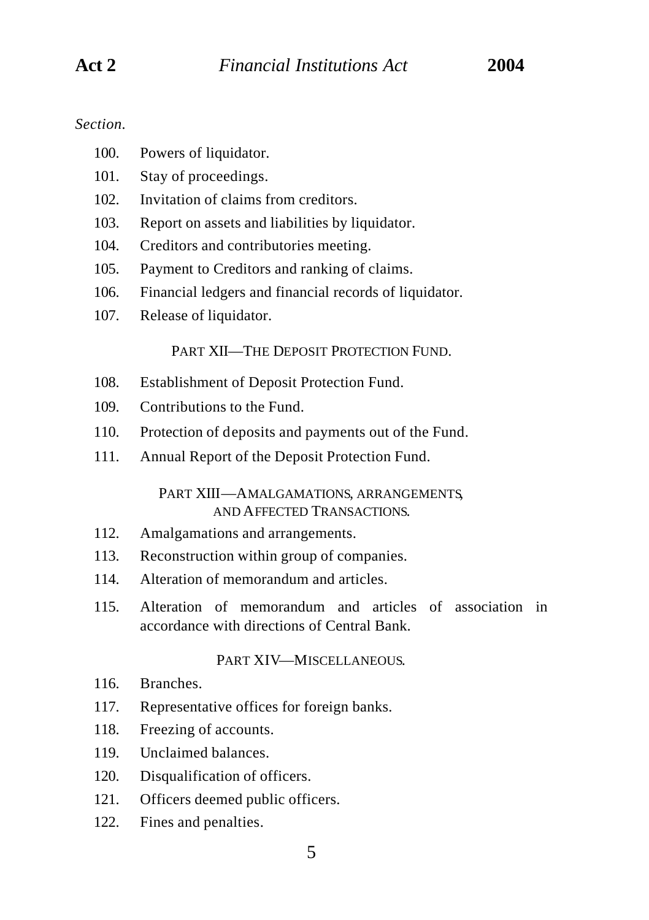- 100. Powers of liquidator.
- 101. Stay of proceedings.
- 102. Invitation of claims from creditors.
- 103. Report on assets and liabilities by liquidator.
- 104. Creditors and contributories meeting.
- 105. Payment to Creditors and ranking of claims.
- 106. Financial ledgers and financial records of liquidator.
- 107. Release of liquidator.

PART XII—THE DEPOSIT PROTECTION FUND.

- 108. Establishment of Deposit Protection Fund.
- 109. Contributions to the Fund.
- 110. Protection of deposits and payments out of the Fund.
- 111. Annual Report of the Deposit Protection Fund.

#### PART XIII—AMALGAMATIONS, ARRANGEMENTS, AND AFFECTED TRANSACTIONS.

- 112. Amalgamations and arrangements.
- 113. Reconstruction within group of companies.
- 114. Alteration of memorandum and articles.
- 115. Alteration of memorandum and articles of association in accordance with directions of Central Bank.

#### PART XIV—MISCELLANEOUS.

- 116. Branches.
- 117. Representative offices for foreign banks.
- 118. Freezing of accounts.
- 119. Unclaimed balances.
- 120. Disqualification of officers.
- 121. Officers deemed public officers.
- 122. Fines and penalties.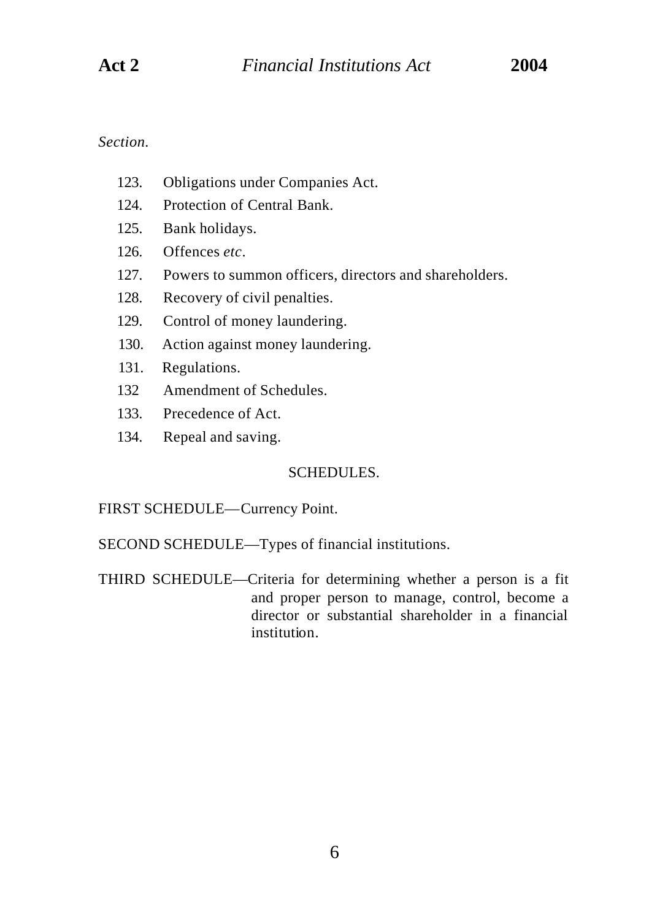- 123. Obligations under Companies Act.
- 124. Protection of Central Bank.
- 125. Bank holidays.
- 126. Offences *etc*.
- 127. Powers to summon officers, directors and shareholders.
- 128. Recovery of civil penalties.
- 129. Control of money laundering.
- 130. Action against money laundering.
- 131. Regulations.
- 132 Amendment of Schedules.
- 133. Precedence of Act.
- 134. Repeal and saving.

# SCHEDULES.

FIRST SCHEDULE—Currency Point.

SECOND SCHEDULE—Types of financial institutions.

THIRD SCHEDULE—Criteria for determining whether a person is a fit and proper person to manage, control, become a director or substantial shareholder in a financial institution.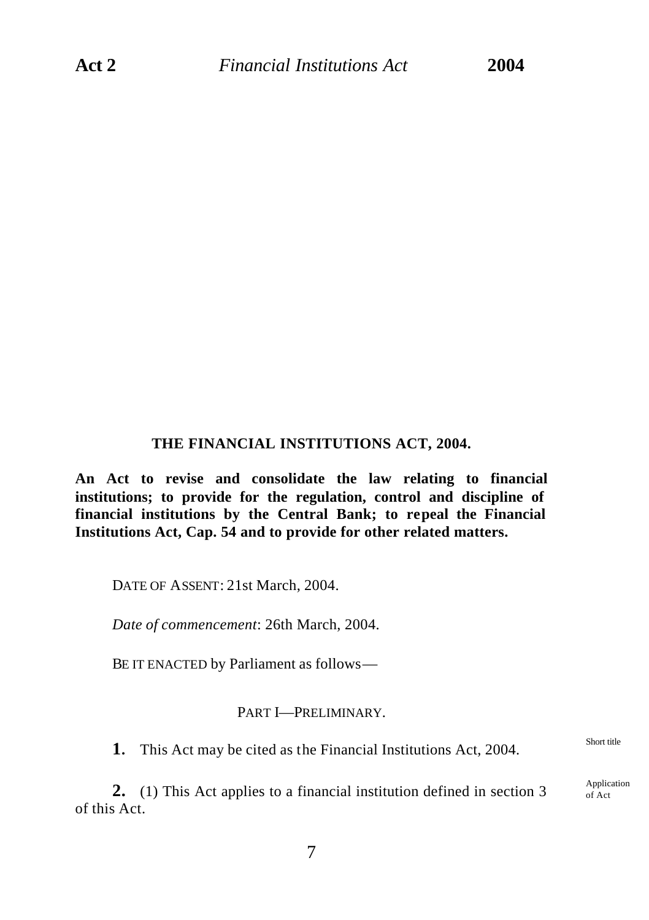### **THE FINANCIAL INSTITUTIONS ACT, 2004.**

**An Act to revise and consolidate the law relating to financial institutions; to provide for the regulation, control and discipline of financial institutions by the Central Bank; to repeal the Financial Institutions Act, Cap. 54 and to provide for other related matters.**

DATE OF ASSENT: 21st March, 2004.

*Date of commencement*: 26th March, 2004.

BE IT ENACTED by Parliament as follows—

#### PART I—PRELIMINARY.

**1.** This Act may be cited as the Financial Institutions Act, 2004.

**2.** (1) This Act applies to a financial institution defined in section 3 of this Act.

Short title

Application of Act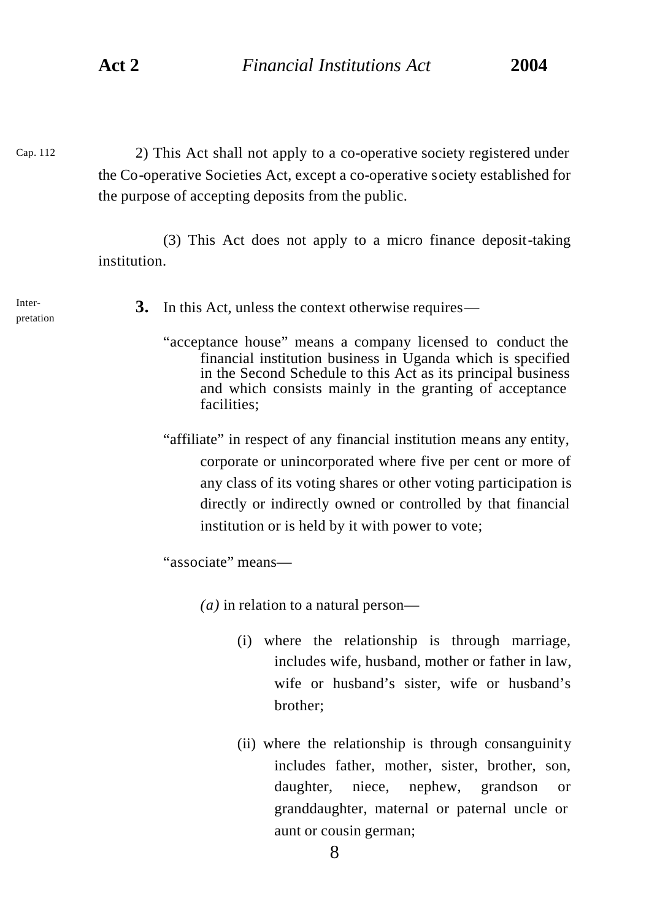Cap. 112

2) This Act shall not apply to a co-operative society registered under the Co-operative Societies Act, except a co-operative society established for the purpose of accepting deposits from the public.

(3) This Act does not apply to a micro finance deposit-taking institution.

Interpretation

- **3.** In this Act, unless the context otherwise requires—
	- "acceptance house" means a company licensed to conduct the financial institution business in Uganda which is specified in the Second Schedule to this Act as its principal business and which consists mainly in the granting of acceptance facilities;
	- "affiliate" in respect of any financial institution means any entity, corporate or unincorporated where five per cent or more of any class of its voting shares or other voting participation is directly or indirectly owned or controlled by that financial institution or is held by it with power to vote;

"associate" means—

*(a)* in relation to a natural person—

- (i) where the relationship is through marriage, includes wife, husband, mother or father in law, wife or husband's sister, wife or husband's brother;
- (ii) where the relationship is through consanguinity includes father, mother, sister, brother, son, daughter, niece, nephew, grandson or granddaughter, maternal or paternal uncle or aunt or cousin german;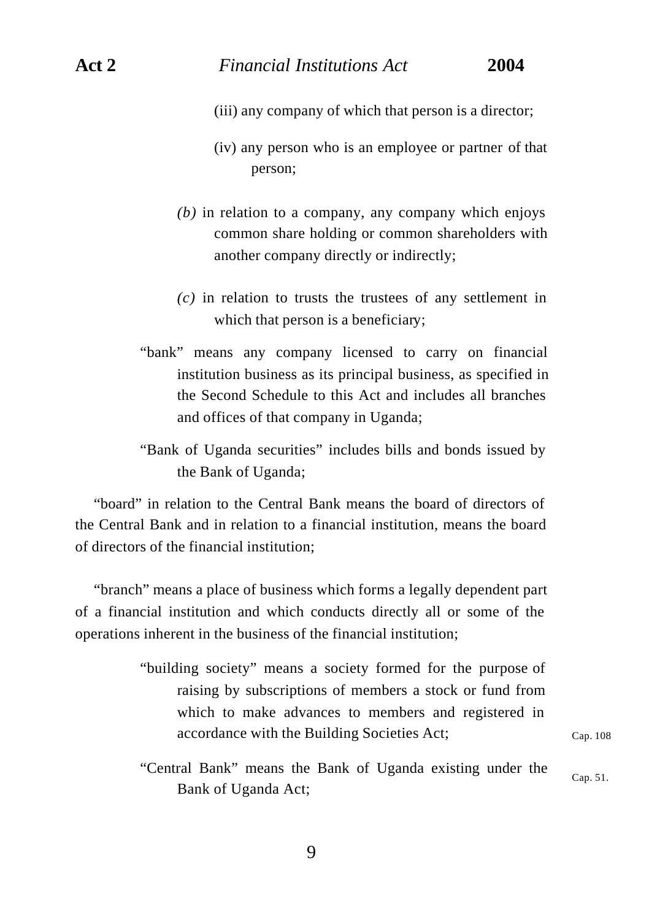- (iii) any company of which that person is a director;
- (iv) any person who is an employee or partner of that person;
- *(b)* in relation to a company, any company which enjoys common share holding or common shareholders with another company directly or indirectly;
- *(c)* in relation to trusts the trustees of any settlement in which that person is a beneficiary;
- "bank" means any company licensed to carry on financial institution business as its principal business, as specified in the Second Schedule to this Act and includes all branches and offices of that company in Uganda;

"Bank of Uganda securities" includes bills and bonds issued by the Bank of Uganda;

"board" in relation to the Central Bank means the board of directors of the Central Bank and in relation to a financial institution, means the board of directors of the financial institution;

"branch" means a place of business which forms a legally dependent part of a financial institution and which conducts directly all or some of the operations inherent in the business of the financial institution;

- "building society" means a society formed for the purpose of raising by subscriptions of members a stock or fund from which to make advances to members and registered in accordance with the Building Societies Act;
- "Central Bank" means the Bank of Uganda existing under the Bank of Uganda Act; Cap. 51.

Cap. 108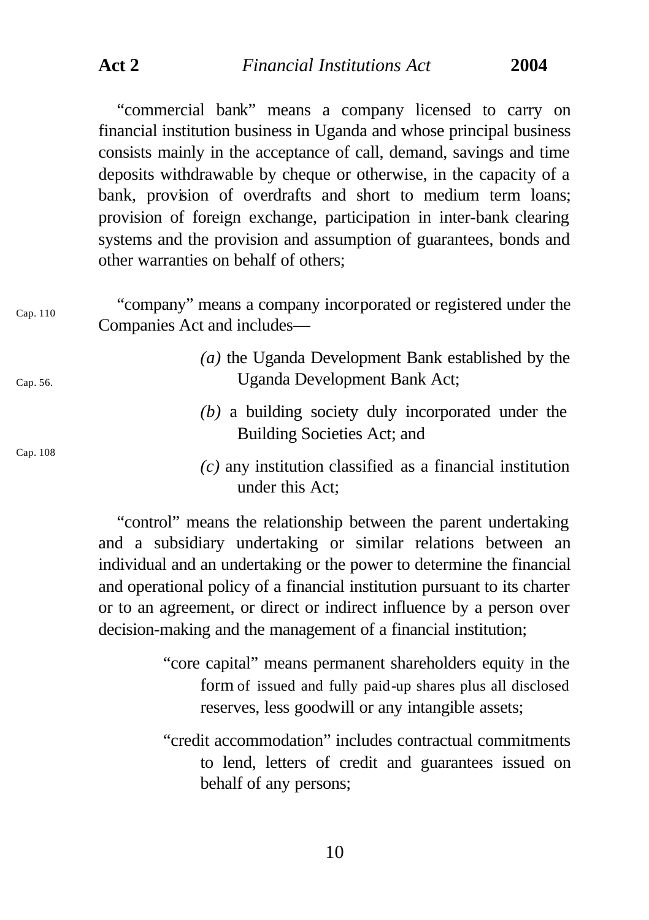**Act 2** *Financial Institutions Act* **2004**

"commercial bank" means a company licensed to carry on financial institution business in Uganda and whose principal business consists mainly in the acceptance of call, demand, savings and time deposits withdrawable by cheque or otherwise, in the capacity of a bank, provision of overdrafts and short to medium term loans; provision of foreign exchange, participation in inter-bank clearing systems and the provision and assumption of guarantees, bonds and other warranties on behalf of others;

| Cap. 110 | "company" means a company incorporated or registered under the<br>Companies Act and includes—                                                                                      |
|----------|------------------------------------------------------------------------------------------------------------------------------------------------------------------------------------|
| Cap. 56. | $(a)$ the Uganda Development Bank established by the<br>Uganda Development Bank Act;                                                                                               |
| Cap. 108 | $(b)$ a building society duly incorporated under the<br>Building Societies Act; and                                                                                                |
|          | $(c)$ any institution classified as a financial institution<br>under this Act;                                                                                                     |
|          | "control" means the relationship between the parent undertaking<br>the contract of the contract of the contract of the contract of the contract of the contract of the contract of |

and a subsidiary undertaking or similar relations between an individual and an undertaking or the power to determine the financial and operational policy of a financial institution pursuant to its charter or to an agreement, or direct or indirect influence by a person over decision-making and the management of a financial institution;

> "core capital" means permanent shareholders equity in the form of issued and fully paid-up shares plus all disclosed reserves, less goodwill or any intangible assets;

> "credit accommodation" includes contractual commitments to lend, letters of credit and guarantees issued on behalf of any persons;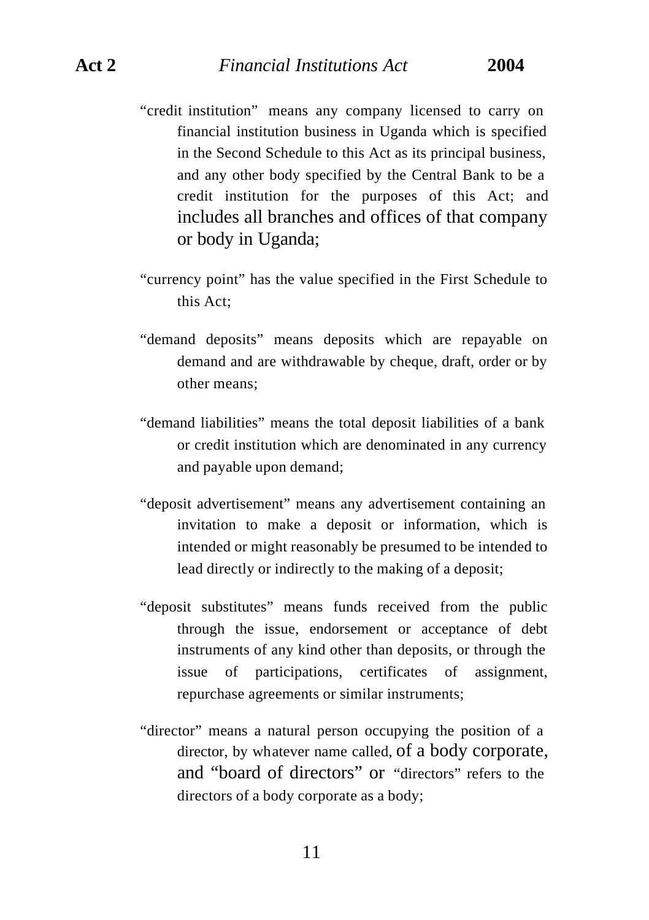- "credit institution" means any company licensed to carry on financial institution business in Uganda which is specified in the Second Schedule to this Act as its principal business, and any other body specified by the Central Bank to be a credit institution for the purposes of this Act; and includes all branches and offices of that company or body in Uganda;
- "currency point" has the value specified in the First Schedule to this Act;
- "demand deposits" means deposits which are repayable on demand and are withdrawable by cheque, draft, order or by other means;
- "demand liabilities" means the total deposit liabilities of a bank or credit institution which are denominated in any currency and payable upon demand;
- "deposit advertisement" means any advertisement containing an invitation to make a deposit or information, which is intended or might reasonably be presumed to be intended to lead directly or indirectly to the making of a deposit;
- "deposit substitutes" means funds received from the public through the issue, endorsement or acceptance of debt instruments of any kind other than deposits, or through the issue of participations, certificates of assignment, repurchase agreements or similar instruments;
- "director" means a natural person occupying the position of a director, by whatever name called, of a body corporate, and "board of directors" or "directors" refers to the directors of a body corporate as a body;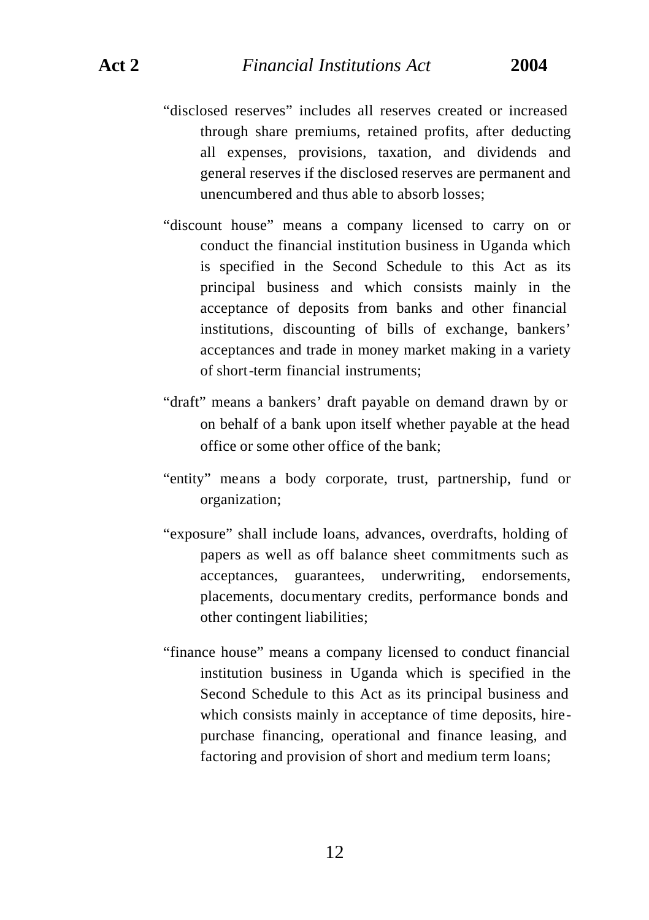- "disclosed reserves" includes all reserves created or increased through share premiums, retained profits, after deducting all expenses, provisions, taxation, and dividends and general reserves if the disclosed reserves are permanent and unencumbered and thus able to absorb losses;
- "discount house" means a company licensed to carry on or conduct the financial institution business in Uganda which is specified in the Second Schedule to this Act as its principal business and which consists mainly in the acceptance of deposits from banks and other financial institutions, discounting of bills of exchange, bankers' acceptances and trade in money market making in a variety of short-term financial instruments;
- "draft" means a bankers' draft payable on demand drawn by or on behalf of a bank upon itself whether payable at the head office or some other office of the bank;
- "entity" means a body corporate, trust, partnership, fund or organization;
- "exposure" shall include loans, advances, overdrafts, holding of papers as well as off balance sheet commitments such as acceptances, guarantees, underwriting, endorsements, placements, documentary credits, performance bonds and other contingent liabilities;
- "finance house" means a company licensed to conduct financial institution business in Uganda which is specified in the Second Schedule to this Act as its principal business and which consists mainly in acceptance of time deposits, hirepurchase financing, operational and finance leasing, and factoring and provision of short and medium term loans;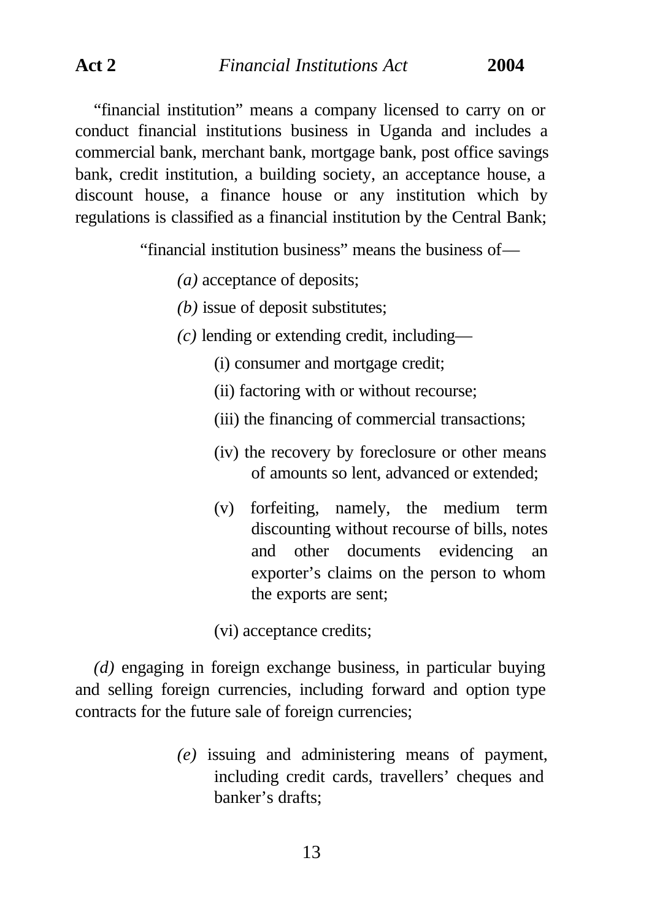"financial institution" means a company licensed to carry on or conduct financial institutions business in Uganda and includes a commercial bank, merchant bank, mortgage bank, post office savings bank, credit institution, a building society, an acceptance house, a discount house, a finance house or any institution which by regulations is classified as a financial institution by the Central Bank;

"financial institution business" means the business of—

- *(a)* acceptance of deposits;
- *(b)* issue of deposit substitutes;
- *(c)* lending or extending credit, including—
	- (i) consumer and mortgage credit;
	- (ii) factoring with or without recourse;
	- (iii) the financing of commercial transactions;
	- (iv) the recovery by foreclosure or other means of amounts so lent, advanced or extended;
	- (v) forfeiting, namely, the medium term discounting without recourse of bills, notes and other documents evidencing an exporter's claims on the person to whom the exports are sent;

(vi) acceptance credits;

*(d)* engaging in foreign exchange business, in particular buying and selling foreign currencies, including forward and option type contracts for the future sale of foreign currencies;

> *(e)* issuing and administering means of payment, including credit cards, travellers' cheques and banker's drafts;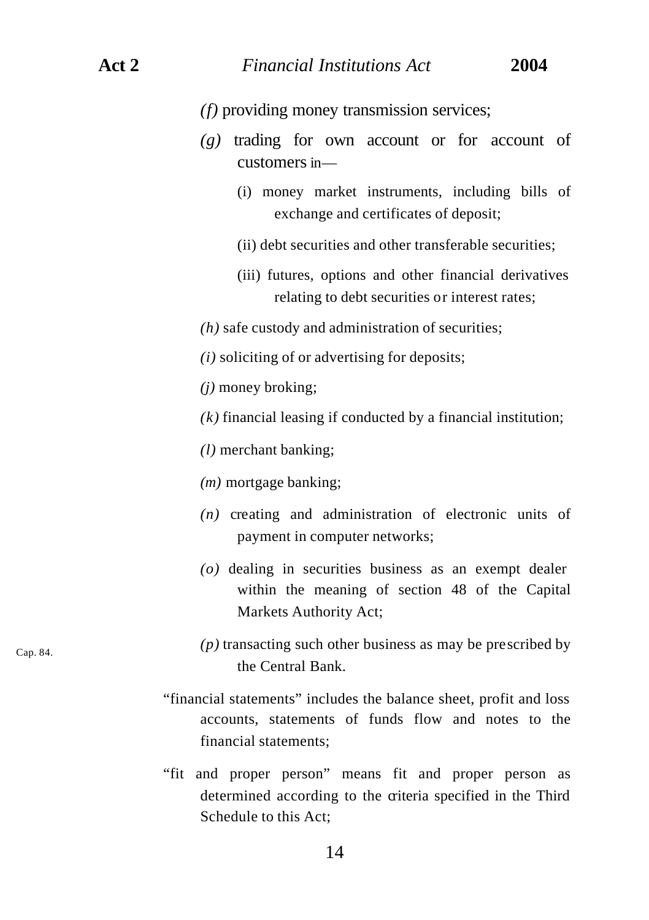Cap. 84.

*(f)* providing money transmission services;

- *(g)* trading for own account or for account of customers in—
	- (i) money market instruments, including bills of exchange and certificates of deposit;
	- (ii) debt securities and other transferable securities;
	- (iii) futures, options and other financial derivatives relating to debt securities or interest rates;
- *(h)* safe custody and administration of securities;
- *(i)* soliciting of or advertising for deposits;
- *(j)* money broking;
- *(k)* financial leasing if conducted by a financial institution;
- *(l)* merchant banking;
- *(m)* mortgage banking;
- *(n)* creating and administration of electronic units of payment in computer networks;
- *(o)* dealing in securities business as an exempt dealer within the meaning of section 48 of the Capital Markets Authority Act;
- *(p)* transacting such other business as may be prescribed by the Central Bank.
- "financial statements" includes the balance sheet, profit and loss accounts, statements of funds flow and notes to the financial statements;
- "fit and proper person" means fit and proper person as determined according to the criteria specified in the Third Schedule to this Act;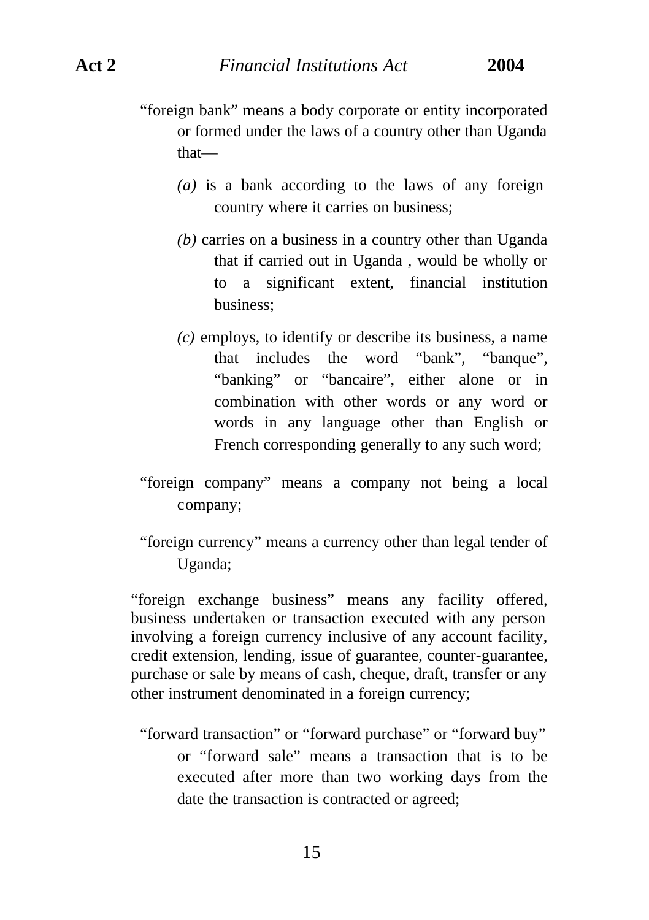- "foreign bank" means a body corporate or entity incorporated or formed under the laws of a country other than Uganda that—
	- *(a)* is a bank according to the laws of any foreign country where it carries on business;
	- *(b)* carries on a business in a country other than Uganda that if carried out in Uganda , would be wholly or to a significant extent, financial institution business;
	- *(c)* employs, to identify or describe its business, a name that includes the word "bank", "banque", "banking" or "bancaire", either alone or in combination with other words or any word or words in any language other than English or French corresponding generally to any such word;
- "foreign company" means a company not being a local company;

"foreign currency" means a currency other than legal tender of Uganda;

"foreign exchange business" means any facility offered, business undertaken or transaction executed with any person involving a foreign currency inclusive of any account facility, credit extension, lending, issue of guarantee, counter-guarantee, purchase or sale by means of cash, cheque, draft, transfer or any other instrument denominated in a foreign currency;

"forward transaction" or "forward purchase" or "forward buy" or "forward sale" means a transaction that is to be executed after more than two working days from the date the transaction is contracted or agreed;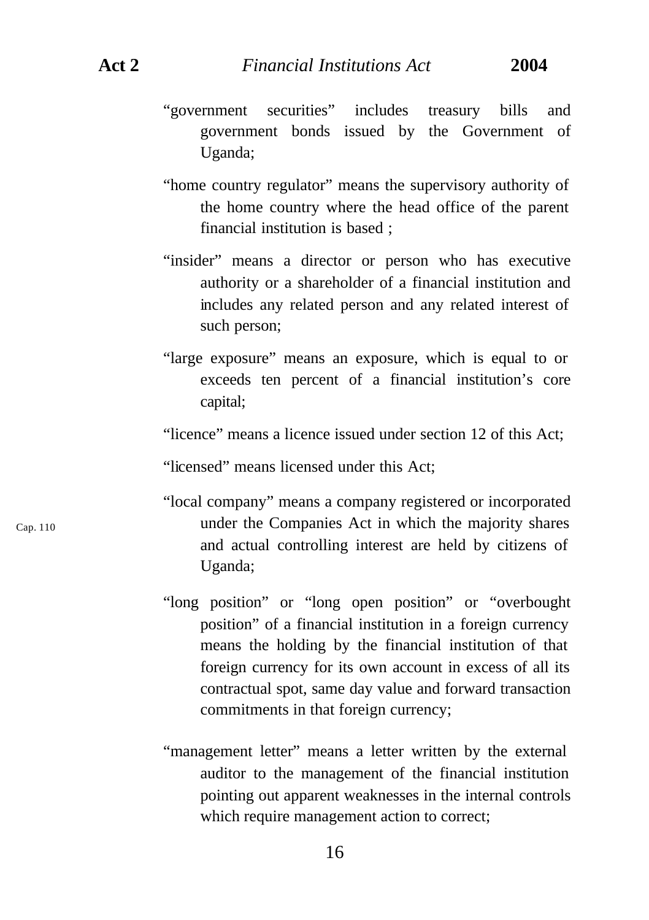- "government securities" includes treasury bills and government bonds issued by the Government of Uganda;
- "home country regulator" means the supervisory authority of the home country where the head office of the parent financial institution is based ;
- "insider" means a director or person who has executive authority or a shareholder of a financial institution and includes any related person and any related interest of such person;
- "large exposure" means an exposure, which is equal to or exceeds ten percent of a financial institution's core capital;
- "licence" means a licence issued under section 12 of this Act;

"licensed" means licensed under this Act;

- "local company" means a company registered or incorporated under the Companies Act in which the majority shares and actual controlling interest are held by citizens of Uganda;
- "long position" or "long open position" or "overbought position" of a financial institution in a foreign currency means the holding by the financial institution of that foreign currency for its own account in excess of all its contractual spot, same day value and forward transaction commitments in that foreign currency;
- "management letter" means a letter written by the external auditor to the management of the financial institution pointing out apparent weaknesses in the internal controls which require management action to correct;

16

Cap. 110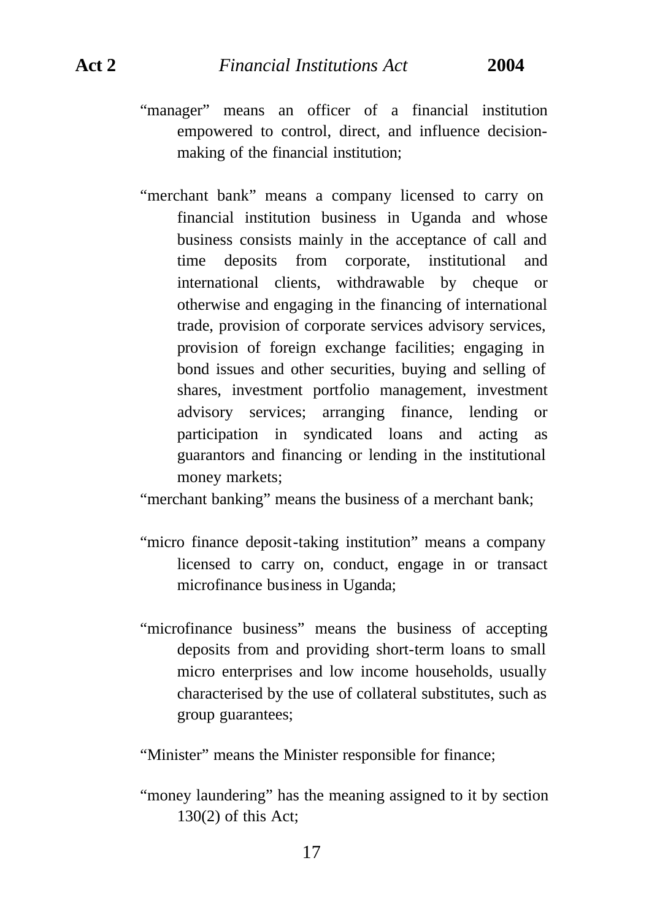- "manager" means an officer of a financial institution empowered to control, direct, and influence decisionmaking of the financial institution;
- "merchant bank" means a company licensed to carry on financial institution business in Uganda and whose business consists mainly in the acceptance of call and time deposits from corporate, institutional and international clients, withdrawable by cheque or otherwise and engaging in the financing of international trade, provision of corporate services advisory services, provision of foreign exchange facilities; engaging in bond issues and other securities, buying and selling of shares, investment portfolio management, investment advisory services; arranging finance, lending or participation in syndicated loans and acting as guarantors and financing or lending in the institutional money markets;

"merchant banking" means the business of a merchant bank;

- "micro finance deposit-taking institution" means a company licensed to carry on, conduct, engage in or transact microfinance business in Uganda;
- "microfinance business" means the business of accepting deposits from and providing short-term loans to small micro enterprises and low income households, usually characterised by the use of collateral substitutes, such as group guarantees;

"Minister" means the Minister responsible for finance;

"money laundering" has the meaning assigned to it by section 130(2) of this Act;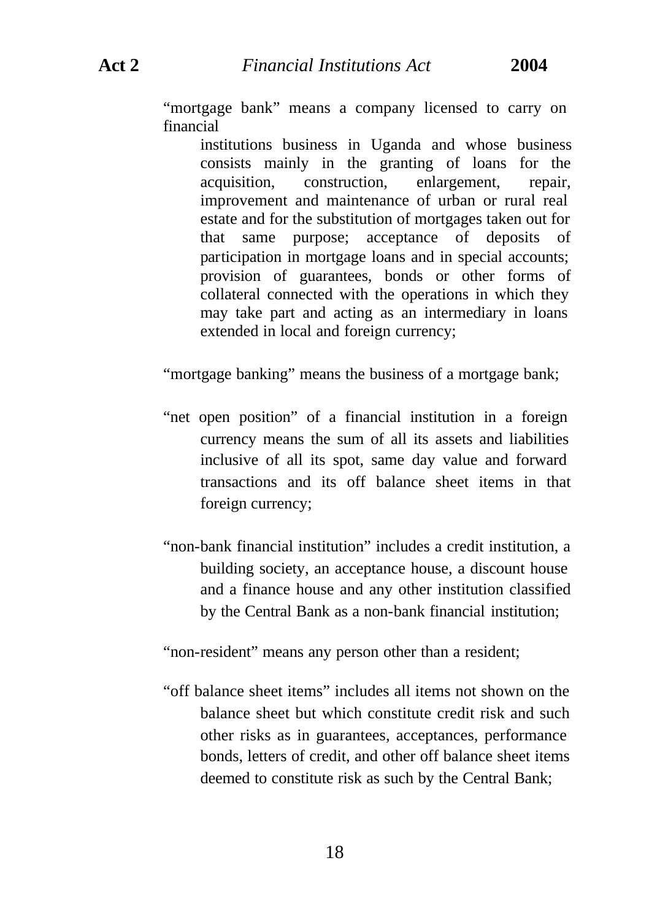"mortgage bank" means a company licensed to carry on financial

institutions business in Uganda and whose business consists mainly in the granting of loans for the acquisition, construction, enlargement, repair, improvement and maintenance of urban or rural real estate and for the substitution of mortgages taken out for that same purpose; acceptance of deposits of participation in mortgage loans and in special accounts; provision of guarantees, bonds or other forms of collateral connected with the operations in which they may take part and acting as an intermediary in loans extended in local and foreign currency;

"mortgage banking" means the business of a mortgage bank;

- "net open position" of a financial institution in a foreign currency means the sum of all its assets and liabilities inclusive of all its spot, same day value and forward transactions and its off balance sheet items in that foreign currency;
- "non-bank financial institution" includes a credit institution, a building society, an acceptance house, a discount house and a finance house and any other institution classified by the Central Bank as a non-bank financial institution;

"non-resident" means any person other than a resident;

"off balance sheet items" includes all items not shown on the balance sheet but which constitute credit risk and such other risks as in guarantees, acceptances, performance bonds, letters of credit, and other off balance sheet items deemed to constitute risk as such by the Central Bank;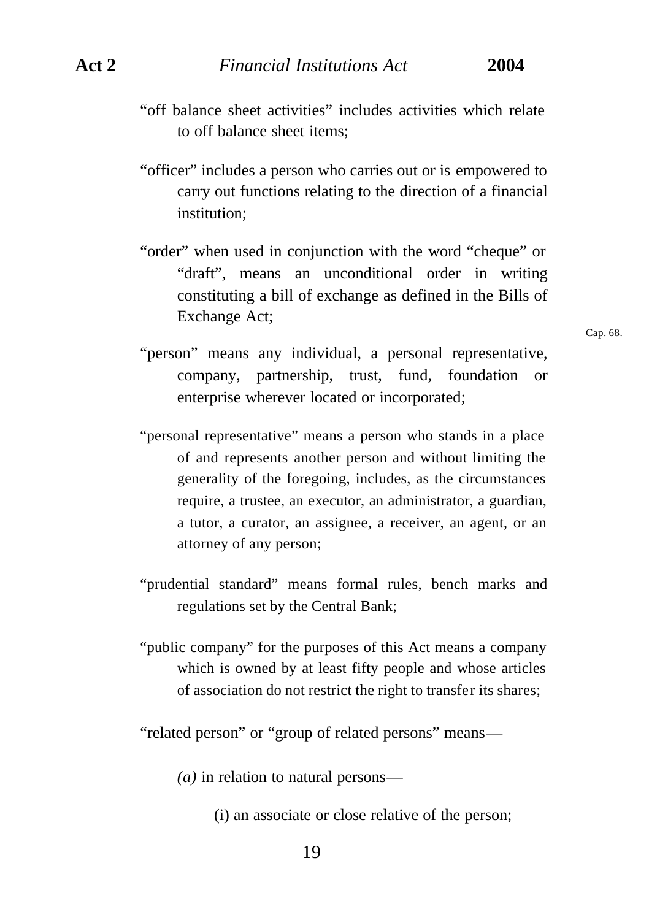- "off balance sheet activities" includes activities which relate to off balance sheet items;
- "officer" includes a person who carries out or is empowered to carry out functions relating to the direction of a financial institution;
- "order" when used in conjunction with the word "cheque" or "draft", means an unconditional order in writing constituting a bill of exchange as defined in the Bills of Exchange Act;
- "person" means any individual, a personal representative, company, partnership, trust, fund, foundation or enterprise wherever located or incorporated;
- "personal representative" means a person who stands in a place of and represents another person and without limiting the generality of the foregoing, includes, as the circumstances require, a trustee, an executor, an administrator, a guardian, a tutor, a curator, an assignee, a receiver, an agent, or an attorney of any person;
- "prudential standard" means formal rules, bench marks and regulations set by the Central Bank;
- "public company" for the purposes of this Act means a company which is owned by at least fifty people and whose articles of association do not restrict the right to transfer its shares;

"related person" or "group of related persons" means—

- *(a)* in relation to natural persons—
	- (i) an associate or close relative of the person;

Cap. 68.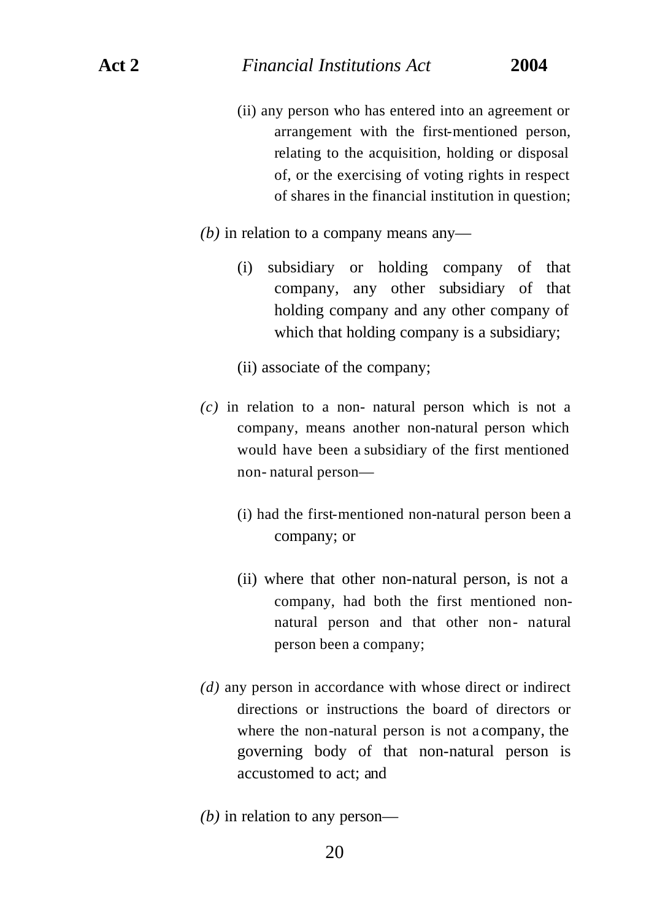- (ii) any person who has entered into an agreement or arrangement with the first-mentioned person, relating to the acquisition, holding or disposal of, or the exercising of voting rights in respect of shares in the financial institution in question;
- *(b)* in relation to a company means any—
	- (i) subsidiary or holding company of that company, any other subsidiary of that holding company and any other company of which that holding company is a subsidiary;
	- (ii) associate of the company;
- *(c)* in relation to a non- natural person which is not a company, means another non-natural person which would have been a subsidiary of the first mentioned non- natural person—
	- (i) had the first-mentioned non-natural person been a company; or
	- (ii) where that other non-natural person, is not a company, had both the first mentioned nonnatural person and that other non- natural person been a company;
- *(d)* any person in accordance with whose direct or indirect directions or instructions the board of directors or where the non-natural person is not a company, the governing body of that non-natural person is accustomed to act; and
- *(b)* in relation to any person—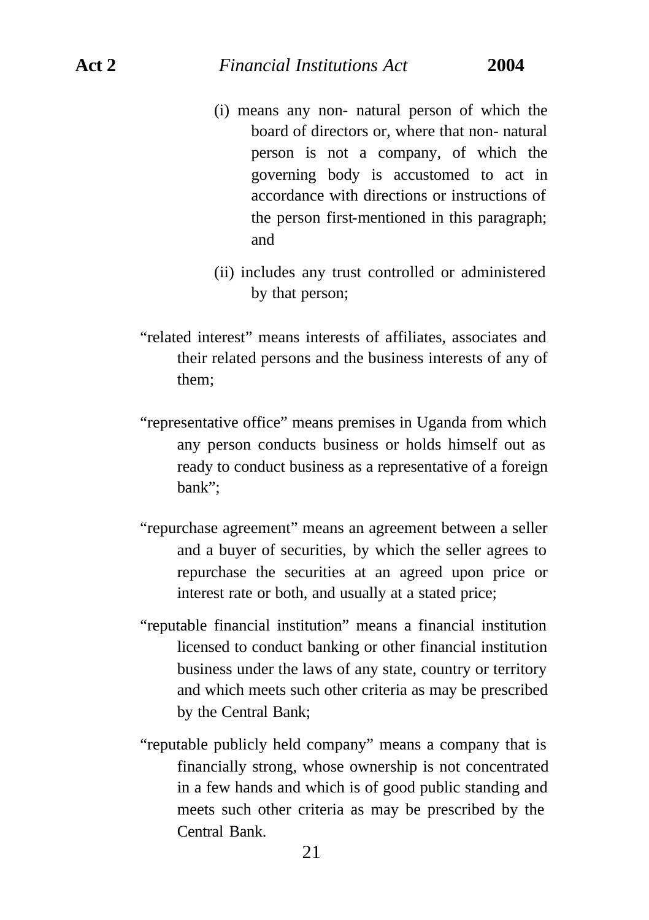- (i) means any non- natural person of which the board of directors or, where that non- natural person is not a company, of which the governing body is accustomed to act in accordance with directions or instructions of the person first-mentioned in this paragraph; and
- (ii) includes any trust controlled or administered by that person;
- "related interest" means interests of affiliates, associates and their related persons and the business interests of any of them;
- "representative office" means premises in Uganda from which any person conducts business or holds himself out as ready to conduct business as a representative of a foreign bank";
- "repurchase agreement" means an agreement between a seller and a buyer of securities, by which the seller agrees to repurchase the securities at an agreed upon price or interest rate or both, and usually at a stated price;
- "reputable financial institution" means a financial institution licensed to conduct banking or other financial institution business under the laws of any state, country or territory and which meets such other criteria as may be prescribed by the Central Bank;
- "reputable publicly held company" means a company that is financially strong, whose ownership is not concentrated in a few hands and which is of good public standing and meets such other criteria as may be prescribed by the Central Bank.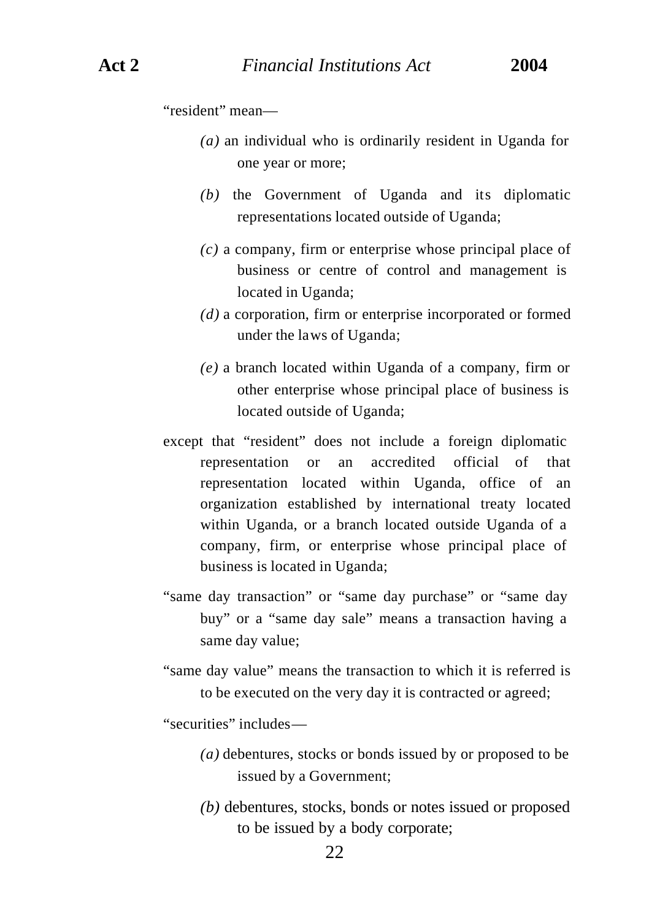"resident" mean—

- *(a)* an individual who is ordinarily resident in Uganda for one year or more;
- *(b)* the Government of Uganda and its diplomatic representations located outside of Uganda;
- *(c)* a company, firm or enterprise whose principal place of business or centre of control and management is located in Uganda;
- *(d)* a corporation, firm or enterprise incorporated or formed under the laws of Uganda;
- *(e)* a branch located within Uganda of a company, firm or other enterprise whose principal place of business is located outside of Uganda;
- except that "resident" does not include a foreign diplomatic representation or an accredited official of that representation located within Uganda, office of an organization established by international treaty located within Uganda, or a branch located outside Uganda of a company, firm, or enterprise whose principal place of business is located in Uganda;
- "same day transaction" or "same day purchase" or "same day buy" or a "same day sale" means a transaction having a same day value;
- "same day value" means the transaction to which it is referred is to be executed on the very day it is contracted or agreed;

"securities" includes—

- *(a)* debentures, stocks or bonds issued by or proposed to be issued by a Government;
- *(b)* debentures, stocks, bonds or notes issued or proposed to be issued by a body corporate;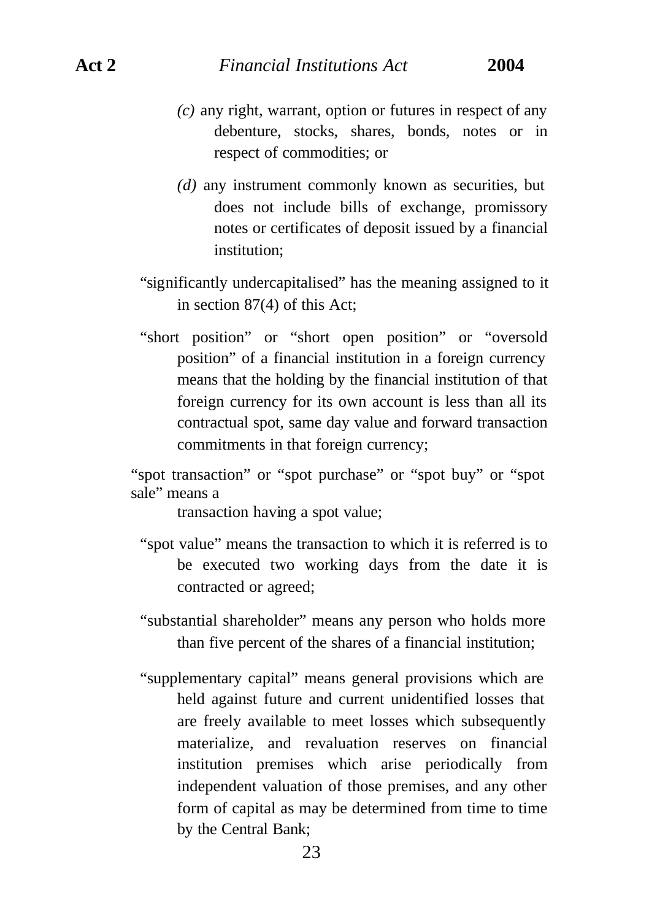### **Act 2** *Financial Institutions Act* **2004**

- *(c)* any right, warrant, option or futures in respect of any debenture, stocks, shares, bonds, notes or in respect of commodities; or
- *(d)* any instrument commonly known as securities, but does not include bills of exchange, promissory notes or certificates of deposit issued by a financial institution;
- "significantly undercapitalised" has the meaning assigned to it in section 87(4) of this Act;
- "short position" or "short open position" or "oversold position" of a financial institution in a foreign currency means that the holding by the financial institution of that foreign currency for its own account is less than all its contractual spot, same day value and forward transaction commitments in that foreign currency;

"spot transaction" or "spot purchase" or "spot buy" or "spot sale" means a

transaction having a spot value;

- "spot value" means the transaction to which it is referred is to be executed two working days from the date it is contracted or agreed;
- "substantial shareholder" means any person who holds more than five percent of the shares of a financial institution;
- "supplementary capital" means general provisions which are held against future and current unidentified losses that are freely available to meet losses which subsequently materialize, and revaluation reserves on financial institution premises which arise periodically from independent valuation of those premises, and any other form of capital as may be determined from time to time by the Central Bank;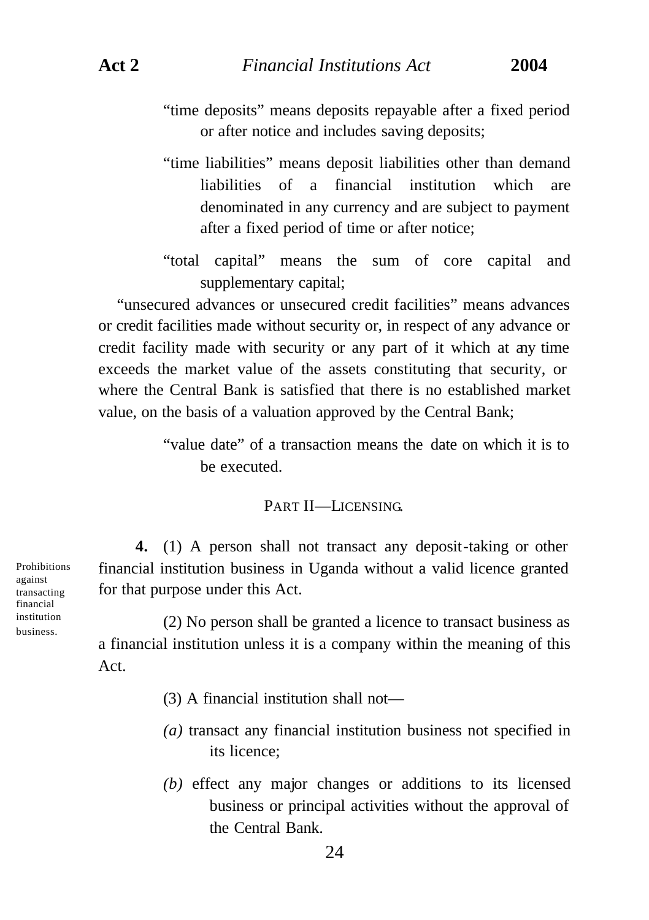- "time deposits" means deposits repayable after a fixed period or after notice and includes saving deposits;
- "time liabilities" means deposit liabilities other than demand liabilities of a financial institution which are denominated in any currency and are subject to payment after a fixed period of time or after notice;
- "total capital" means the sum of core capital and supplementary capital;

"unsecured advances or unsecured credit facilities" means advances or credit facilities made without security or, in respect of any advance or credit facility made with security or any part of it which at any time exceeds the market value of the assets constituting that security, or where the Central Bank is satisfied that there is no established market value, on the basis of a valuation approved by the Central Bank;

> "value date" of a transaction means the date on which it is to be executed.

# PART II—LICENSING.

**4.** (1) A person shall not transact any deposit-taking or other financial institution business in Uganda without a valid licence granted for that purpose under this Act.

(2) No person shall be granted a licence to transact business as a financial institution unless it is a company within the meaning of this Act.

- (3) A financial institution shall not—
- *(a)* transact any financial institution business not specified in its licence;
- *(b)* effect any major changes or additions to its licensed business or principal activities without the approval of the Central Bank.

**Prohibitions** against transacting financial institution business.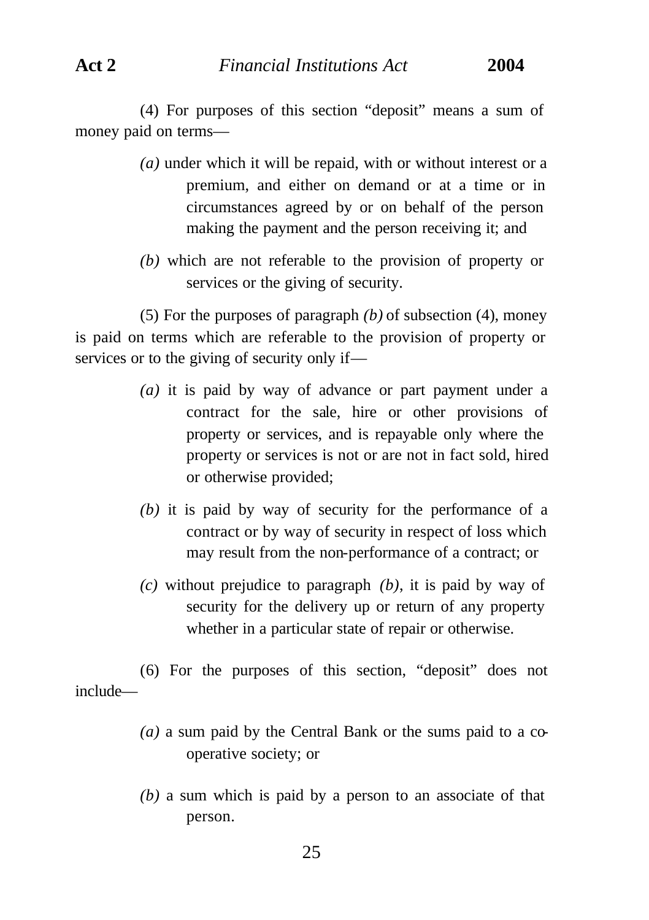(4) For purposes of this section "deposit" means a sum of money paid on terms—

- *(a)* under which it will be repaid, with or without interest or a premium, and either on demand or at a time or in circumstances agreed by or on behalf of the person making the payment and the person receiving it; and
- *(b)* which are not referable to the provision of property or services or the giving of security.

(5) For the purposes of paragraph *(b)* of subsection (4), money is paid on terms which are referable to the provision of property or services or to the giving of security only if—

- *(a)* it is paid by way of advance or part payment under a contract for the sale, hire or other provisions of property or services, and is repayable only where the property or services is not or are not in fact sold, hired or otherwise provided;
- *(b)* it is paid by way of security for the performance of a contract or by way of security in respect of loss which may result from the non-performance of a contract; or
- *(c)* without prejudice to paragraph *(b)*, it is paid by way of security for the delivery up or return of any property whether in a particular state of repair or otherwise.

(6) For the purposes of this section, "deposit" does not include—

- *(a)* a sum paid by the Central Bank or the sums paid to a cooperative society; or
- *(b)* a sum which is paid by a person to an associate of that person.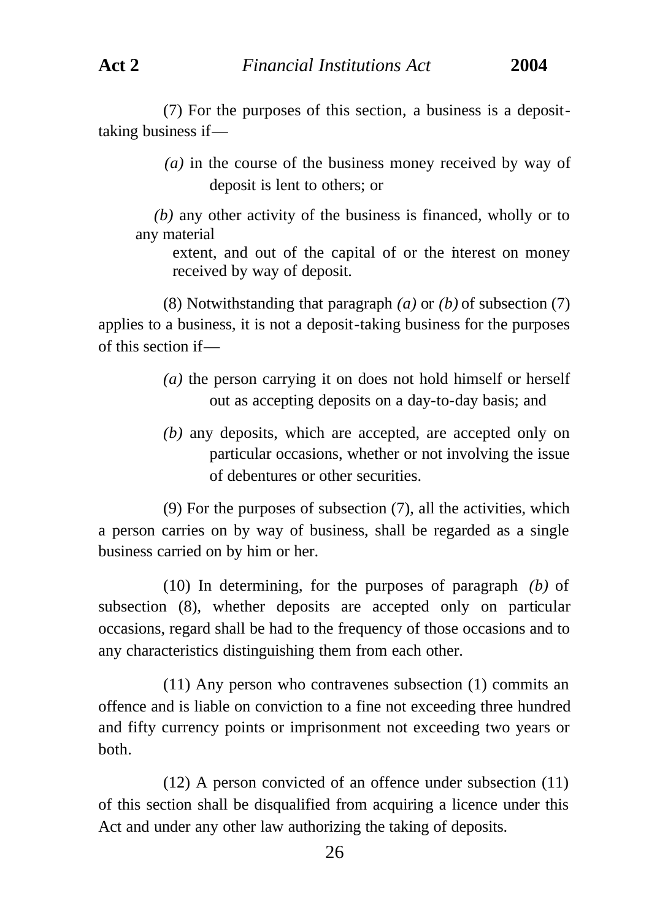(7) For the purposes of this section, a business is a deposittaking business if—

> *(a)* in the course of the business money received by way of deposit is lent to others; or

*(b)* any other activity of the business is financed, wholly or to any material

extent, and out of the capital of or the interest on money received by way of deposit.

(8) Notwithstanding that paragraph *(a)* or *(b)* of subsection (7) applies to a business, it is not a deposit-taking business for the purposes of this section if—

- *(a)* the person carrying it on does not hold himself or herself out as accepting deposits on a day-to-day basis; and
- *(b)* any deposits, which are accepted, are accepted only on particular occasions, whether or not involving the issue of debentures or other securities.

(9) For the purposes of subsection (7), all the activities, which a person carries on by way of business, shall be regarded as a single business carried on by him or her.

(10) In determining, for the purposes of paragraph *(b)* of subsection (8), whether deposits are accepted only on particular occasions, regard shall be had to the frequency of those occasions and to any characteristics distinguishing them from each other.

(11) Any person who contravenes subsection (1) commits an offence and is liable on conviction to a fine not exceeding three hundred and fifty currency points or imprisonment not exceeding two years or both.

(12) A person convicted of an offence under subsection (11) of this section shall be disqualified from acquiring a licence under this Act and under any other law authorizing the taking of deposits.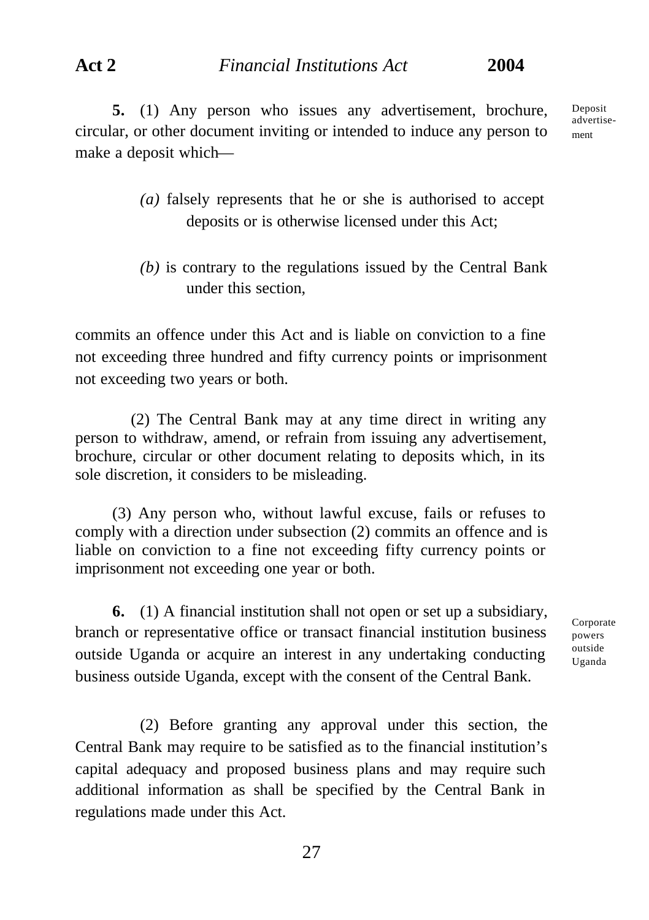**Act 2** *Financial Institutions Act* **2004**

**5.** (1) Any person who issues any advertisement, brochure, circular, or other document inviting or intended to induce any person to make a deposit whichDeposit advertisement

- *(a)* falsely represents that he or she is authorised to accept deposits or is otherwise licensed under this Act;
- *(b)* is contrary to the regulations issued by the Central Bank under this section,

commits an offence under this Act and is liable on conviction to a fine not exceeding three hundred and fifty currency points or imprisonment not exceeding two years or both.

(2) The Central Bank may at any time direct in writing any person to withdraw, amend, or refrain from issuing any advertisement, brochure, circular or other document relating to deposits which, in its sole discretion, it considers to be misleading.

(3) Any person who, without lawful excuse, fails or refuses to comply with a direction under subsection (2) commits an offence and is liable on conviction to a fine not exceeding fifty currency points or imprisonment not exceeding one year or both.

**6.** (1) A financial institution shall not open or set up a subsidiary, branch or representative office or transact financial institution business outside Uganda or acquire an interest in any undertaking conducting business outside Uganda, except with the consent of the Central Bank.

**Corporate** powers outside Uganda

(2) Before granting any approval under this section, the Central Bank may require to be satisfied as to the financial institution's capital adequacy and proposed business plans and may require such additional information as shall be specified by the Central Bank in regulations made under this Act.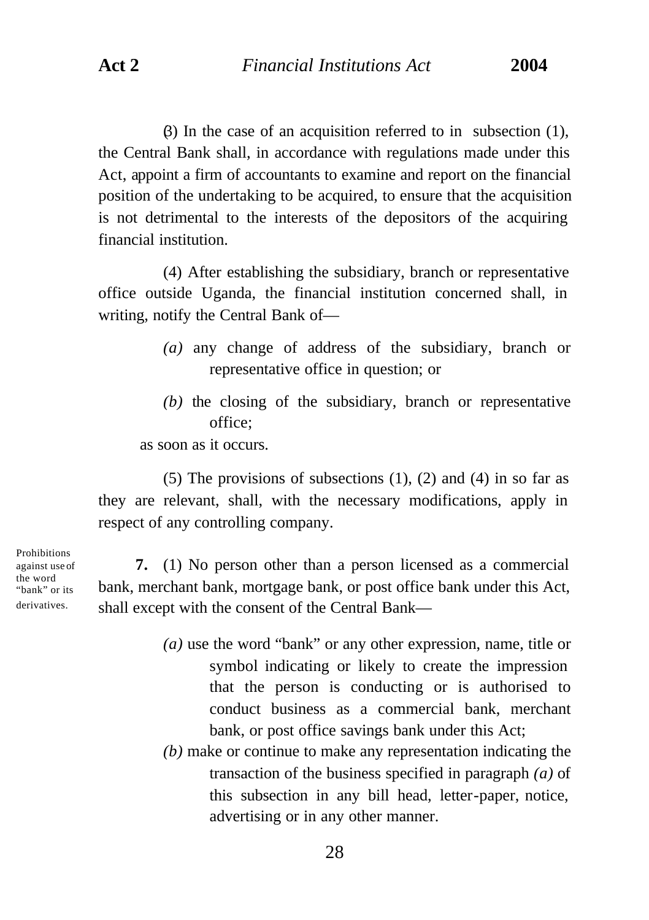$(3)$  In the case of an acquisition referred to in subsection (1), the Central Bank shall, in accordance with regulations made under this Act, appoint a firm of accountants to examine and report on the financial position of the undertaking to be acquired, to ensure that the acquisition is not detrimental to the interests of the depositors of the acquiring financial institution.

(4) After establishing the subsidiary, branch or representative office outside Uganda, the financial institution concerned shall, in writing, notify the Central Bank of—

- *(a)* any change of address of the subsidiary, branch or representative office in question; or
- *(b)* the closing of the subsidiary, branch or representative office;

as soon as it occurs.

(5) The provisions of subsections  $(1)$ ,  $(2)$  and  $(4)$  in so far as they are relevant, shall, with the necessary modifications, apply in respect of any controlling company.

Prohibitions against use of the word "bank" or its derivatives.

**7.** (1) No person other than a person licensed as a commercial bank, merchant bank, mortgage bank, or post office bank under this Act, shall except with the consent of the Central Bank—

- *(a)* use the word "bank" or any other expression, name, title or symbol indicating or likely to create the impression that the person is conducting or is authorised to conduct business as a commercial bank, merchant bank, or post office savings bank under this Act;
- *(b)* make or continue to make any representation indicating the transaction of the business specified in paragraph *(a)* of this subsection in any bill head, letter-paper, notice, advertising or in any other manner.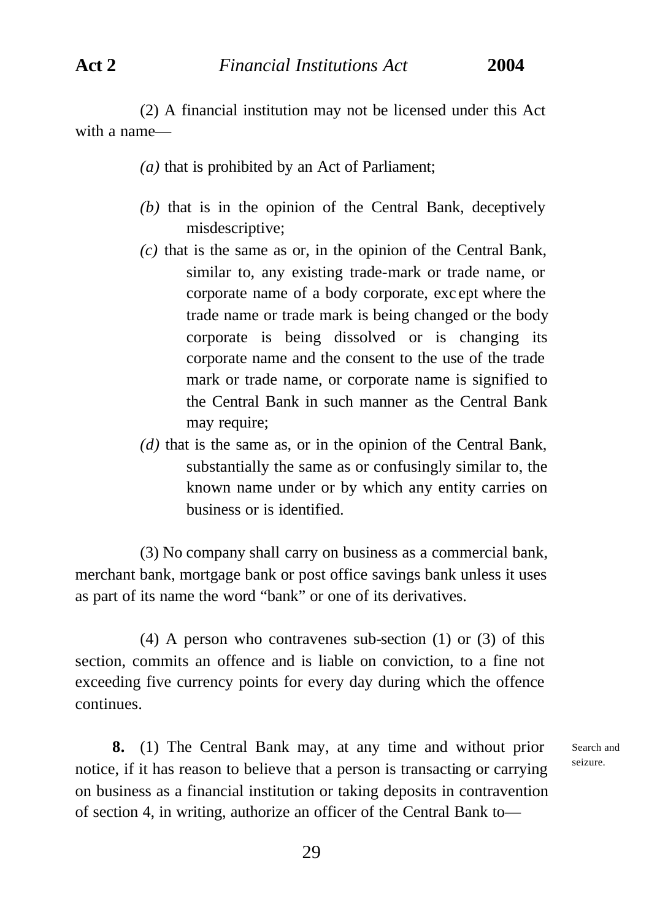(2) A financial institution may not be licensed under this Act with a name—

- *(a)* that is prohibited by an Act of Parliament;
- *(b)* that is in the opinion of the Central Bank, deceptively misdescriptive;
- *(c)* that is the same as or, in the opinion of the Central Bank, similar to, any existing trade-mark or trade name, or corporate name of a body corporate, exc ept where the trade name or trade mark is being changed or the body corporate is being dissolved or is changing its corporate name and the consent to the use of the trade mark or trade name, or corporate name is signified to the Central Bank in such manner as the Central Bank may require;
- *(d)* that is the same as, or in the opinion of the Central Bank, substantially the same as or confusingly similar to, the known name under or by which any entity carries on business or is identified.

(3) No company shall carry on business as a commercial bank, merchant bank, mortgage bank or post office savings bank unless it uses as part of its name the word "bank" or one of its derivatives.

(4) A person who contravenes sub-section (1) or (3) of this section, commits an offence and is liable on conviction, to a fine not exceeding five currency points for every day during which the offence continues.

**8.** (1) The Central Bank may, at any time and without prior notice, if it has reason to believe that a person is transacting or carrying on business as a financial institution or taking deposits in contravention of section 4, in writing, authorize an officer of the Central Bank toSearch and seizure.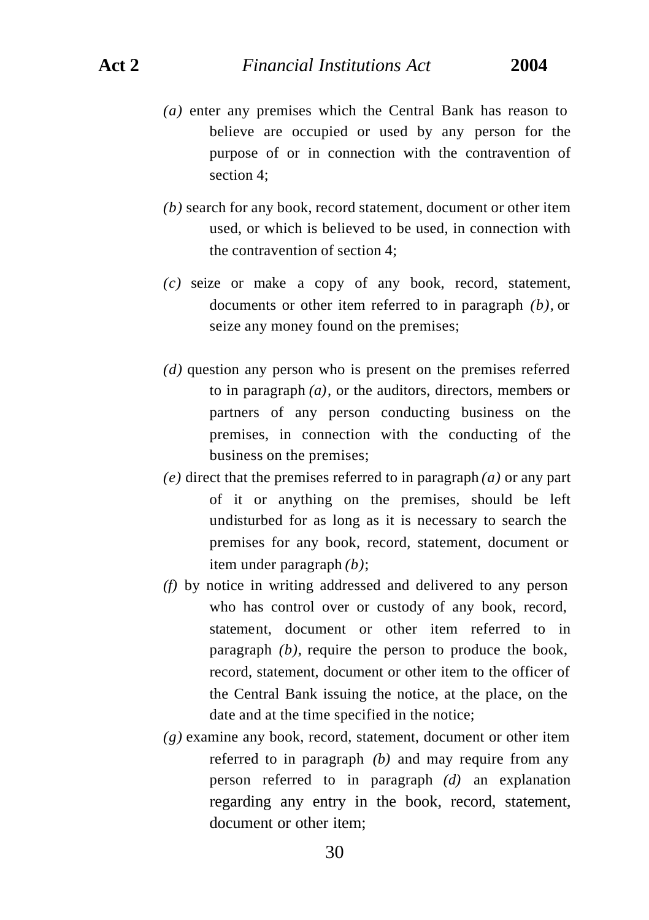- *(a)* enter any premises which the Central Bank has reason to believe are occupied or used by any person for the purpose of or in connection with the contravention of section 4;
- *(b)* search for any book, record statement, document or other item used, or which is believed to be used, in connection with the contravention of section 4;
- *(c)* seize or make a copy of any book, record, statement, documents or other item referred to in paragraph *(b),* or seize any money found on the premises;
- *(d)* question any person who is present on the premises referred to in paragraph *(a)*, or the auditors, directors, members or partners of any person conducting business on the premises, in connection with the conducting of the business on the premises;
- *(e)* direct that the premises referred to in paragraph *(a)* or any part of it or anything on the premises, should be left undisturbed for as long as it is necessary to search the premises for any book, record, statement, document or item under paragraph *(b)*;
- *(f)* by notice in writing addressed and delivered to any person who has control over or custody of any book, record, statement, document or other item referred to in paragraph *(b),* require the person to produce the book, record, statement, document or other item to the officer of the Central Bank issuing the notice, at the place, on the date and at the time specified in the notice;
- *(g)* examine any book, record, statement, document or other item referred to in paragraph *(b)* and may require from any person referred to in paragraph *(d)* an explanation regarding any entry in the book, record, statement, document or other item;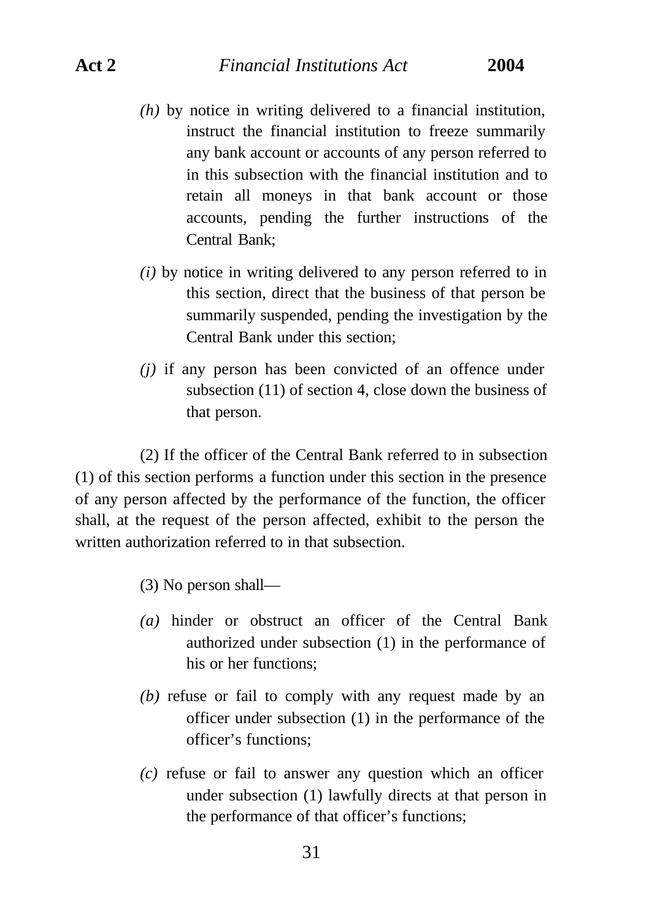# **Act 2** *Financial Institutions Act* **2004**

- *(h)* by notice in writing delivered to a financial institution, instruct the financial institution to freeze summarily any bank account or accounts of any person referred to in this subsection with the financial institution and to retain all moneys in that bank account or those accounts, pending the further instructions of the Central Bank;
- *(i)* by notice in writing delivered to any person referred to in this section, direct that the business of that person be summarily suspended, pending the investigation by the Central Bank under this section;
- *(j)* if any person has been convicted of an offence under subsection (11) of section 4, close down the business of that person.

(2) If the officer of the Central Bank referred to in subsection (1) of this section performs a function under this section in the presence of any person affected by the performance of the function, the officer shall, at the request of the person affected, exhibit to the person the written authorization referred to in that subsection.

(3) No person shall—

- *(a)* hinder or obstruct an officer of the Central Bank authorized under subsection (1) in the performance of his or her functions;
- *(b)* refuse or fail to comply with any request made by an officer under subsection (1) in the performance of the officer's functions;
- *(c)* refuse or fail to answer any question which an officer under subsection (1) lawfully directs at that person in the performance of that officer's functions;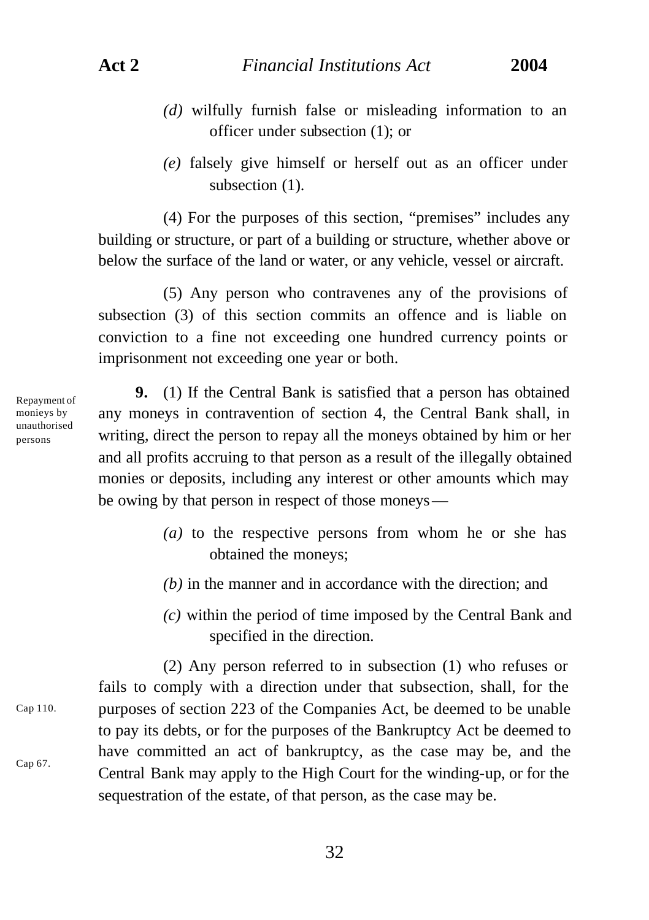- *(d)* wilfully furnish false or misleading information to an officer under subsection (1); or
- *(e)* falsely give himself or herself out as an officer under subsection  $(1)$ .

(4) For the purposes of this section, "premises" includes any building or structure, or part of a building or structure, whether above or below the surface of the land or water, or any vehicle, vessel or aircraft.

(5) Any person who contravenes any of the provisions of subsection (3) of this section commits an offence and is liable on conviction to a fine not exceeding one hundred currency points or imprisonment not exceeding one year or both.

Repayment of monieys by unauthorised persons

**9.** (1) If the Central Bank is satisfied that a person has obtained any moneys in contravention of section 4, the Central Bank shall, in writing, direct the person to repay all the moneys obtained by him or her and all profits accruing to that person as a result of the illegally obtained monies or deposits, including any interest or other amounts which may be owing by that person in respect of those moneys—

- *(a)* to the respective persons from whom he or she has obtained the moneys;
- *(b)* in the manner and in accordance with the direction; and
- *(c)* within the period of time imposed by the Central Bank and specified in the direction.

(2) Any person referred to in subsection (1) who refuses or fails to comply with a direction under that subsection, shall, for the purposes of section 223 of the Companies Act, be deemed to be unable to pay its debts, or for the purposes of the Bankruptcy Act be deemed to have committed an act of bankruptcy, as the case may be, and the Central Bank may apply to the High Court for the winding-up, or for the sequestration of the estate, of that person, as the case may be. Cap 110. Cap 67.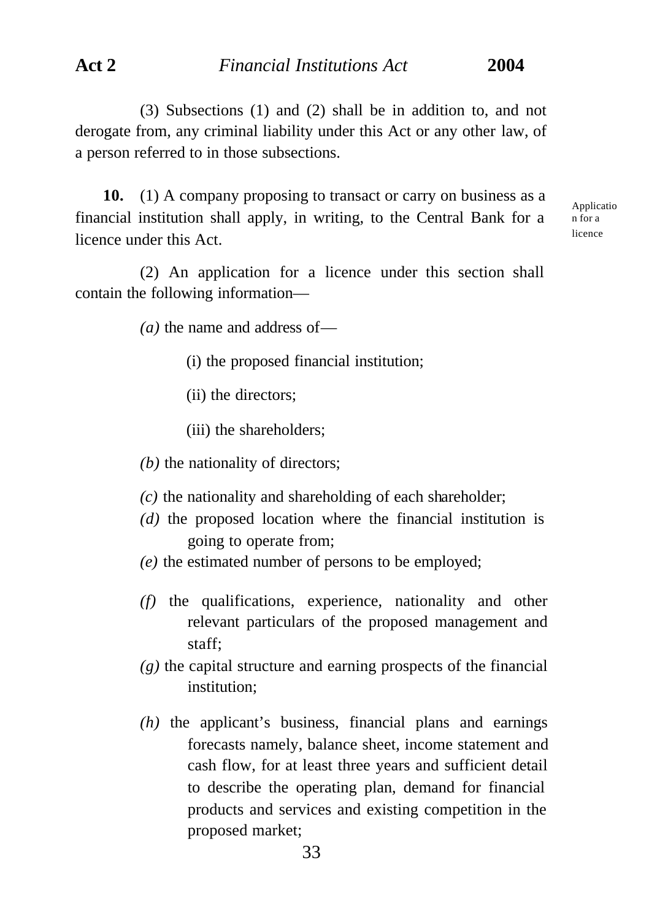(3) Subsections (1) and (2) shall be in addition to, and not derogate from, any criminal liability under this Act or any other law, of a person referred to in those subsections.

**10.** (1) A company proposing to transact or carry on business as a financial institution shall apply, in writing, to the Central Bank for a licence under this Act.

Applicatio n for a licence

(2) An application for a licence under this section shall contain the following information—

*(a)* the name and address of—

- (i) the proposed financial institution;
- (ii) the directors;
- (iii) the shareholders;
- *(b)* the nationality of directors;
- *(c)* the nationality and shareholding of each shareholder;
- *(d)* the proposed location where the financial institution is going to operate from;
- *(e)* the estimated number of persons to be employed;
- *(f)* the qualifications, experience, nationality and other relevant particulars of the proposed management and staff;
- *(g)* the capital structure and earning prospects of the financial institution;
- *(h)* the applicant's business, financial plans and earnings forecasts namely, balance sheet, income statement and cash flow, for at least three years and sufficient detail to describe the operating plan, demand for financial products and services and existing competition in the proposed market;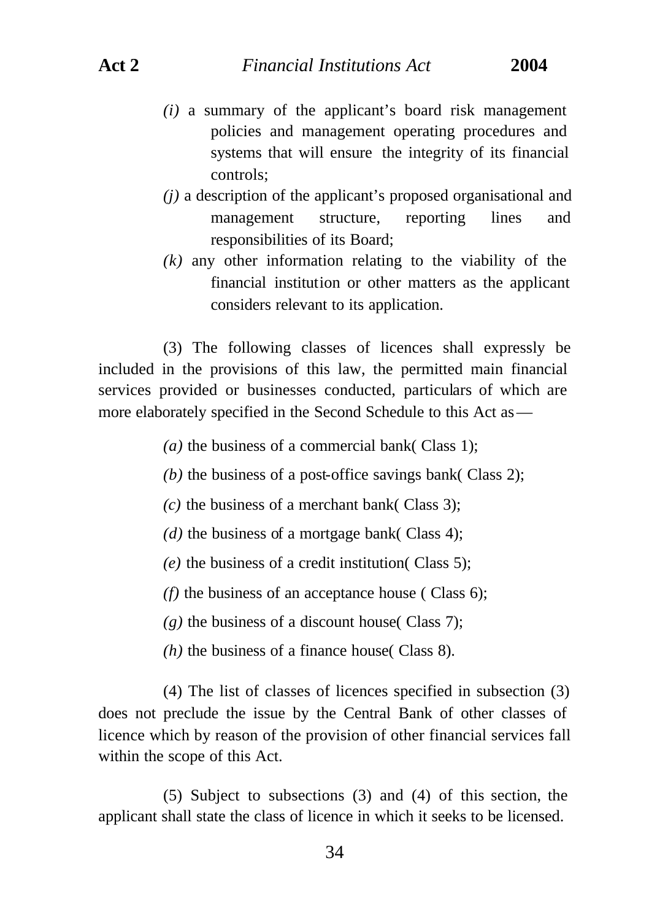- *(i)* a summary of the applicant's board risk management policies and management operating procedures and systems that will ensure the integrity of its financial controls;
- *(j)* a description of the applicant's proposed organisational and management structure, reporting lines and responsibilities of its Board;
- *(k)* any other information relating to the viability of the financial institution or other matters as the applicant considers relevant to its application.

(3) The following classes of licences shall expressly be included in the provisions of this law, the permitted main financial services provided or businesses conducted, particulars of which are more elaborately specified in the Second Schedule to this Act as—

*(a)* the business of a commercial bank( Class 1);

- *(b)* the business of a post-office savings bank( Class 2);
- $(c)$  the business of a merchant bank( Class 3);
- *(d)* the business of a mortgage bank( Class 4);
- *(e)* the business of a credit institution( Class 5);
- *(f)* the business of an acceptance house ( Class 6);
- $(g)$  the business of a discount house (Class 7);
- *(h)* the business of a finance house( Class 8).

(4) The list of classes of licences specified in subsection (3) does not preclude the issue by the Central Bank of other classes of licence which by reason of the provision of other financial services fall within the scope of this Act.

(5) Subject to subsections (3) and (4) of this section, the applicant shall state the class of licence in which it seeks to be licensed.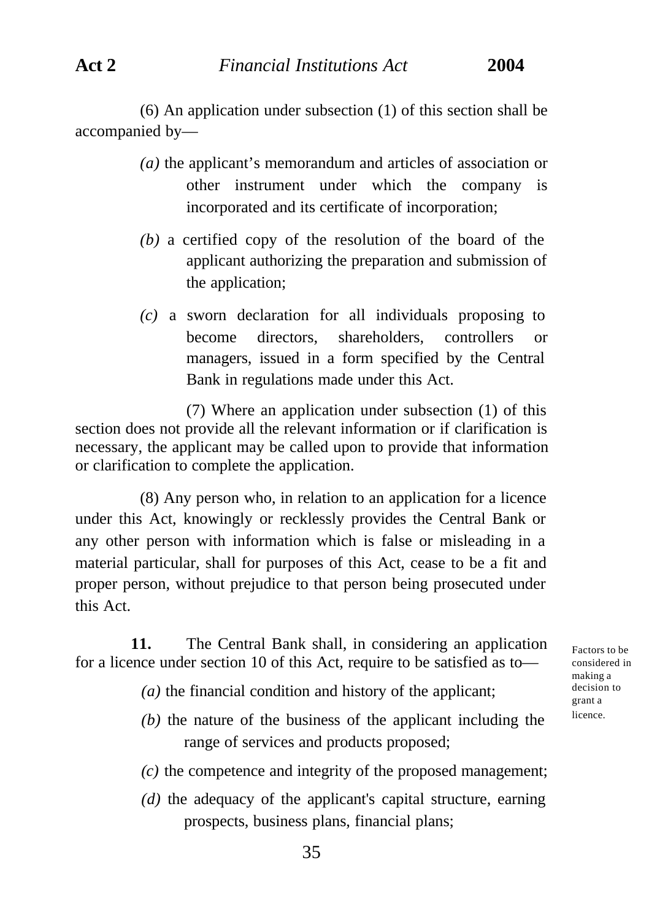(6) An application under subsection (1) of this section shall be accompanied by—

- *(a)* the applicant's memorandum and articles of association or other instrument under which the company is incorporated and its certificate of incorporation;
- *(b)* a certified copy of the resolution of the board of the applicant authorizing the preparation and submission of the application;
- *(c)* a sworn declaration for all individuals proposing to become directors, shareholders, controllers or managers, issued in a form specified by the Central Bank in regulations made under this Act.

(7) Where an application under subsection (1) of this section does not provide all the relevant information or if clarification is necessary, the applicant may be called upon to provide that information or clarification to complete the application.

(8) Any person who, in relation to an application for a licence under this Act, knowingly or recklessly provides the Central Bank or any other person with information which is false or misleading in a material particular, shall for purposes of this Act, cease to be a fit and proper person, without prejudice to that person being prosecuted under this Act.

**11.** The Central Bank shall, in considering an application for a licence under section 10 of this Act, require to be satisfied as to—

- *(a)* the financial condition and history of the applicant;
- *(b)* the nature of the business of the applicant including the range of services and products proposed;
- *(c)* the competence and integrity of the proposed management;
- *(d)* the adequacy of the applicant's capital structure, earning prospects, business plans, financial plans;

Factors to be considered in making a decision to grant a licence.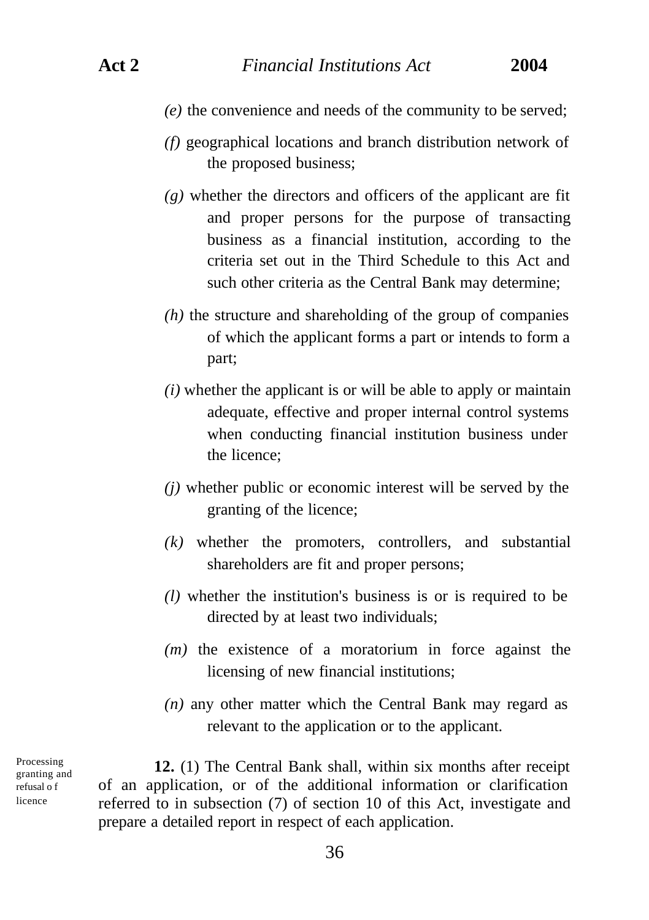- *(e)* the convenience and needs of the community to be served;
- *(f)* geographical locations and branch distribution network of the proposed business;
- *(g)* whether the directors and officers of the applicant are fit and proper persons for the purpose of transacting business as a financial institution, according to the criteria set out in the Third Schedule to this Act and such other criteria as the Central Bank may determine;
- *(h)* the structure and shareholding of the group of companies of which the applicant forms a part or intends to form a part;
- *(i)* whether the applicant is or will be able to apply or maintain adequate, effective and proper internal control systems when conducting financial institution business under the licence;
- *(j)* whether public or economic interest will be served by the granting of the licence;
- *(k)* whether the promoters, controllers, and substantial shareholders are fit and proper persons;
- *(l)* whether the institution's business is or is required to be directed by at least two individuals;
- *(m)* the existence of a moratorium in force against the licensing of new financial institutions;
- *(n)* any other matter which the Central Bank may regard as relevant to the application or to the applicant.

Processing granting and refusal o f licence

**12.** (1) The Central Bank shall, within six months after receipt of an application, or of the additional information or clarification referred to in subsection (7) of section 10 of this Act, investigate and prepare a detailed report in respect of each application.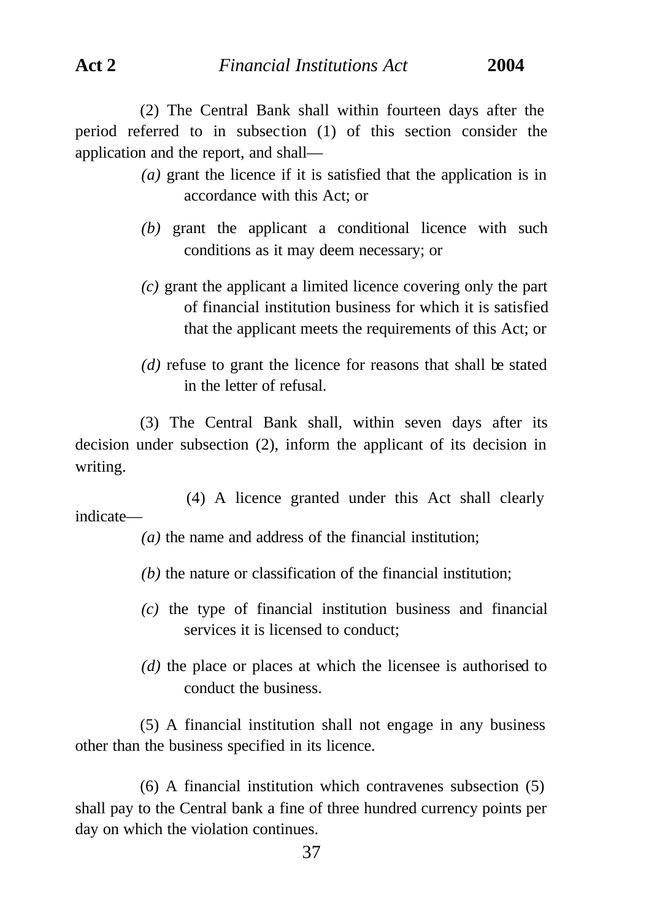(2) The Central Bank shall within fourteen days after the period referred to in subsection (1) of this section consider the application and the report, and shall—

- *(a)* grant the licence if it is satisfied that the application is in accordance with this Act; or
- *(b)* grant the applicant a conditional licence with such conditions as it may deem necessary; or
- *(c)* grant the applicant a limited licence covering only the part of financial institution business for which it is satisfied that the applicant meets the requirements of this Act; or
- *(d)* refuse to grant the licence for reasons that shall be stated in the letter of refusal.

(3) The Central Bank shall, within seven days after its decision under subsection (2), inform the applicant of its decision in writing.

(4) A licence granted under this Act shall clearly indicate—

*(a)* the name and address of the financial institution;

- *(b)* the nature or classification of the financial institution;
- *(c)* the type of financial institution business and financial services it is licensed to conduct;
- *(d)* the place or places at which the licensee is authorised to conduct the business.

(5) A financial institution shall not engage in any business other than the business specified in its licence.

(6) A financial institution which contravenes subsection (5) shall pay to the Central bank a fine of three hundred currency points per day on which the violation continues.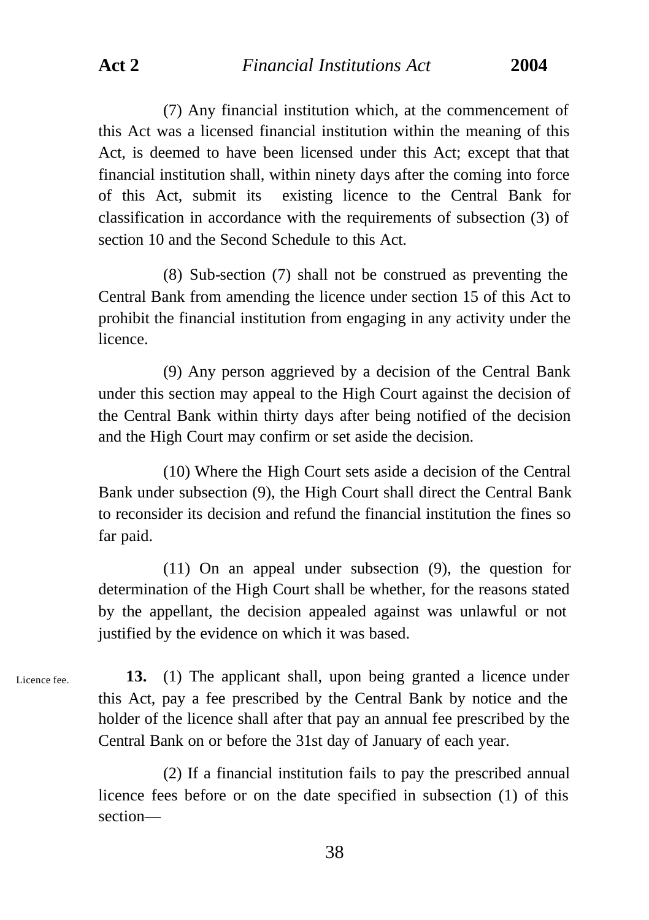(7) Any financial institution which, at the commencement of this Act was a licensed financial institution within the meaning of this Act, is deemed to have been licensed under this Act; except that that financial institution shall, within ninety days after the coming into force of this Act, submit its existing licence to the Central Bank for classification in accordance with the requirements of subsection (3) of section 10 and the Second Schedule to this Act.

(8) Sub-section (7) shall not be construed as preventing the Central Bank from amending the licence under section 15 of this Act to prohibit the financial institution from engaging in any activity under the licence.

(9) Any person aggrieved by a decision of the Central Bank under this section may appeal to the High Court against the decision of the Central Bank within thirty days after being notified of the decision and the High Court may confirm or set aside the decision.

(10) Where the High Court sets aside a decision of the Central Bank under subsection (9), the High Court shall direct the Central Bank to reconsider its decision and refund the financial institution the fines so far paid.

(11) On an appeal under subsection (9), the question for determination of the High Court shall be whether, for the reasons stated by the appellant, the decision appealed against was unlawful or not justified by the evidence on which it was based.

Licence fee.

**13.** (1) The applicant shall, upon being granted a licence under this Act, pay a fee prescribed by the Central Bank by notice and the holder of the licence shall after that pay an annual fee prescribed by the Central Bank on or before the 31st day of January of each year.

(2) If a financial institution fails to pay the prescribed annual licence fees before or on the date specified in subsection (1) of this section—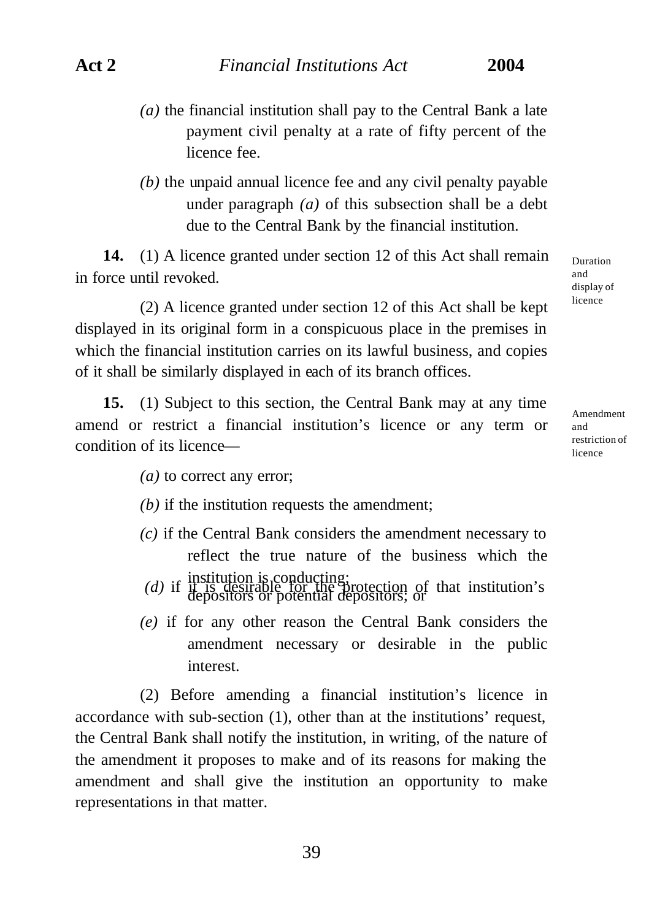- *(a)* the financial institution shall pay to the Central Bank a late payment civil penalty at a rate of fifty percent of the licence fee.
- *(b)* the unpaid annual licence fee and any civil penalty payable under paragraph *(a)* of this subsection shall be a debt due to the Central Bank by the financial institution.

**14.** (1) A licence granted under section 12 of this Act shall remain in force until revoked.

(2) A licence granted under section 12 of this Act shall be kept displayed in its original form in a conspicuous place in the premises in which the financial institution carries on its lawful business, and copies of it shall be similarly displayed in each of its branch offices.

**15.** (1) Subject to this section, the Central Bank may at any time amend or restrict a financial institution's licence or any term or condition of its licenceDuration and display of licence

Amendment and restriction of licence

- *(a)* to correct any error;
- *(b)* if the institution requests the amendment;
- *(c)* if the Central Bank considers the amendment necessary to reflect the true nature of the business which the *(d)* if institution is conducting;<br>*(d)* if it is desirable for the protection of that institution's depositors or potential depositors; or
- *(e)* if for any other reason the Central Bank considers the amendment necessary or desirable in the public interest.

(2) Before amending a financial institution's licence in accordance with sub-section (1), other than at the institutions' request, the Central Bank shall notify the institution, in writing, of the nature of the amendment it proposes to make and of its reasons for making the amendment and shall give the institution an opportunity to make representations in that matter.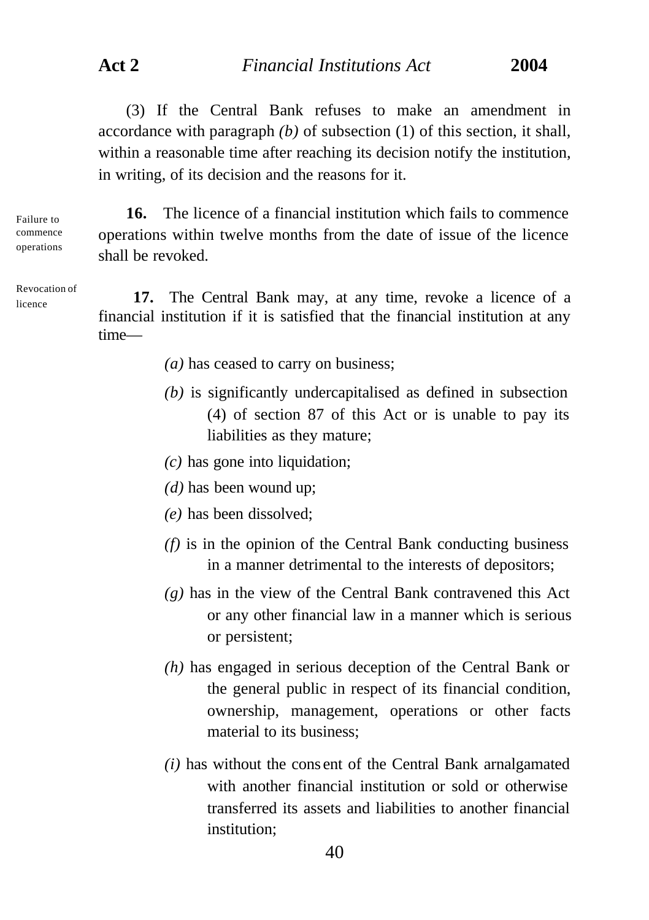(3) If the Central Bank refuses to make an amendment in accordance with paragraph *(b)* of subsection (1) of this section, it shall, within a reasonable time after reaching its decision notify the institution, in writing, of its decision and the reasons for it.

Failure to commence operations

Revocation of licence

operations within twelve months from the date of issue of the licence shall be revoked.

**16.** The licence of a financial institution which fails to commence

**17.** The Central Bank may, at any time, revoke a licence of a financial institution if it is satisfied that the financial institution at any time—

- *(a)* has ceased to carry on business;
- *(b)* is significantly undercapitalised as defined in subsection (4) of section 87 of this Act or is unable to pay its liabilities as they mature;
- *(c)* has gone into liquidation;
- *(d)* has been wound up;
- *(e)* has been dissolved;
- *(f)* is in the opinion of the Central Bank conducting business in a manner detrimental to the interests of depositors;
- *(g)* has in the view of the Central Bank contravened this Act or any other financial law in a manner which is serious or persistent;
- *(h)* has engaged in serious deception of the Central Bank or the general public in respect of its financial condition, ownership, management, operations or other facts material to its business;
- *(i)* has without the cons ent of the Central Bank arnalgamated with another financial institution or sold or otherwise transferred its assets and liabilities to another financial institution;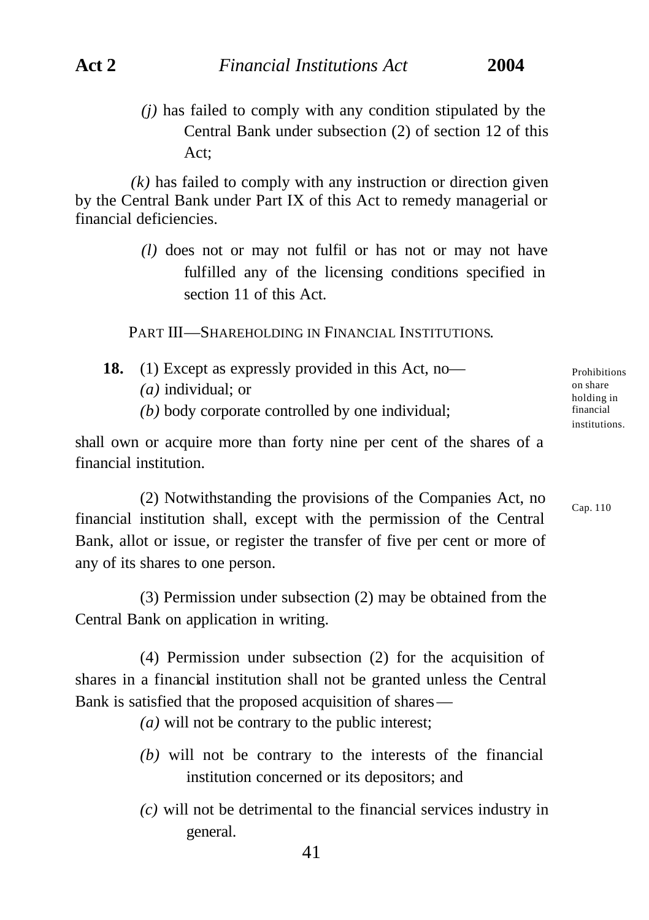*(j)* has failed to comply with any condition stipulated by the Central Bank under subsection (2) of section 12 of this Act;

*(k)* has failed to comply with any instruction or direction given by the Central Bank under Part IX of this Act to remedy managerial or financial deficiencies.

> *(l)* does not or may not fulfil or has not or may not have fulfilled any of the licensing conditions specified in section 11 of this Act.

PART III—SHAREHOLDING IN FINANCIAL INSTITUTIONS.

- **18.** (1) Except as expressly provided in this Act, no— *(a)* individual; or
	- *(b)* body corporate controlled by one individual;

shall own or acquire more than forty nine per cent of the shares of a financial institution.

(2) Notwithstanding the provisions of the Companies Act, no financial institution shall, except with the permission of the Central Bank, allot or issue, or register the transfer of five per cent or more of any of its shares to one person.

(3) Permission under subsection (2) may be obtained from the Central Bank on application in writing.

(4) Permission under subsection (2) for the acquisition of shares in a financial institution shall not be granted unless the Central Bank is satisfied that the proposed acquisition of shares—

*(a)* will not be contrary to the public interest;

- *(b)* will not be contrary to the interests of the financial institution concerned or its depositors; and
- *(c)* will not be detrimental to the financial services industry in general.

Prohibitions on share holding in financial institutions.

Cap. 110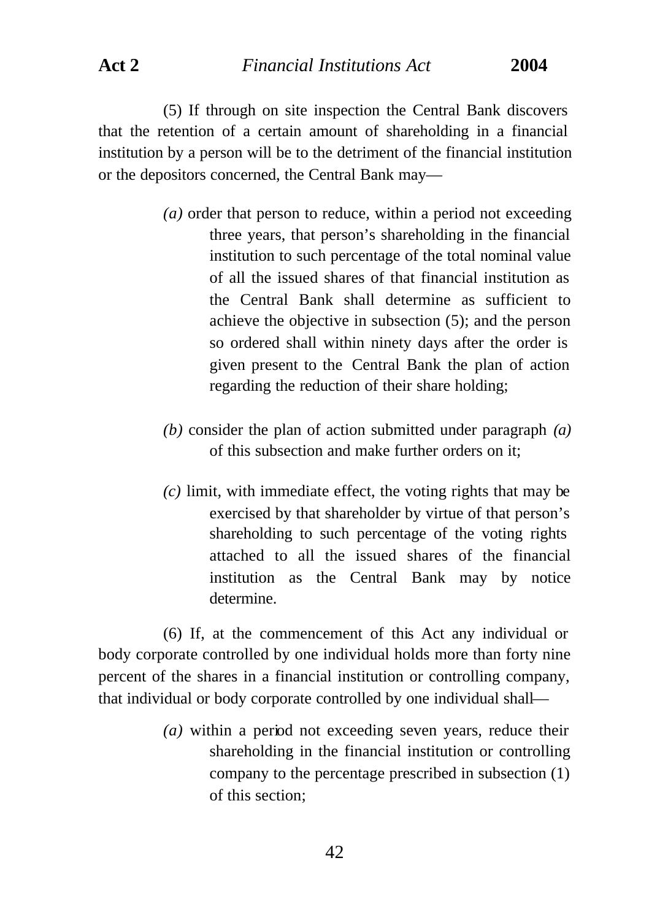(5) If through on site inspection the Central Bank discovers that the retention of a certain amount of shareholding in a financial institution by a person will be to the detriment of the financial institution or the depositors concerned, the Central Bank may—

- *(a)* order that person to reduce, within a period not exceeding three years, that person's shareholding in the financial institution to such percentage of the total nominal value of all the issued shares of that financial institution as the Central Bank shall determine as sufficient to achieve the objective in subsection (5); and the person so ordered shall within ninety days after the order is given present to the Central Bank the plan of action regarding the reduction of their share holding;
- *(b)* consider the plan of action submitted under paragraph *(a)* of this subsection and make further orders on it;
- *(c)* limit, with immediate effect, the voting rights that may be exercised by that shareholder by virtue of that person's shareholding to such percentage of the voting rights attached to all the issued shares of the financial institution as the Central Bank may by notice determine.

(6) If, at the commencement of this Act any individual or body corporate controlled by one individual holds more than forty nine percent of the shares in a financial institution or controlling company, that individual or body corporate controlled by one individual shall—

> *(a)* within a period not exceeding seven years, reduce their shareholding in the financial institution or controlling company to the percentage prescribed in subsection (1) of this section;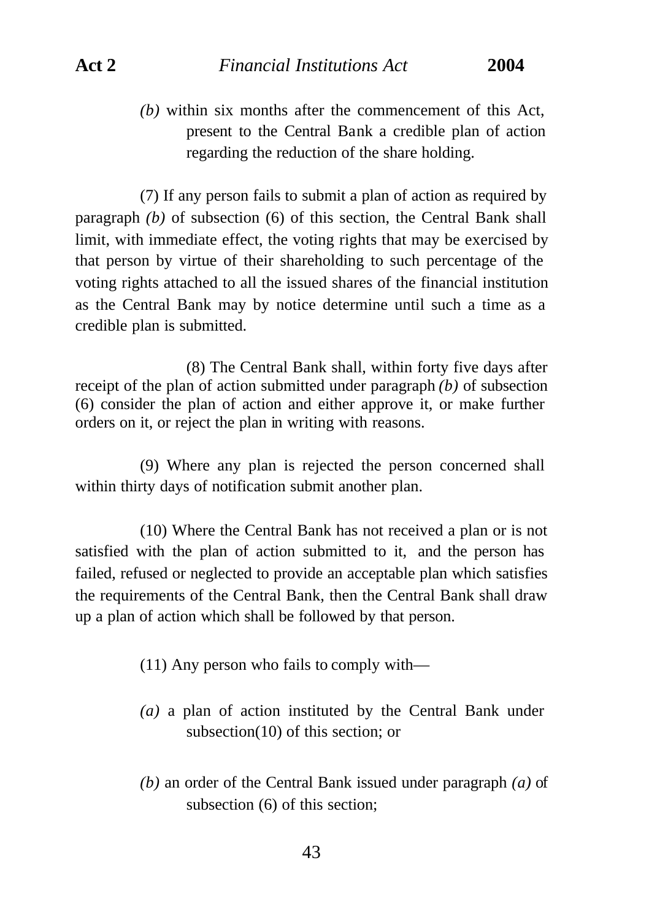*(b)* within six months after the commencement of this Act, present to the Central Bank a credible plan of action regarding the reduction of the share holding.

(7) If any person fails to submit a plan of action as required by paragraph *(b)* of subsection (6) of this section, the Central Bank shall limit, with immediate effect, the voting rights that may be exercised by that person by virtue of their shareholding to such percentage of the voting rights attached to all the issued shares of the financial institution as the Central Bank may by notice determine until such a time as a credible plan is submitted.

(8) The Central Bank shall, within forty five days after receipt of the plan of action submitted under paragraph *(b)* of subsection (6) consider the plan of action and either approve it, or make further orders on it, or reject the plan in writing with reasons.

(9) Where any plan is rejected the person concerned shall within thirty days of notification submit another plan.

(10) Where the Central Bank has not received a plan or is not satisfied with the plan of action submitted to it, and the person has failed, refused or neglected to provide an acceptable plan which satisfies the requirements of the Central Bank, then the Central Bank shall draw up a plan of action which shall be followed by that person.

(11) Any person who fails to comply with—

- *(a)* a plan of action instituted by the Central Bank under subsection(10) of this section; or
- *(b)* an order of the Central Bank issued under paragraph *(a)* of subsection (6) of this section;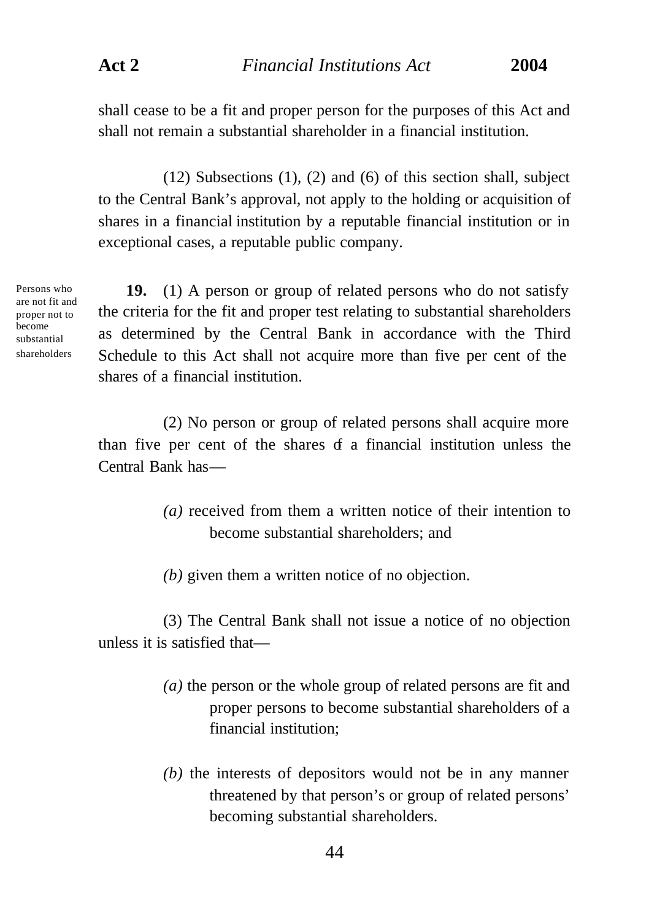shall cease to be a fit and proper person for the purposes of this Act and shall not remain a substantial shareholder in a financial institution.

(12) Subsections (1), (2) and (6) of this section shall, subject to the Central Bank's approval, not apply to the holding or acquisition of shares in a financial institution by a reputable financial institution or in exceptional cases, a reputable public company.

Persons who are not fit and proper not to become substantial shareholders

**19.** (1) A person or group of related persons who do not satisfy the criteria for the fit and proper test relating to substantial shareholders as determined by the Central Bank in accordance with the Third Schedule to this Act shall not acquire more than five per cent of the shares of a financial institution.

(2) No person or group of related persons shall acquire more than five per cent of the shares  $f$  a financial institution unless the Central Bank has—

- *(a)* received from them a written notice of their intention to become substantial shareholders; and
- *(b)* given them a written notice of no objection.

(3) The Central Bank shall not issue a notice of no objection unless it is satisfied that—

- *(a)* the person or the whole group of related persons are fit and proper persons to become substantial shareholders of a financial institution;
- *(b)* the interests of depositors would not be in any manner threatened by that person's or group of related persons' becoming substantial shareholders.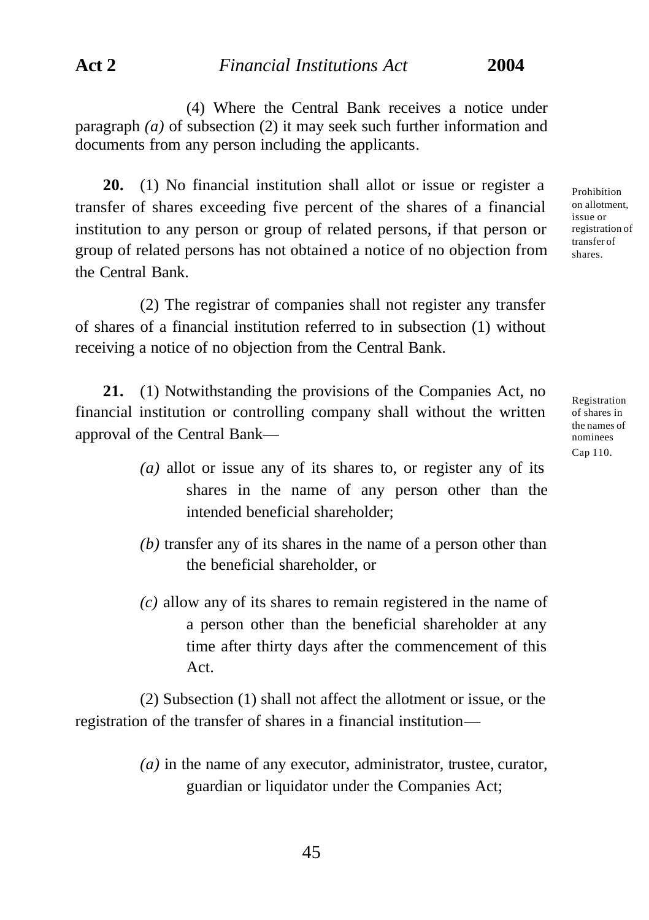(4) Where the Central Bank receives a notice under paragraph *(a)* of subsection (2) it may seek such further information and documents from any person including the applicants.

**20.** (1) No financial institution shall allot or issue or register a transfer of shares exceeding five percent of the shares of a financial institution to any person or group of related persons, if that person or group of related persons has not obtained a notice of no objection from the Central Bank.

(2) The registrar of companies shall not register any transfer of shares of a financial institution referred to in subsection (1) without receiving a notice of no objection from the Central Bank.

**21.** (1) Notwithstanding the provisions of the Companies Act, no financial institution or controlling company shall without the written approval of the Central Bank—

- *(a)* allot or issue any of its shares to, or register any of its shares in the name of any person other than the intended beneficial shareholder;
- *(b)* transfer any of its shares in the name of a person other than the beneficial shareholder, or
- *(c)* allow any of its shares to remain registered in the name of a person other than the beneficial shareholder at any time after thirty days after the commencement of this Act.

(2) Subsection (1) shall not affect the allotment or issue, or the registration of the transfer of shares in a financial institution—

> *(a)* in the name of any executor, administrator, trustee, curator, guardian or liquidator under the Companies Act;

Prohibition on allotment, issue or registration of transfer of shares.

Registration of shares in the names of nominees Cap 110.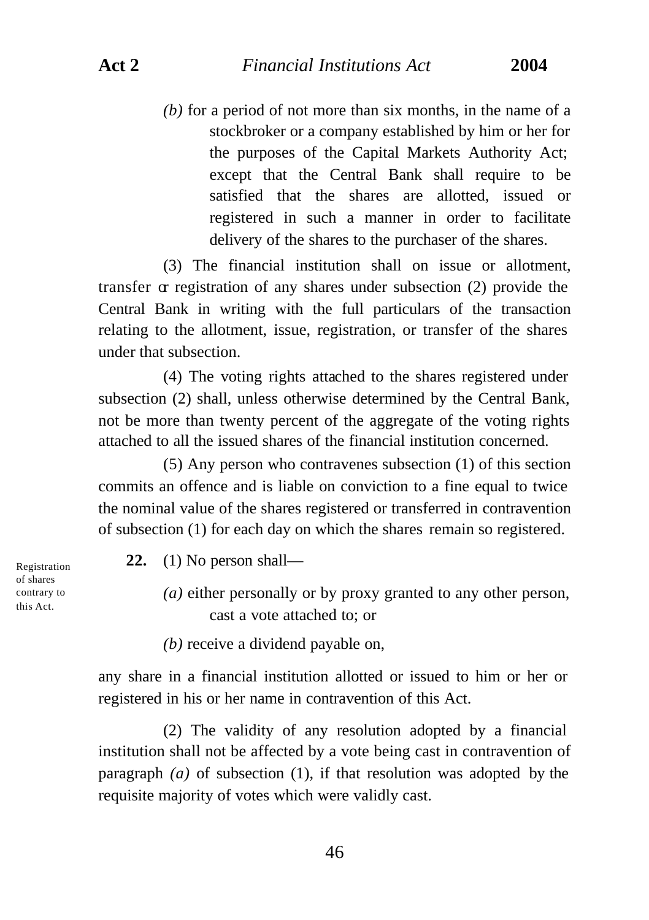*(b)* for a period of not more than six months, in the name of a stockbroker or a company established by him or her for the purposes of the Capital Markets Authority Act; except that the Central Bank shall require to be satisfied that the shares are allotted, issued or registered in such a manner in order to facilitate delivery of the shares to the purchaser of the shares.

(3) The financial institution shall on issue or allotment, transfer or registration of any shares under subsection (2) provide the Central Bank in writing with the full particulars of the transaction relating to the allotment, issue, registration, or transfer of the shares under that subsection.

(4) The voting rights attached to the shares registered under subsection (2) shall, unless otherwise determined by the Central Bank, not be more than twenty percent of the aggregate of the voting rights attached to all the issued shares of the financial institution concerned.

(5) Any person who contravenes subsection (1) of this section commits an offence and is liable on conviction to a fine equal to twice the nominal value of the shares registered or transferred in contravention of subsection (1) for each day on which the shares remain so registered.

**22.** (1) No person shall—

*(a)* either personally or by proxy granted to any other person, cast a vote attached to; or

*(b)* receive a dividend payable on,

any share in a financial institution allotted or issued to him or her or registered in his or her name in contravention of this Act.

(2) The validity of any resolution adopted by a financial institution shall not be affected by a vote being cast in contravention of paragraph *(a)* of subsection (1), if that resolution was adopted by the requisite majority of votes which were validly cast.

Registration of shares contrary to this Act.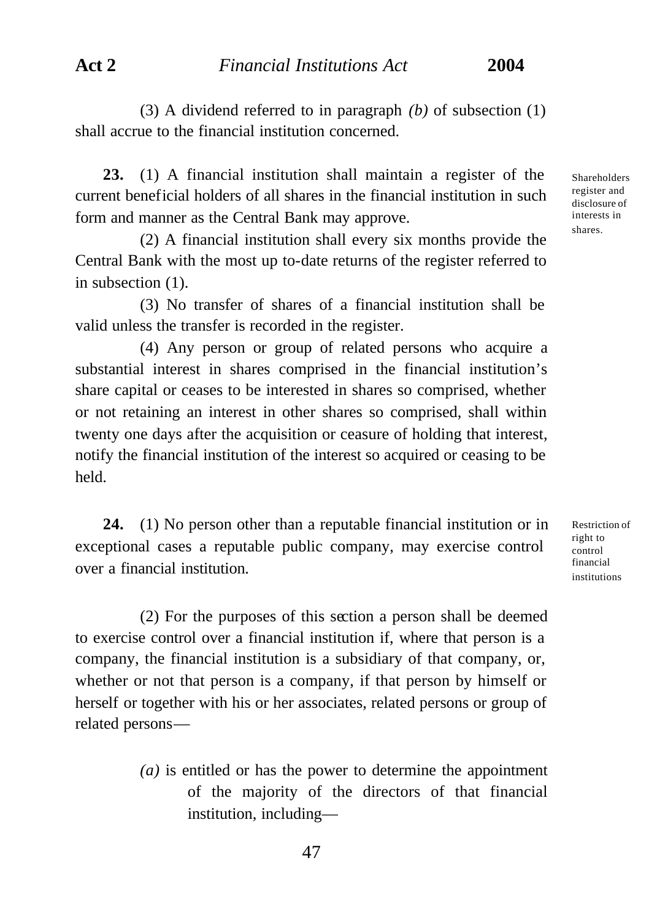(3) A dividend referred to in paragraph *(b)* of subsection (1) shall accrue to the financial institution concerned.

**23.** (1) A financial institution shall maintain a register of the current beneficial holders of all shares in the financial institution in such form and manner as the Central Bank may approve.

(2) A financial institution shall every six months provide the Central Bank with the most up to-date returns of the register referred to in subsection (1).

(3) No transfer of shares of a financial institution shall be valid unless the transfer is recorded in the register.

(4) Any person or group of related persons who acquire a substantial interest in shares comprised in the financial institution's share capital or ceases to be interested in shares so comprised, whether or not retaining an interest in other shares so comprised, shall within twenty one days after the acquisition or ceasure of holding that interest, notify the financial institution of the interest so acquired or ceasing to be held.

**24.** (1) No person other than a reputable financial institution or in exceptional cases a reputable public company, may exercise control over a financial institution.

(2) For the purposes of this section a person shall be deemed to exercise control over a financial institution if, where that person is a company, the financial institution is a subsidiary of that company, or, whether or not that person is a company, if that person by himself or herself or together with his or her associates, related persons or group of related persons—

> *(a)* is entitled or has the power to determine the appointment of the majority of the directors of that financial institution, including

Shareholders register and disclosure of interests in shares.

Restriction of right to control financial institutions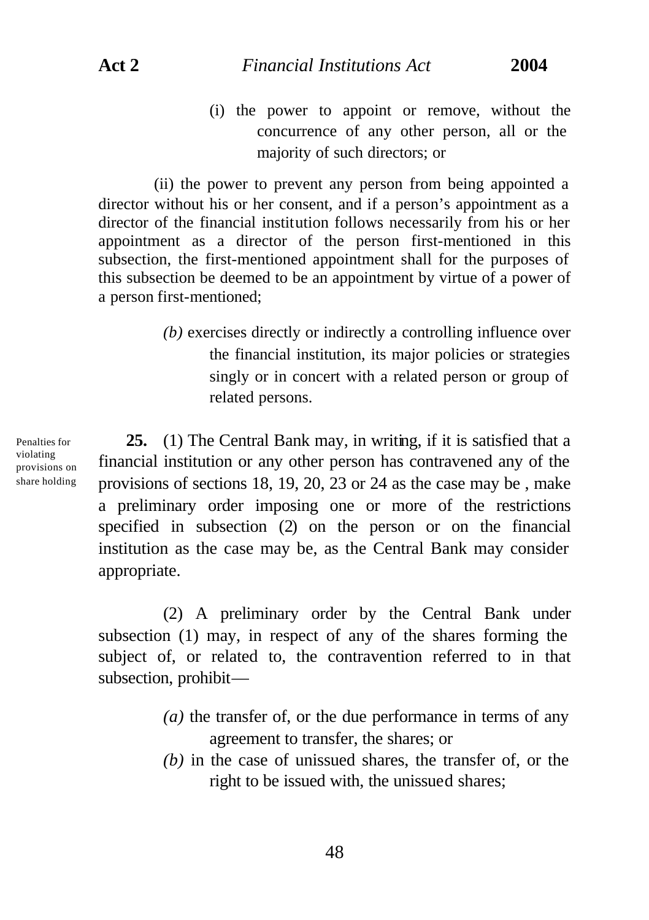(i) the power to appoint or remove, without the concurrence of any other person, all or the majority of such directors; or

(ii) the power to prevent any person from being appointed a director without his or her consent, and if a person's appointment as a director of the financial institution follows necessarily from his or her appointment as a director of the person first-mentioned in this subsection, the first-mentioned appointment shall for the purposes of this subsection be deemed to be an appointment by virtue of a power of a person first-mentioned;

> *(b)* exercises directly or indirectly a controlling influence over the financial institution, its major policies or strategies singly or in concert with a related person or group of related persons.

Penalties for violating provisions on share holding

**25.** (1) The Central Bank may, in writing, if it is satisfied that a financial institution or any other person has contravened any of the provisions of sections 18, 19, 20, 23 or 24 as the case may be , make a preliminary order imposing one or more of the restrictions specified in subsection (2) on the person or on the financial institution as the case may be, as the Central Bank may consider appropriate.

(2) A preliminary order by the Central Bank under subsection (1) may, in respect of any of the shares forming the subject of, or related to, the contravention referred to in that subsection, prohibit—

- *(a)* the transfer of, or the due performance in terms of any agreement to transfer, the shares; or
- *(b)* in the case of unissued shares, the transfer of, or the right to be issued with, the unissued shares;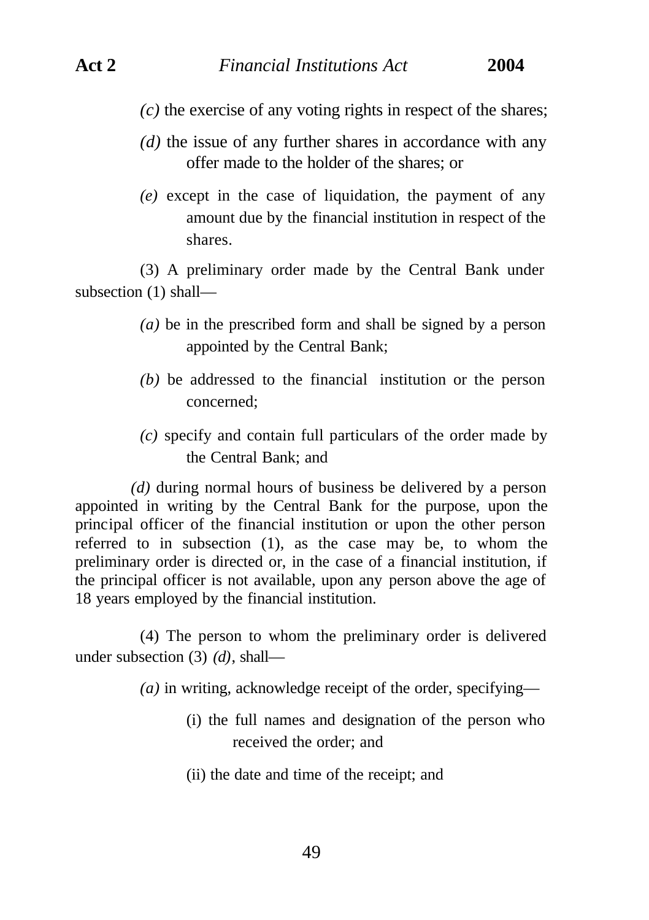- *(c)* the exercise of any voting rights in respect of the shares;
- *(d)* the issue of any further shares in accordance with any offer made to the holder of the shares; or
- *(e)* except in the case of liquidation, the payment of any amount due by the financial institution in respect of the shares.

(3) A preliminary order made by the Central Bank under subsection (1) shall—

- *(a)* be in the prescribed form and shall be signed by a person appointed by the Central Bank;
- *(b)* be addressed to the financial institution or the person concerned;
- *(c)* specify and contain full particulars of the order made by the Central Bank; and

*(d)* during normal hours of business be delivered by a person appointed in writing by the Central Bank for the purpose, upon the principal officer of the financial institution or upon the other person referred to in subsection (1), as the case may be, to whom the preliminary order is directed or, in the case of a financial institution, if the principal officer is not available, upon any person above the age of 18 years employed by the financial institution.

(4) The person to whom the preliminary order is delivered under subsection (3) *(d)*, shall—

*(a)* in writing, acknowledge receipt of the order, specifying—

- (i) the full names and designation of the person who received the order; and
- (ii) the date and time of the receipt; and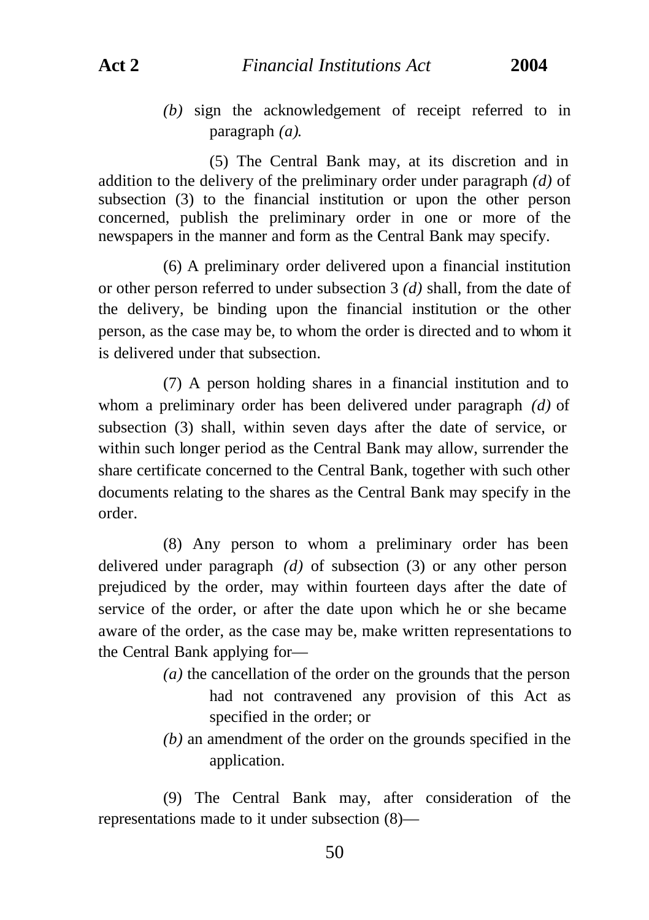*(b)* sign the acknowledgement of receipt referred to in paragraph *(a)*.

(5) The Central Bank may, at its discretion and in addition to the delivery of the preliminary order under paragraph *(d)* of subsection (3) to the financial institution or upon the other person concerned, publish the preliminary order in one or more of the newspapers in the manner and form as the Central Bank may specify.

(6) A preliminary order delivered upon a financial institution or other person referred to under subsection 3 *(d)* shall, from the date of the delivery, be binding upon the financial institution or the other person, as the case may be, to whom the order is directed and to whom it is delivered under that subsection.

(7) A person holding shares in a financial institution and to whom a preliminary order has been delivered under paragraph *(d)* of subsection (3) shall, within seven days after the date of service, or within such longer period as the Central Bank may allow, surrender the share certificate concerned to the Central Bank, together with such other documents relating to the shares as the Central Bank may specify in the order.

(8) Any person to whom a preliminary order has been delivered under paragraph *(d)* of subsection (3) or any other person prejudiced by the order, may within fourteen days after the date of service of the order, or after the date upon which he or she became aware of the order, as the case may be, make written representations to the Central Bank applying for—

- *(a)* the cancellation of the order on the grounds that the person had not contravened any provision of this Act as specified in the order; or
- *(b)* an amendment of the order on the grounds specified in the application.

(9) The Central Bank may, after consideration of the representations made to it under subsection (8)—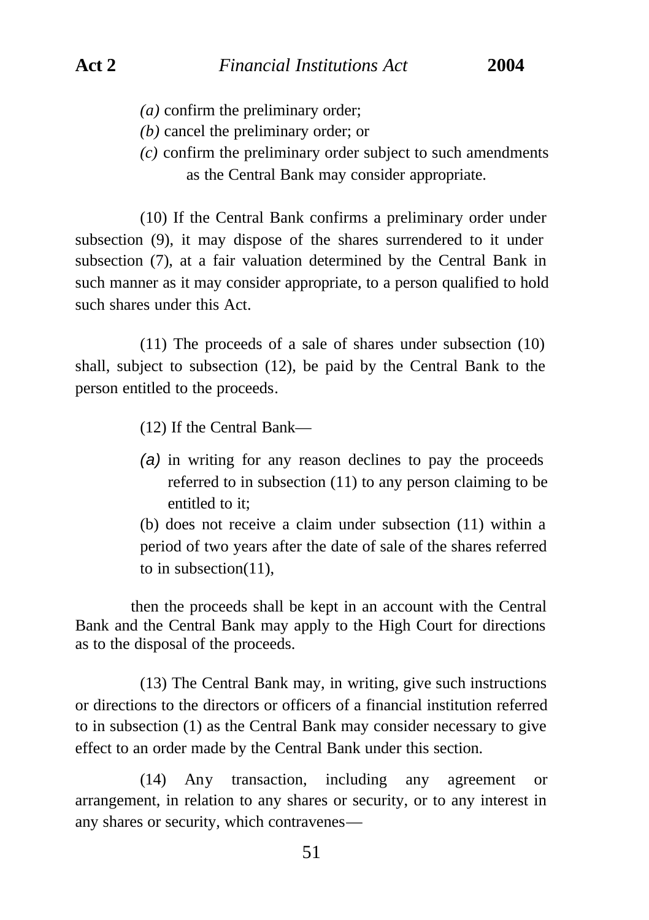- *(a)* confirm the preliminary order;
- *(b)* cancel the preliminary order; or
- *(c)* confirm the preliminary order subject to such amendments as the Central Bank may consider appropriate.

(10) If the Central Bank confirms a preliminary order under subsection (9), it may dispose of the shares surrendered to it under subsection (7), at a fair valuation determined by the Central Bank in such manner as it may consider appropriate, to a person qualified to hold such shares under this Act.

(11) The proceeds of a sale of shares under subsection (10) shall, subject to subsection (12), be paid by the Central Bank to the person entitled to the proceeds.

(12) If the Central Bank—

*(a)* in writing for any reason declines to pay the proceeds referred to in subsection (11) to any person claiming to be entitled to it:

(b) does not receive a claim under subsection (11) within a period of two years after the date of sale of the shares referred to in subsection(11),

then the proceeds shall be kept in an account with the Central Bank and the Central Bank may apply to the High Court for directions as to the disposal of the proceeds.

(13) The Central Bank may, in writing, give such instructions or directions to the directors or officers of a financial institution referred to in subsection (1) as the Central Bank may consider necessary to give effect to an order made by the Central Bank under this section.

(14) Any transaction, including any agreement or arrangement, in relation to any shares or security, or to any interest in any shares or security, which contravenes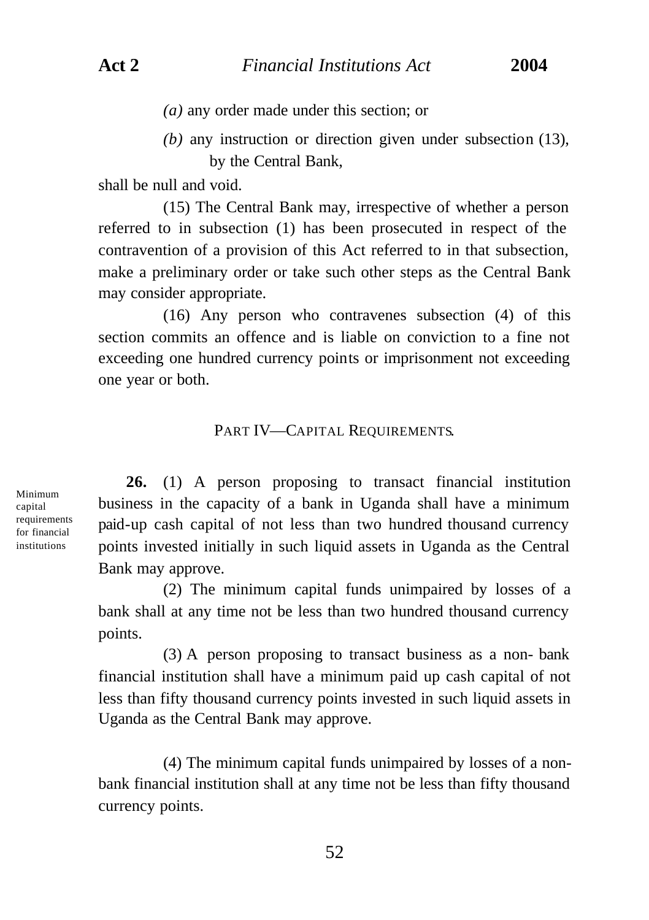*(a)* any order made under this section; or

*(b)* any instruction or direction given under subsection (13), by the Central Bank,

shall be null and void.

(15) The Central Bank may, irrespective of whether a person referred to in subsection (1) has been prosecuted in respect of the contravention of a provision of this Act referred to in that subsection, make a preliminary order or take such other steps as the Central Bank may consider appropriate.

(16) Any person who contravenes subsection (4) of this section commits an offence and is liable on conviction to a fine not exceeding one hundred currency points or imprisonment not exceeding one year or both.

## PART IV—CAPITAL REQUIREMENTS.

Minimum capital requirements for financial institutions

**26.** (1) A person proposing to transact financial institution business in the capacity of a bank in Uganda shall have a minimum paid-up cash capital of not less than two hundred thousand currency points invested initially in such liquid assets in Uganda as the Central Bank may approve.

(2) The minimum capital funds unimpaired by losses of a bank shall at any time not be less than two hundred thousand currency points.

(3) A person proposing to transact business as a non- bank financial institution shall have a minimum paid up cash capital of not less than fifty thousand currency points invested in such liquid assets in Uganda as the Central Bank may approve.

(4) The minimum capital funds unimpaired by losses of a nonbank financial institution shall at any time not be less than fifty thousand currency points.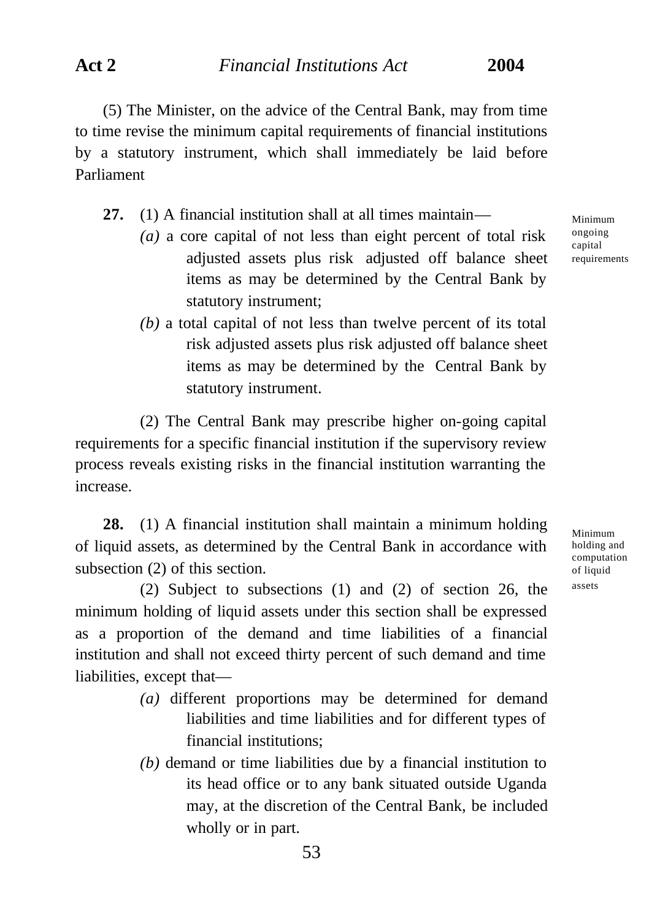(5) The Minister, on the advice of the Central Bank, may from time to time revise the minimum capital requirements of financial institutions by a statutory instrument, which shall immediately be laid before Parliament

**27.** (1) A financial institution shall at all times maintain—

- *(a)* a core capital of not less than eight percent of total risk adjusted assets plus risk adjusted off balance sheet items as may be determined by the Central Bank by statutory instrument;
- *(b)* a total capital of not less than twelve percent of its total risk adjusted assets plus risk adjusted off balance sheet items as may be determined by the Central Bank by statutory instrument.

(2) The Central Bank may prescribe higher on-going capital requirements for a specific financial institution if the supervisory review process reveals existing risks in the financial institution warranting the increase.

**28.** (1) A financial institution shall maintain a minimum holding of liquid assets, as determined by the Central Bank in accordance with subsection (2) of this section.

(2) Subject to subsections (1) and (2) of section 26, the minimum holding of liquid assets under this section shall be expressed as a proportion of the demand and time liabilities of a financial institution and shall not exceed thirty percent of such demand and time liabilities, except that—

- *(a)* different proportions may be determined for demand liabilities and time liabilities and for different types of financial institutions;
- *(b)* demand or time liabilities due by a financial institution to its head office or to any bank situated outside Uganda may, at the discretion of the Central Bank, be included wholly or in part.

Minimum ongoing capital requirements

Minimum holding and computation of liquid assets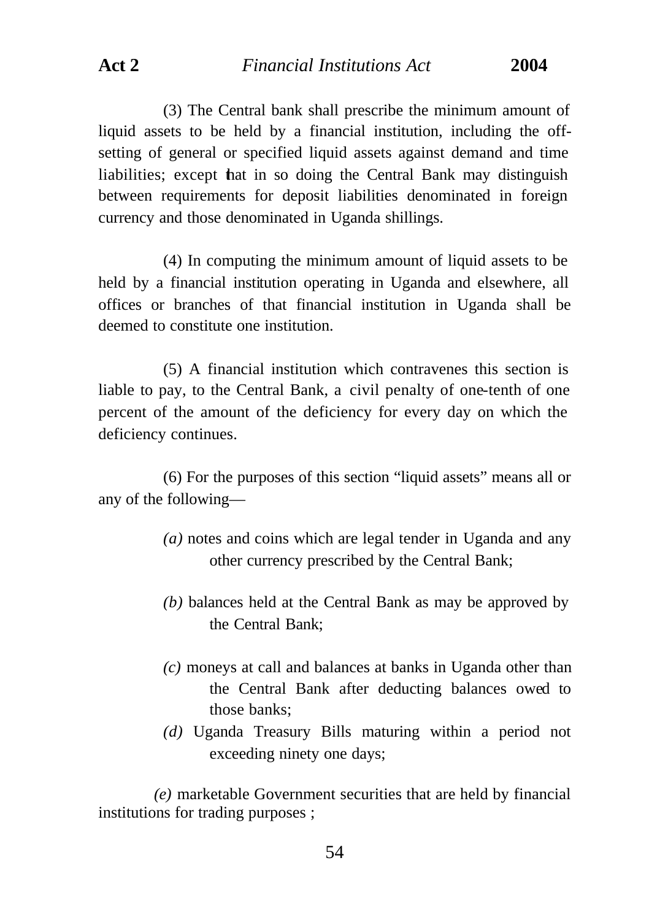(3) The Central bank shall prescribe the minimum amount of liquid assets to be held by a financial institution, including the offsetting of general or specified liquid assets against demand and time liabilities; except that in so doing the Central Bank may distinguish between requirements for deposit liabilities denominated in foreign currency and those denominated in Uganda shillings.

(4) In computing the minimum amount of liquid assets to be held by a financial institution operating in Uganda and elsewhere, all offices or branches of that financial institution in Uganda shall be deemed to constitute one institution.

(5) A financial institution which contravenes this section is liable to pay, to the Central Bank, a civil penalty of one-tenth of one percent of the amount of the deficiency for every day on which the deficiency continues.

(6) For the purposes of this section "liquid assets" means all or any of the following—

- *(a)* notes and coins which are legal tender in Uganda and any other currency prescribed by the Central Bank;
- *(b)* balances held at the Central Bank as may be approved by the Central Bank;
- *(c)* moneys at call and balances at banks in Uganda other than the Central Bank after deducting balances owed to those banks;
- *(d)* Uganda Treasury Bills maturing within a period not exceeding ninety one days;

*(e)* marketable Government securities that are held by financial institutions for trading purposes ;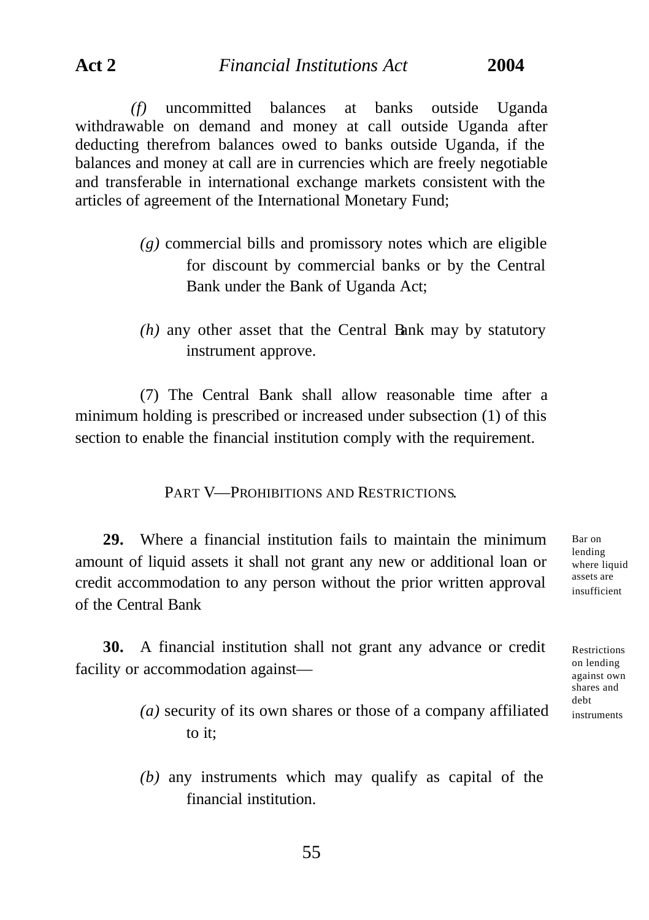*(f)* uncommitted balances at banks outside Uganda withdrawable on demand and money at call outside Uganda after deducting therefrom balances owed to banks outside Uganda, if the balances and money at call are in currencies which are freely negotiable and transferable in international exchange markets consistent with the articles of agreement of the International Monetary Fund;

- *(g)* commercial bills and promissory notes which are eligible for discount by commercial banks or by the Central Bank under the Bank of Uganda Act;
- *(h)* any other asset that the Central Bank may by statutory instrument approve.

(7) The Central Bank shall allow reasonable time after a minimum holding is prescribed or increased under subsection (1) of this section to enable the financial institution comply with the requirement.

PART V—PROHIBITIONS AND RESTRICTIONS.

**29.** Where a financial institution fails to maintain the minimum amount of liquid assets it shall not grant any new or additional loan or credit accommodation to any person without the prior written approval of the Central Bank

Bar on lending where liquid assets are insufficient

Restrictions on lending against own shares and debt instruments

**30.** A financial institution shall not grant any advance or credit facility or accommodation against—

- *(a)* security of its own shares or those of a company affiliated to it:
- *(b)* any instruments which may qualify as capital of the financial institution.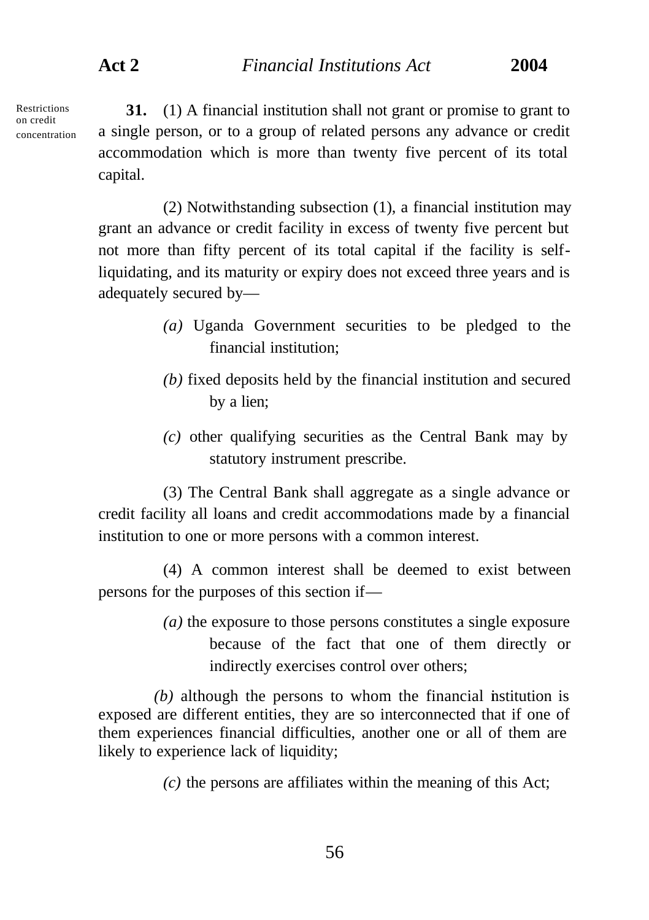**Restrictions** on credit concentration

**31.** (1) A financial institution shall not grant or promise to grant to a single person, or to a group of related persons any advance or credit accommodation which is more than twenty five percent of its total capital.

(2) Notwithstanding subsection (1), a financial institution may grant an advance or credit facility in excess of twenty five percent but not more than fifty percent of its total capital if the facility is selfliquidating, and its maturity or expiry does not exceed three years and is adequately secured by—

- *(a)* Uganda Government securities to be pledged to the financial institution;
- *(b)* fixed deposits held by the financial institution and secured by a lien;
- *(c)* other qualifying securities as the Central Bank may by statutory instrument prescribe.

(3) The Central Bank shall aggregate as a single advance or credit facility all loans and credit accommodations made by a financial institution to one or more persons with a common interest.

(4) A common interest shall be deemed to exist between persons for the purposes of this section if—

> *(a)* the exposure to those persons constitutes a single exposure because of the fact that one of them directly or indirectly exercises control over others;

*(b)* although the persons to whom the financial institution is exposed are different entities, they are so interconnected that if one of them experiences financial difficulties, another one or all of them are likely to experience lack of liquidity;

*(c)* the persons are affiliates within the meaning of this Act;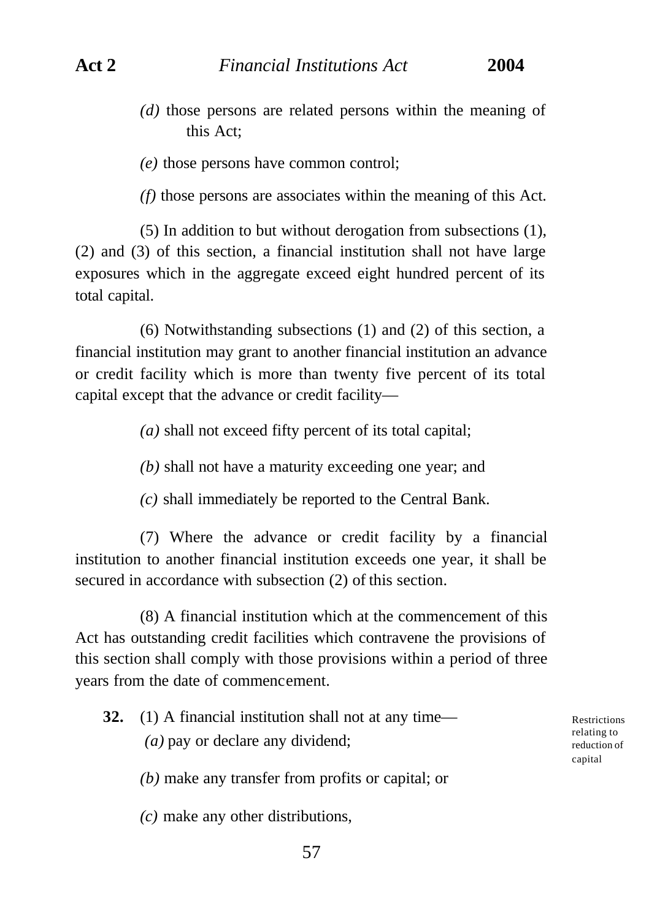*(d)* those persons are related persons within the meaning of this Act;

*(e)* those persons have common control;

*(f)* those persons are associates within the meaning of this Act.

(5) In addition to but without derogation from subsections (1), (2) and (3) of this section, a financial institution shall not have large exposures which in the aggregate exceed eight hundred percent of its total capital.

(6) Notwithstanding subsections (1) and (2) of this section, a financial institution may grant to another financial institution an advance or credit facility which is more than twenty five percent of its total capital except that the advance or credit facility—

*(a)* shall not exceed fifty percent of its total capital;

*(b)* shall not have a maturity exceeding one year; and

*(c)* shall immediately be reported to the Central Bank.

(7) Where the advance or credit facility by a financial institution to another financial institution exceeds one year, it shall be secured in accordance with subsection (2) of this section.

(8) A financial institution which at the commencement of this Act has outstanding credit facilities which contravene the provisions of this section shall comply with those provisions within a period of three years from the date of commencement.

**32.** (1) A financial institution shall not at any time— *(a)* pay or declare any dividend;

Restrictions relating to reduction of capital

*(b)* make any transfer from profits or capital; or

*(c)* make any other distributions,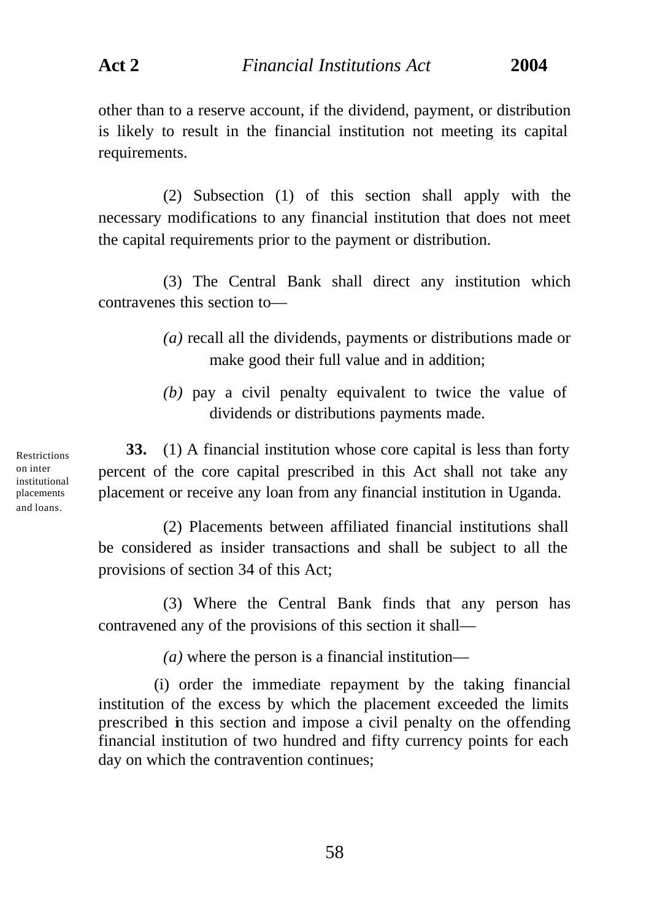other than to a reserve account, if the dividend, payment, or distribution is likely to result in the financial institution not meeting its capital requirements.

(2) Subsection (1) of this section shall apply with the necessary modifications to any financial institution that does not meet the capital requirements prior to the payment or distribution.

(3) The Central Bank shall direct any institution which contravenes this section to—

- *(a)* recall all the dividends, payments or distributions made or make good their full value and in addition;
- *(b)* pay a civil penalty equivalent to twice the value of dividends or distributions payments made.

**33.** (1) A financial institution whose core capital is less than forty percent of the core capital prescribed in this Act shall not take any placement or receive any loan from any financial institution in Uganda.

(2) Placements between affiliated financial institutions shall be considered as insider transactions and shall be subject to all the provisions of section 34 of this Act;

(3) Where the Central Bank finds that any person has contravened any of the provisions of this section it shall—

*(a)* where the person is a financial institution—

(i) order the immediate repayment by the taking financial institution of the excess by which the placement exceeded the limits prescribed in this section and impose a civil penalty on the offending financial institution of two hundred and fifty currency points for each day on which the contravention continues;

Restrictions on inter institutional placements and loans.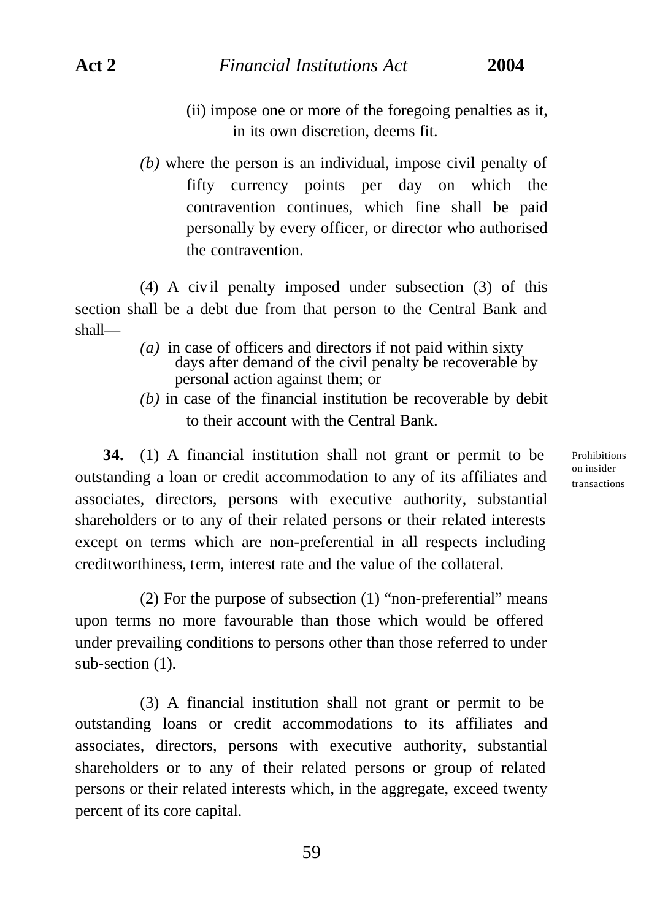sub-section  $(1)$ .

- (ii) impose one or more of the foregoing penalties as it, in its own discretion, deems fit.
- *(b)* where the person is an individual, impose civil penalty of fifty currency points per day on which the contravention continues, which fine shall be paid personally by every officer, or director who authorised the contravention.

(4) A civ il penalty imposed under subsection (3) of this section shall be a debt due from that person to the Central Bank and shall—

- *(a)* in case of officers and directors if not paid within sixty days after demand of the civil penalty be recoverable by personal action against them; or
- *(b)* in case of the financial institution be recoverable by debit to their account with the Central Bank.

**34.** (1) A financial institution shall not grant or permit to be outstanding a loan or credit accommodation to any of its affiliates and associates, directors, persons with executive authority, substantial shareholders or to any of their related persons or their related interests except on terms which are non-preferential in all respects including creditworthiness, term, interest rate and the value of the collateral.

(2) For the purpose of subsection (1) "non-preferential" means upon terms no more favourable than those which would be offered under prevailing conditions to persons other than those referred to under

(3) A financial institution shall not grant or permit to be outstanding loans or credit accommodations to its affiliates and associates, directors, persons with executive authority, substantial shareholders or to any of their related persons or group of related persons or their related interests which, in the aggregate, exceed twenty percent of its core capital.

Prohibitions on insider transactions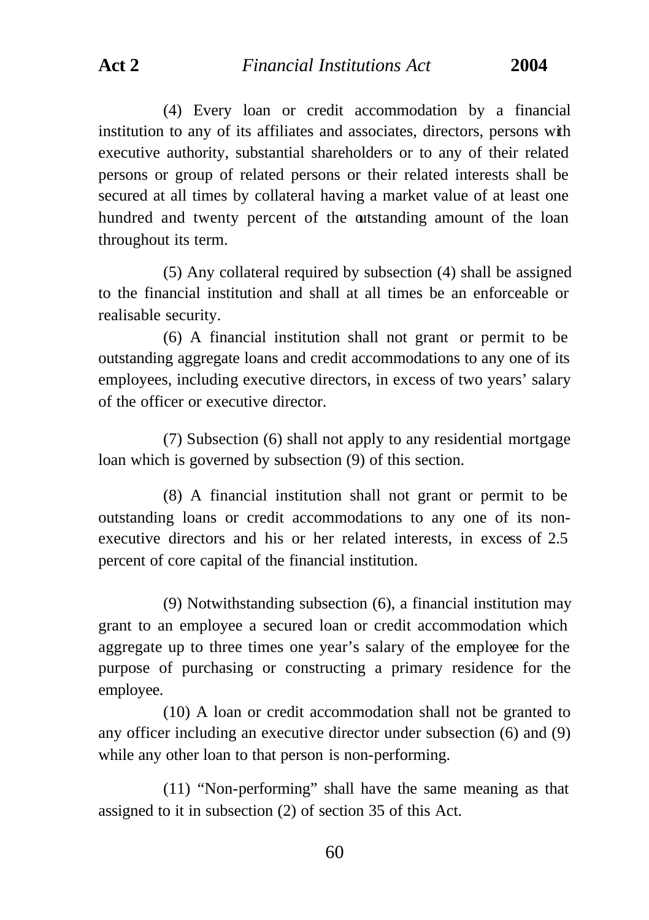(4) Every loan or credit accommodation by a financial institution to any of its affiliates and associates, directors, persons with executive authority, substantial shareholders or to any of their related persons or group of related persons or their related interests shall be secured at all times by collateral having a market value of at least one hundred and twenty percent of the outstanding amount of the loan throughout its term.

(5) Any collateral required by subsection (4) shall be assigned to the financial institution and shall at all times be an enforceable or realisable security.

(6) A financial institution shall not grant or permit to be outstanding aggregate loans and credit accommodations to any one of its employees, including executive directors, in excess of two years' salary of the officer or executive director.

(7) Subsection (6) shall not apply to any residential mortgage loan which is governed by subsection (9) of this section.

(8) A financial institution shall not grant or permit to be outstanding loans or credit accommodations to any one of its nonexecutive directors and his or her related interests, in excess of 2.5 percent of core capital of the financial institution.

(9) Notwithstanding subsection (6), a financial institution may grant to an employee a secured loan or credit accommodation which aggregate up to three times one year's salary of the employee for the purpose of purchasing or constructing a primary residence for the employee.

(10) A loan or credit accommodation shall not be granted to any officer including an executive director under subsection (6) and (9) while any other loan to that person is non-performing.

(11) "Non-performing" shall have the same meaning as that assigned to it in subsection (2) of section 35 of this Act.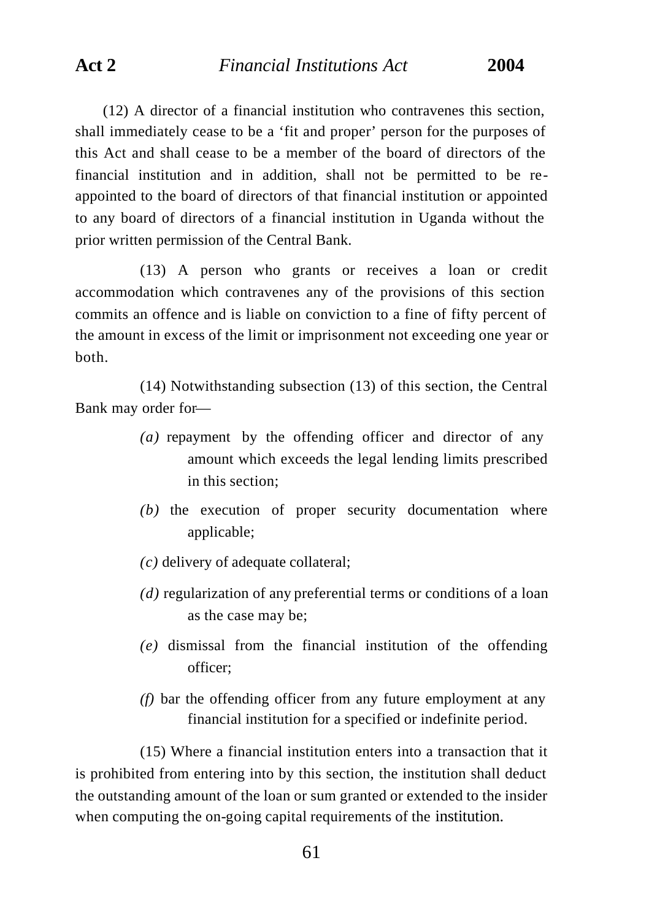(12) A director of a financial institution who contravenes this section, shall immediately cease to be a 'fit and proper' person for the purposes of this Act and shall cease to be a member of the board of directors of the financial institution and in addition, shall not be permitted to be reappointed to the board of directors of that financial institution or appointed to any board of directors of a financial institution in Uganda without the prior written permission of the Central Bank.

(13) A person who grants or receives a loan or credit accommodation which contravenes any of the provisions of this section commits an offence and is liable on conviction to a fine of fifty percent of the amount in excess of the limit or imprisonment not exceeding one year or both.

(14) Notwithstanding subsection (13) of this section, the Central Bank may order for—

- *(a)* repayment by the offending officer and director of any amount which exceeds the legal lending limits prescribed in this section;
- *(b)* the execution of proper security documentation where applicable;
- *(c)* delivery of adequate collateral;
- *(d)* regularization of any preferential terms or conditions of a loan as the case may be;
- *(e)* dismissal from the financial institution of the offending officer;
- *(f)* bar the offending officer from any future employment at any financial institution for a specified or indefinite period.

(15) Where a financial institution enters into a transaction that it is prohibited from entering into by this section, the institution shall deduct the outstanding amount of the loan or sum granted or extended to the insider when computing the on-going capital requirements of the institution.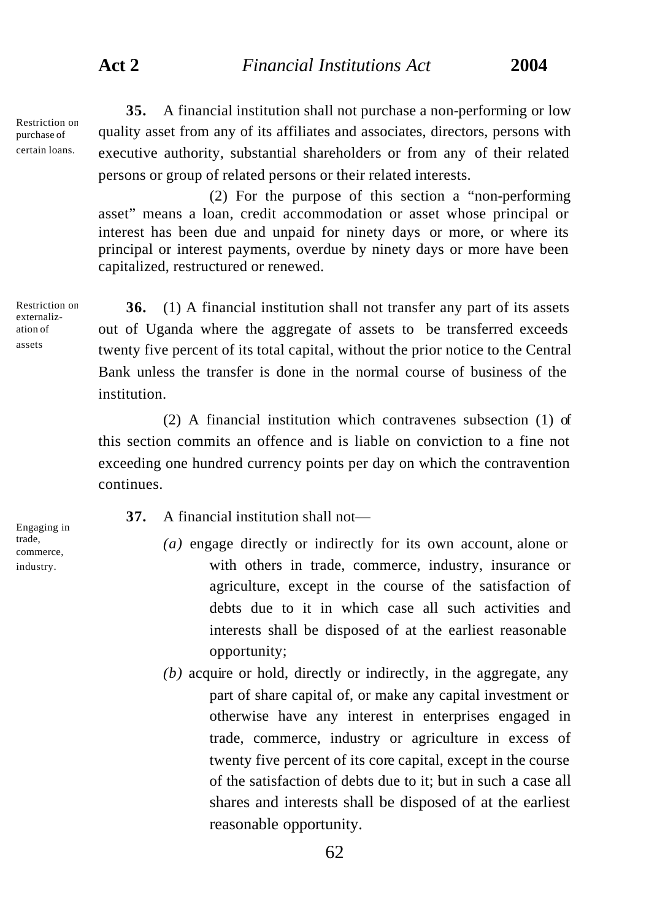Restriction on purchase of certain loans.

**35.** A financial institution shall not purchase a non-performing or low quality asset from any of its affiliates and associates, directors, persons with executive authority, substantial shareholders or from any of their related persons or group of related persons or their related interests.

(2) For the purpose of this section a "non-performing asset" means a loan, credit accommodation or asset whose principal or interest has been due and unpaid for ninety days or more, or where its principal or interest payments, overdue by ninety days or more have been capitalized, restructured or renewed.

Restriction on externalization of assets

**36.** (1) A financial institution shall not transfer any part of its assets out of Uganda where the aggregate of assets to be transferred exceeds twenty five percent of its total capital, without the prior notice to the Central Bank unless the transfer is done in the normal course of business of the institution.

(2) A financial institution which contravenes subsection (1) of this section commits an offence and is liable on conviction to a fine not exceeding one hundred currency points per day on which the contravention continues.

- **37.** A financial institution shall not—
	- *(a)* engage directly or indirectly for its own account, alone or with others in trade, commerce, industry, insurance or agriculture, except in the course of the satisfaction of debts due to it in which case all such activities and interests shall be disposed of at the earliest reasonable opportunity;
	- *(b)* acquire or hold, directly or indirectly, in the aggregate, any part of share capital of, or make any capital investment or otherwise have any interest in enterprises engaged in trade, commerce, industry or agriculture in excess of twenty five percent of its core capital, except in the course of the satisfaction of debts due to it; but in such a case all shares and interests shall be disposed of at the earliest reasonable opportunity.

Engaging in trade, commerce, industry.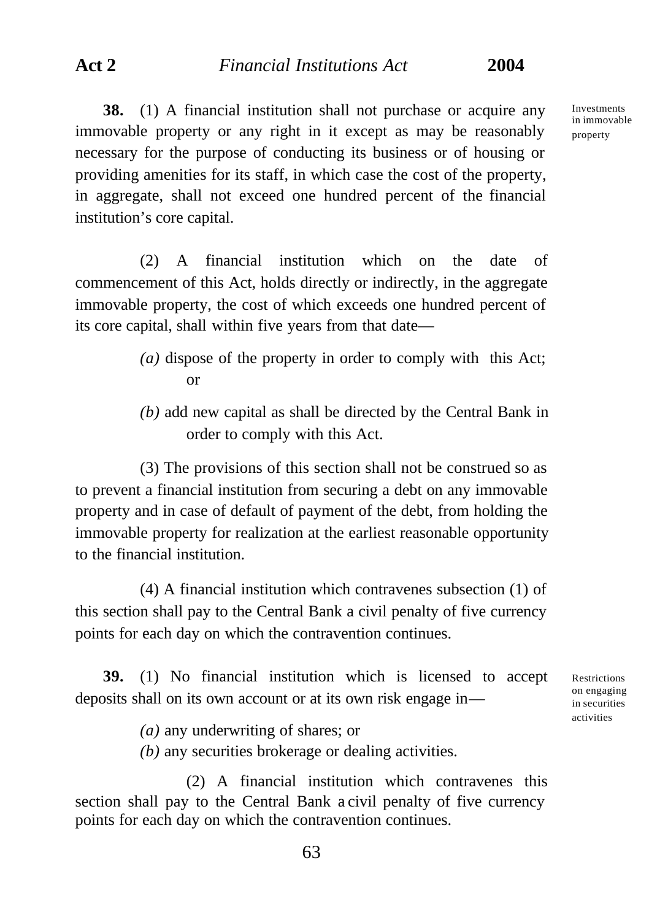**38.** (1) A financial institution shall not purchase or acquire any immovable property or any right in it except as may be reasonably necessary for the purpose of conducting its business or of housing or providing amenities for its staff, in which case the cost of the property, in aggregate, shall not exceed one hundred percent of the financial institution's core capital.

(2) A financial institution which on the date of commencement of this Act, holds directly or indirectly, in the aggregate immovable property, the cost of which exceeds one hundred percent of its core capital, shall within five years from that date—

- *(a)* dispose of the property in order to comply with this Act; or
- *(b)* add new capital as shall be directed by the Central Bank in order to comply with this Act.

(3) The provisions of this section shall not be construed so as to prevent a financial institution from securing a debt on any immovable property and in case of default of payment of the debt, from holding the immovable property for realization at the earliest reasonable opportunity to the financial institution.

(4) A financial institution which contravenes subsection (1) of this section shall pay to the Central Bank a civil penalty of five currency points for each day on which the contravention continues.

**39.** (1) No financial institution which is licensed to accept deposits shall on its own account or at its own risk engage in—

Restrictions on engaging in securities activities

*(a)* any underwriting of shares; or

*(b)* any securities brokerage or dealing activities.

(2) A financial institution which contravenes this section shall pay to the Central Bank a civil penalty of five currency points for each day on which the contravention continues.

Investments in immovable property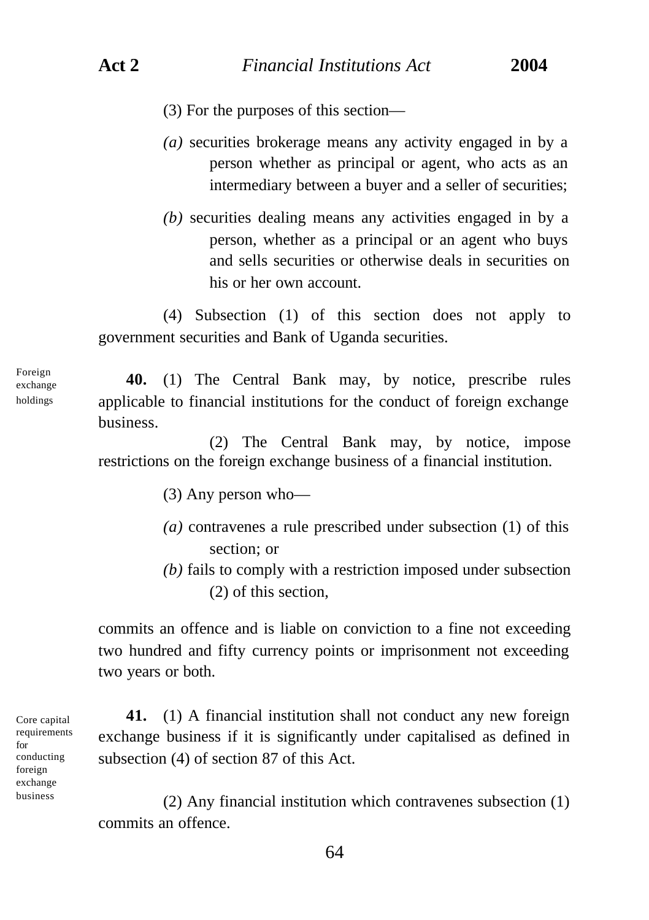- (3) For the purposes of this section—
- *(a)* securities brokerage means any activity engaged in by a person whether as principal or agent, who acts as an intermediary between a buyer and a seller of securities;
- *(b)* securities dealing means any activities engaged in by a person, whether as a principal or an agent who buys and sells securities or otherwise deals in securities on his or her own account.

(4) Subsection (1) of this section does not apply to government securities and Bank of Uganda securities.

**40.** (1) The Central Bank may, by notice, prescribe rules applicable to financial institutions for the conduct of foreign exchange business.

(2) The Central Bank may, by notice, impose restrictions on the foreign exchange business of a financial institution.

(3) Any person who—

- *(a)* contravenes a rule prescribed under subsection (1) of this section; or
- *(b)* fails to comply with a restriction imposed under subsection (2) of this section,

commits an offence and is liable on conviction to a fine not exceeding two hundred and fifty currency points or imprisonment not exceeding two years or both.

Core capital requirements for conducting foreign exchange business

**41.** (1) A financial institution shall not conduct any new foreign exchange business if it is significantly under capitalised as defined in subsection (4) of section 87 of this Act.

(2) Any financial institution which contravenes subsection (1) commits an offence.

64

Foreign exchange holdings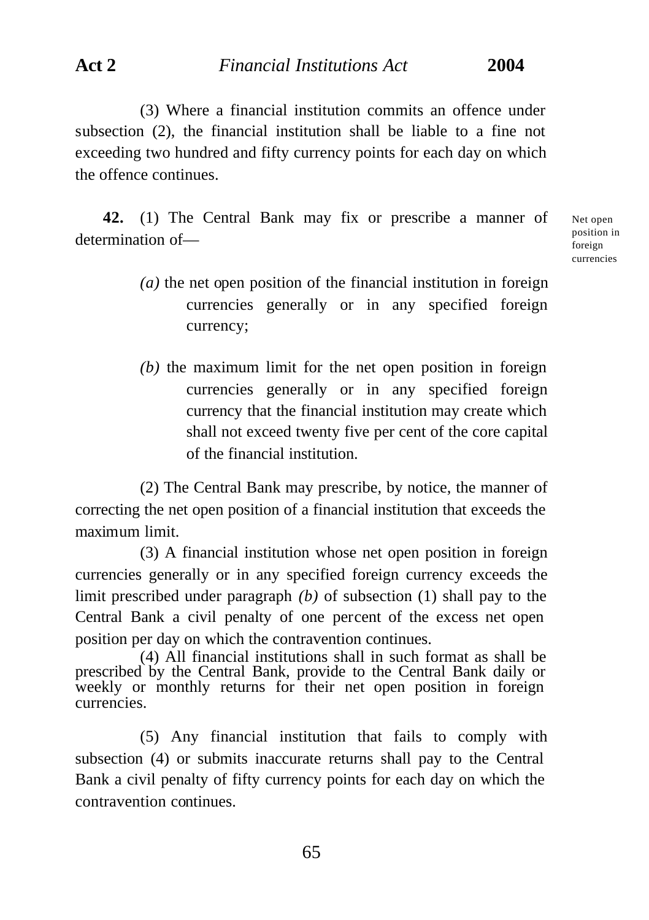(3) Where a financial institution commits an offence under subsection (2), the financial institution shall be liable to a fine not exceeding two hundred and fifty currency points for each day on which the offence continues.

**42.** (1) The Central Bank may fix or prescribe a manner of determination of—

Net open position in foreign currencies

- *(a)* the net open position of the financial institution in foreign currencies generally or in any specified foreign currency;
- *(b)* the maximum limit for the net open position in foreign currencies generally or in any specified foreign currency that the financial institution may create which shall not exceed twenty five per cent of the core capital of the financial institution.

(2) The Central Bank may prescribe, by notice, the manner of correcting the net open position of a financial institution that exceeds the maximum limit.

(3) A financial institution whose net open position in foreign currencies generally or in any specified foreign currency exceeds the limit prescribed under paragraph *(b)* of subsection (1) shall pay to the Central Bank a civil penalty of one percent of the excess net open position per day on which the contravention continues.

(4) All financial institutions shall in such format as shall be prescribed by the Central Bank, provide to the Central Bank daily or weekly or monthly returns for their net open position in foreign currencies.

(5) Any financial institution that fails to comply with subsection (4) or submits inaccurate returns shall pay to the Central Bank a civil penalty of fifty currency points for each day on which the contravention continues.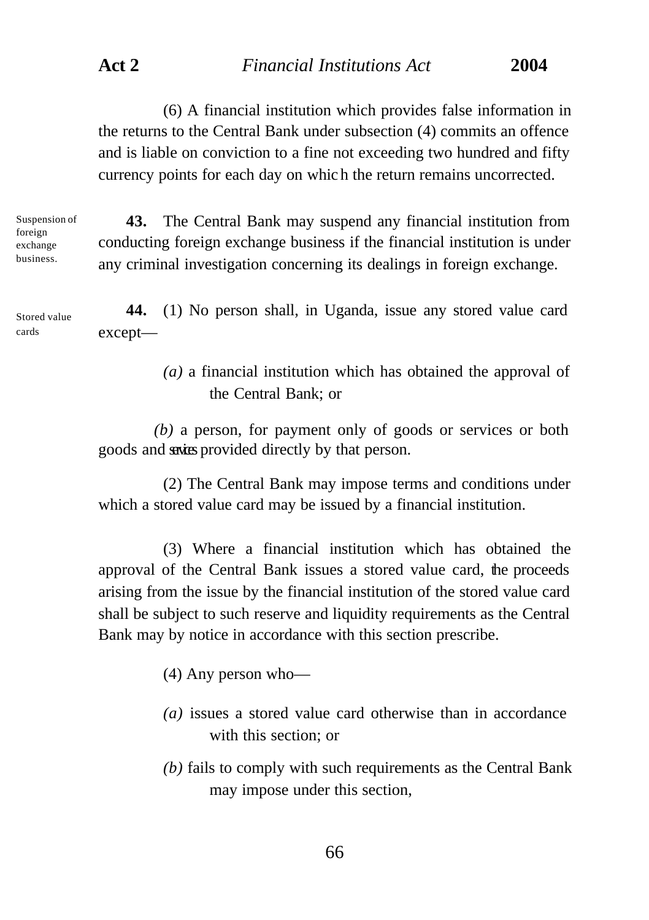(6) A financial institution which provides false information in the returns to the Central Bank under subsection (4) commits an offence and is liable on conviction to a fine not exceeding two hundred and fifty currency points for each day on whic h the return remains uncorrected.

Suspension of foreign exchange business.

**43.** The Central Bank may suspend any financial institution from conducting foreign exchange business if the financial institution is under any criminal investigation concerning its dealings in foreign exchange.

**44.** (1) No person shall, in Uganda, issue any stored value card except— Stored value cards

> *(a)* a financial institution which has obtained the approval of the Central Bank; or

*(b)* a person, for payment only of goods or services or both goods and saxies provided directly by that person.

(2) The Central Bank may impose terms and conditions under which a stored value card may be issued by a financial institution.

(3) Where a financial institution which has obtained the approval of the Central Bank issues a stored value card, the proceeds arising from the issue by the financial institution of the stored value card shall be subject to such reserve and liquidity requirements as the Central Bank may by notice in accordance with this section prescribe.

(4) Any person who—

- *(a)* issues a stored value card otherwise than in accordance with this section; or
- *(b)* fails to comply with such requirements as the Central Bank may impose under this section,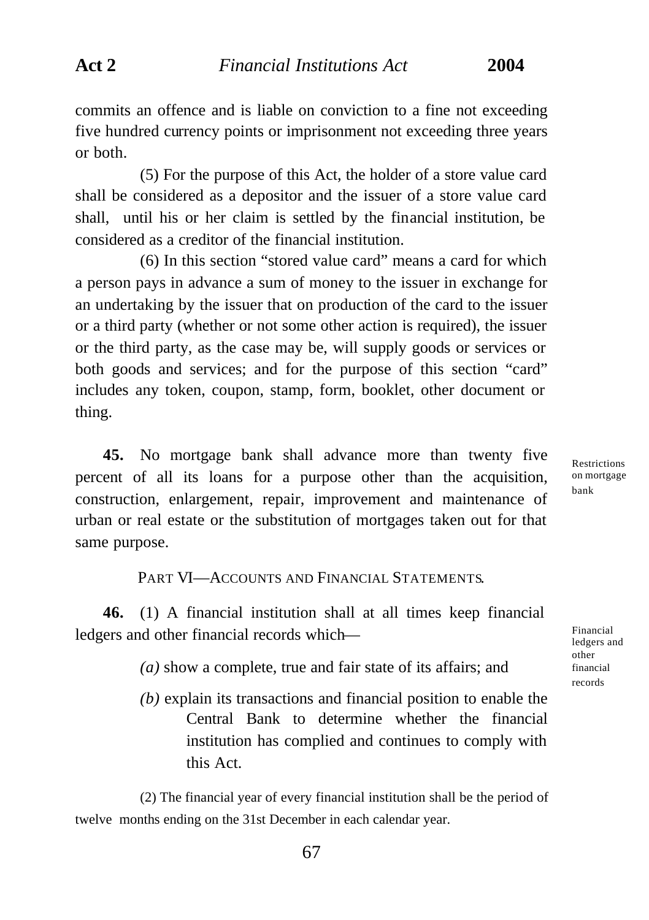commits an offence and is liable on conviction to a fine not exceeding five hundred currency points or imprisonment not exceeding three years or both.

(5) For the purpose of this Act, the holder of a store value card shall be considered as a depositor and the issuer of a store value card shall, until his or her claim is settled by the financial institution, be considered as a creditor of the financial institution.

(6) In this section "stored value card" means a card for which a person pays in advance a sum of money to the issuer in exchange for an undertaking by the issuer that on production of the card to the issuer or a third party (whether or not some other action is required), the issuer or the third party, as the case may be, will supply goods or services or both goods and services; and for the purpose of this section "card" includes any token, coupon, stamp, form, booklet, other document or thing.

**45.** No mortgage bank shall advance more than twenty five percent of all its loans for a purpose other than the acquisition, construction, enlargement, repair, improvement and maintenance of urban or real estate or the substitution of mortgages taken out for that same purpose.

Restrictions on mortgage bank

## PART VI—ACCOUNTS AND FINANCIAL STATEMENTS.

**46.** (1) A financial institution shall at all times keep financial ledgers and other financial records which—

- *(a)* show a complete, true and fair state of its affairs; and
- *(b)* explain its transactions and financial position to enable the Central Bank to determine whether the financial institution has complied and continues to comply with this Act.

(2) The financial year of every financial institution shall be the period of twelve months ending on the 31st December in each calendar year.

other financial records

Financial ledgers and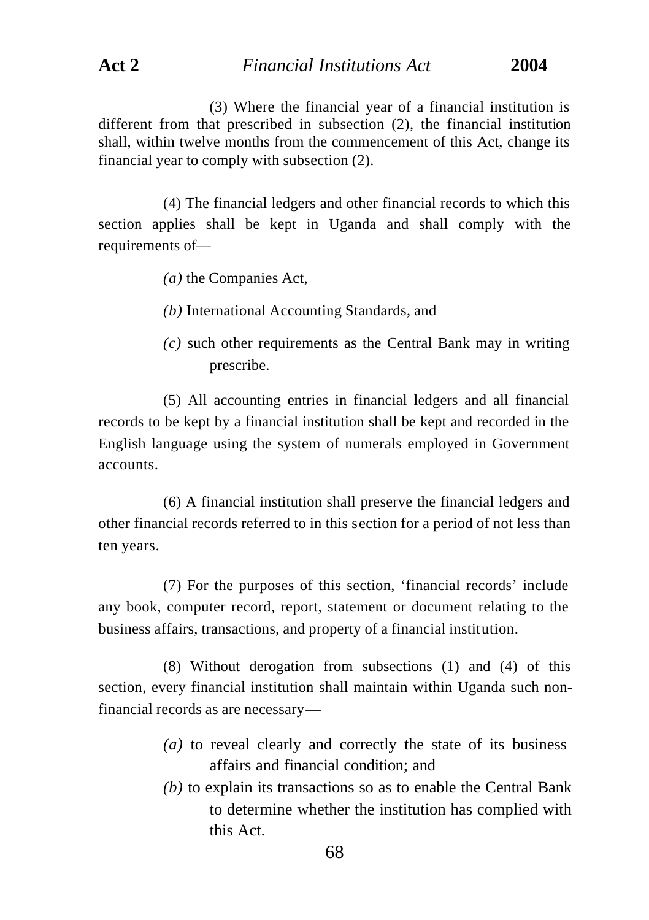(3) Where the financial year of a financial institution is different from that prescribed in subsection (2), the financial institution shall, within twelve months from the commencement of this Act, change its financial year to comply with subsection (2).

(4) The financial ledgers and other financial records to which this section applies shall be kept in Uganda and shall comply with the requirements of—

- *(a)* the Companies Act,
- *(b)* International Accounting Standards, and
- *(c)* such other requirements as the Central Bank may in writing prescribe.

(5) All accounting entries in financial ledgers and all financial records to be kept by a financial institution shall be kept and recorded in the English language using the system of numerals employed in Government accounts.

(6) A financial institution shall preserve the financial ledgers and other financial records referred to in this section for a period of not less than ten years.

(7) For the purposes of this section, 'financial records' include any book, computer record, report, statement or document relating to the business affairs, transactions, and property of a financial institution.

(8) Without derogation from subsections (1) and (4) of this section, every financial institution shall maintain within Uganda such nonfinancial records as are necessary—

- *(a)* to reveal clearly and correctly the state of its business affairs and financial condition; and
- *(b)* to explain its transactions so as to enable the Central Bank to determine whether the institution has complied with this Act.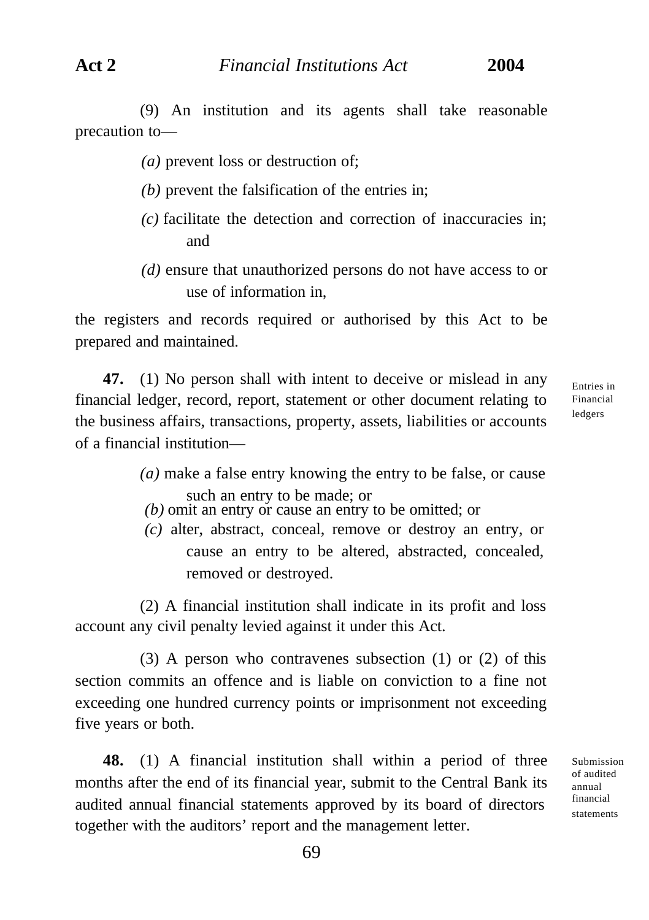(9) An institution and its agents shall take reasonable precaution to—

*(a)* prevent loss or destruction of;

- *(b)* prevent the falsification of the entries in;
- *(c)* facilitate the detection and correction of inaccuracies in; and
- *(d)* ensure that unauthorized persons do not have access to or use of information in

the registers and records required or authorised by this Act to be prepared and maintained.

**47.** (1) No person shall with intent to deceive or mislead in any financial ledger, record, report, statement or other document relating to the business affairs, transactions, property, assets, liabilities or accounts of a financial institution—

Entries in Financial ledgers

- *(a)* make a false entry knowing the entry to be false, or cause such an entry to be made; or
- *(b)* omit an entry or cause an entry to be omitted; or
- *(c)* alter, abstract, conceal, remove or destroy an entry, or cause an entry to be altered, abstracted, concealed, removed or destroyed.

(2) A financial institution shall indicate in its profit and loss account any civil penalty levied against it under this Act.

(3) A person who contravenes subsection (1) or (2) of this section commits an offence and is liable on conviction to a fine not exceeding one hundred currency points or imprisonment not exceeding five years or both.

**48.** (1) A financial institution shall within a period of three months after the end of its financial year, submit to the Central Bank its audited annual financial statements approved by its board of directors together with the auditors' report and the management letter.

Submission of audited annual financial statements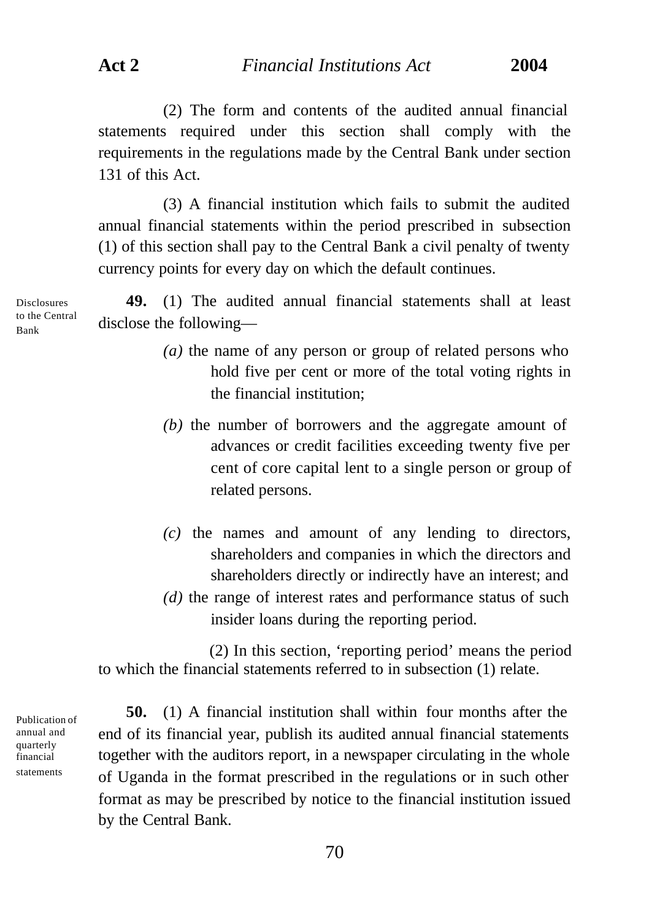(2) The form and contents of the audited annual financial statements required under this section shall comply with the requirements in the regulations made by the Central Bank under section 131 of this Act.

(3) A financial institution which fails to submit the audited annual financial statements within the period prescribed in subsection (1) of this section shall pay to the Central Bank a civil penalty of twenty currency points for every day on which the default continues.

**49.** (1) The audited annual financial statements shall at least disclose the following—

- *(a)* the name of any person or group of related persons who hold five per cent or more of the total voting rights in the financial institution;
- *(b)* the number of borrowers and the aggregate amount of advances or credit facilities exceeding twenty five per cent of core capital lent to a single person or group of related persons.
- *(c)* the names and amount of any lending to directors, shareholders and companies in which the directors and shareholders directly or indirectly have an interest; and
- *(d)* the range of interest rates and performance status of such insider loans during the reporting period.

(2) In this section, 'reporting period' means the period to which the financial statements referred to in subsection (1) relate.

Publication of annual and quarterly financial statements

**50.** (1) A financial institution shall within four months after the end of its financial year, publish its audited annual financial statements together with the auditors report, in a newspaper circulating in the whole of Uganda in the format prescribed in the regulations or in such other format as may be prescribed by notice to the financial institution issued by the Central Bank.

Disclosures to the Central Bank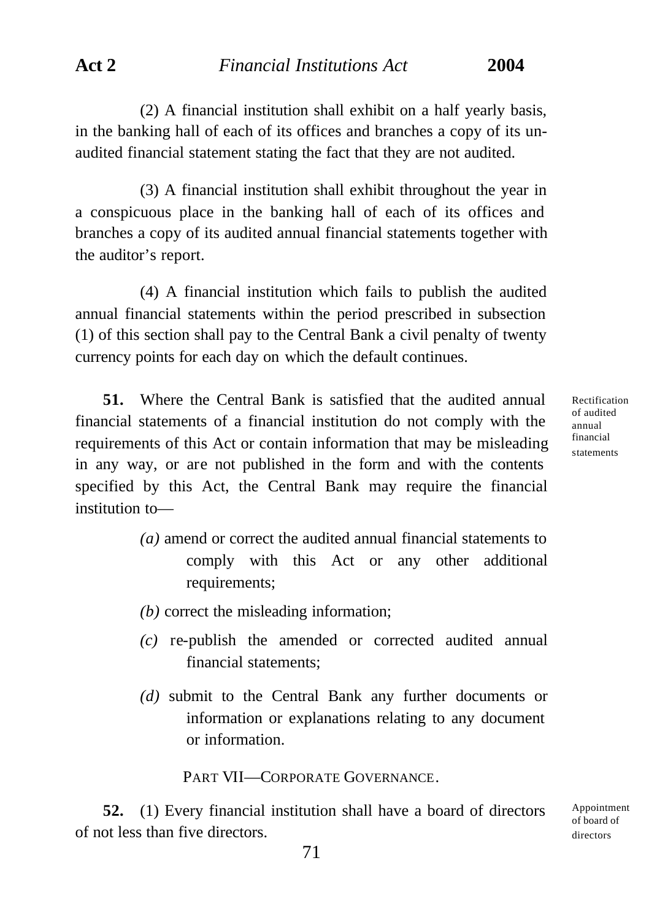(2) A financial institution shall exhibit on a half yearly basis, in the banking hall of each of its offices and branches a copy of its unaudited financial statement stating the fact that they are not audited.

(3) A financial institution shall exhibit throughout the year in a conspicuous place in the banking hall of each of its offices and branches a copy of its audited annual financial statements together with the auditor's report.

(4) A financial institution which fails to publish the audited annual financial statements within the period prescribed in subsection (1) of this section shall pay to the Central Bank a civil penalty of twenty currency points for each day on which the default continues.

**51.** Where the Central Bank is satisfied that the audited annual financial statements of a financial institution do not comply with the requirements of this Act or contain information that may be misleading in any way, or are not published in the form and with the contents specified by this Act, the Central Bank may require the financial institution toRectification of audited annual financial statements

Appointment of board of directors

- *(a)* amend or correct the audited annual financial statements to comply with this Act or any other additional requirements;
- *(b)* correct the misleading information;
- *(c)* re-publish the amended or corrected audited annual financial statements;
- *(d)* submit to the Central Bank any further documents or information or explanations relating to any document or information.

PART VII—CORPORATE GOVERNANCE.

**52.** (1) Every financial institution shall have a board of directors of not less than five directors.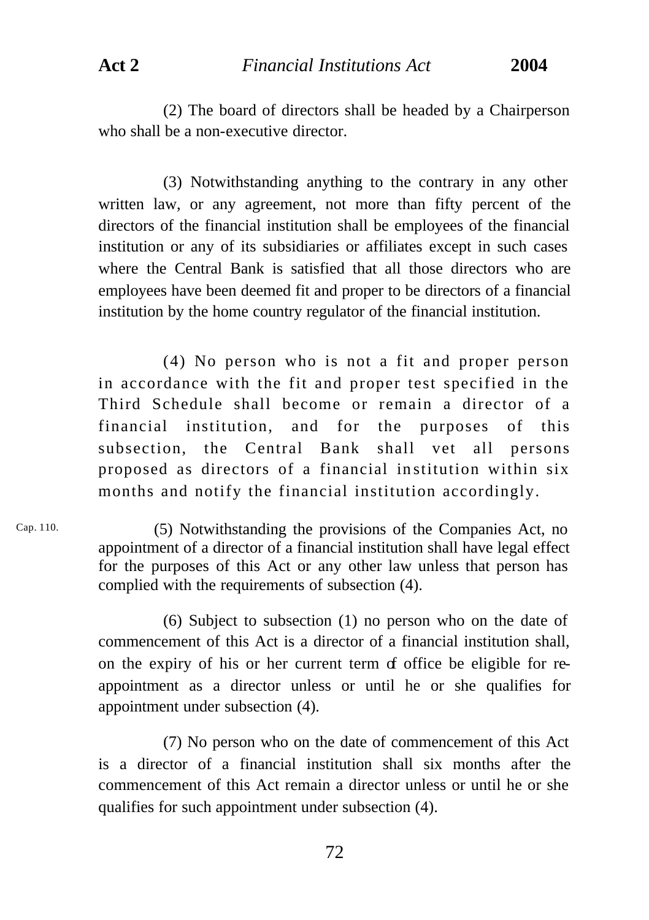(2) The board of directors shall be headed by a Chairperson who shall be a non-executive director.

(3) Notwithstanding anything to the contrary in any other written law, or any agreement, not more than fifty percent of the directors of the financial institution shall be employees of the financial institution or any of its subsidiaries or affiliates except in such cases where the Central Bank is satisfied that all those directors who are employees have been deemed fit and proper to be directors of a financial institution by the home country regulator of the financial institution.

(4) No person who is not a fit and proper person in accordance with the fit and proper test specified in the Third Schedule shall become or remain a director of a financial institution, and for the purposes of this subsection, the Central Bank shall vet all persons proposed as directors of a financial in stitution within six months and notify the financial institution accordingly.

(5) Notwithstanding the provisions of the Companies Act, no appointment of a director of a financial institution shall have legal effect for the purposes of this Act or any other law unless that person has complied with the requirements of subsection (4). Cap. 110.

> (6) Subject to subsection (1) no person who on the date of commencement of this Act is a director of a financial institution shall, on the expiry of his or her current term of office be eligible for reappointment as a director unless or until he or she qualifies for appointment under subsection (4).

> (7) No person who on the date of commencement of this Act is a director of a financial institution shall six months after the commencement of this Act remain a director unless or until he or she qualifies for such appointment under subsection (4).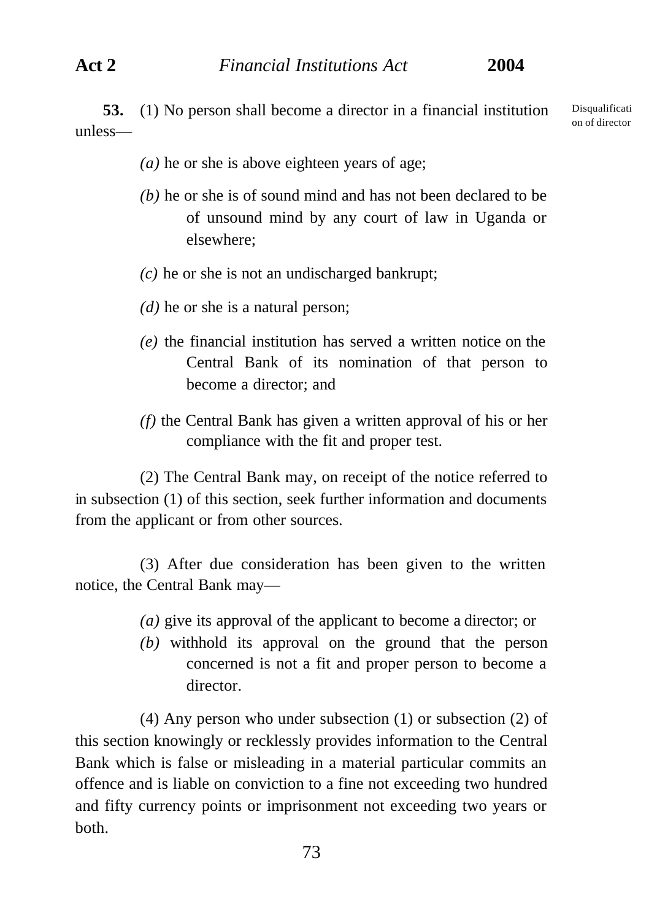**53.** (1) No person shall become a director in a financial institution unless— Disqualificati on of director

- *(a)* he or she is above eighteen years of age;
- *(b)* he or she is of sound mind and has not been declared to be of unsound mind by any court of law in Uganda or elsewhere;
- *(c)* he or she is not an undischarged bankrupt;
- *(d)* he or she is a natural person;
- *(e)* the financial institution has served a written notice on the Central Bank of its nomination of that person to become a director; and
- *(f)* the Central Bank has given a written approval of his or her compliance with the fit and proper test.

(2) The Central Bank may, on receipt of the notice referred to in subsection (1) of this section, seek further information and documents from the applicant or from other sources.

(3) After due consideration has been given to the written notice, the Central Bank may—

- *(a)* give its approval of the applicant to become a director; or
- *(b)* withhold its approval on the ground that the person concerned is not a fit and proper person to become a director.

(4) Any person who under subsection (1) or subsection (2) of this section knowingly or recklessly provides information to the Central Bank which is false or misleading in a material particular commits an offence and is liable on conviction to a fine not exceeding two hundred and fifty currency points or imprisonment not exceeding two years or both.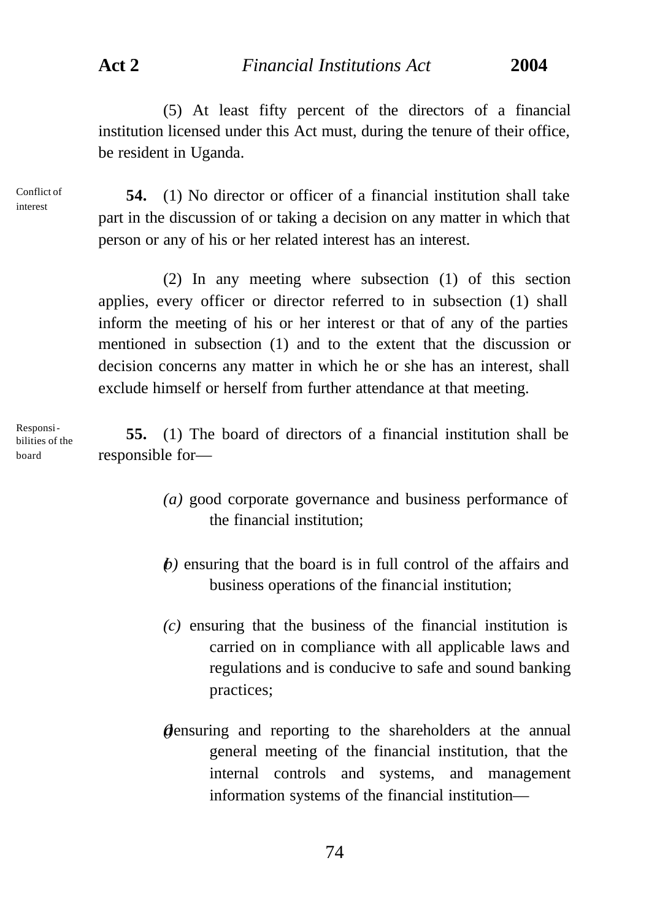(5) At least fifty percent of the directors of a financial institution licensed under this Act must, during the tenure of their office, be resident in Uganda.

Conflict of interest

**54.** (1) No director or officer of a financial institution shall take part in the discussion of or taking a decision on any matter in which that person or any of his or her related interest has an interest.

(2) In any meeting where subsection (1) of this section applies, every officer or director referred to in subsection (1) shall inform the meeting of his or her interest or that of any of the parties mentioned in subsection (1) and to the extent that the discussion or decision concerns any matter in which he or she has an interest, shall exclude himself or herself from further attendance at that meeting.

Responsibilities of the board

**55.** (1) The board of directors of a financial institution shall be responsible for—

- *(a)* good corporate governance and business performance of the financial institution;
- *(b)* ensuring that the board is in full control of the affairs and business operations of the financial institution;
- *(c)* ensuring that the business of the financial institution is carried on in compliance with all applicable laws and regulations and is conducive to safe and sound banking practices;
- *d*ensuring and reporting to the shareholders at the annual general meeting of the financial institution, that the internal controls and systems, and management information systems of the financial institution—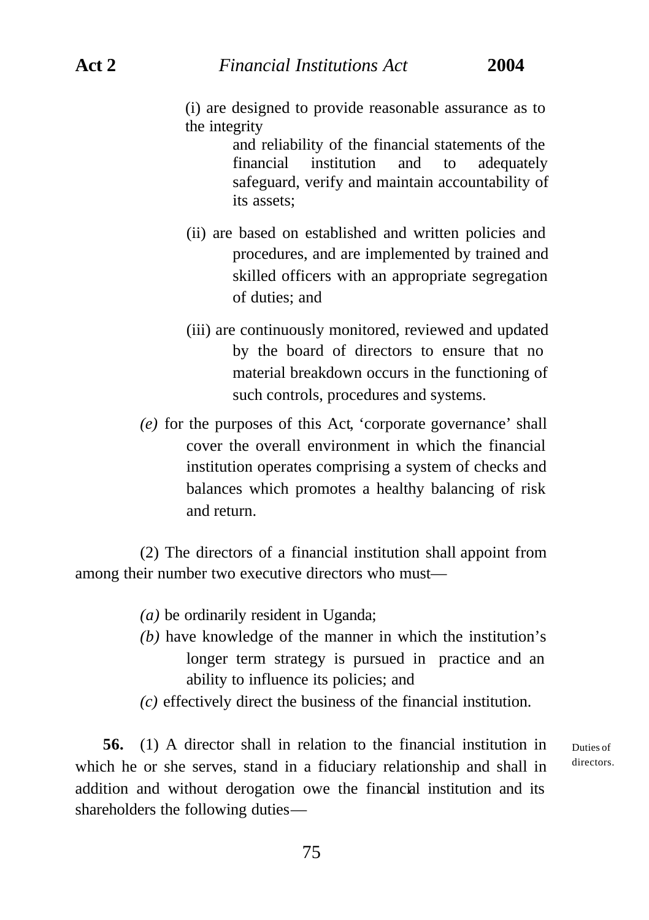(i) are designed to provide reasonable assurance as to the integrity

> and reliability of the financial statements of the financial institution and to adequately safeguard, verify and maintain accountability of its assets;

- (ii) are based on established and written policies and procedures, and are implemented by trained and skilled officers with an appropriate segregation of duties; and
- (iii) are continuously monitored, reviewed and updated by the board of directors to ensure that no material breakdown occurs in the functioning of such controls, procedures and systems.
- *(e)* for the purposes of this Act, 'corporate governance' shall cover the overall environment in which the financial institution operates comprising a system of checks and balances which promotes a healthy balancing of risk and return.

(2) The directors of a financial institution shall appoint from among their number two executive directors who must—

- *(a)* be ordinarily resident in Uganda;
- *(b)* have knowledge of the manner in which the institution's longer term strategy is pursued in practice and an ability to influence its policies; and
- *(c)* effectively direct the business of the financial institution.

**56.** (1) A director shall in relation to the financial institution in which he or she serves, stand in a fiduciary relationship and shall in addition and without derogation owe the financial institution and its shareholders the following duties—

Duties of directors.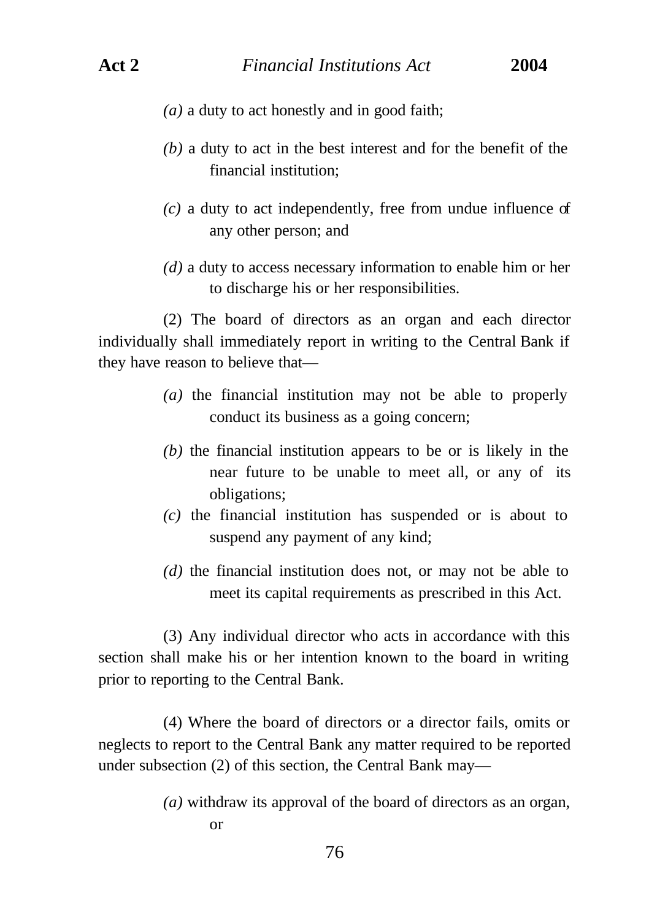- *(a)* a duty to act honestly and in good faith;
- *(b)* a duty to act in the best interest and for the benefit of the financial institution;
- *(c)* a duty to act independently, free from undue influence of any other person; and
- *(d)* a duty to access necessary information to enable him or her to discharge his or her responsibilities.

(2) The board of directors as an organ and each director individually shall immediately report in writing to the Central Bank if they have reason to believe that—

- *(a)* the financial institution may not be able to properly conduct its business as a going concern;
- *(b)* the financial institution appears to be or is likely in the near future to be unable to meet all, or any of its obligations;
- *(c)* the financial institution has suspended or is about to suspend any payment of any kind;
- *(d)* the financial institution does not, or may not be able to meet its capital requirements as prescribed in this Act.

(3) Any individual director who acts in accordance with this section shall make his or her intention known to the board in writing prior to reporting to the Central Bank.

(4) Where the board of directors or a director fails, omits or neglects to report to the Central Bank any matter required to be reported under subsection (2) of this section, the Central Bank may—

> *(a)* withdraw its approval of the board of directors as an organ, or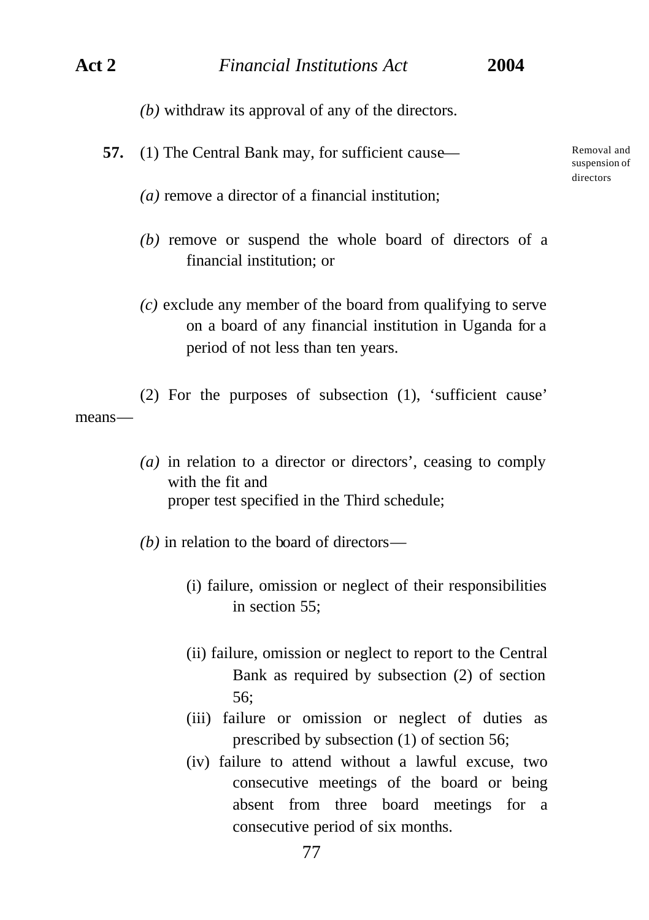- *(b)* withdraw its approval of any of the directors.
- **57.** (1) The Central Bank may, for sufficient cause—

Removal and suspension of directors

- *(a)* remove a director of a financial institution;
- *(b)* remove or suspend the whole board of directors of a financial institution; or
- *(c)* exclude any member of the board from qualifying to serve on a board of any financial institution in Uganda for a period of not less than ten years.

(2) For the purposes of subsection (1), 'sufficient cause' means—

- *(a)* in relation to a director or directors', ceasing to comply with the fit and proper test specified in the Third schedule;
- *(b)* in relation to the board of directors—
	- (i) failure, omission or neglect of their responsibilities in section 55;
	- (ii) failure, omission or neglect to report to the Central Bank as required by subsection (2) of section 56;
	- (iii) failure or omission or neglect of duties as prescribed by subsection (1) of section 56;
	- (iv) failure to attend without a lawful excuse, two consecutive meetings of the board or being absent from three board meetings for a consecutive period of six months.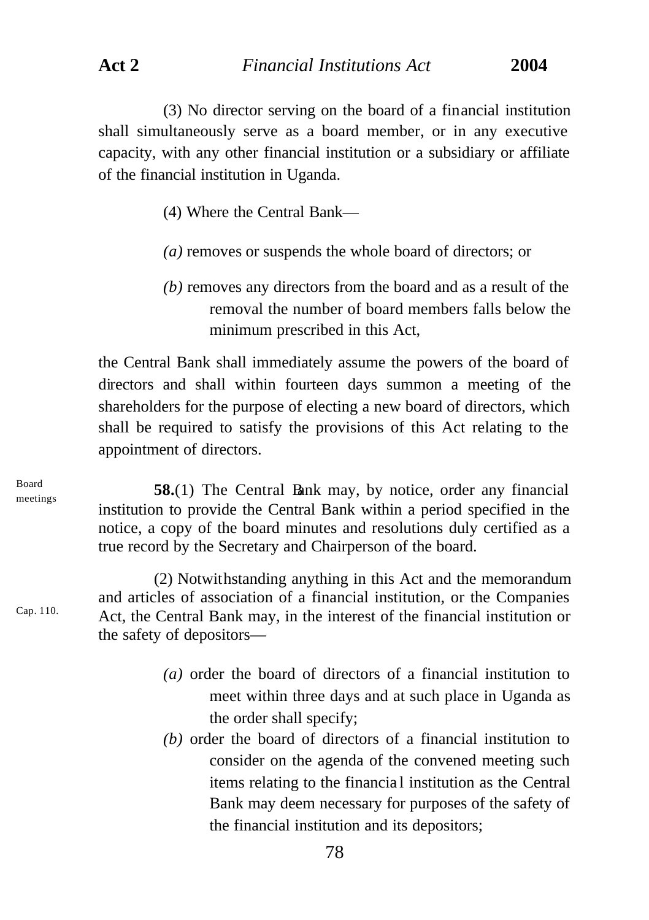(3) No director serving on the board of a financial institution shall simultaneously serve as a board member, or in any executive capacity, with any other financial institution or a subsidiary or affiliate of the financial institution in Uganda.

- (4) Where the Central Bank—
- *(a)* removes or suspends the whole board of directors; or
- *(b)* removes any directors from the board and as a result of the removal the number of board members falls below the minimum prescribed in this Act,

the Central Bank shall immediately assume the powers of the board of directors and shall within fourteen days summon a meeting of the shareholders for the purpose of electing a new board of directors, which shall be required to satisfy the provisions of this Act relating to the appointment of directors.

**58.**(1) The Central Bank may, by notice, order any financial institution to provide the Central Bank within a period specified in the notice, a copy of the board minutes and resolutions duly certified as a true record by the Secretary and Chairperson of the board.

(2) Notwithstanding anything in this Act and the memorandum and articles of association of a financial institution, or the Companies Act, the Central Bank may, in the interest of the financial institution or the safety of depositors—

- *(a)* order the board of directors of a financial institution to meet within three days and at such place in Uganda as the order shall specify;
- *(b)* order the board of directors of a financial institution to consider on the agenda of the convened meeting such items relating to the financia l institution as the Central Bank may deem necessary for purposes of the safety of the financial institution and its depositors;

Board meetings

Cap. 110.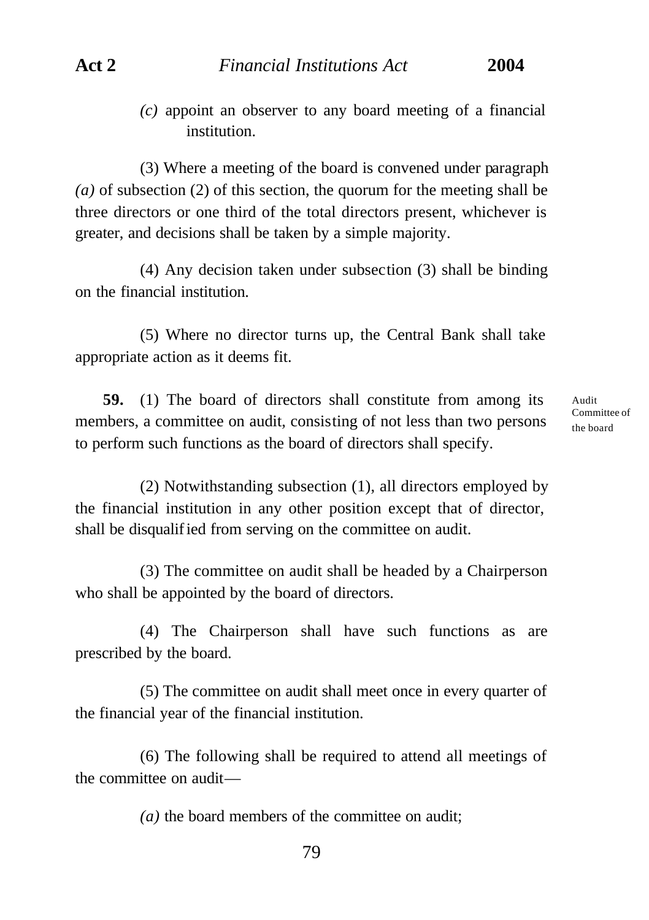*(c)* appoint an observer to any board meeting of a financial institution.

(3) Where a meeting of the board is convened under paragraph *(a)* of subsection (2) of this section, the quorum for the meeting shall be three directors or one third of the total directors present, whichever is greater, and decisions shall be taken by a simple majority.

(4) Any decision taken under subsection (3) shall be binding on the financial institution.

(5) Where no director turns up, the Central Bank shall take appropriate action as it deems fit.

**59.** (1) The board of directors shall constitute from among its members, a committee on audit, consisting of not less than two persons to perform such functions as the board of directors shall specify.

Audit Committee of the board

(2) Notwithstanding subsection (1), all directors employed by the financial institution in any other position except that of director, shall be disqualified from serving on the committee on audit.

(3) The committee on audit shall be headed by a Chairperson who shall be appointed by the board of directors.

(4) The Chairperson shall have such functions as are prescribed by the board.

(5) The committee on audit shall meet once in every quarter of the financial year of the financial institution.

(6) The following shall be required to attend all meetings of the committee on audit—

*(a)* the board members of the committee on audit;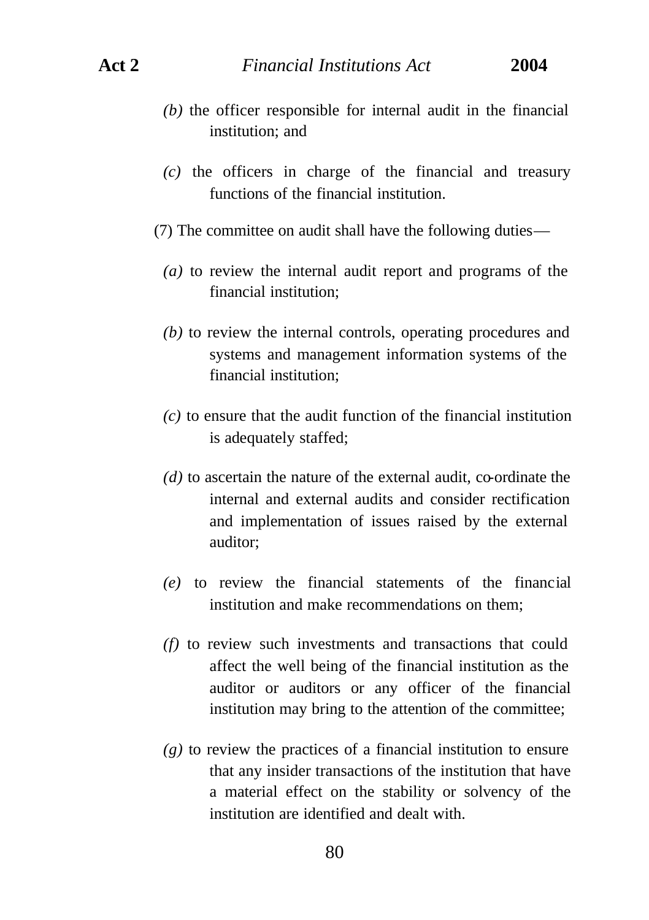- *(b)* the officer responsible for internal audit in the financial institution; and
- *(c)* the officers in charge of the financial and treasury functions of the financial institution.
- (7) The committee on audit shall have the following duties—
	- *(a)* to review the internal audit report and programs of the financial institution;
	- *(b)* to review the internal controls, operating procedures and systems and management information systems of the financial institution;
	- *(c)* to ensure that the audit function of the financial institution is adequately staffed;
	- *(d)* to ascertain the nature of the external audit, co-ordinate the internal and external audits and consider rectification and implementation of issues raised by the external auditor;
	- *(e)* to review the financial statements of the financial institution and make recommendations on them;
	- *(f)* to review such investments and transactions that could affect the well being of the financial institution as the auditor or auditors or any officer of the financial institution may bring to the attention of the committee;
	- *(g)* to review the practices of a financial institution to ensure that any insider transactions of the institution that have a material effect on the stability or solvency of the institution are identified and dealt with.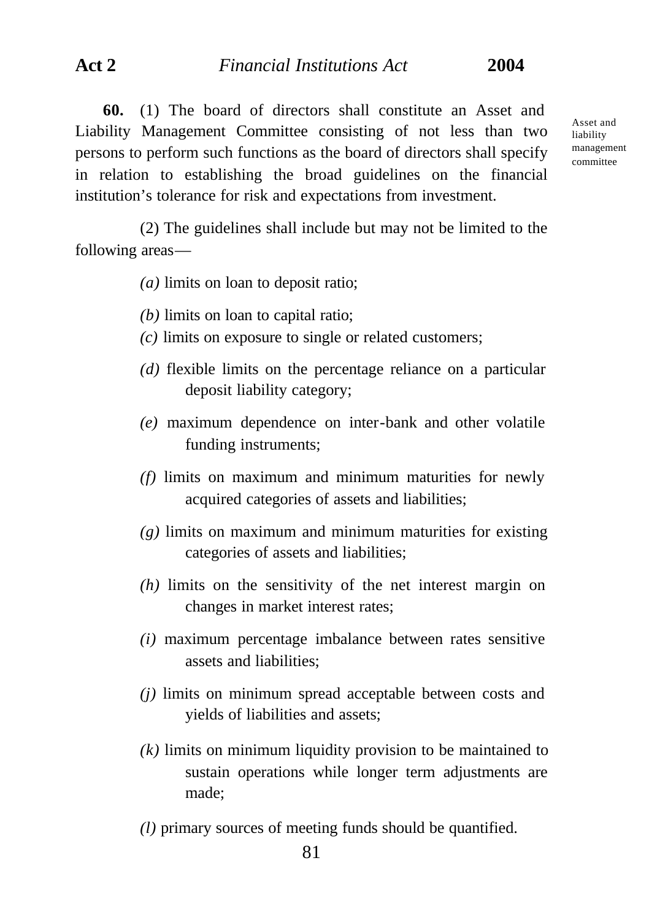**60.** (1) The board of directors shall constitute an Asset and Liability Management Committee consisting of not less than two persons to perform such functions as the board of directors shall specify in relation to establishing the broad guidelines on the financial institution's tolerance for risk and expectations from investment.

(2) The guidelines shall include but may not be limited to the following areas—

*(a)* limits on loan to deposit ratio;

- *(b)* limits on loan to capital ratio;
- *(c)* limits on exposure to single or related customers;
- *(d)* flexible limits on the percentage reliance on a particular deposit liability category;
- *(e)* maximum dependence on inter-bank and other volatile funding instruments;
- *(f)* limits on maximum and minimum maturities for newly acquired categories of assets and liabilities;
- *(g)* limits on maximum and minimum maturities for existing categories of assets and liabilities;
- *(h)* limits on the sensitivity of the net interest margin on changes in market interest rates;
- *(i)* maximum percentage imbalance between rates sensitive assets and liabilities;
- *(j)* limits on minimum spread acceptable between costs and yields of liabilities and assets;
- *(k)* limits on minimum liquidity provision to be maintained to sustain operations while longer term adjustments are made;
- *(l)* primary sources of meeting funds should be quantified.

Asset and liability management committee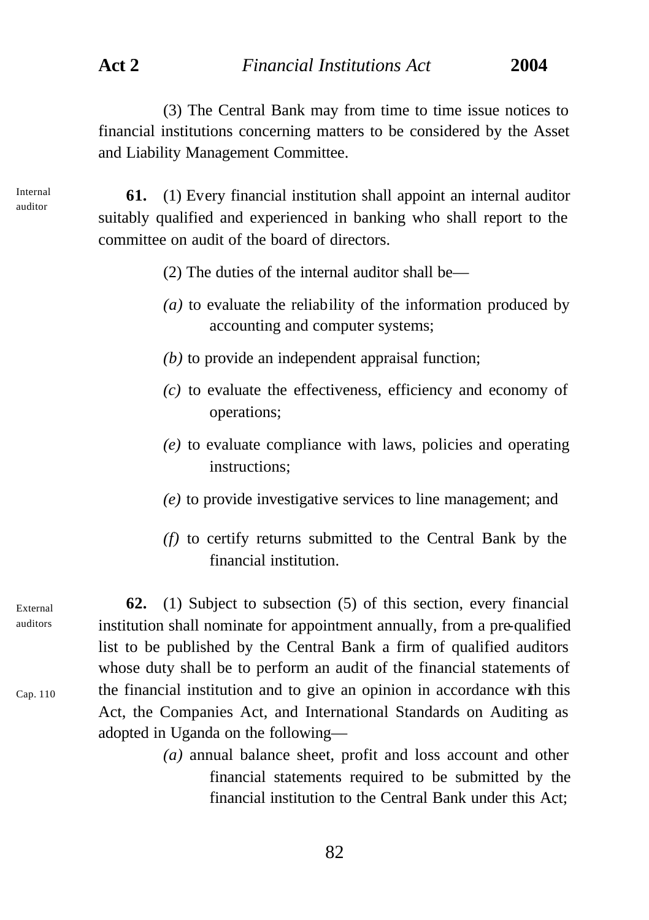(3) The Central Bank may from time to time issue notices to financial institutions concerning matters to be considered by the Asset and Liability Management Committee.

**61.** (1) Every financial institution shall appoint an internal auditor suitably qualified and experienced in banking who shall report to the committee on audit of the board of directors.

- (2) The duties of the internal auditor shall be—
- *(a)* to evaluate the reliability of the information produced by accounting and computer systems;
- *(b)* to provide an independent appraisal function;
- *(c)* to evaluate the effectiveness, efficiency and economy of operations;
- *(e)* to evaluate compliance with laws, policies and operating instructions;
- *(e)* to provide investigative services to line management; and
- *(f)* to certify returns submitted to the Central Bank by the financial institution.

**62.** (1) Subject to subsection (5) of this section, every financial institution shall nominate for appointment annually, from a pre-qualified list to be published by the Central Bank a firm of qualified auditors whose duty shall be to perform an audit of the financial statements of the financial institution and to give an opinion in accordance with this Act, the Companies Act, and International Standards on Auditing as adopted in Uganda on the following—

> *(a)* annual balance sheet, profit and loss account and other financial statements required to be submitted by the financial institution to the Central Bank under this Act;

Internal auditor

External auditors

Cap. 110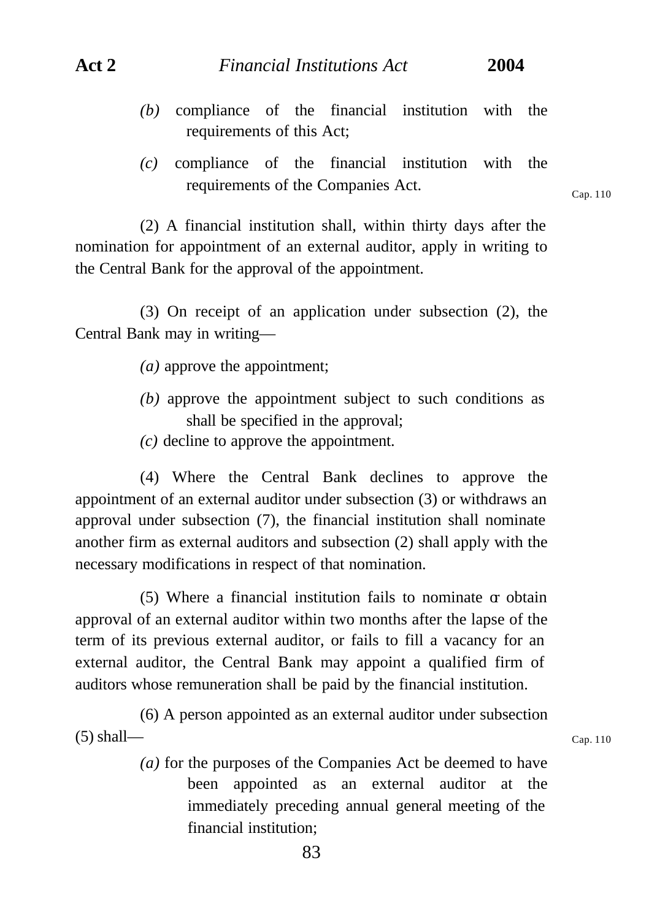- *(b)* compliance of the financial institution with the requirements of this Act;
- *(c)* compliance of the financial institution with the requirements of the Companies Act.

(2) A financial institution shall, within thirty days after the nomination for appointment of an external auditor, apply in writing to the Central Bank for the approval of the appointment.

(3) On receipt of an application under subsection (2), the Central Bank may in writing—

- *(a)* approve the appointment;
- *(b)* approve the appointment subject to such conditions as shall be specified in the approval;
- *(c)* decline to approve the appointment.

(4) Where the Central Bank declines to approve the appointment of an external auditor under subsection (3) or withdraws an approval under subsection (7), the financial institution shall nominate another firm as external auditors and subsection (2) shall apply with the necessary modifications in respect of that nomination.

 $(5)$  Where a financial institution fails to nominate  $\sigma$  obtain approval of an external auditor within two months after the lapse of the term of its previous external auditor, or fails to fill a vacancy for an external auditor, the Central Bank may appoint a qualified firm of auditors whose remuneration shall be paid by the financial institution.

(6) A person appointed as an external auditor under subsection  $(5)$  shall—

> *(a)* for the purposes of the Companies Act be deemed to have been appointed as an external auditor at the immediately preceding annual general meeting of the financial institution;

Cap. 110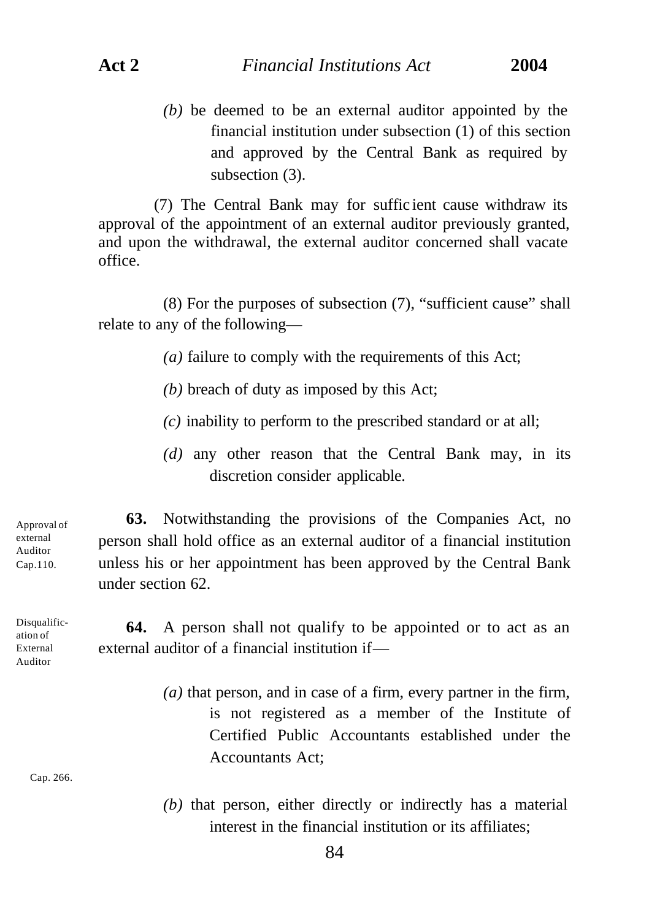*(b)* be deemed to be an external auditor appointed by the financial institution under subsection (1) of this section and approved by the Central Bank as required by subsection (3).

(7) The Central Bank may for suffic ient cause withdraw its approval of the appointment of an external auditor previously granted, and upon the withdrawal, the external auditor concerned shall vacate office.

(8) For the purposes of subsection (7), "sufficient cause" shall relate to any of the following—

*(a)* failure to comply with the requirements of this Act;

- *(b)* breach of duty as imposed by this Act;
- *(c)* inability to perform to the prescribed standard or at all;
- *(d)* any other reason that the Central Bank may, in its discretion consider applicable.

Approval of external Auditor Cap.110.

**63.** Notwithstanding the provisions of the Companies Act, no person shall hold office as an external auditor of a financial institution unless his or her appointment has been approved by the Central Bank under section 62.

Disqualification of External Auditor

**64.** A person shall not qualify to be appointed or to act as an external auditor of a financial institution if—

> *(a)* that person, and in case of a firm, every partner in the firm, is not registered as a member of the Institute of Certified Public Accountants established under the Accountants Act;

Cap. 266.

*(b)* that person, either directly or indirectly has a material interest in the financial institution or its affiliates;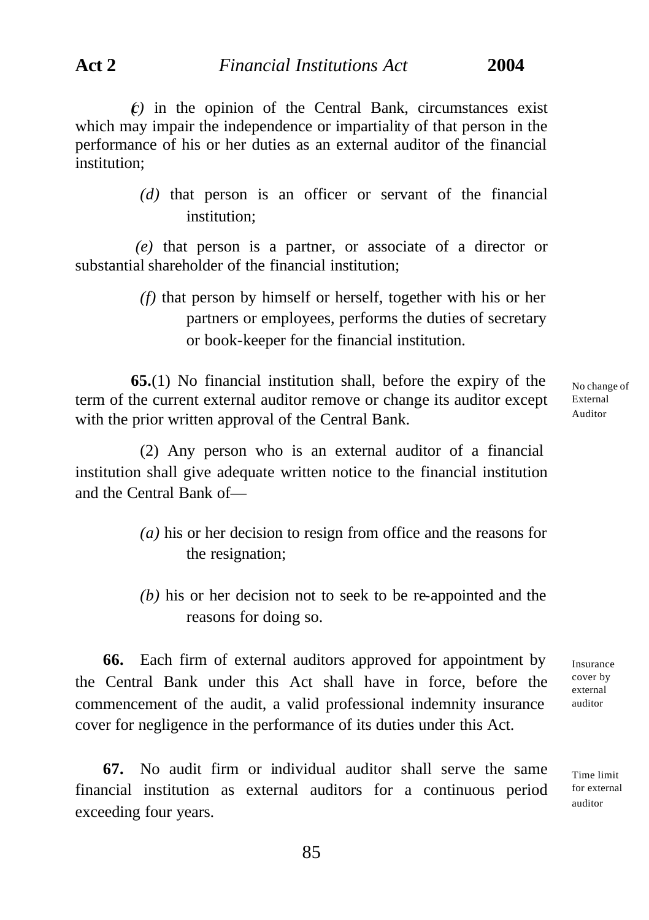$(c)$  in the opinion of the Central Bank, circumstances exist which may impair the independence or impartiality of that person in the performance of his or her duties as an external auditor of the financial institution;

> *(d)* that person is an officer or servant of the financial institution;

 *(e)* that person is a partner, or associate of a director or substantial shareholder of the financial institution;

> *(f)* that person by himself or herself, together with his or her partners or employees, performs the duties of secretary or book-keeper for the financial institution.

**65.**(1) No financial institution shall, before the expiry of the term of the current external auditor remove or change its auditor except with the prior written approval of the Central Bank.

No change of External Auditor

(2) Any person who is an external auditor of a financial institution shall give adequate written notice to the financial institution and the Central Bank of—

- *(a)* his or her decision to resign from office and the reasons for the resignation;
- *(b)* his or her decision not to seek to be re-appointed and the reasons for doing so.

**66.** Each firm of external auditors approved for appointment by the Central Bank under this Act shall have in force, before the commencement of the audit, a valid professional indemnity insurance cover for negligence in the performance of its duties under this Act.

**67.** No audit firm or individual auditor shall serve the same financial institution as external auditors for a continuous period exceeding four years.

Insurance cover by external auditor

Time limit for external auditor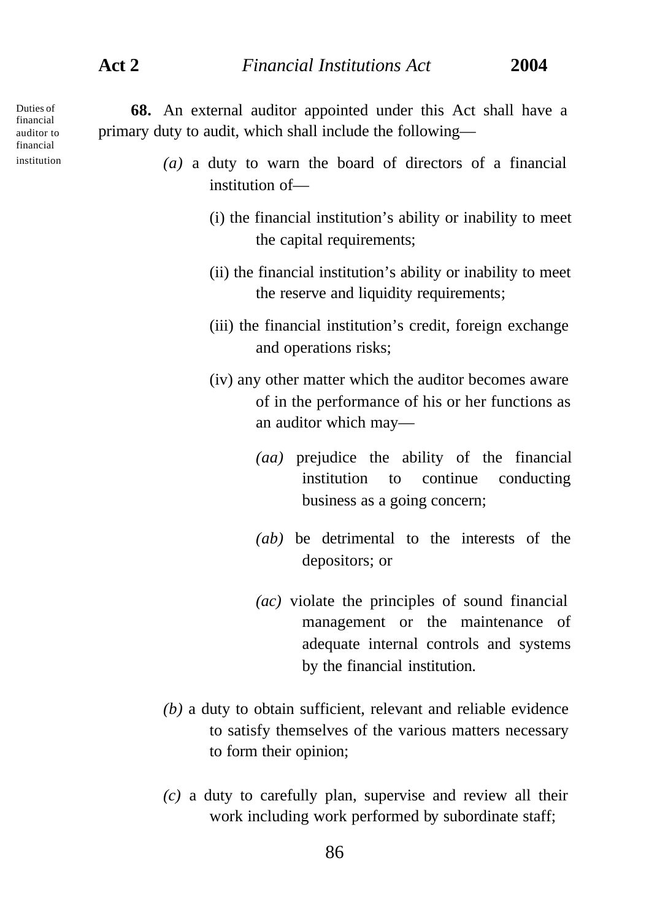Duties of financial auditor to financial institution

**68.** An external auditor appointed under this Act shall have a primary duty to audit, which shall include the following—

- *(a)* a duty to warn the board of directors of a financial institution of—
	- (i) the financial institution's ability or inability to meet the capital requirements;
	- (ii) the financial institution's ability or inability to meet the reserve and liquidity requirements;
	- (iii) the financial institution's credit, foreign exchange and operations risks;
	- (iv) any other matter which the auditor becomes aware of in the performance of his or her functions as an auditor which may—
		- *(aa)* prejudice the ability of the financial institution to continue conducting business as a going concern;
		- *(ab)* be detrimental to the interests of the depositors; or
		- *(ac)* violate the principles of sound financial management or the maintenance of adequate internal controls and systems by the financial institution.
- *(b)* a duty to obtain sufficient, relevant and reliable evidence to satisfy themselves of the various matters necessary to form their opinion;
- *(c)* a duty to carefully plan, supervise and review all their work including work performed by subordinate staff;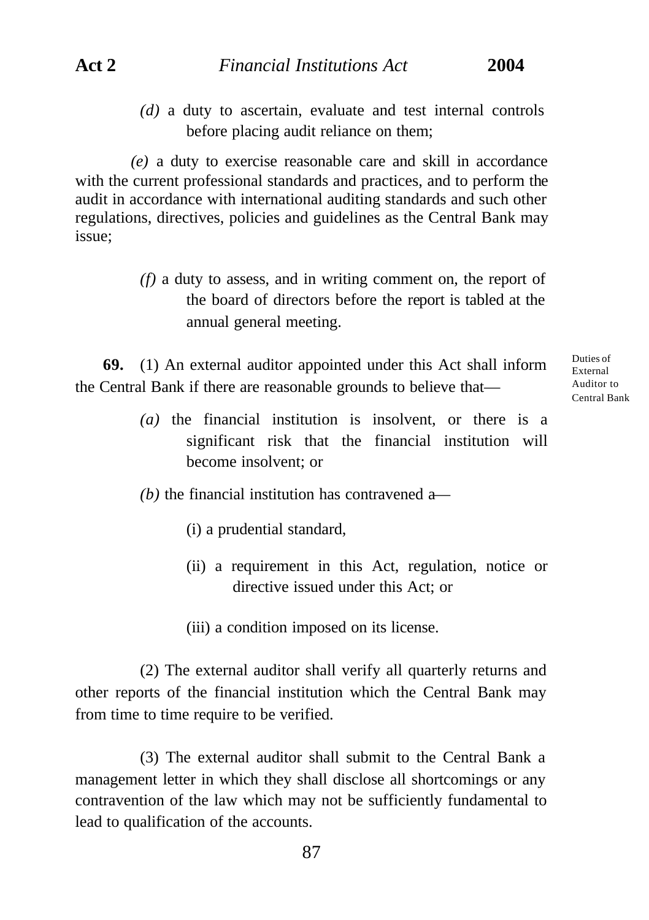*(d)* a duty to ascertain, evaluate and test internal controls before placing audit reliance on them;

*(e)* a duty to exercise reasonable care and skill in accordance with the current professional standards and practices, and to perform the audit in accordance with international auditing standards and such other regulations, directives, policies and guidelines as the Central Bank may issue;

> *(f)* a duty to assess, and in writing comment on, the report of the board of directors before the report is tabled at the annual general meeting.

**69.** (1) An external auditor appointed under this Act shall inform the Central Bank if there are reasonable grounds to believe thatDuties of External Auditor to Central Bank

- *(a)* the financial institution is insolvent, or there is a significant risk that the financial institution will become insolvent; or
- *(b)* the financial institution has contravened a—
	- (i) a prudential standard,
	- (ii) a requirement in this Act, regulation, notice or directive issued under this Act; or
	- (iii) a condition imposed on its license.

(2) The external auditor shall verify all quarterly returns and other reports of the financial institution which the Central Bank may from time to time require to be verified.

(3) The external auditor shall submit to the Central Bank a management letter in which they shall disclose all shortcomings or any contravention of the law which may not be sufficiently fundamental to lead to qualification of the accounts.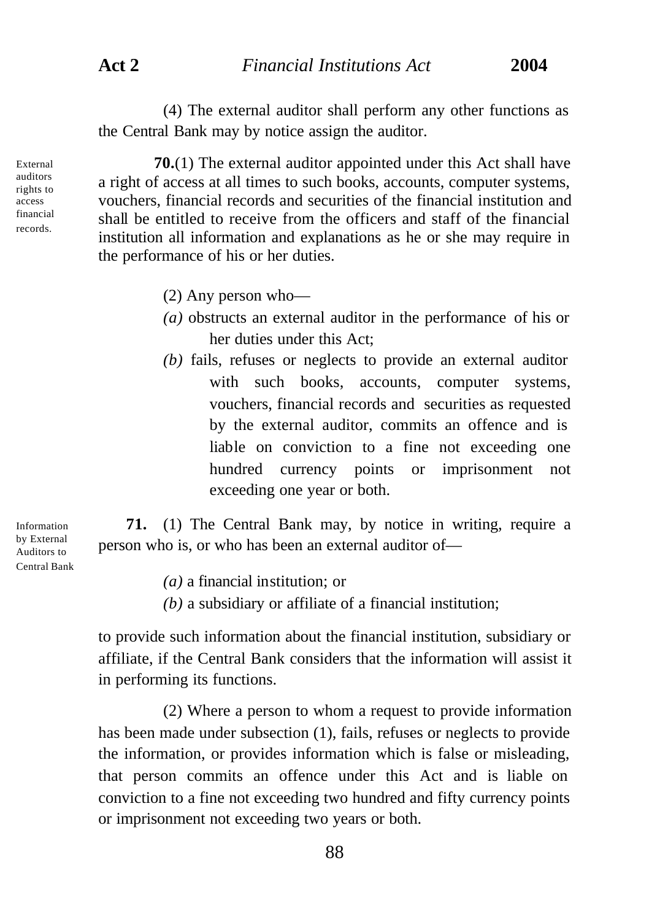(4) The external auditor shall perform any other functions as the Central Bank may by notice assign the auditor.

**70.**(1) The external auditor appointed under this Act shall have a right of access at all times to such books, accounts, computer systems, vouchers, financial records and securities of the financial institution and shall be entitled to receive from the officers and staff of the financial institution all information and explanations as he or she may require in the performance of his or her duties.

- (2) Any person who—
- *(a)* obstructs an external auditor in the performance of his or her duties under this Act;
- *(b)* fails, refuses or neglects to provide an external auditor with such books, accounts, computer systems, vouchers, financial records and securities as requested by the external auditor, commits an offence and is liable on conviction to a fine not exceeding one hundred currency points or imprisonment not exceeding one year or both.

**71.** (1) The Central Bank may, by notice in writing, require a person who is, or who has been an external auditor of—

*(a)* a financial institution; or

*(b)* a subsidiary or affiliate of a financial institution;

to provide such information about the financial institution, subsidiary or affiliate, if the Central Bank considers that the information will assist it in performing its functions.

(2) Where a person to whom a request to provide information has been made under subsection (1), fails, refuses or neglects to provide the information, or provides information which is false or misleading, that person commits an offence under this Act and is liable on conviction to a fine not exceeding two hundred and fifty currency points or imprisonment not exceeding two years or both.

Information by External Auditors to Central Bank

External auditors rights to access financial records.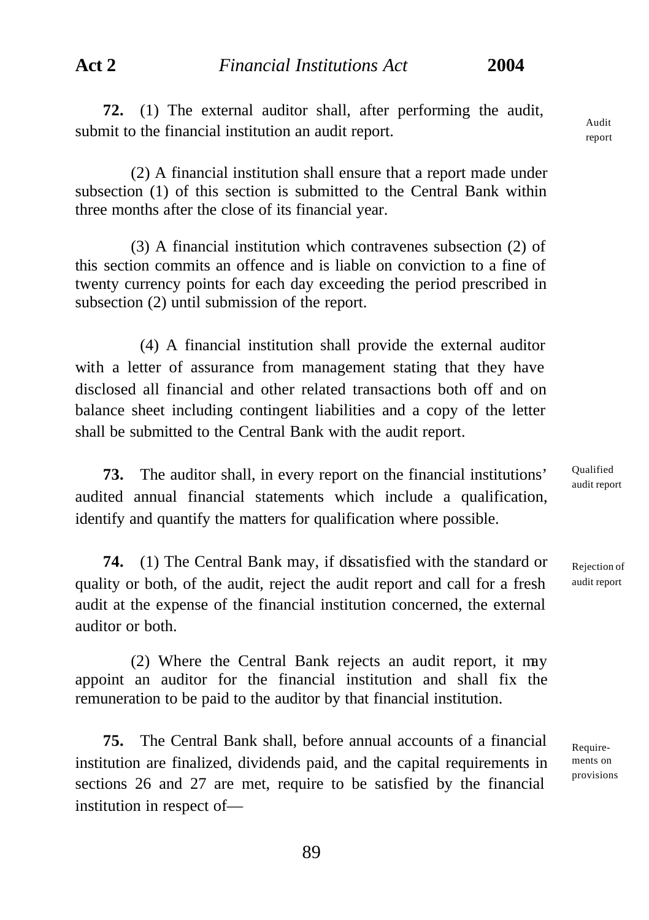**72.** (1) The external auditor shall, after performing the audit, submit to the financial institution an audit report.

(2) A financial institution shall ensure that a report made under subsection (1) of this section is submitted to the Central Bank within three months after the close of its financial year.

(3) A financial institution which contravenes subsection (2) of this section commits an offence and is liable on conviction to a fine of twenty currency points for each day exceeding the period prescribed in subsection (2) until submission of the report.

(4) A financial institution shall provide the external auditor with a letter of assurance from management stating that they have disclosed all financial and other related transactions both off and on balance sheet including contingent liabilities and a copy of the letter shall be submitted to the Central Bank with the audit report.

**73.** The auditor shall, in every report on the financial institutions' audited annual financial statements which include a qualification, identify and quantify the matters for qualification where possible.

**74.** (1) The Central Bank may, if dissatisfied with the standard or quality or both, of the audit, reject the audit report and call for a fresh audit at the expense of the financial institution concerned, the external auditor or both.

(2) Where the Central Bank rejects an audit report, it may appoint an auditor for the financial institution and shall fix the remuneration to be paid to the auditor by that financial institution.

**75.** The Central Bank shall, before annual accounts of a financial institution are finalized, dividends paid, and the capital requirements in sections 26 and 27 are met, require to be satisfied by the financial institution in respect ofQualified audit report

Rejection of audit report

Requirements on provisions

Audit report

89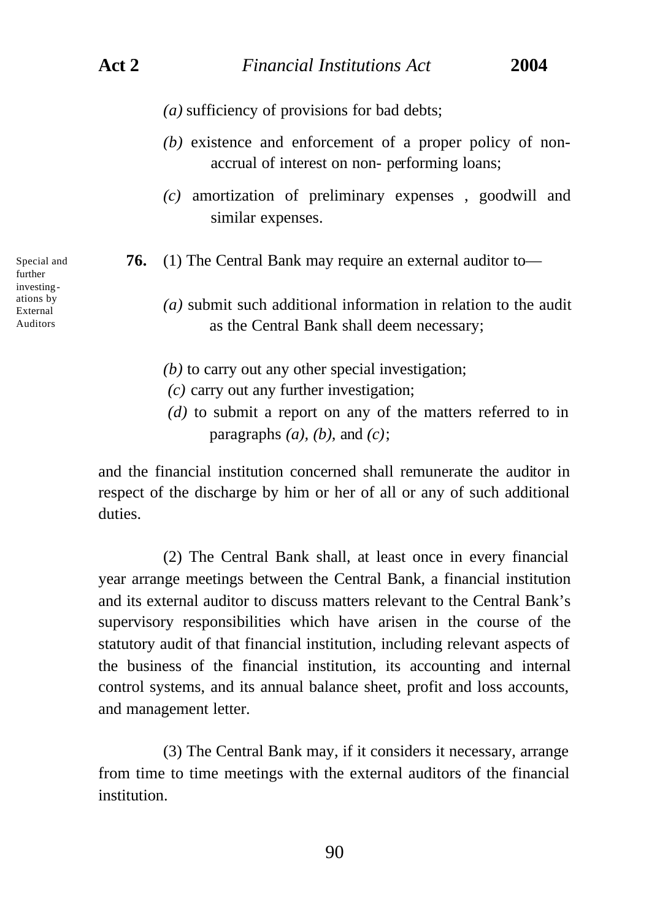- *(a)* sufficiency of provisions for bad debts;
- *(b)* existence and enforcement of a proper policy of nonaccrual of interest on non- performing loans;
- *(c)* amortization of preliminary expenses , goodwill and similar expenses.
- **76.** (1) The Central Bank may require an external auditor to—
	- *(a)* submit such additional information in relation to the audit as the Central Bank shall deem necessary;
	- *(b)* to carry out any other special investigation;
	- *(c)* carry out any further investigation;
	- *(d)* to submit a report on any of the matters referred to in paragraphs  $(a)$ ,  $(b)$ , and  $(c)$ ;

and the financial institution concerned shall remunerate the auditor in respect of the discharge by him or her of all or any of such additional duties.

(2) The Central Bank shall, at least once in every financial year arrange meetings between the Central Bank, a financial institution and its external auditor to discuss matters relevant to the Central Bank's supervisory responsibilities which have arisen in the course of the statutory audit of that financial institution, including relevant aspects of the business of the financial institution, its accounting and internal control systems, and its annual balance sheet, profit and loss accounts, and management letter.

(3) The Central Bank may, if it considers it necessary, arrange from time to time meetings with the external auditors of the financial institution.

further investingations by External Auditors

Special and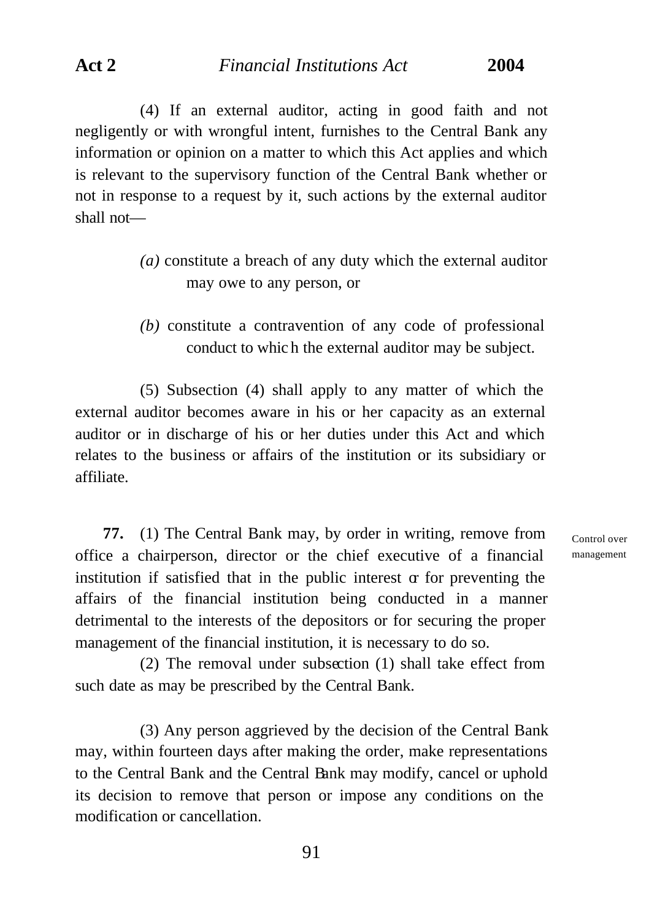(4) If an external auditor, acting in good faith and not negligently or with wrongful intent, furnishes to the Central Bank any information or opinion on a matter to which this Act applies and which is relevant to the supervisory function of the Central Bank whether or not in response to a request by it, such actions by the external auditor shall not—

- *(a)* constitute a breach of any duty which the external auditor may owe to any person, or
- *(b)* constitute a contravention of any code of professional conduct to whic h the external auditor may be subject.

(5) Subsection (4) shall apply to any matter of which the external auditor becomes aware in his or her capacity as an external auditor or in discharge of his or her duties under this Act and which relates to the business or affairs of the institution or its subsidiary or affiliate.

**77.** (1) The Central Bank may, by order in writing, remove from office a chairperson, director or the chief executive of a financial institution if satisfied that in the public interest  $\alpha$  for preventing the affairs of the financial institution being conducted in a manner detrimental to the interests of the depositors or for securing the proper management of the financial institution, it is necessary to do so.

(2) The removal under subsection (1) shall take effect from such date as may be prescribed by the Central Bank.

(3) Any person aggrieved by the decision of the Central Bank may, within fourteen days after making the order, make representations to the Central Bank and the Central Bank may modify, cancel or uphold its decision to remove that person or impose any conditions on the modification or cancellation.

Control over management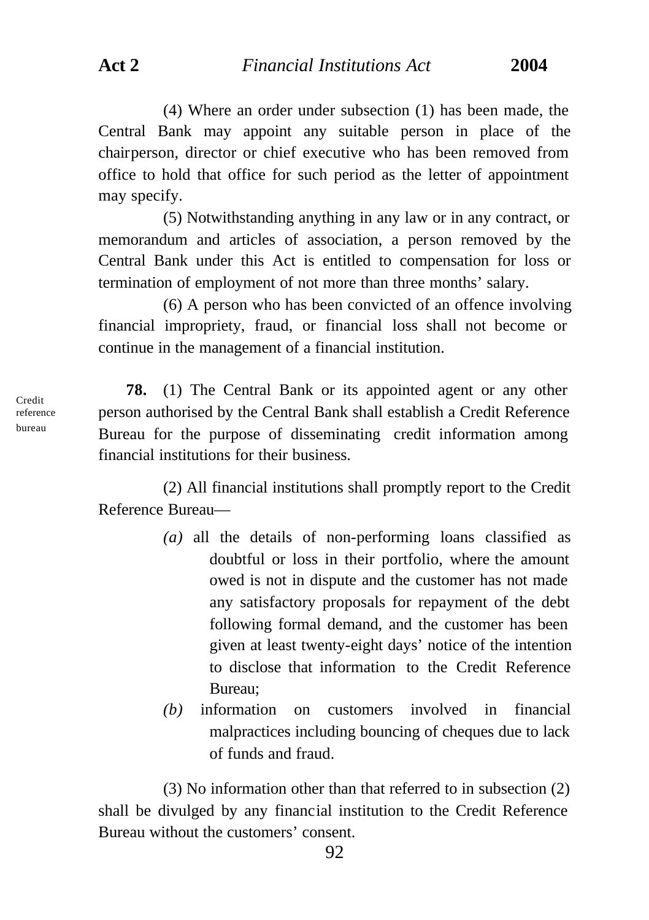**Act 2** *Financial Institutions Act* **2004**

(4) Where an order under subsection (1) has been made, the Central Bank may appoint any suitable person in place of the chairperson, director or chief executive who has been removed from office to hold that office for such period as the letter of appointment may specify.

(5) Notwithstanding anything in any law or in any contract, or memorandum and articles of association, a person removed by the Central Bank under this Act is entitled to compensation for loss or termination of employment of not more than three months' salary.

(6) A person who has been convicted of an offence involving financial impropriety, fraud, or financial loss shall not become or continue in the management of a financial institution.

**78.** (1) The Central Bank or its appointed agent or any other person authorised by the Central Bank shall establish a Credit Reference Bureau for the purpose of disseminating credit information among financial institutions for their business.

(2) All financial institutions shall promptly report to the Credit Reference Bureau—

- *(a)* all the details of non-performing loans classified as doubtful or loss in their portfolio, where the amount owed is not in dispute and the customer has not made any satisfactory proposals for repayment of the debt following formal demand, and the customer has been given at least twenty-eight days' notice of the intention to disclose that information to the Credit Reference Bureau;
- *(b)* information on customers involved in financial malpractices including bouncing of cheques due to lack of funds and fraud.

(3) No information other than that referred to in subsection (2) shall be divulged by any financial institution to the Credit Reference Bureau without the customers' consent.

Credit reference bureau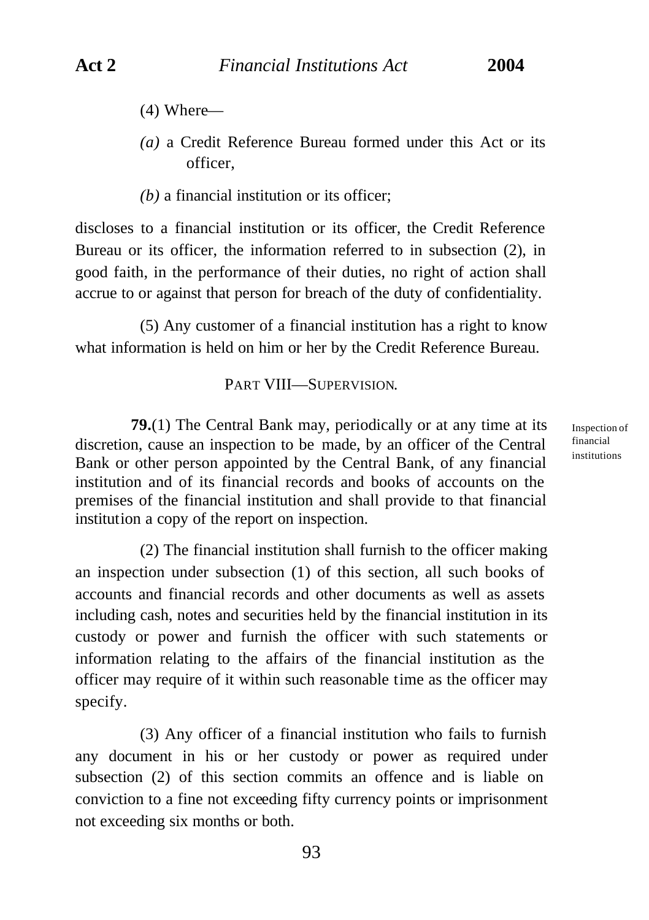- (4) Where—
- *(a)* a Credit Reference Bureau formed under this Act or its officer,
- *(b)* a financial institution or its officer;

discloses to a financial institution or its officer, the Credit Reference Bureau or its officer, the information referred to in subsection (2), in good faith, in the performance of their duties, no right of action shall accrue to or against that person for breach of the duty of confidentiality.

(5) Any customer of a financial institution has a right to know what information is held on him or her by the Credit Reference Bureau.

## PART VIII—SUPERVISION.

**79.**(1) The Central Bank may, periodically or at any time at its discretion, cause an inspection to be made, by an officer of the Central Bank or other person appointed by the Central Bank, of any financial institution and of its financial records and books of accounts on the premises of the financial institution and shall provide to that financial institution a copy of the report on inspection.

(2) The financial institution shall furnish to the officer making an inspection under subsection (1) of this section, all such books of accounts and financial records and other documents as well as assets including cash, notes and securities held by the financial institution in its custody or power and furnish the officer with such statements or information relating to the affairs of the financial institution as the officer may require of it within such reasonable time as the officer may specify.

(3) Any officer of a financial institution who fails to furnish any document in his or her custody or power as required under subsection (2) of this section commits an offence and is liable on conviction to a fine not exceeding fifty currency points or imprisonment not exceeding six months or both.

Inspection of financial institutions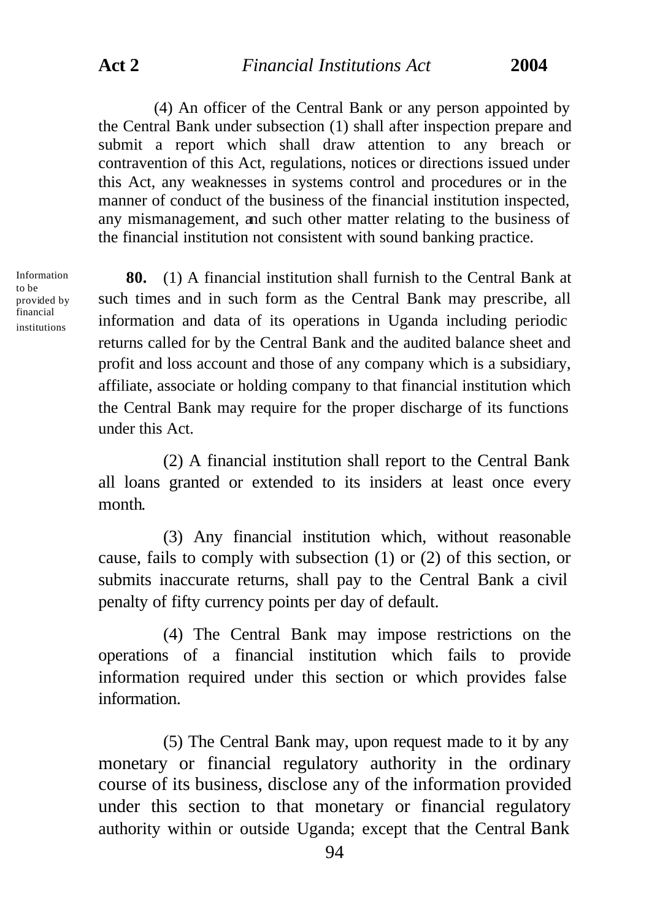(4) An officer of the Central Bank or any person appointed by the Central Bank under subsection (1) shall after inspection prepare and submit a report which shall draw attention to any breach or contravention of this Act, regulations, notices or directions issued under this Act, any weaknesses in systems control and procedures or in the manner of conduct of the business of the financial institution inspected, any mismanagement, and such other matter relating to the business of the financial institution not consistent with sound banking practice.

Information to be provided by financial institutions

**80.** (1) A financial institution shall furnish to the Central Bank at such times and in such form as the Central Bank may prescribe, all information and data of its operations in Uganda including periodic returns called for by the Central Bank and the audited balance sheet and profit and loss account and those of any company which is a subsidiary, affiliate, associate or holding company to that financial institution which the Central Bank may require for the proper discharge of its functions under this Act.

(2) A financial institution shall report to the Central Bank all loans granted or extended to its insiders at least once every month.

(3) Any financial institution which, without reasonable cause, fails to comply with subsection (1) or (2) of this section, or submits inaccurate returns, shall pay to the Central Bank a civil penalty of fifty currency points per day of default.

(4) The Central Bank may impose restrictions on the operations of a financial institution which fails to provide information required under this section or which provides false information.

(5) The Central Bank may, upon request made to it by any monetary or financial regulatory authority in the ordinary course of its business, disclose any of the information provided under this section to that monetary or financial regulatory authority within or outside Uganda; except that the Central Bank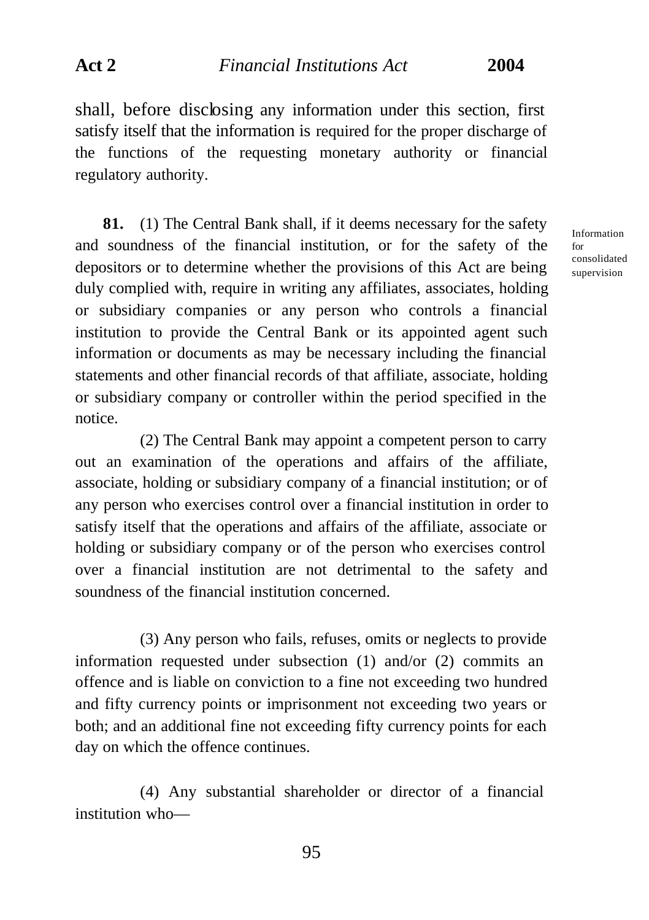shall, before disclosing any information under this section, first satisfy itself that the information is required for the proper discharge of the functions of the requesting monetary authority or financial regulatory authority.

**81.** (1) The Central Bank shall, if it deems necessary for the safety and soundness of the financial institution, or for the safety of the depositors or to determine whether the provisions of this Act are being duly complied with, require in writing any affiliates, associates, holding or subsidiary companies or any person who controls a financial institution to provide the Central Bank or its appointed agent such information or documents as may be necessary including the financial statements and other financial records of that affiliate, associate, holding or subsidiary company or controller within the period specified in the notice.

(2) The Central Bank may appoint a competent person to carry out an examination of the operations and affairs of the affiliate, associate, holding or subsidiary company of a financial institution; or of any person who exercises control over a financial institution in order to satisfy itself that the operations and affairs of the affiliate, associate or holding or subsidiary company or of the person who exercises control over a financial institution are not detrimental to the safety and soundness of the financial institution concerned.

(3) Any person who fails, refuses, omits or neglects to provide information requested under subsection (1) and/or (2) commits an offence and is liable on conviction to a fine not exceeding two hundred and fifty currency points or imprisonment not exceeding two years or both; and an additional fine not exceeding fifty currency points for each day on which the offence continues.

(4) Any substantial shareholder or director of a financial institution who—

Information for consolidated supervision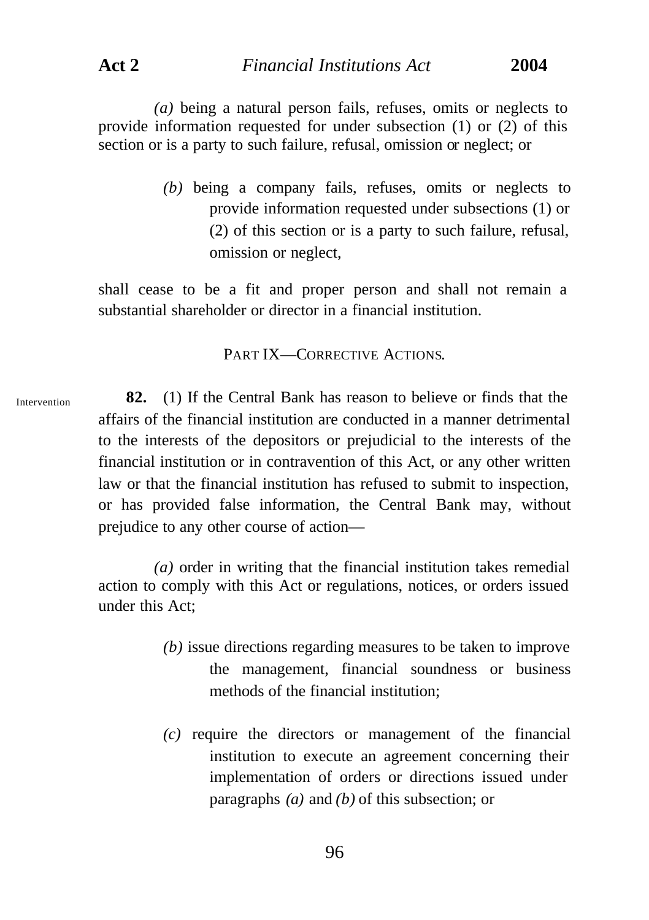**Act 2** *Financial Institutions Act* **2004**

*(a)* being a natural person fails, refuses, omits or neglects to provide information requested for under subsection (1) or (2) of this section or is a party to such failure, refusal, omission or neglect; or

> *(b)* being a company fails, refuses, omits or neglects to provide information requested under subsections (1) or (2) of this section or is a party to such failure, refusal, omission or neglect,

shall cease to be a fit and proper person and shall not remain a substantial shareholder or director in a financial institution.

PART IX—CORRECTIVE ACTIONS.

Intervention

**82.** (1) If the Central Bank has reason to believe or finds that the affairs of the financial institution are conducted in a manner detrimental to the interests of the depositors or prejudicial to the interests of the financial institution or in contravention of this Act, or any other written law or that the financial institution has refused to submit to inspection, or has provided false information, the Central Bank may, without prejudice to any other course of action—

*(a)* order in writing that the financial institution takes remedial action to comply with this Act or regulations, notices, or orders issued under this Act;

- *(b)* issue directions regarding measures to be taken to improve the management, financial soundness or business methods of the financial institution;
- *(c)* require the directors or management of the financial institution to execute an agreement concerning their implementation of orders or directions issued under paragraphs *(a)* and *(b)* of this subsection; or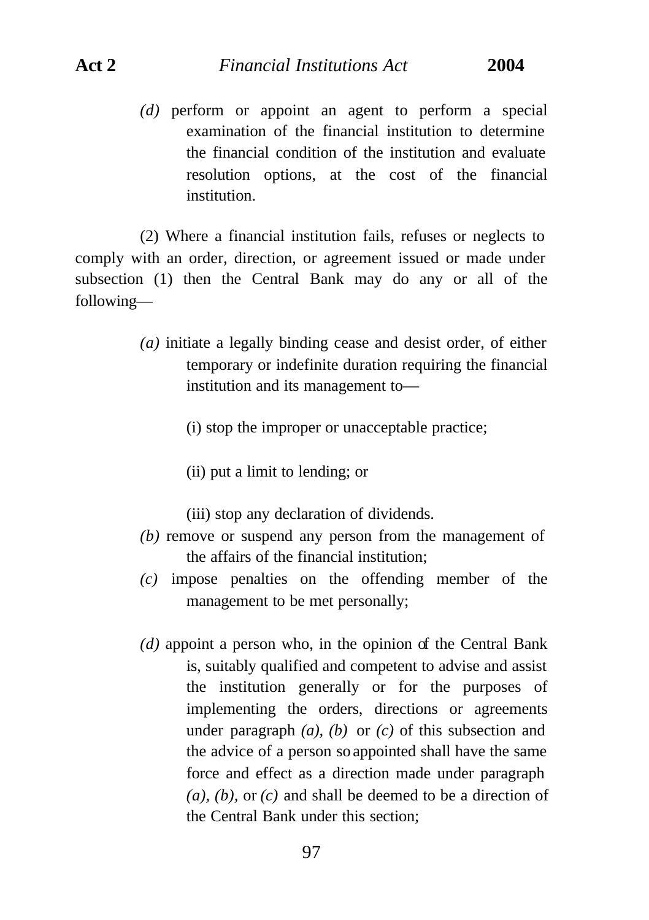*(d)* perform or appoint an agent to perform a special examination of the financial institution to determine the financial condition of the institution and evaluate resolution options, at the cost of the financial institution.

(2) Where a financial institution fails, refuses or neglects to comply with an order, direction, or agreement issued or made under subsection (1) then the Central Bank may do any or all of the following—

- *(a)* initiate a legally binding cease and desist order, of either temporary or indefinite duration requiring the financial institution and its management to—
	- (i) stop the improper or unacceptable practice;
	- (ii) put a limit to lending; or

(iii) stop any declaration of dividends.

- *(b)* remove or suspend any person from the management of the affairs of the financial institution;
- *(c)* impose penalties on the offending member of the management to be met personally;
- *(d)* appoint a person who, in the opinion of the Central Bank is, suitably qualified and competent to advise and assist the institution generally or for the purposes of implementing the orders, directions or agreements under paragraph *(a), (b)* or *(c)* of this subsection and the advice of a person so appointed shall have the same force and effect as a direction made under paragraph *(a), (b),* or *(c)* and shall be deemed to be a direction of the Central Bank under this section;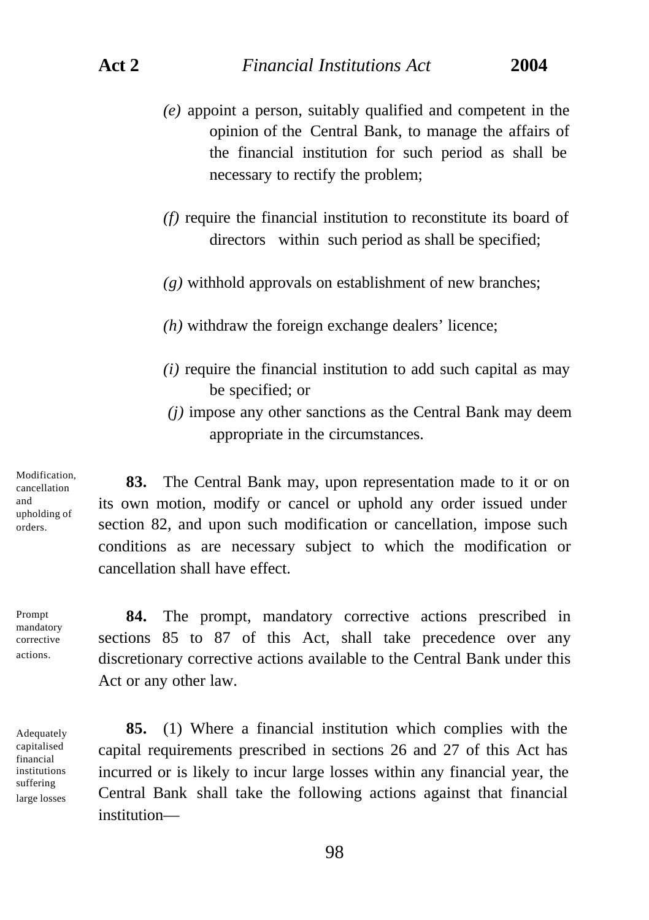- *(e)* appoint a person, suitably qualified and competent in the opinion of the Central Bank, to manage the affairs of the financial institution for such period as shall be necessary to rectify the problem;
- *(f)* require the financial institution to reconstitute its board of directors within such period as shall be specified;
- *(g)* withhold approvals on establishment of new branches;
- *(h)* withdraw the foreign exchange dealers' licence;
- *(i)* require the financial institution to add such capital as may be specified; or
- *(j)* impose any other sanctions as the Central Bank may deem appropriate in the circumstances.

Modification, cancellation and upholding of orders.

**83.** The Central Bank may, upon representation made to it or on its own motion, modify or cancel or uphold any order issued under section 82, and upon such modification or cancellation, impose such conditions as are necessary subject to which the modification or cancellation shall have effect.

Prompt mandatory corrective actions.

Adequately capitalised financial institutions suffering large losses

**84.** The prompt, mandatory corrective actions prescribed in sections 85 to 87 of this Act, shall take precedence over any discretionary corrective actions available to the Central Bank under this Act or any other law.

**85.** (1) Where a financial institution which complies with the capital requirements prescribed in sections 26 and 27 of this Act has incurred or is likely to incur large losses within any financial year, the Central Bank shall take the following actions against that financial institution—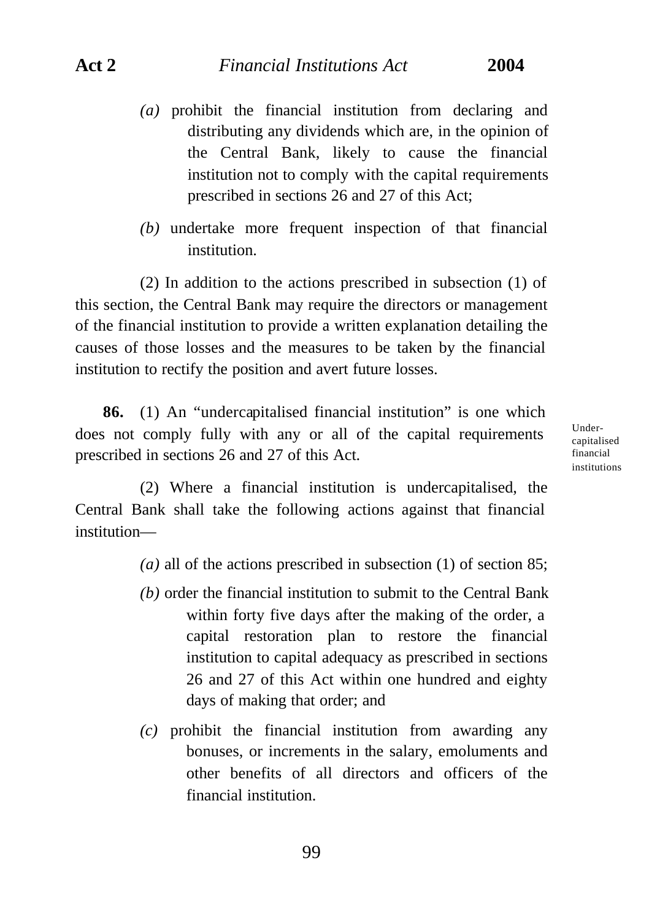- *(a)* prohibit the financial institution from declaring and distributing any dividends which are, in the opinion of the Central Bank, likely to cause the financial institution not to comply with the capital requirements prescribed in sections 26 and 27 of this Act;
- *(b)* undertake more frequent inspection of that financial institution.

(2) In addition to the actions prescribed in subsection (1) of this section, the Central Bank may require the directors or management of the financial institution to provide a written explanation detailing the causes of those losses and the measures to be taken by the financial institution to rectify the position and avert future losses.

**86.** (1) An "undercapitalised financial institution" is one which does not comply fully with any or all of the capital requirements prescribed in sections 26 and 27 of this Act.

Undercapitalised financial institutions

(2) Where a financial institution is undercapitalised, the Central Bank shall take the following actions against that financial institution—

*(a)* all of the actions prescribed in subsection (1) of section 85;

- *(b)* order the financial institution to submit to the Central Bank within forty five days after the making of the order, a capital restoration plan to restore the financial institution to capital adequacy as prescribed in sections 26 and 27 of this Act within one hundred and eighty days of making that order; and
- *(c)* prohibit the financial institution from awarding any bonuses, or increments in the salary, emoluments and other benefits of all directors and officers of the financial institution.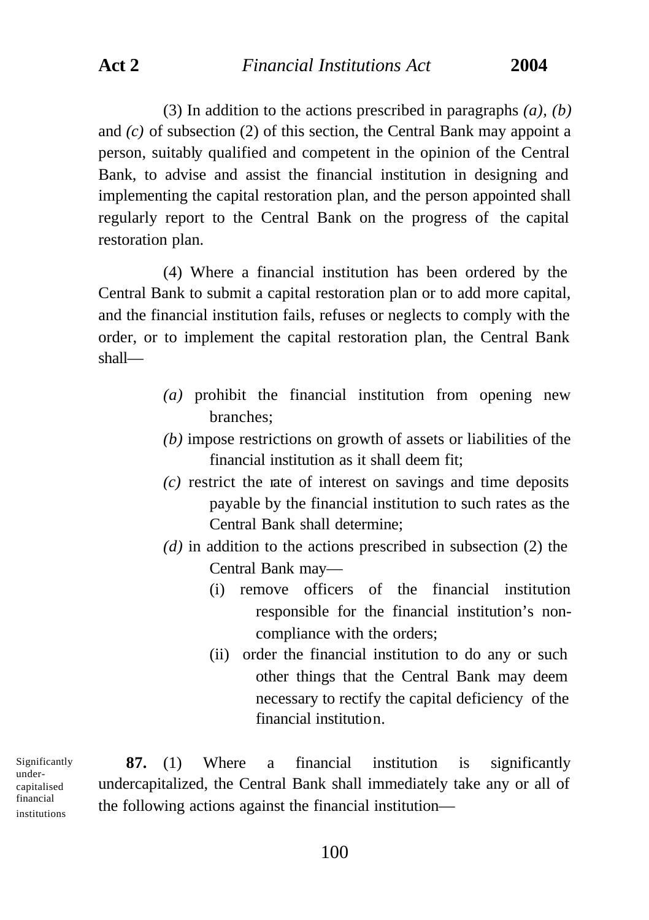**Act 2** *Financial Institutions Act* **2004**

(3) In addition to the actions prescribed in paragraphs *(a), (b)* and *(c)* of subsection (2) of this section, the Central Bank may appoint a person, suitably qualified and competent in the opinion of the Central Bank, to advise and assist the financial institution in designing and implementing the capital restoration plan, and the person appointed shall regularly report to the Central Bank on the progress of the capital restoration plan.

(4) Where a financial institution has been ordered by the Central Bank to submit a capital restoration plan or to add more capital, and the financial institution fails, refuses or neglects to comply with the order, or to implement the capital restoration plan, the Central Bank shall—

- *(a)* prohibit the financial institution from opening new branches;
- *(b)* impose restrictions on growth of assets or liabilities of the financial institution as it shall deem fit;
- *(c)* restrict the rate of interest on savings and time deposits payable by the financial institution to such rates as the Central Bank shall determine;
- *(d)* in addition to the actions prescribed in subsection (2) the Central Bank may—
	- (i) remove officers of the financial institution responsible for the financial institution's noncompliance with the orders;
	- (ii) order the financial institution to do any or such other things that the Central Bank may deem necessary to rectify the capital deficiency of the financial institution.

Significantly undercapitalised financial institutions

**87.** (1) Where a financial institution is significantly undercapitalized, the Central Bank shall immediately take any or all of the following actions against the financial institution—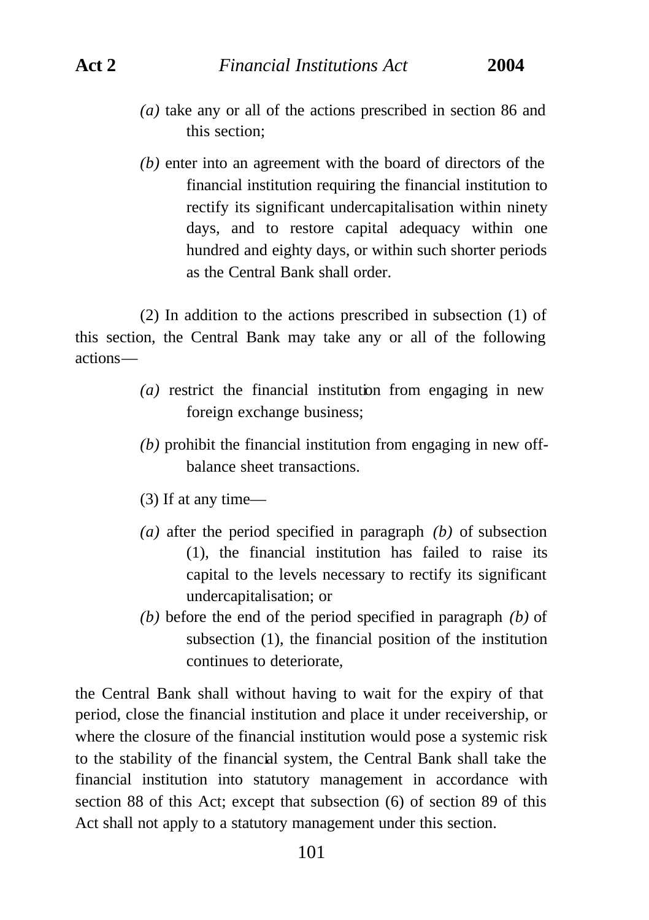- *(a)* take any or all of the actions prescribed in section 86 and this section;
- *(b)* enter into an agreement with the board of directors of the financial institution requiring the financial institution to rectify its significant undercapitalisation within ninety days, and to restore capital adequacy within one hundred and eighty days, or within such shorter periods as the Central Bank shall order.

(2) In addition to the actions prescribed in subsection (1) of this section, the Central Bank may take any or all of the following actions—

- *(a)* restrict the financial institution from engaging in new foreign exchange business;
- *(b)* prohibit the financial institution from engaging in new offbalance sheet transactions.
- (3) If at any time—
- *(a)* after the period specified in paragraph *(b)* of subsection (1), the financial institution has failed to raise its capital to the levels necessary to rectify its significant undercapitalisation; or
- *(b)* before the end of the period specified in paragraph *(b)* of subsection (1), the financial position of the institution continues to deteriorate,

the Central Bank shall without having to wait for the expiry of that period, close the financial institution and place it under receivership, or where the closure of the financial institution would pose a systemic risk to the stability of the financial system, the Central Bank shall take the financial institution into statutory management in accordance with section 88 of this Act; except that subsection (6) of section 89 of this Act shall not apply to a statutory management under this section.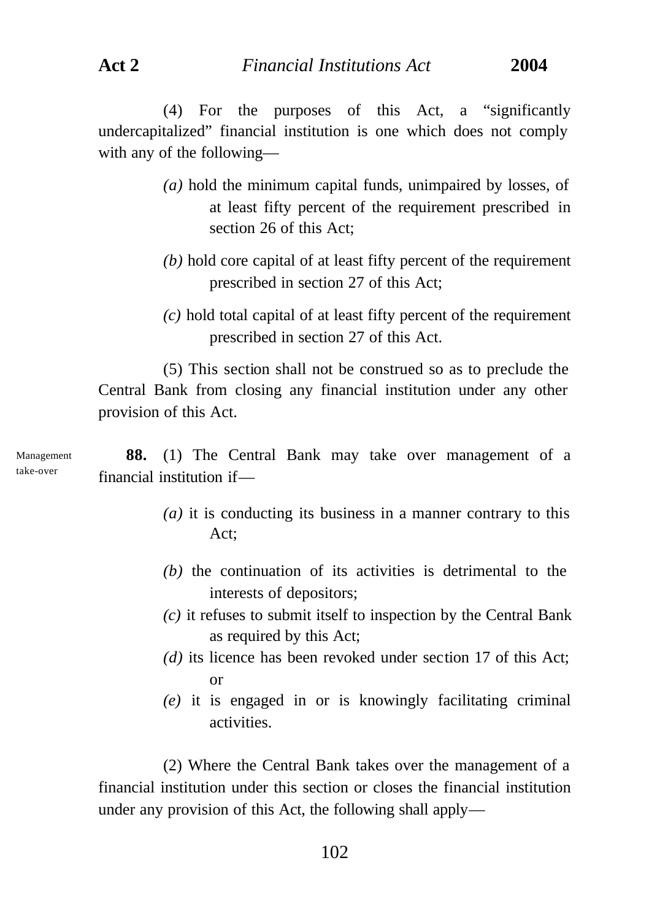(4) For the purposes of this Act, a "significantly undercapitalized" financial institution is one which does not comply with any of the following—

- *(a)* hold the minimum capital funds, unimpaired by losses, of at least fifty percent of the requirement prescribed in section 26 of this Act;
- *(b)* hold core capital of at least fifty percent of the requirement prescribed in section 27 of this Act;
- *(c)* hold total capital of at least fifty percent of the requirement prescribed in section 27 of this Act.

(5) This section shall not be construed so as to preclude the Central Bank from closing any financial institution under any other provision of this Act.

**88.** (1) The Central Bank may take over management of a financial institution if—

- *(a)* it is conducting its business in a manner contrary to this Act;
- *(b)* the continuation of its activities is detrimental to the interests of depositors;
- *(c)* it refuses to submit itself to inspection by the Central Bank as required by this Act;
- *(d)* its licence has been revoked under section 17 of this Act; or
- *(e)* it is engaged in or is knowingly facilitating criminal activities.

(2) Where the Central Bank takes over the management of a financial institution under this section or closes the financial institution under any provision of this Act, the following shall apply—

Management take-over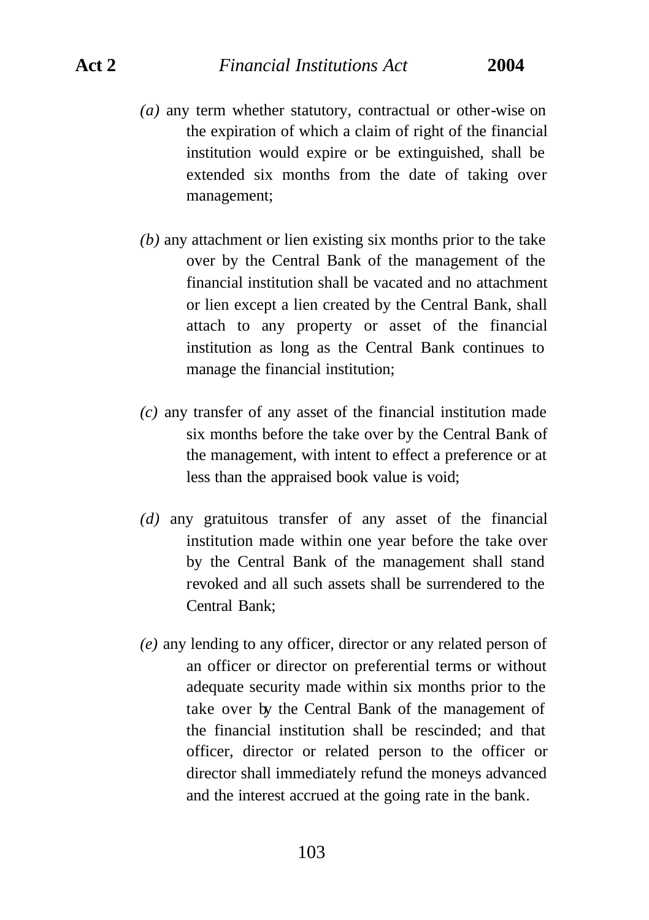## **Act 2** *Financial Institutions Act* **2004**

- *(a)* any term whether statutory, contractual or other-wise on the expiration of which a claim of right of the financial institution would expire or be extinguished, shall be extended six months from the date of taking over management;
- *(b)* any attachment or lien existing six months prior to the take over by the Central Bank of the management of the financial institution shall be vacated and no attachment or lien except a lien created by the Central Bank, shall attach to any property or asset of the financial institution as long as the Central Bank continues to manage the financial institution;
- *(c)* any transfer of any asset of the financial institution made six months before the take over by the Central Bank of the management, with intent to effect a preference or at less than the appraised book value is void;
- *(d)* any gratuitous transfer of any asset of the financial institution made within one year before the take over by the Central Bank of the management shall stand revoked and all such assets shall be surrendered to the Central Bank;
- *(e)* any lending to any officer, director or any related person of an officer or director on preferential terms or without adequate security made within six months prior to the take over by the Central Bank of the management of the financial institution shall be rescinded; and that officer, director or related person to the officer or director shall immediately refund the moneys advanced and the interest accrued at the going rate in the bank.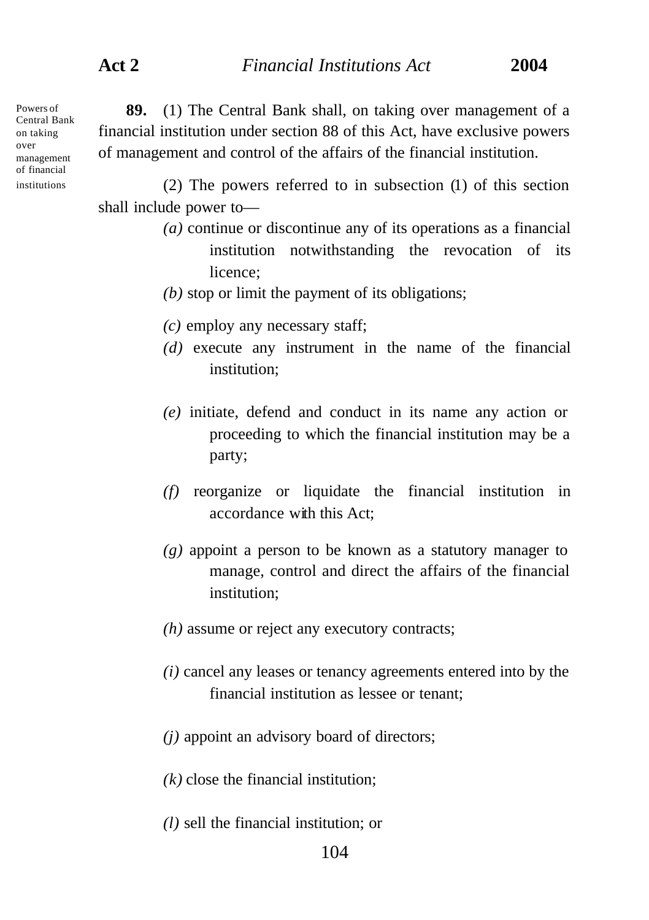Powers of Central Bank on taking over management of financial institutions

**89.** (1) The Central Bank shall, on taking over management of a financial institution under section 88 of this Act, have exclusive powers of management and control of the affairs of the financial institution.

(2) The powers referred to in subsection (1) of this section shall include power to—

- *(a)* continue or discontinue any of its operations as a financial institution notwithstanding the revocation of its licence;
- *(b)* stop or limit the payment of its obligations;
- *(c)* employ any necessary staff;
- *(d)* execute any instrument in the name of the financial institution;
- *(e)* initiate, defend and conduct in its name any action or proceeding to which the financial institution may be a party;
- *(f)* reorganize or liquidate the financial institution in accordance with this Act;
- *(g)* appoint a person to be known as a statutory manager to manage, control and direct the affairs of the financial institution;
- *(h)* assume or reject any executory contracts;
- *(i)* cancel any leases or tenancy agreements entered into by the financial institution as lessee or tenant;
- *(j)* appoint an advisory board of directors;
- *(k)* close the financial institution;
- *(l)* sell the financial institution; or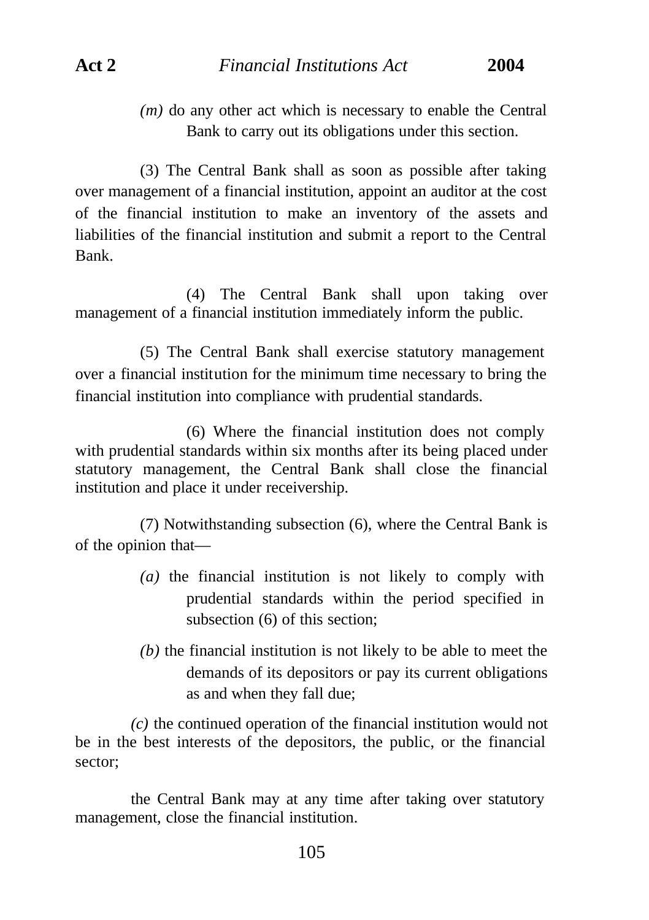*(m)* do any other act which is necessary to enable the Central Bank to carry out its obligations under this section.

(3) The Central Bank shall as soon as possible after taking over management of a financial institution, appoint an auditor at the cost of the financial institution to make an inventory of the assets and liabilities of the financial institution and submit a report to the Central Bank.

(4) The Central Bank shall upon taking over management of a financial institution immediately inform the public.

(5) The Central Bank shall exercise statutory management over a financial institution for the minimum time necessary to bring the financial institution into compliance with prudential standards.

(6) Where the financial institution does not comply with prudential standards within six months after its being placed under statutory management, the Central Bank shall close the financial institution and place it under receivership.

(7) Notwithstanding subsection (6), where the Central Bank is of the opinion that—

- *(a)* the financial institution is not likely to comply with prudential standards within the period specified in subsection (6) of this section;
- *(b)* the financial institution is not likely to be able to meet the demands of its depositors or pay its current obligations as and when they fall due;

*(c)* the continued operation of the financial institution would not be in the best interests of the depositors, the public, or the financial sector;

the Central Bank may at any time after taking over statutory management, close the financial institution.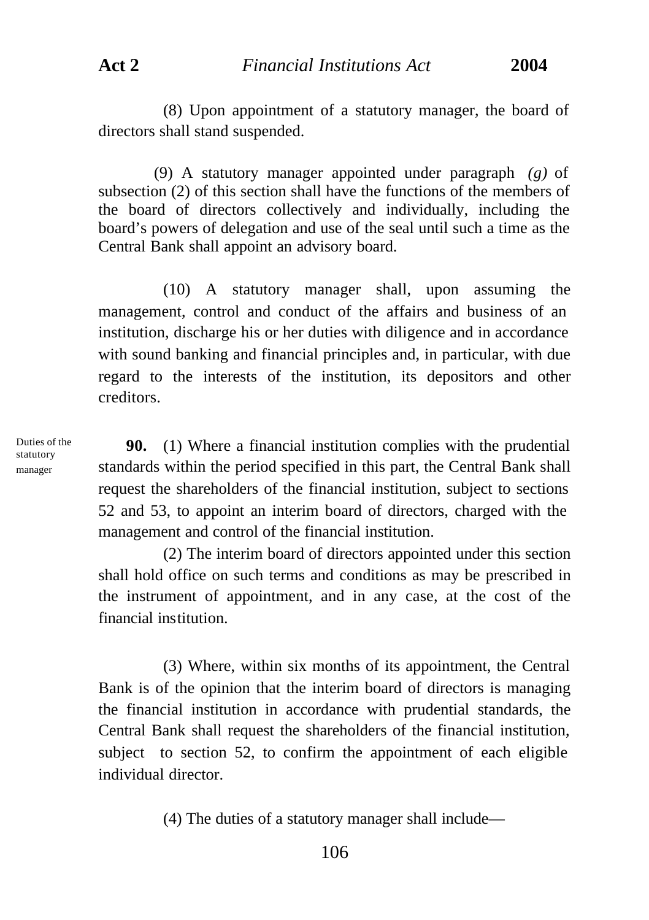(8) Upon appointment of a statutory manager, the board of directors shall stand suspended.

(9) A statutory manager appointed under paragraph *(g)* of subsection (2) of this section shall have the functions of the members of the board of directors collectively and individually, including the board's powers of delegation and use of the seal until such a time as the Central Bank shall appoint an advisory board.

(10) A statutory manager shall, upon assuming the management, control and conduct of the affairs and business of an institution, discharge his or her duties with diligence and in accordance with sound banking and financial principles and, in particular, with due regard to the interests of the institution, its depositors and other creditors.

Duties of the statutory manager

**90.** (1) Where a financial institution complies with the prudential standards within the period specified in this part, the Central Bank shall request the shareholders of the financial institution, subject to sections 52 and 53, to appoint an interim board of directors, charged with the management and control of the financial institution.

(2) The interim board of directors appointed under this section shall hold office on such terms and conditions as may be prescribed in the instrument of appointment, and in any case, at the cost of the financial institution.

(3) Where, within six months of its appointment, the Central Bank is of the opinion that the interim board of directors is managing the financial institution in accordance with prudential standards, the Central Bank shall request the shareholders of the financial institution, subject to section 52, to confirm the appointment of each eligible individual director.

(4) The duties of a statutory manager shall include—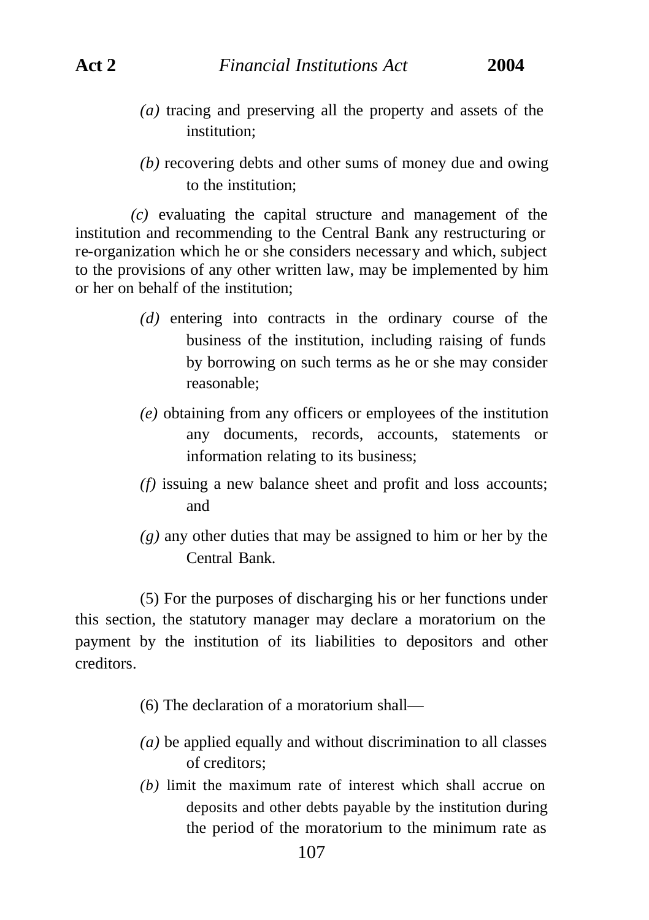- *(a)* tracing and preserving all the property and assets of the institution;
- *(b)* recovering debts and other sums of money due and owing to the institution;

*(c)* evaluating the capital structure and management of the institution and recommending to the Central Bank any restructuring or re-organization which he or she considers necessary and which, subject to the provisions of any other written law, may be implemented by him or her on behalf of the institution;

- *(d)* entering into contracts in the ordinary course of the business of the institution, including raising of funds by borrowing on such terms as he or she may consider reasonable;
- *(e)* obtaining from any officers or employees of the institution any documents, records, accounts, statements or information relating to its business;
- *(f)* issuing a new balance sheet and profit and loss accounts; and
- *(g)* any other duties that may be assigned to him or her by the Central Bank.

(5) For the purposes of discharging his or her functions under this section, the statutory manager may declare a moratorium on the payment by the institution of its liabilities to depositors and other creditors.

- (6) The declaration of a moratorium shall—
- *(a)* be applied equally and without discrimination to all classes of creditors;
- *(b)* limit the maximum rate of interest which shall accrue on deposits and other debts payable by the institution during the period of the moratorium to the minimum rate as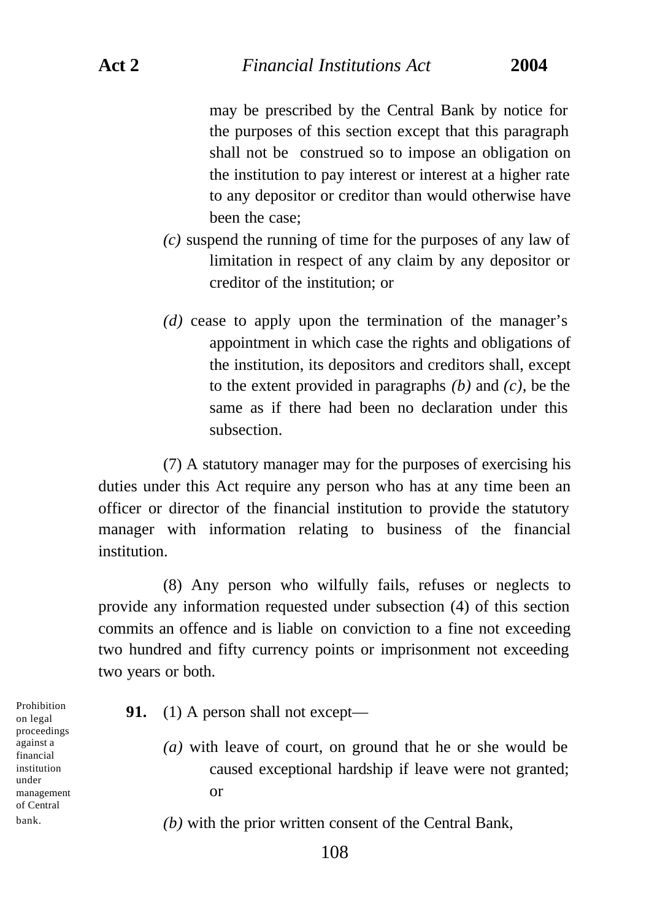may be prescribed by the Central Bank by notice for the purposes of this section except that this paragraph shall not be construed so to impose an obligation on the institution to pay interest or interest at a higher rate to any depositor or creditor than would otherwise have been the case;

- *(c)* suspend the running of time for the purposes of any law of limitation in respect of any claim by any depositor or creditor of the institution; or
- *(d)* cease to apply upon the termination of the manager's appointment in which case the rights and obligations of the institution, its depositors and creditors shall, except to the extent provided in paragraphs *(b)* and *(c),* be the same as if there had been no declaration under this subsection.

(7) A statutory manager may for the purposes of exercising his duties under this Act require any person who has at any time been an officer or director of the financial institution to provide the statutory manager with information relating to business of the financial institution.

(8) Any person who wilfully fails, refuses or neglects to provide any information requested under subsection (4) of this section commits an offence and is liable on conviction to a fine not exceeding two hundred and fifty currency points or imprisonment not exceeding two years or both.

Prohibition on legal proceedings against a financial institution under management of Central bank.

- **91.** (1) A person shall not except—
	- *(a)* with leave of court, on ground that he or she would be caused exceptional hardship if leave were not granted; or
	- *(b)* with the prior written consent of the Central Bank,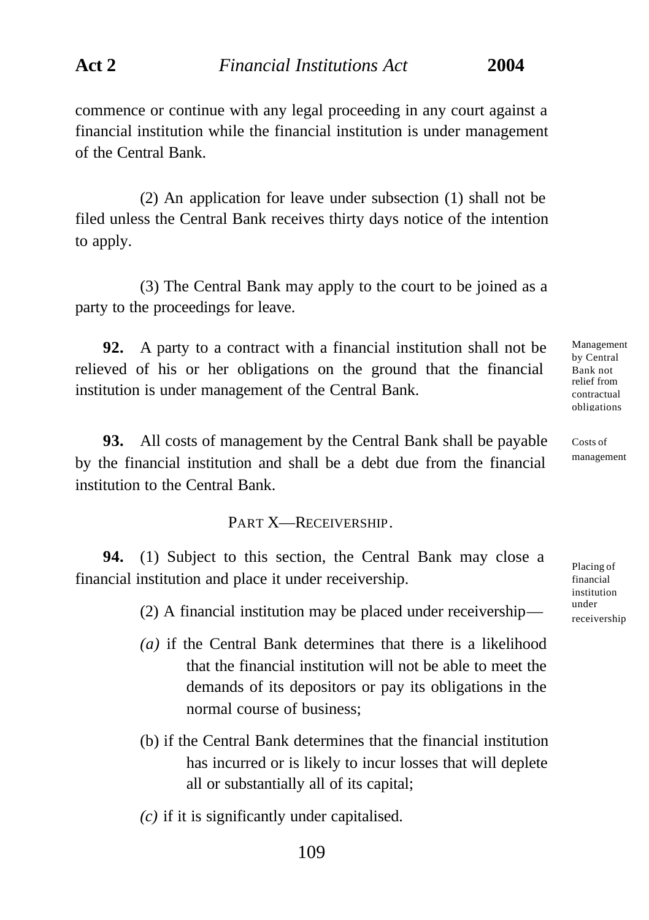commence or continue with any legal proceeding in any court against a financial institution while the financial institution is under management of the Central Bank.

(2) An application for leave under subsection (1) shall not be filed unless the Central Bank receives thirty days notice of the intention to apply.

(3) The Central Bank may apply to the court to be joined as a party to the proceedings for leave.

**92.** A party to a contract with a financial institution shall not be relieved of his or her obligations on the ground that the financial institution is under management of the Central Bank.

**93.** All costs of management by the Central Bank shall be payable by the financial institution and shall be a debt due from the financial institution to the Central Bank.

## PART X—RECEIVERSHIP.

**94.** (1) Subject to this section, the Central Bank may close a financial institution and place it under receivership.

(2) A financial institution may be placed under receivership—

- *(a)* if the Central Bank determines that there is a likelihood that the financial institution will not be able to meet the demands of its depositors or pay its obligations in the normal course of business;
- (b) if the Central Bank determines that the financial institution has incurred or is likely to incur losses that will deplete all or substantially all of its capital;
- *(c)* if it is significantly under capitalised.

by Central Bank not relief from contractual obligations

Management

Costs of management

Placing of financial institution under receivership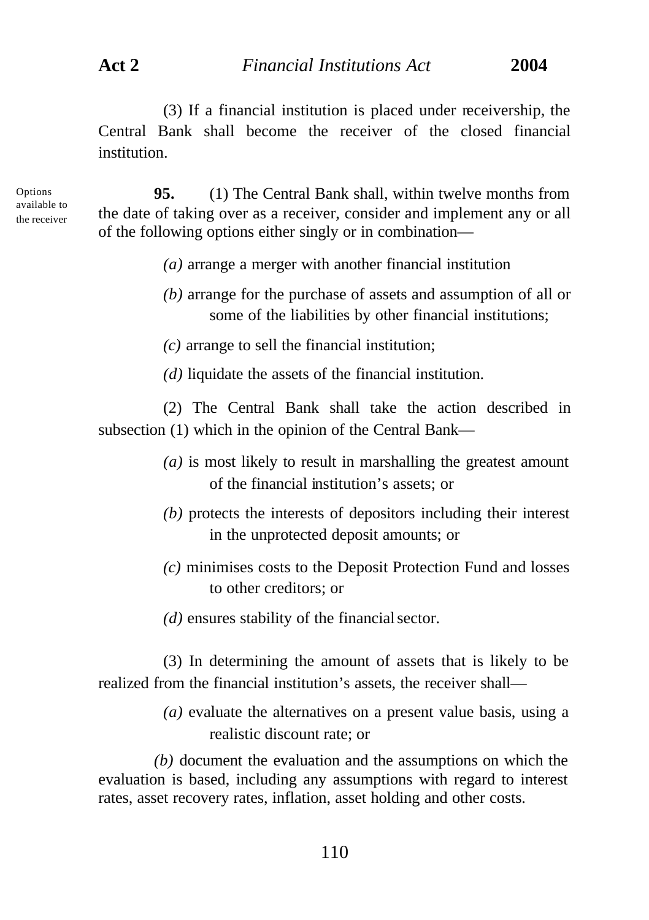(3) If a financial institution is placed under receivership, the Central Bank shall become the receiver of the closed financial institution.

Options available to the receiver

**95.** (1) The Central Bank shall, within twelve months from the date of taking over as a receiver, consider and implement any or all of the following options either singly or in combination—

- *(a)* arrange a merger with another financial institution
- *(b)* arrange for the purchase of assets and assumption of all or some of the liabilities by other financial institutions;

*(c)* arrange to sell the financial institution;

*(d)* liquidate the assets of the financial institution.

(2) The Central Bank shall take the action described in subsection (1) which in the opinion of the Central Bank—

- *(a)* is most likely to result in marshalling the greatest amount of the financial institution's assets; or
- *(b)* protects the interests of depositors including their interest in the unprotected deposit amounts; or
- *(c)* minimises costs to the Deposit Protection Fund and losses to other creditors; or
- *(d)* ensures stability of the financial sector.

(3) In determining the amount of assets that is likely to be realized from the financial institution's assets, the receiver shall—

> *(a)* evaluate the alternatives on a present value basis, using a realistic discount rate; or

*(b)* document the evaluation and the assumptions on which the evaluation is based, including any assumptions with regard to interest rates, asset recovery rates, inflation, asset holding and other costs.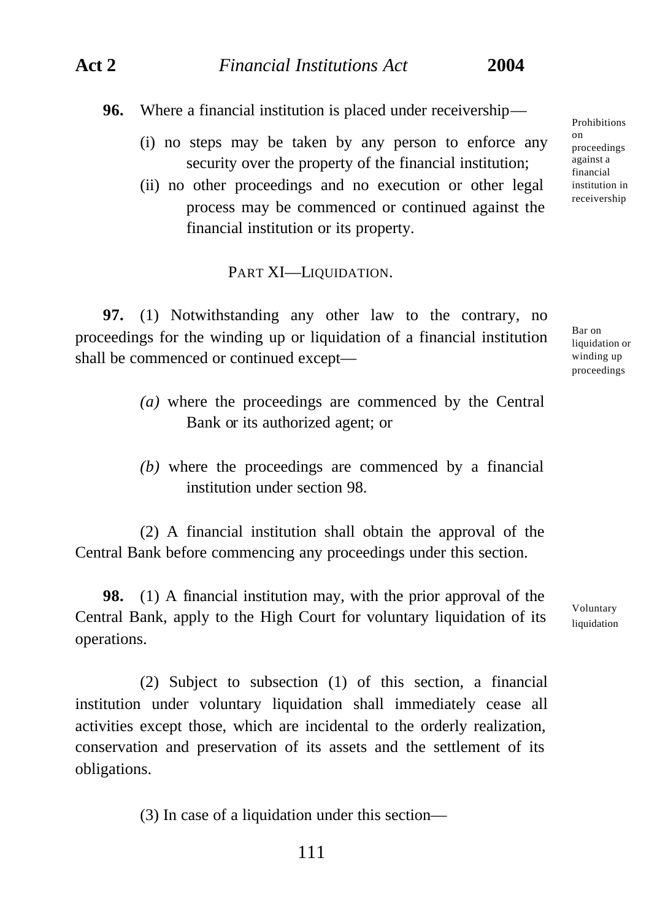**96.** Where a financial institution is placed under receivership—

- (i) no steps may be taken by any person to enforce any security over the property of the financial institution;
- (ii) no other proceedings and no execution or other legal process may be commenced or continued against the financial institution or its property.

### PART XI-LIQUIDATION.

**97.** (1) Notwithstanding any other law to the contrary, no proceedings for the winding up or liquidation of a financial institution shall be commenced or continued except—

- *(a)* where the proceedings are commenced by the Central Bank or its authorized agent; or
- *(b)* where the proceedings are commenced by a financial institution under section 98.

(2) A financial institution shall obtain the approval of the Central Bank before commencing any proceedings under this section.

**98.** (1) A financial institution may, with the prior approval of the Central Bank, apply to the High Court for voluntary liquidation of its operations.

(2) Subject to subsection (1) of this section, a financial institution under voluntary liquidation shall immediately cease all activities except those, which are incidental to the orderly realization, conservation and preservation of its assets and the settlement of its obligations.

(3) In case of a liquidation under this section—

Prohibitions on proceedings against a financial institution in receivership

Bar on liquidation or winding up proceedings

Voluntary liquidation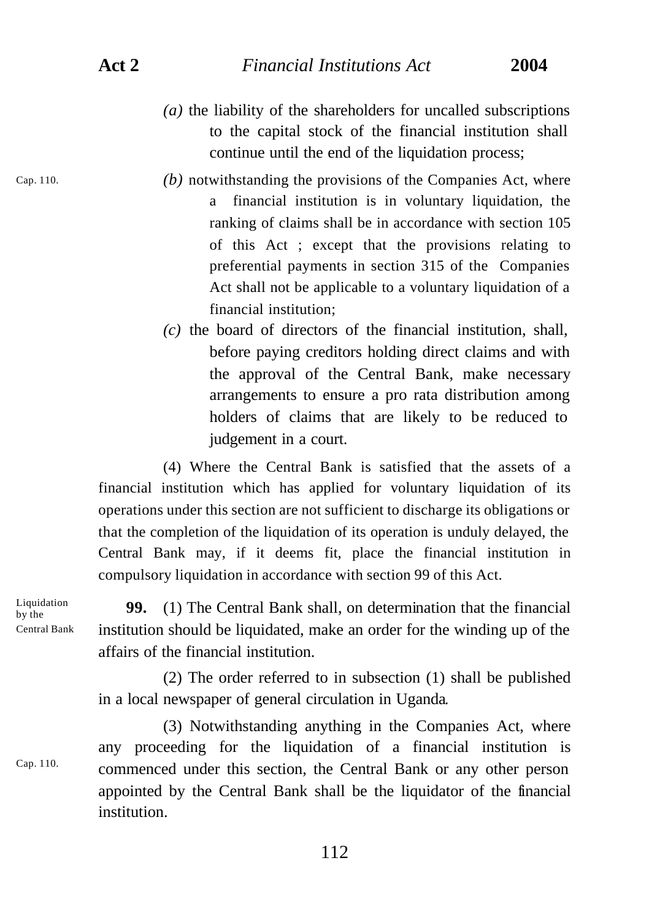- *(a)* the liability of the shareholders for uncalled subscriptions to the capital stock of the financial institution shall continue until the end of the liquidation process;
- *(b)* notwithstanding the provisions of the Companies Act, where a financial institution is in voluntary liquidation, the ranking of claims shall be in accordance with section 105 of this Act ; except that the provisions relating to preferential payments in section 315 of the Companies Act shall not be applicable to a voluntary liquidation of a financial institution;
- *(c)* the board of directors of the financial institution, shall, before paying creditors holding direct claims and with the approval of the Central Bank, make necessary arrangements to ensure a pro rata distribution among holders of claims that are likely to be reduced to judgement in a court.

(4) Where the Central Bank is satisfied that the assets of a financial institution which has applied for voluntary liquidation of its operations under this section are not sufficient to discharge its obligations or that the completion of the liquidation of its operation is unduly delayed, the Central Bank may, if it deems fit, place the financial institution in compulsory liquidation in accordance with section 99 of this Act.

Liquidation by the Central Bank

Cap. 110.

Cap. 110.

**99.** (1) The Central Bank shall, on determination that the financial institution should be liquidated, make an order for the winding up of the affairs of the financial institution.

(2) The order referred to in subsection (1) shall be published in a local newspaper of general circulation in Uganda.

(3) Notwithstanding anything in the Companies Act, where any proceeding for the liquidation of a financial institution is commenced under this section, the Central Bank or any other person appointed by the Central Bank shall be the liquidator of the financial institution.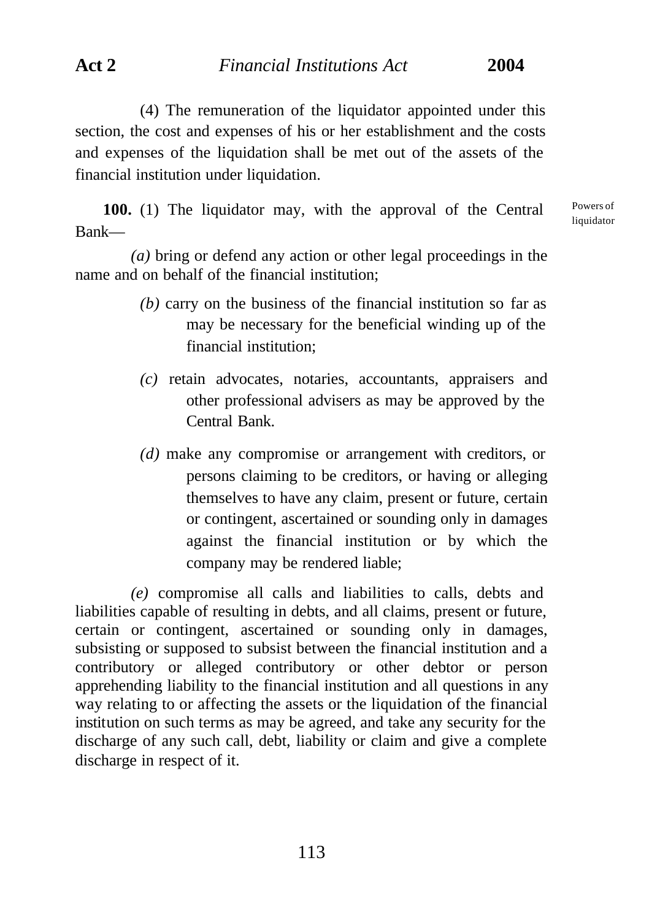(4) The remuneration of the liquidator appointed under this section, the cost and expenses of his or her establishment and the costs and expenses of the liquidation shall be met out of the assets of the financial institution under liquidation.

**100.** (1) The liquidator may, with the approval of the Central Bank—

Powers of liquidator

*(a)* bring or defend any action or other legal proceedings in the name and on behalf of the financial institution;

- *(b)* carry on the business of the financial institution so far as may be necessary for the beneficial winding up of the financial institution;
- *(c)* retain advocates, notaries, accountants, appraisers and other professional advisers as may be approved by the Central Bank.
- *(d)* make any compromise or arrangement with creditors, or persons claiming to be creditors, or having or alleging themselves to have any claim, present or future, certain or contingent, ascertained or sounding only in damages against the financial institution or by which the company may be rendered liable;

*(e)* compromise all calls and liabilities to calls, debts and liabilities capable of resulting in debts, and all claims, present or future, certain or contingent, ascertained or sounding only in damages, subsisting or supposed to subsist between the financial institution and a contributory or alleged contributory or other debtor or person apprehending liability to the financial institution and all questions in any way relating to or affecting the assets or the liquidation of the financial institution on such terms as may be agreed, and take any security for the discharge of any such call, debt, liability or claim and give a complete discharge in respect of it.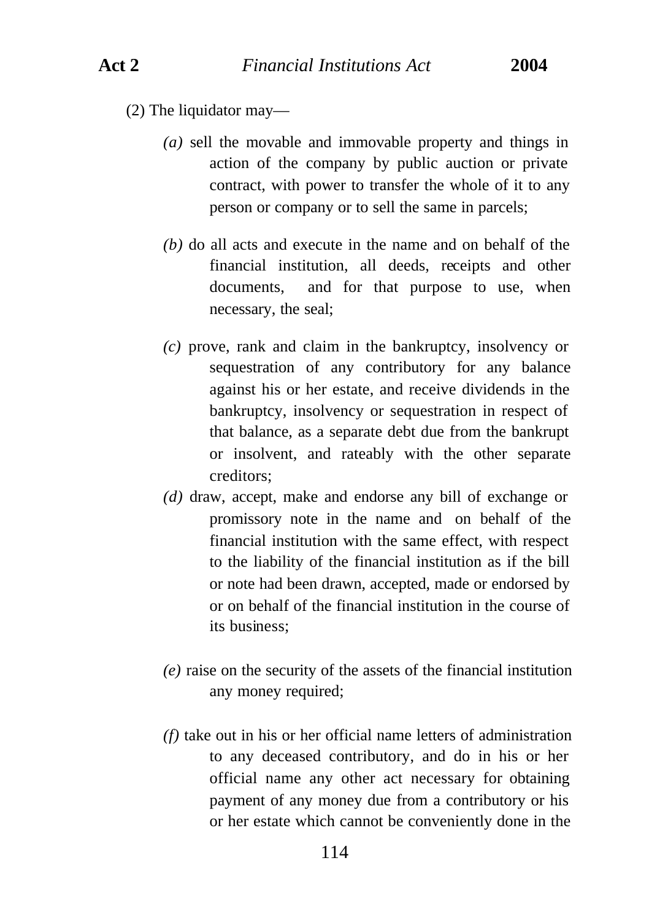(2) The liquidator may—

- *(a)* sell the movable and immovable property and things in action of the company by public auction or private contract, with power to transfer the whole of it to any person or company or to sell the same in parcels;
- *(b)* do all acts and execute in the name and on behalf of the financial institution, all deeds, receipts and other documents, and for that purpose to use, when necessary, the seal;
- *(c)* prove, rank and claim in the bankruptcy, insolvency or sequestration of any contributory for any balance against his or her estate, and receive dividends in the bankruptcy, insolvency or sequestration in respect of that balance, as a separate debt due from the bankrupt or insolvent, and rateably with the other separate creditors;
- *(d)* draw, accept, make and endorse any bill of exchange or promissory note in the name and on behalf of the financial institution with the same effect, with respect to the liability of the financial institution as if the bill or note had been drawn, accepted, made or endorsed by or on behalf of the financial institution in the course of its business;
- *(e)* raise on the security of the assets of the financial institution any money required;
- *(f)* take out in his or her official name letters of administration to any deceased contributory, and do in his or her official name any other act necessary for obtaining payment of any money due from a contributory or his or her estate which cannot be conveniently done in the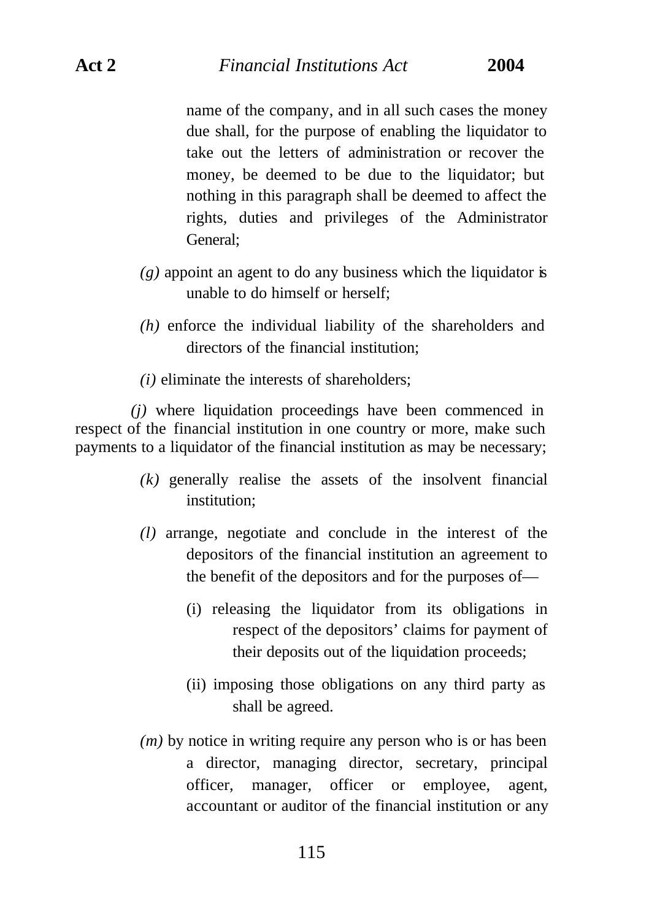## **Act 2** *Financial Institutions Act* **2004**

name of the company, and in all such cases the money due shall, for the purpose of enabling the liquidator to take out the letters of administration or recover the money, be deemed to be due to the liquidator; but nothing in this paragraph shall be deemed to affect the rights, duties and privileges of the Administrator General;

- $(g)$  appoint an agent to do any business which the liquidator is unable to do himself or herself;
- *(h)* enforce the individual liability of the shareholders and directors of the financial institution;
- *(i)* eliminate the interests of shareholders;

*(j)* where liquidation proceedings have been commenced in respect of the financial institution in one country or more, make such payments to a liquidator of the financial institution as may be necessary;

- *(k)* generally realise the assets of the insolvent financial institution;
- *(l)* arrange, negotiate and conclude in the interest of the depositors of the financial institution an agreement to the benefit of the depositors and for the purposes of—
	- (i) releasing the liquidator from its obligations in respect of the depositors' claims for payment of their deposits out of the liquidation proceeds;
	- (ii) imposing those obligations on any third party as shall be agreed.
- *(m)* by notice in writing require any person who is or has been a director, managing director, secretary, principal officer, manager, officer or employee, agent, accountant or auditor of the financial institution or any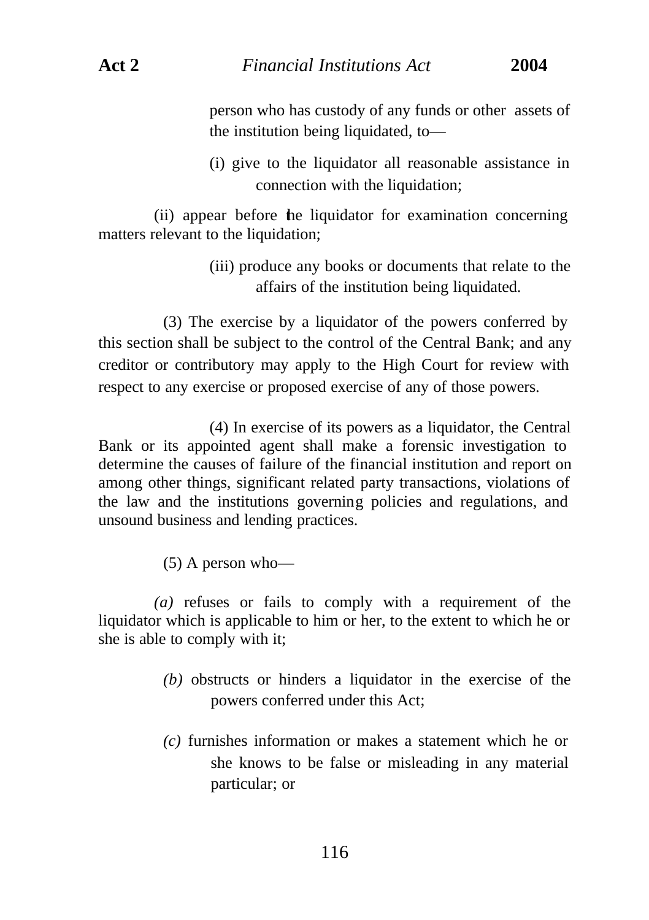person who has custody of any funds or other assets of the institution being liquidated, to—

(i) give to the liquidator all reasonable assistance in connection with the liquidation;

(ii) appear before the liquidator for examination concerning matters relevant to the liquidation;

> (iii) produce any books or documents that relate to the affairs of the institution being liquidated.

(3) The exercise by a liquidator of the powers conferred by this section shall be subject to the control of the Central Bank; and any creditor or contributory may apply to the High Court for review with respect to any exercise or proposed exercise of any of those powers.

(4) In exercise of its powers as a liquidator, the Central Bank or its appointed agent shall make a forensic investigation to determine the causes of failure of the financial institution and report on among other things, significant related party transactions, violations of the law and the institutions governing policies and regulations, and unsound business and lending practices.

(5) A person who—

*(a)* refuses or fails to comply with a requirement of the liquidator which is applicable to him or her, to the extent to which he or she is able to comply with it;

- *(b)* obstructs or hinders a liquidator in the exercise of the powers conferred under this Act;
- *(c)* furnishes information or makes a statement which he or she knows to be false or misleading in any material particular; or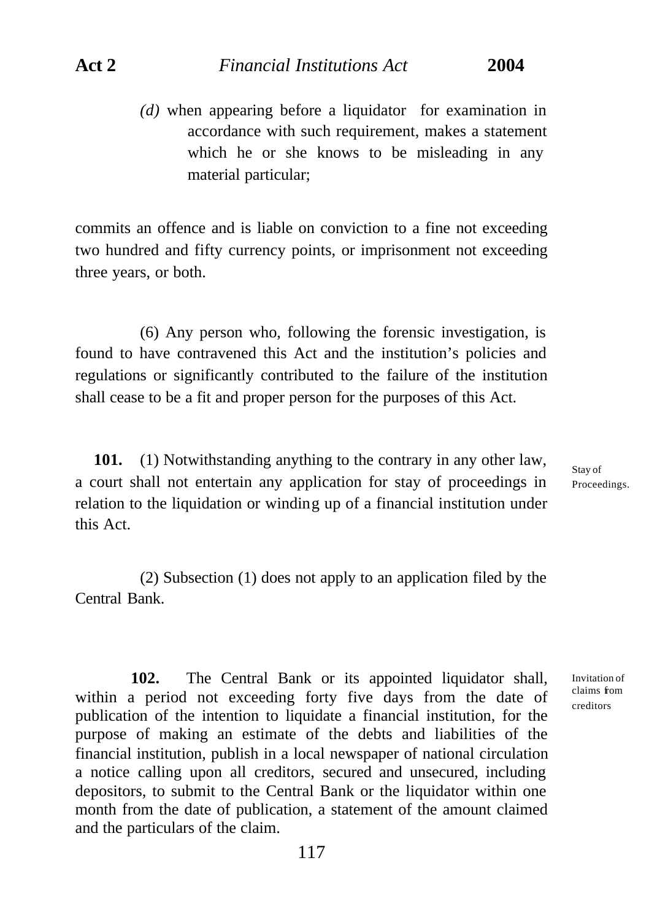*(d)* when appearing before a liquidator for examination in accordance with such requirement, makes a statement which he or she knows to be misleading in any material particular;

commits an offence and is liable on conviction to a fine not exceeding two hundred and fifty currency points, or imprisonment not exceeding three years, or both.

(6) Any person who, following the forensic investigation, is found to have contravened this Act and the institution's policies and regulations or significantly contributed to the failure of the institution shall cease to be a fit and proper person for the purposes of this Act.

**101.** (1) Notwithstanding anything to the contrary in any other law, a court shall not entertain any application for stay of proceedings in relation to the liquidation or winding up of a financial institution under this Act.

Stay of Proceedings.

Invitation of claims from creditors

(2) Subsection (1) does not apply to an application filed by the Central Bank.

**102.** The Central Bank or its appointed liquidator shall, within a period not exceeding forty five days from the date of publication of the intention to liquidate a financial institution, for the purpose of making an estimate of the debts and liabilities of the financial institution, publish in a local newspaper of national circulation a notice calling upon all creditors, secured and unsecured, including depositors, to submit to the Central Bank or the liquidator within one month from the date of publication, a statement of the amount claimed and the particulars of the claim.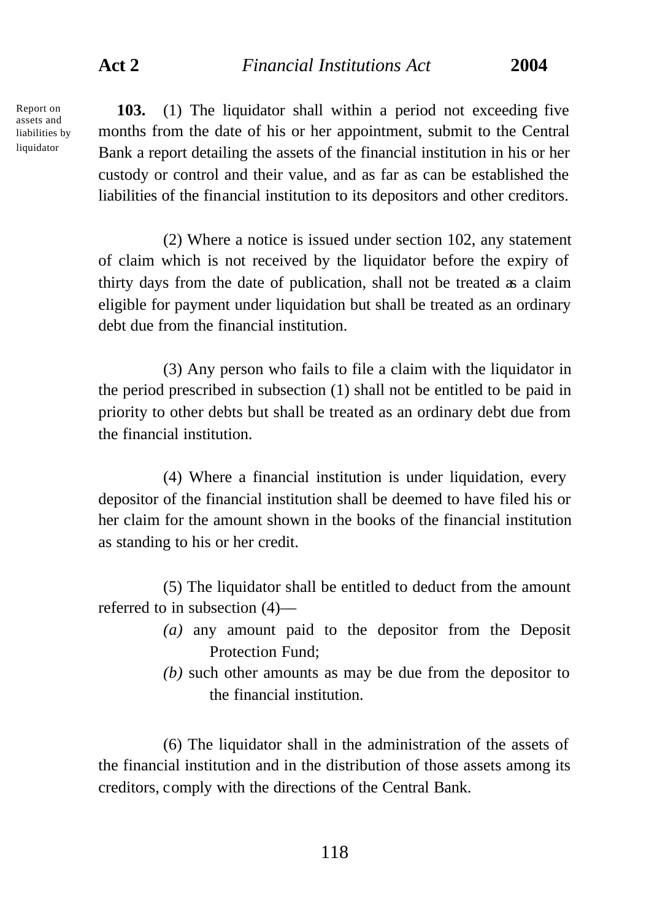Report on assets and liabilities by liquidator

**103.** (1) The liquidator shall within a period not exceeding five months from the date of his or her appointment, submit to the Central Bank a report detailing the assets of the financial institution in his or her custody or control and their value, and as far as can be established the liabilities of the financial institution to its depositors and other creditors.

(2) Where a notice is issued under section 102, any statement of claim which is not received by the liquidator before the expiry of thirty days from the date of publication, shall not be treated as a claim eligible for payment under liquidation but shall be treated as an ordinary debt due from the financial institution.

(3) Any person who fails to file a claim with the liquidator in the period prescribed in subsection (1) shall not be entitled to be paid in priority to other debts but shall be treated as an ordinary debt due from the financial institution.

(4) Where a financial institution is under liquidation, every depositor of the financial institution shall be deemed to have filed his or her claim for the amount shown in the books of the financial institution as standing to his or her credit.

(5) The liquidator shall be entitled to deduct from the amount referred to in subsection (4)—

- *(a)* any amount paid to the depositor from the Deposit Protection Fund;
- *(b)* such other amounts as may be due from the depositor to the financial institution.

(6) The liquidator shall in the administration of the assets of the financial institution and in the distribution of those assets among its creditors, comply with the directions of the Central Bank.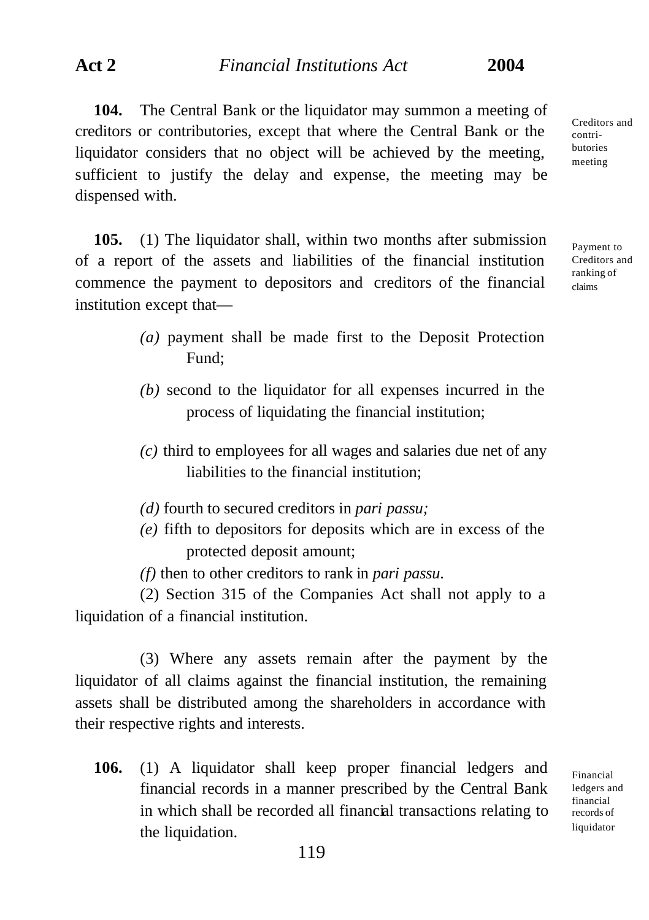**104.** The Central Bank or the liquidator may summon a meeting of creditors or contributories, except that where the Central Bank or the liquidator considers that no object will be achieved by the meeting, sufficient to justify the delay and expense, the meeting may be dispensed with.

**105.** (1) The liquidator shall, within two months after submission of a report of the assets and liabilities of the financial institution commence the payment to depositors and creditors of the financial institution except that—

> *(a)* payment shall be made first to the Deposit Protection Fund;

- *(b)* second to the liquidator for all expenses incurred in the process of liquidating the financial institution;
- *(c)* third to employees for all wages and salaries due net of any liabilities to the financial institution;
- *(d)* fourth to secured creditors in *pari passu;*
- *(e)* fifth to depositors for deposits which are in excess of the protected deposit amount;

*(f)* then to other creditors to rank in *pari passu*.

(2) Section 315 of the Companies Act shall not apply to a liquidation of a financial institution.

(3) Where any assets remain after the payment by the liquidator of all claims against the financial institution, the remaining assets shall be distributed among the shareholders in accordance with their respective rights and interests.

**106.** (1) A liquidator shall keep proper financial ledgers and financial records in a manner prescribed by the Central Bank in which shall be recorded all financial transactions relating to the liquidation.

Creditors and contributories meeting

Payment to Creditors and ranking of claims

Financial ledgers and financial records of liquidator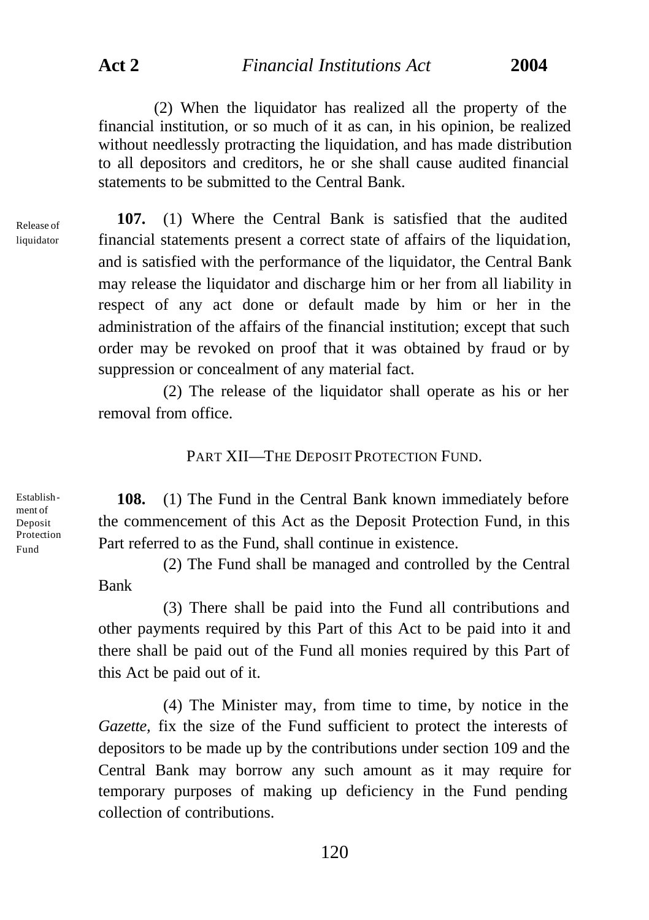**Act 2** *Financial Institutions Act* **2004**

(2) When the liquidator has realized all the property of the financial institution, or so much of it as can, in his opinion, be realized without needlessly protracting the liquidation, and has made distribution to all depositors and creditors, he or she shall cause audited financial statements to be submitted to the Central Bank.

Release of liquidator

**107.** (1) Where the Central Bank is satisfied that the audited financial statements present a correct state of affairs of the liquidation, and is satisfied with the performance of the liquidator, the Central Bank may release the liquidator and discharge him or her from all liability in respect of any act done or default made by him or her in the administration of the affairs of the financial institution; except that such order may be revoked on proof that it was obtained by fraud or by suppression or concealment of any material fact.

(2) The release of the liquidator shall operate as his or her removal from office.

PART XII—THE DEPOSIT PROTECTION FUND.

Establishment of Deposit Protection Fund

**108.** (1) The Fund in the Central Bank known immediately before the commencement of this Act as the Deposit Protection Fund, in this Part referred to as the Fund, shall continue in existence.

(2) The Fund shall be managed and controlled by the Central Bank

(3) There shall be paid into the Fund all contributions and other payments required by this Part of this Act to be paid into it and there shall be paid out of the Fund all monies required by this Part of this Act be paid out of it.

(4) The Minister may, from time to time, by notice in the *Gazette,* fix the size of the Fund sufficient to protect the interests of depositors to be made up by the contributions under section 109 and the Central Bank may borrow any such amount as it may require for temporary purposes of making up deficiency in the Fund pending collection of contributions.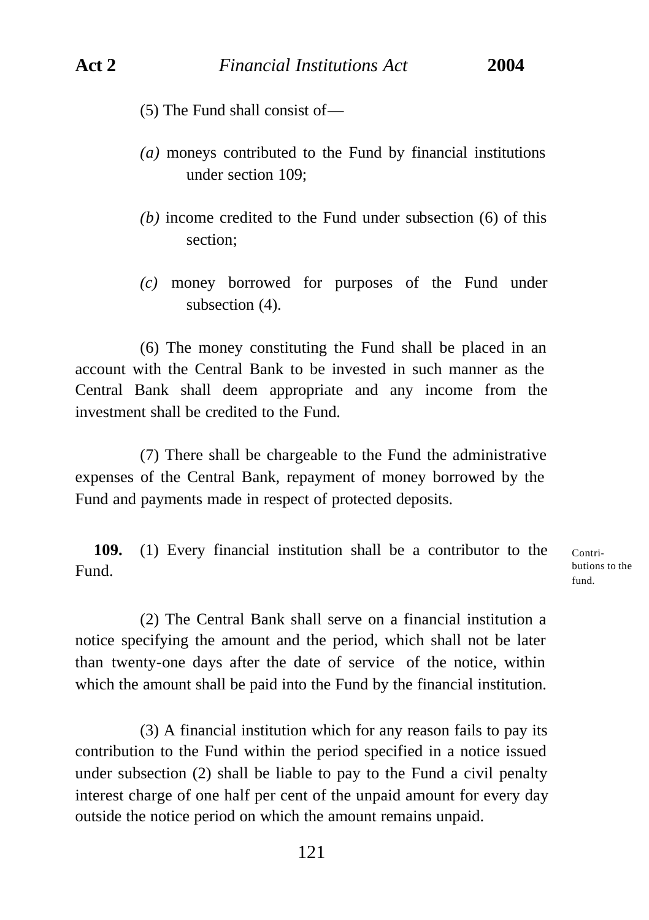- (5) The Fund shall consist of—
- *(a)* moneys contributed to the Fund by financial institutions under section 109;
- *(b)* income credited to the Fund under subsection (6) of this section;
- *(c)* money borrowed for purposes of the Fund under subsection  $(4)$ .

(6) The money constituting the Fund shall be placed in an account with the Central Bank to be invested in such manner as the Central Bank shall deem appropriate and any income from the investment shall be credited to the Fund.

(7) There shall be chargeable to the Fund the administrative expenses of the Central Bank, repayment of money borrowed by the Fund and payments made in respect of protected deposits.

**109.** (1) Every financial institution shall be a contributor to the Fund.

Contributions to the fund.

(2) The Central Bank shall serve on a financial institution a notice specifying the amount and the period, which shall not be later than twenty-one days after the date of service of the notice, within which the amount shall be paid into the Fund by the financial institution.

(3) A financial institution which for any reason fails to pay its contribution to the Fund within the period specified in a notice issued under subsection (2) shall be liable to pay to the Fund a civil penalty interest charge of one half per cent of the unpaid amount for every day outside the notice period on which the amount remains unpaid.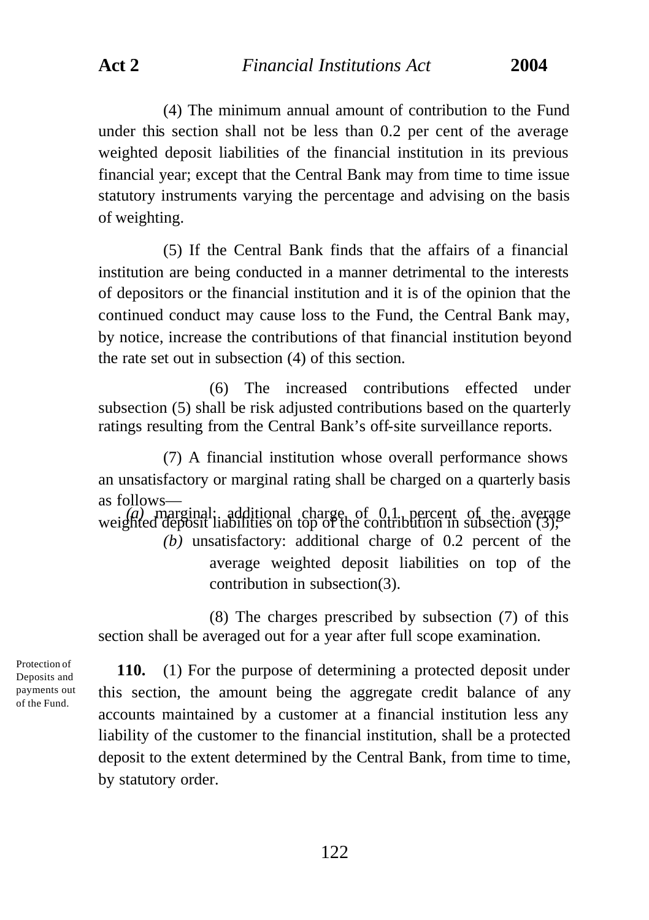**Act 2** *Financial Institutions Act* **2004**

(4) The minimum annual amount of contribution to the Fund under this section shall not be less than 0.2 per cent of the average weighted deposit liabilities of the financial institution in its previous financial year; except that the Central Bank may from time to time issue statutory instruments varying the percentage and advising on the basis of weighting.

(5) If the Central Bank finds that the affairs of a financial institution are being conducted in a manner detrimental to the interests of depositors or the financial institution and it is of the opinion that the continued conduct may cause loss to the Fund, the Central Bank may, by notice, increase the contributions of that financial institution beyond the rate set out in subsection (4) of this section.

(6) The increased contributions effected under subsection (5) shall be risk adjusted contributions based on the quarterly ratings resulting from the Central Bank's off-site surveillance reports.

(7) A financial institution whose overall performance shows an unsatisfactory or marginal rating shall be charged on a quarterly basis as follows— *(a)* marginal: additional charge of 0.1 percent of the average weighted deposit liabilities on top of the contribution in subsection (3); *(b)* unsatisfactory: additional charge of 0.2 percent of the average weighted deposit liabilities on top of the contribution in subsection(3).

(8) The charges prescribed by subsection (7) of this section shall be averaged out for a year after full scope examination.

Protection of Deposits and payments out of the Fund.

**110.** (1) For the purpose of determining a protected deposit under this section, the amount being the aggregate credit balance of any accounts maintained by a customer at a financial institution less any liability of the customer to the financial institution, shall be a protected deposit to the extent determined by the Central Bank, from time to time, by statutory order.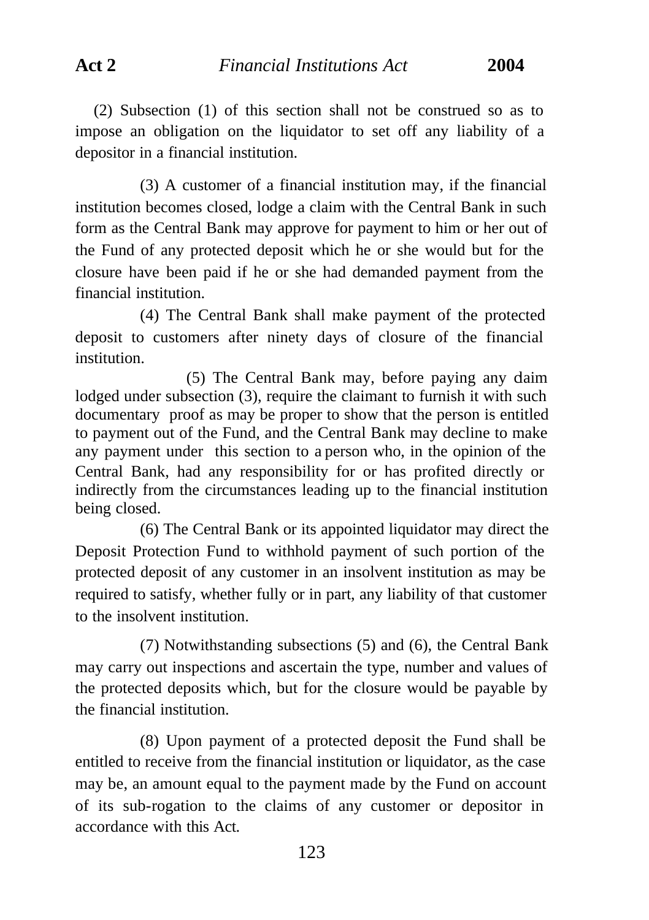(2) Subsection (1) of this section shall not be construed so as to impose an obligation on the liquidator to set off any liability of a depositor in a financial institution.

(3) A customer of a financial institution may, if the financial institution becomes closed, lodge a claim with the Central Bank in such form as the Central Bank may approve for payment to him or her out of the Fund of any protected deposit which he or she would but for the closure have been paid if he or she had demanded payment from the financial institution.

(4) The Central Bank shall make payment of the protected deposit to customers after ninety days of closure of the financial institution.

(5) The Central Bank may, before paying any claim lodged under subsection (3), require the claimant to furnish it with such documentary proof as may be proper to show that the person is entitled to payment out of the Fund, and the Central Bank may decline to make any payment under this section to a person who, in the opinion of the Central Bank, had any responsibility for or has profited directly or indirectly from the circumstances leading up to the financial institution being closed.

(6) The Central Bank or its appointed liquidator may direct the Deposit Protection Fund to withhold payment of such portion of the protected deposit of any customer in an insolvent institution as may be required to satisfy, whether fully or in part, any liability of that customer to the insolvent institution.

(7) Notwithstanding subsections (5) and (6), the Central Bank may carry out inspections and ascertain the type, number and values of the protected deposits which, but for the closure would be payable by the financial institution.

(8) Upon payment of a protected deposit the Fund shall be entitled to receive from the financial institution or liquidator, as the case may be, an amount equal to the payment made by the Fund on account of its sub-rogation to the claims of any customer or depositor in accordance with this Act.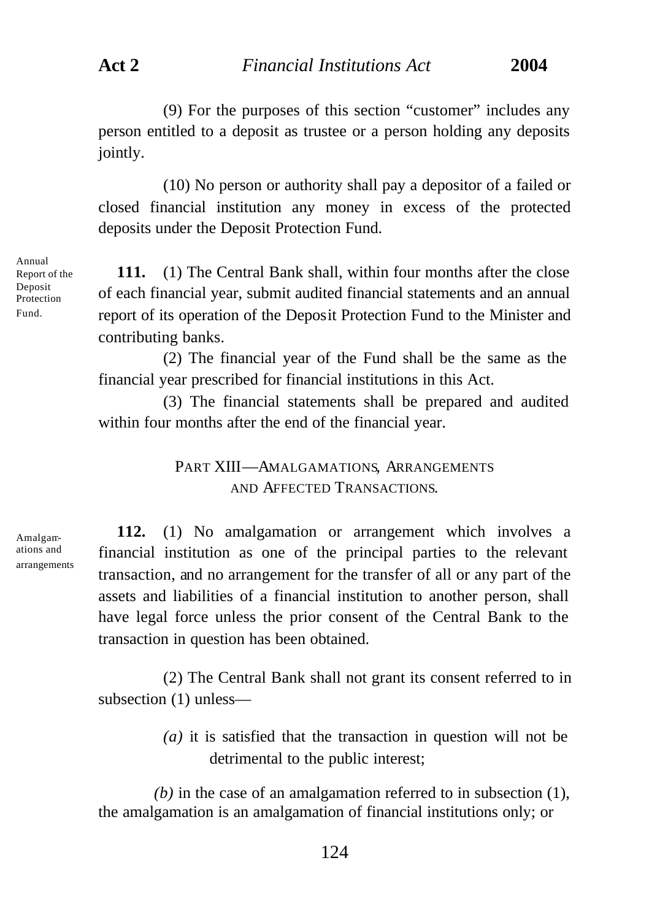(9) For the purposes of this section "customer" includes any person entitled to a deposit as trustee or a person holding any deposits jointly.

(10) No person or authority shall pay a depositor of a failed or closed financial institution any money in excess of the protected deposits under the Deposit Protection Fund.

Annual Report of the Deposit Protection Fund.

**111.** (1) The Central Bank shall, within four months after the close of each financial year, submit audited financial statements and an annual report of its operation of the Deposit Protection Fund to the Minister and contributing banks.

(2) The financial year of the Fund shall be the same as the financial year prescribed for financial institutions in this Act.

(3) The financial statements shall be prepared and audited within four months after the end of the financial year.

> PART XIII—AMALGAMATIONS, ARRANGEMENTS AND AFFECTED TRANSACTIONS.

Amalgamations and arrangements

**112.** (1) No amalgamation or arrangement which involves a financial institution as one of the principal parties to the relevant transaction, and no arrangement for the transfer of all or any part of the assets and liabilities of a financial institution to another person, shall have legal force unless the prior consent of the Central Bank to the transaction in question has been obtained.

(2) The Central Bank shall not grant its consent referred to in subsection (1) unless—

> *(a)* it is satisfied that the transaction in question will not be detrimental to the public interest;

*(b)* in the case of an amalgamation referred to in subsection (1), the amalgamation is an amalgamation of financial institutions only; or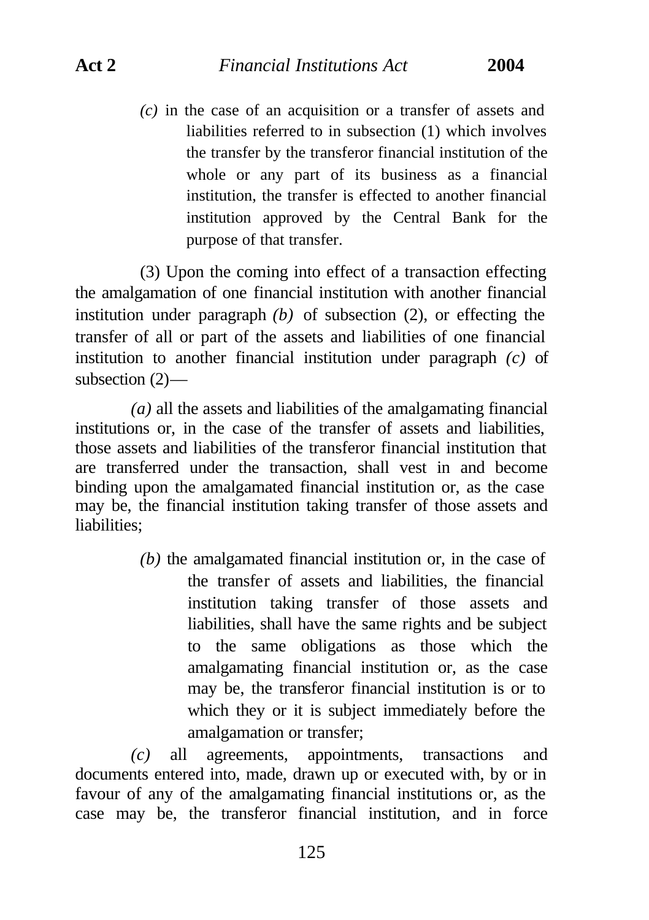*(c)* in the case of an acquisition or a transfer of assets and liabilities referred to in subsection (1) which involves the transfer by the transferor financial institution of the whole or any part of its business as a financial institution, the transfer is effected to another financial institution approved by the Central Bank for the purpose of that transfer.

(3) Upon the coming into effect of a transaction effecting the amalgamation of one financial institution with another financial institution under paragraph *(b)* of subsection (2), or effecting the transfer of all or part of the assets and liabilities of one financial institution to another financial institution under paragraph *(c)* of subsection (2)—

*(a)* all the assets and liabilities of the amalgamating financial institutions or, in the case of the transfer of assets and liabilities, those assets and liabilities of the transferor financial institution that are transferred under the transaction, shall vest in and become binding upon the amalgamated financial institution or, as the case may be, the financial institution taking transfer of those assets and liabilities;

> *(b)* the amalgamated financial institution or, in the case of the transfer of assets and liabilities, the financial institution taking transfer of those assets and liabilities, shall have the same rights and be subject to the same obligations as those which the amalgamating financial institution or, as the case may be, the transferor financial institution is or to which they or it is subject immediately before the amalgamation or transfer;

*(c)* all agreements, appointments, transactions and documents entered into, made, drawn up or executed with, by or in favour of any of the amalgamating financial institutions or, as the case may be, the transferor financial institution, and in force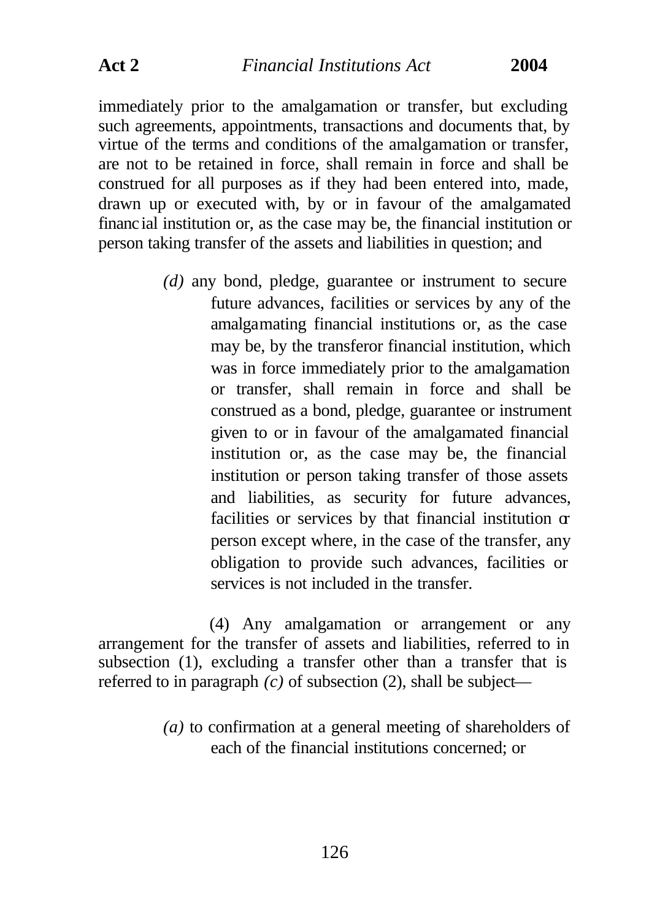immediately prior to the amalgamation or transfer, but excluding such agreements, appointments, transactions and documents that, by virtue of the terms and conditions of the amalgamation or transfer, are not to be retained in force, shall remain in force and shall be construed for all purposes as if they had been entered into, made, drawn up or executed with, by or in favour of the amalgamated financial institution or, as the case may be, the financial institution or person taking transfer of the assets and liabilities in question; and

> *(d)* any bond, pledge, guarantee or instrument to secure future advances, facilities or services by any of the amalgamating financial institutions or, as the case may be, by the transferor financial institution, which was in force immediately prior to the amalgamation or transfer, shall remain in force and shall be construed as a bond, pledge, guarantee or instrument given to or in favour of the amalgamated financial institution or, as the case may be, the financial institution or person taking transfer of those assets and liabilities, as security for future advances, facilities or services by that financial institution  $\sigma$ person except where, in the case of the transfer, any obligation to provide such advances, facilities or services is not included in the transfer.

(4) Any amalgamation or arrangement or any arrangement for the transfer of assets and liabilities, referred to in subsection (1), excluding a transfer other than a transfer that is referred to in paragraph *(c)* of subsection (2), shall be subject—

> *(a)* to confirmation at a general meeting of shareholders of each of the financial institutions concerned; or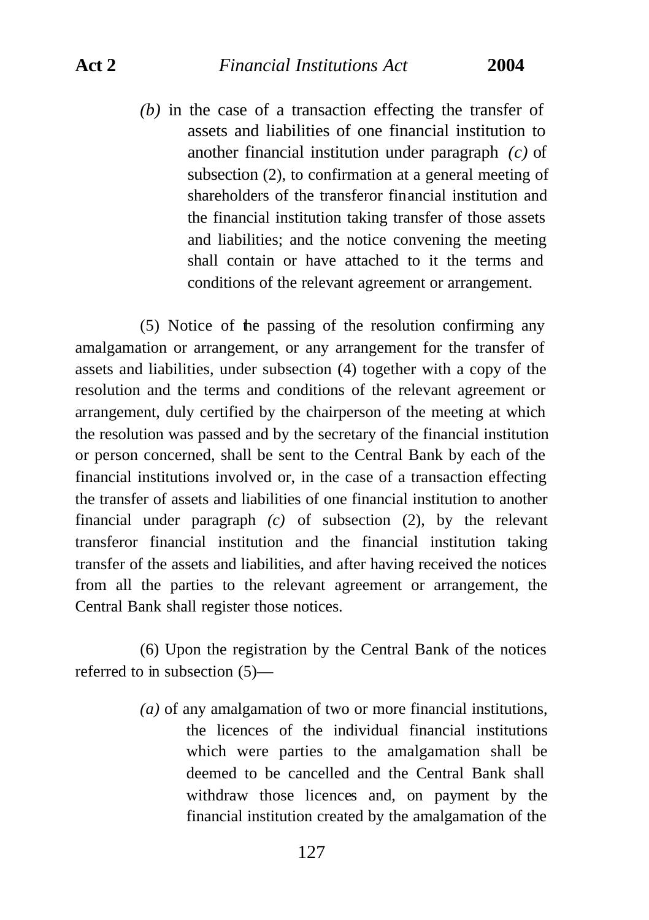*(b)* in the case of a transaction effecting the transfer of assets and liabilities of one financial institution to another financial institution under paragraph *(c)* of subsection (2), to confirmation at a general meeting of shareholders of the transferor financial institution and the financial institution taking transfer of those assets and liabilities; and the notice convening the meeting shall contain or have attached to it the terms and conditions of the relevant agreement or arrangement.

(5) Notice of the passing of the resolution confirming any amalgamation or arrangement, or any arrangement for the transfer of assets and liabilities, under subsection (4) together with a copy of the resolution and the terms and conditions of the relevant agreement or arrangement, duly certified by the chairperson of the meeting at which the resolution was passed and by the secretary of the financial institution or person concerned, shall be sent to the Central Bank by each of the financial institutions involved or, in the case of a transaction effecting the transfer of assets and liabilities of one financial institution to another financial under paragraph *(c)* of subsection (2), by the relevant transferor financial institution and the financial institution taking transfer of the assets and liabilities, and after having received the notices from all the parties to the relevant agreement or arrangement, the Central Bank shall register those notices.

(6) Upon the registration by the Central Bank of the notices referred to in subsection (5)—

> *(a)* of any amalgamation of two or more financial institutions, the licences of the individual financial institutions which were parties to the amalgamation shall be deemed to be cancelled and the Central Bank shall withdraw those licences and, on payment by the financial institution created by the amalgamation of the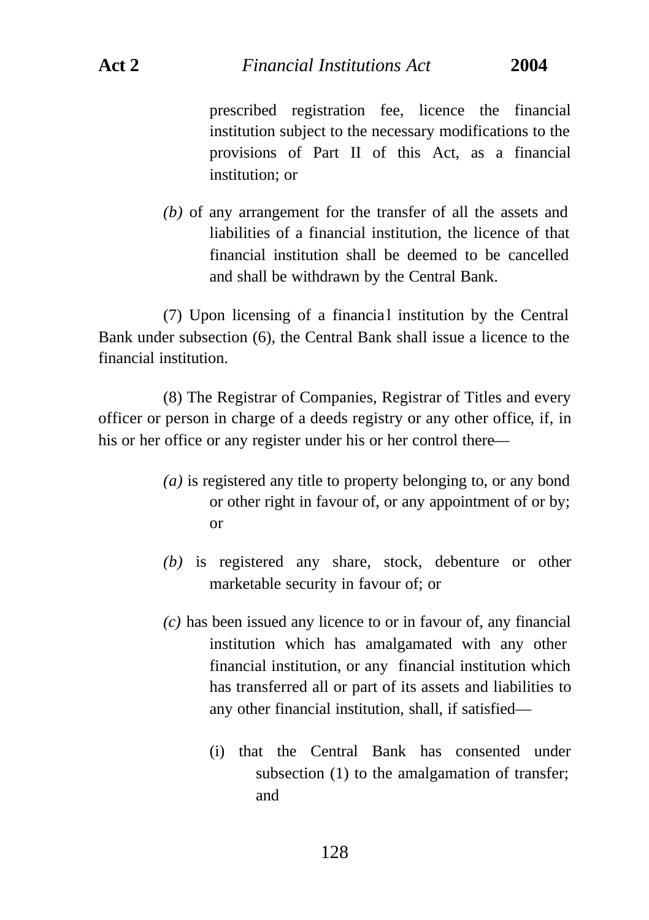prescribed registration fee, licence the financial institution subject to the necessary modifications to the provisions of Part II of this Act, as a financial institution; or

*(b)* of any arrangement for the transfer of all the assets and liabilities of a financial institution, the licence of that financial institution shall be deemed to be cancelled and shall be withdrawn by the Central Bank.

(7) Upon licensing of a financia l institution by the Central Bank under subsection (6), the Central Bank shall issue a licence to the financial institution.

(8) The Registrar of Companies, Registrar of Titles and every officer or person in charge of a deeds registry or any other office, if, in his or her office or any register under his or her control there—

- *(a)* is registered any title to property belonging to, or any bond or other right in favour of, or any appointment of or by; or
- *(b)* is registered any share, stock, debenture or other marketable security in favour of; or
- *(c)* has been issued any licence to or in favour of, any financial institution which has amalgamated with any other financial institution, or any financial institution which has transferred all or part of its assets and liabilities to any other financial institution, shall, if satisfied—
	- (i) that the Central Bank has consented under subsection (1) to the amalgamation of transfer; and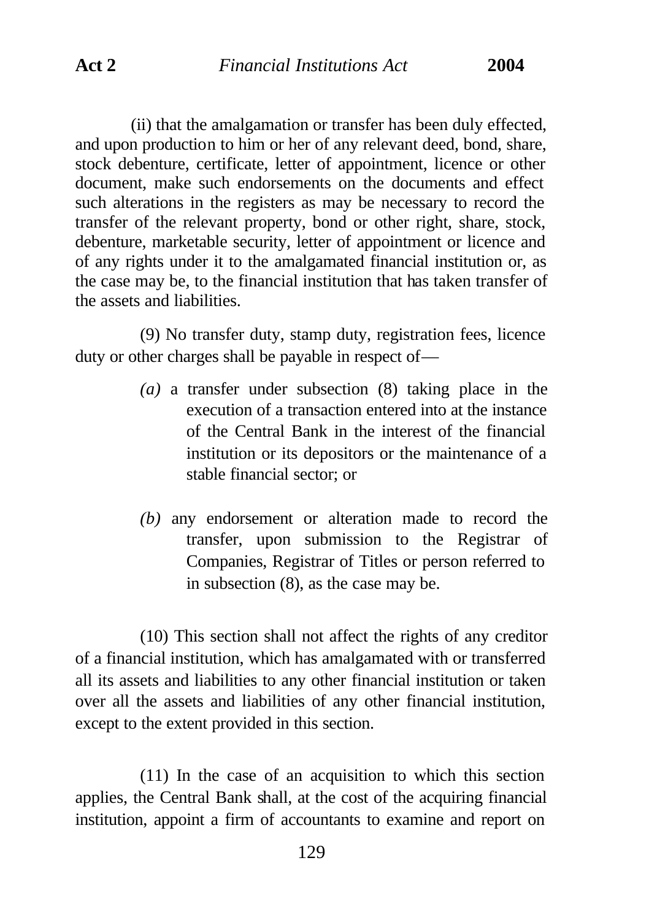(ii) that the amalgamation or transfer has been duly effected, and upon production to him or her of any relevant deed, bond, share, stock debenture, certificate, letter of appointment, licence or other document, make such endorsements on the documents and effect such alterations in the registers as may be necessary to record the transfer of the relevant property, bond or other right, share, stock, debenture, marketable security, letter of appointment or licence and of any rights under it to the amalgamated financial institution or, as the case may be, to the financial institution that has taken transfer of the assets and liabilities.

(9) No transfer duty, stamp duty, registration fees, licence duty or other charges shall be payable in respect of—

- *(a)* a transfer under subsection (8) taking place in the execution of a transaction entered into at the instance of the Central Bank in the interest of the financial institution or its depositors or the maintenance of a stable financial sector; or
- *(b)* any endorsement or alteration made to record the transfer, upon submission to the Registrar of Companies, Registrar of Titles or person referred to in subsection (8), as the case may be.

(10) This section shall not affect the rights of any creditor of a financial institution, which has amalgamated with or transferred all its assets and liabilities to any other financial institution or taken over all the assets and liabilities of any other financial institution, except to the extent provided in this section.

(11) In the case of an acquisition to which this section applies, the Central Bank shall, at the cost of the acquiring financial institution, appoint a firm of accountants to examine and report on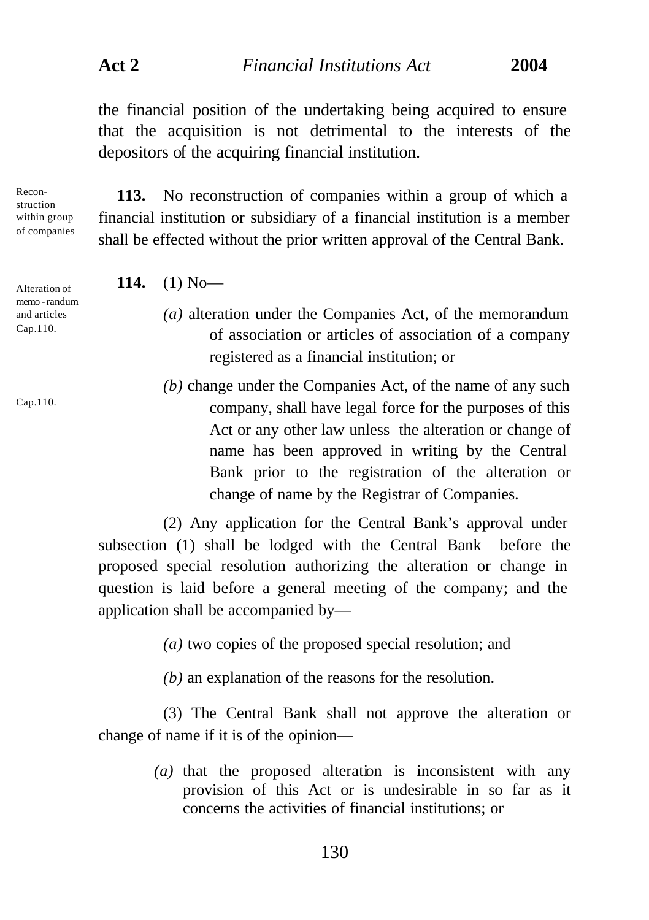**Act 2** *Financial Institutions Act* **2004**

the financial position of the undertaking being acquired to ensure that the acquisition is not detrimental to the interests of the depositors of the acquiring financial institution.

Reconstruction within group of companies

Alteration of memo -randum and articles Cap.110.

**113.** No reconstruction of companies within a group of which a financial institution or subsidiary of a financial institution is a member shall be effected without the prior written approval of the Central Bank.

**114.** (1) No—

- *(a)* alteration under the Companies Act, of the memorandum of association or articles of association of a company registered as a financial institution; or
- *(b)* change under the Companies Act, of the name of any such company, shall have legal force for the purposes of this Act or any other law unless the alteration or change of name has been approved in writing by the Central Bank prior to the registration of the alteration or change of name by the Registrar of Companies.

(2) Any application for the Central Bank's approval under subsection (1) shall be lodged with the Central Bank before the proposed special resolution authorizing the alteration or change in question is laid before a general meeting of the company; and the application shall be accompanied by—

*(a)* two copies of the proposed special resolution; and

*(b)* an explanation of the reasons for the resolution.

(3) The Central Bank shall not approve the alteration or change of name if it is of the opinion—

> *(a)* that the proposed alteration is inconsistent with any provision of this Act or is undesirable in so far as it concerns the activities of financial institutions; or

Cap.110.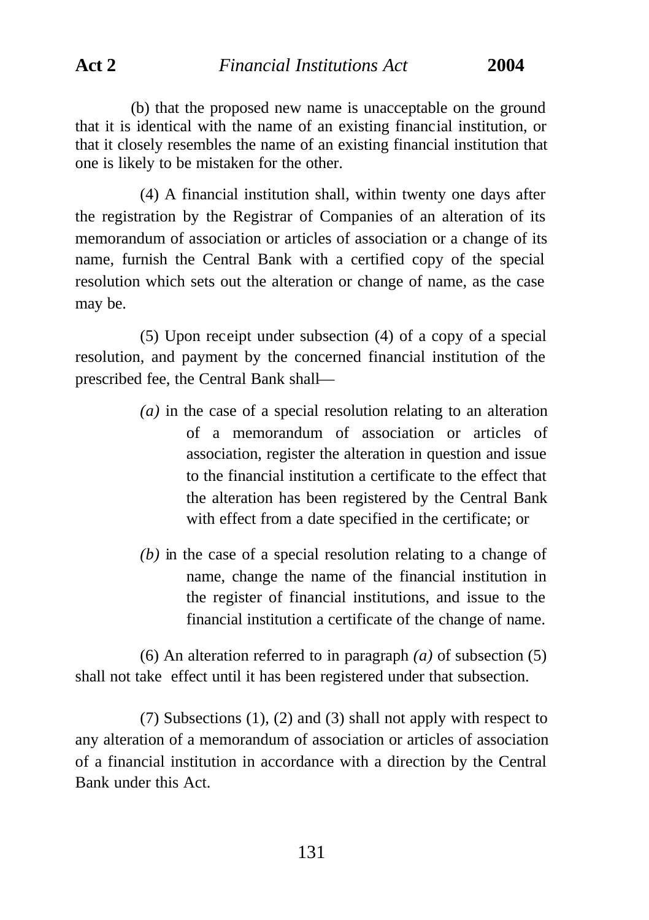(b) that the proposed new name is unacceptable on the ground that it is identical with the name of an existing financial institution, or that it closely resembles the name of an existing financial institution that one is likely to be mistaken for the other.

(4) A financial institution shall, within twenty one days after the registration by the Registrar of Companies of an alteration of its memorandum of association or articles of association or a change of its name, furnish the Central Bank with a certified copy of the special resolution which sets out the alteration or change of name, as the case may be.

(5) Upon receipt under subsection (4) of a copy of a special resolution, and payment by the concerned financial institution of the prescribed fee, the Central Bank shall—

- *(a)* in the case of a special resolution relating to an alteration of a memorandum of association or articles of association, register the alteration in question and issue to the financial institution a certificate to the effect that the alteration has been registered by the Central Bank with effect from a date specified in the certificate; or
- *(b)* in the case of a special resolution relating to a change of name, change the name of the financial institution in the register of financial institutions, and issue to the financial institution a certificate of the change of name.

(6) An alteration referred to in paragraph *(a)* of subsection (5) shall not take effect until it has been registered under that subsection.

(7) Subsections (1), (2) and (3) shall not apply with respect to any alteration of a memorandum of association or articles of association of a financial institution in accordance with a direction by the Central Bank under this Act.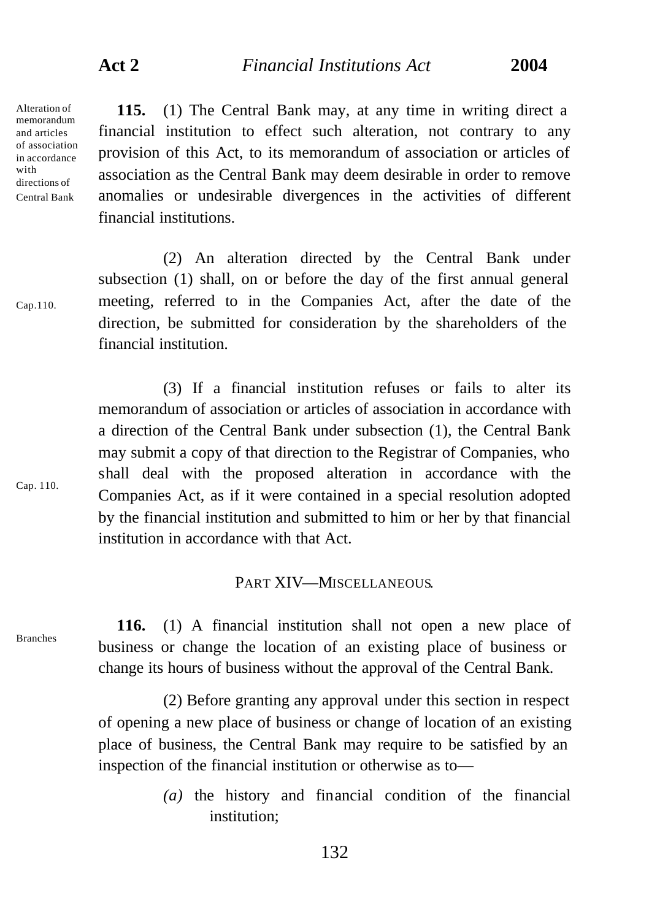Alteration of memorandum and articles of association in accordance with directions of Central Bank

Cap.110.

**115.** (1) The Central Bank may, at any time in writing direct a financial institution to effect such alteration, not contrary to any provision of this Act, to its memorandum of association or articles of association as the Central Bank may deem desirable in order to remove anomalies or undesirable divergences in the activities of different financial institutions.

(2) An alteration directed by the Central Bank under subsection (1) shall, on or before the day of the first annual general meeting, referred to in the Companies Act, after the date of the direction, be submitted for consideration by the shareholders of the financial institution.

(3) If a financial institution refuses or fails to alter its memorandum of association or articles of association in accordance with a direction of the Central Bank under subsection (1), the Central Bank may submit a copy of that direction to the Registrar of Companies, who shall deal with the proposed alteration in accordance with the Companies Act, as if it were contained in a special resolution adopted by the financial institution and submitted to him or her by that financial institution in accordance with that Act.

## PART XIV—MISCELLANEOUS.

Branches

Cap. 110.

**116.** (1) A financial institution shall not open a new place of business or change the location of an existing place of business or change its hours of business without the approval of the Central Bank.

(2) Before granting any approval under this section in respect of opening a new place of business or change of location of an existing place of business, the Central Bank may require to be satisfied by an inspection of the financial institution or otherwise as to—

> *(a)* the history and financial condition of the financial institution;

> > 132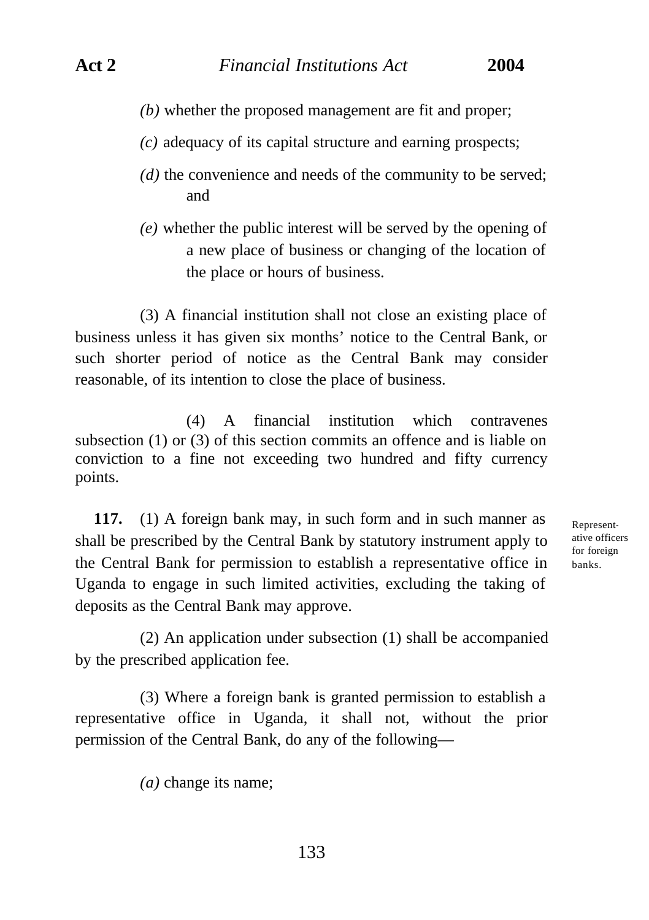- *(b)* whether the proposed management are fit and proper;
- *(c)* adequacy of its capital structure and earning prospects;
- *(d)* the convenience and needs of the community to be served; and
- *(e)* whether the public interest will be served by the opening of a new place of business or changing of the location of the place or hours of business.

(3) A financial institution shall not close an existing place of business unless it has given six months' notice to the Central Bank, or such shorter period of notice as the Central Bank may consider reasonable, of its intention to close the place of business.

(4) A financial institution which contravenes subsection (1) or (3) of this section commits an offence and is liable on conviction to a fine not exceeding two hundred and fifty currency points.

**117.** (1) A foreign bank may, in such form and in such manner as shall be prescribed by the Central Bank by statutory instrument apply to the Central Bank for permission to establish a representative office in Uganda to engage in such limited activities, excluding the taking of deposits as the Central Bank may approve.

Representative officers for foreign banks.

(2) An application under subsection (1) shall be accompanied by the prescribed application fee.

(3) Where a foreign bank is granted permission to establish a representative office in Uganda, it shall not, without the prior permission of the Central Bank, do any of the following—

*(a)* change its name;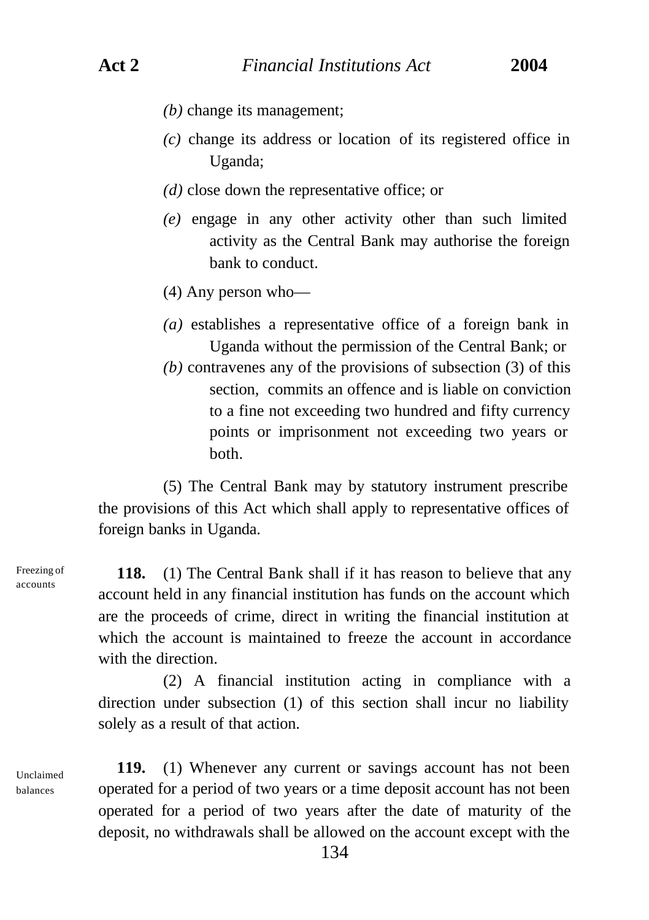- *(b)* change its management;
- *(c)* change its address or location of its registered office in Uganda;
- *(d)* close down the representative office; or
- *(e)* engage in any other activity other than such limited activity as the Central Bank may authorise the foreign bank to conduct.
- (4) Any person who—
- *(a)* establishes a representative office of a foreign bank in Uganda without the permission of the Central Bank; or
- *(b)* contravenes any of the provisions of subsection (3) of this section, commits an offence and is liable on conviction to a fine not exceeding two hundred and fifty currency points or imprisonment not exceeding two years or both.

(5) The Central Bank may by statutory instrument prescribe the provisions of this Act which shall apply to representative offices of foreign banks in Uganda.

**118.** (1) The Central Bank shall if it has reason to believe that any account held in any financial institution has funds on the account which are the proceeds of crime, direct in writing the financial institution at which the account is maintained to freeze the account in accordance with the direction

(2) A financial institution acting in compliance with a direction under subsection (1) of this section shall incur no liability solely as a result of that action.

Unclaimed balances

Freezing of accounts

> **119.** (1) Whenever any current or savings account has not been operated for a period of two years or a time deposit account has not been operated for a period of two years after the date of maturity of the deposit, no withdrawals shall be allowed on the account except with the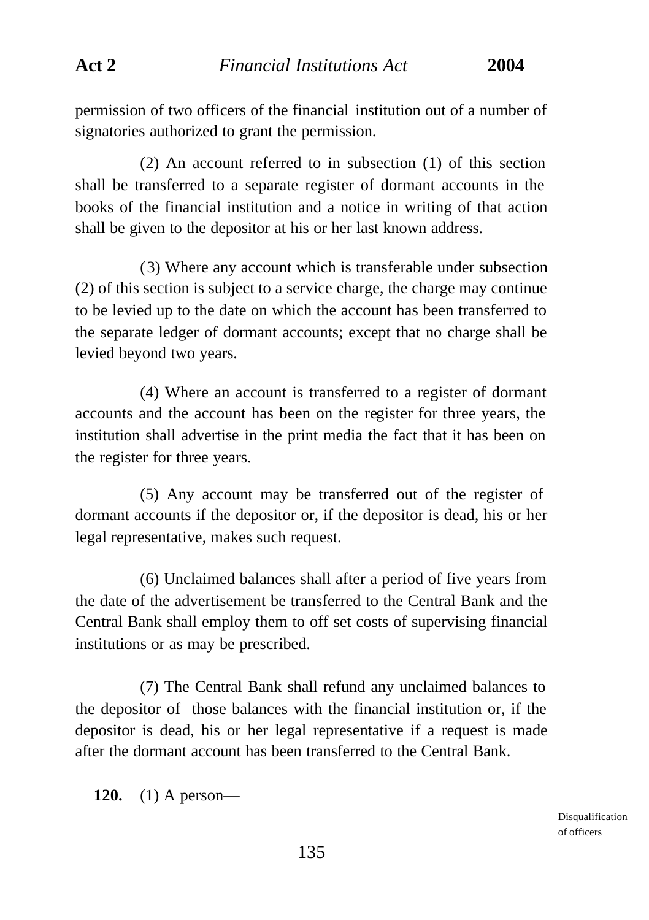permission of two officers of the financial institution out of a number of signatories authorized to grant the permission.

(2) An account referred to in subsection (1) of this section shall be transferred to a separate register of dormant accounts in the books of the financial institution and a notice in writing of that action shall be given to the depositor at his or her last known address.

(3) Where any account which is transferable under subsection (2) of this section is subject to a service charge, the charge may continue to be levied up to the date on which the account has been transferred to the separate ledger of dormant accounts; except that no charge shall be levied beyond two years.

(4) Where an account is transferred to a register of dormant accounts and the account has been on the register for three years, the institution shall advertise in the print media the fact that it has been on the register for three years.

(5) Any account may be transferred out of the register of dormant accounts if the depositor or, if the depositor is dead, his or her legal representative, makes such request.

(6) Unclaimed balances shall after a period of five years from the date of the advertisement be transferred to the Central Bank and the Central Bank shall employ them to off set costs of supervising financial institutions or as may be prescribed.

(7) The Central Bank shall refund any unclaimed balances to the depositor of those balances with the financial institution or, if the depositor is dead, his or her legal representative if a request is made after the dormant account has been transferred to the Central Bank.

**120.** (1) A person—

Disqualification of officers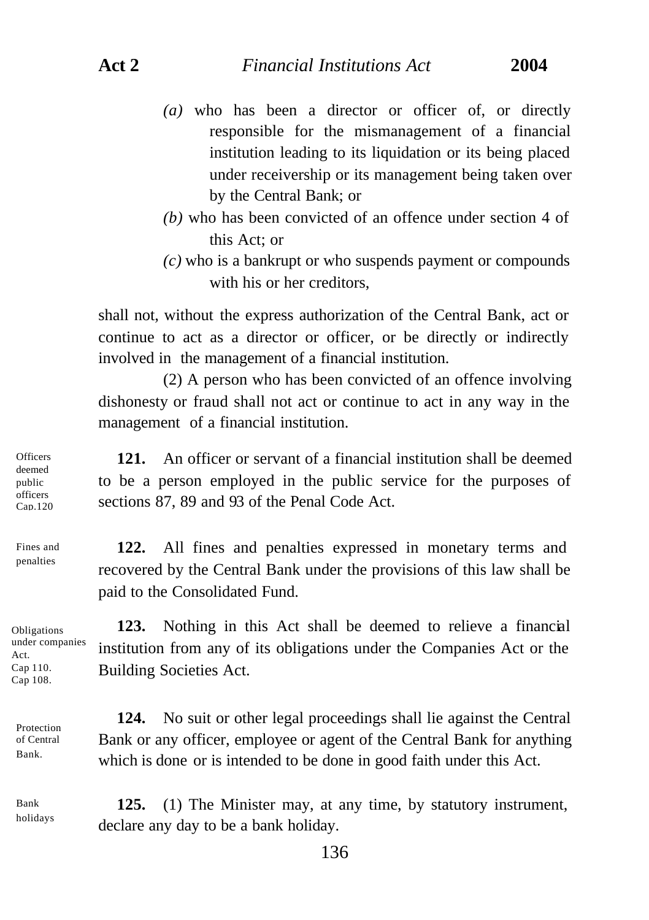- *(a)* who has been a director or officer of, or directly responsible for the mismanagement of a financial institution leading to its liquidation or its being placed under receivership or its management being taken over by the Central Bank; or
- *(b)* who has been convicted of an offence under section 4 of this Act; or
- *(c)* who is a bankrupt or who suspends payment or compounds with his or her creditors,

shall not, without the express authorization of the Central Bank, act or continue to act as a director or officer, or be directly or indirectly involved in the management of a financial institution.

(2) A person who has been convicted of an offence involving dishonesty or fraud shall not act or continue to act in any way in the management of a financial institution.

**121.** An officer or servant of a financial institution shall be deemed to be a person employed in the public service for the purposes of sections 87, 89 and 93 of the Penal Code Act.

**122.** All fines and penalties expressed in monetary terms and recovered by the Central Bank under the provisions of this law shall be paid to the Consolidated Fund.

Obligations under companies Act. Cap 110. Cap 108.

**123.** Nothing in this Act shall be deemed to relieve a financial institution from any of its obligations under the Companies Act or the Building Societies Act.

**124.** No suit or other legal proceedings shall lie against the Central Bank or any officer, employee or agent of the Central Bank for anything which is done or is intended to be done in good faith under this Act.

Bank holidays

Protection of Central Bank.

> **125.** (1) The Minister may, at any time, by statutory instrument, declare any day to be a bank holiday.

**Officers** deemed public officers Cap.120

Fines and penalties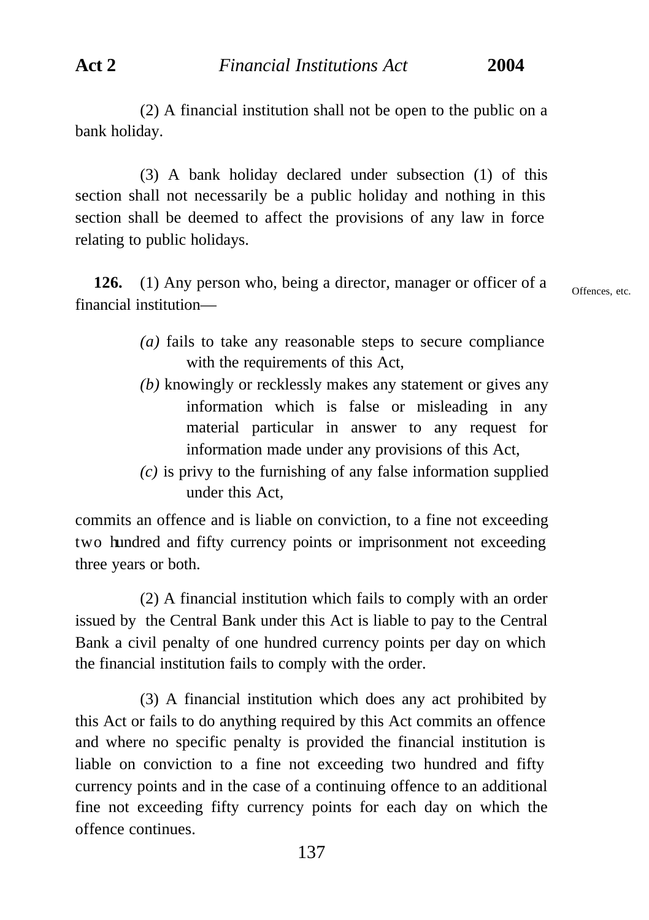(2) A financial institution shall not be open to the public on a bank holiday.

(3) A bank holiday declared under subsection (1) of this section shall not necessarily be a public holiday and nothing in this section shall be deemed to affect the provisions of any law in force relating to public holidays.

**126.** (1) Any person who, being a director, manager or officer of a financial institution—

Offences, etc.

- *(a)* fails to take any reasonable steps to secure compliance with the requirements of this Act,
- *(b)* knowingly or recklessly makes any statement or gives any information which is false or misleading in any material particular in answer to any request for information made under any provisions of this Act,
- *(c)* is privy to the furnishing of any false information supplied under this Act,

commits an offence and is liable on conviction, to a fine not exceeding two hundred and fifty currency points or imprisonment not exceeding three years or both.

(2) A financial institution which fails to comply with an order issued by the Central Bank under this Act is liable to pay to the Central Bank a civil penalty of one hundred currency points per day on which the financial institution fails to comply with the order.

(3) A financial institution which does any act prohibited by this Act or fails to do anything required by this Act commits an offence and where no specific penalty is provided the financial institution is liable on conviction to a fine not exceeding two hundred and fifty currency points and in the case of a continuing offence to an additional fine not exceeding fifty currency points for each day on which the offence continues.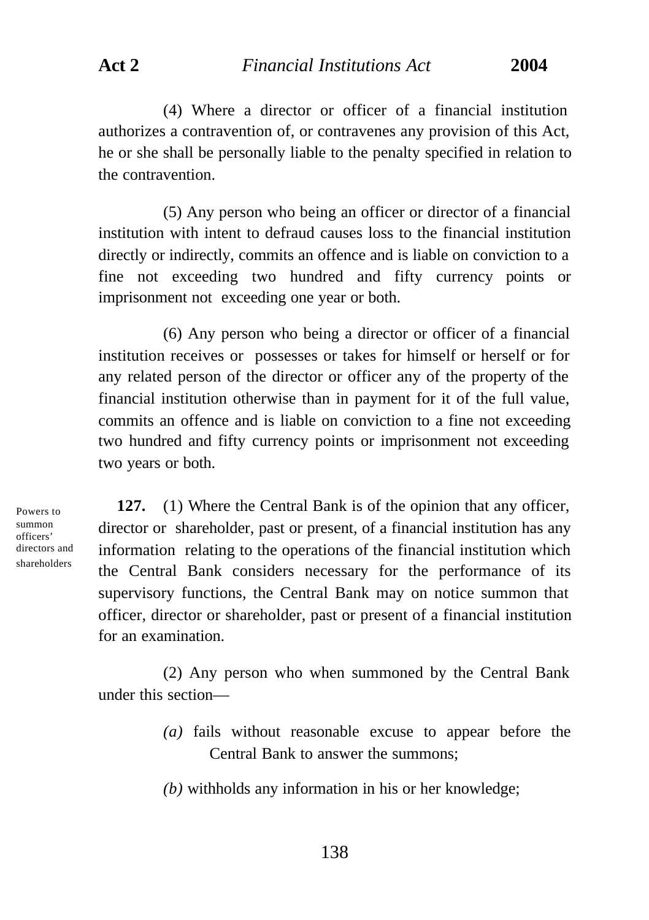(4) Where a director or officer of a financial institution authorizes a contravention of, or contravenes any provision of this Act, he or she shall be personally liable to the penalty specified in relation to the contravention.

(5) Any person who being an officer or director of a financial institution with intent to defraud causes loss to the financial institution directly or indirectly, commits an offence and is liable on conviction to a fine not exceeding two hundred and fifty currency points or imprisonment not exceeding one year or both.

(6) Any person who being a director or officer of a financial institution receives or possesses or takes for himself or herself or for any related person of the director or officer any of the property of the financial institution otherwise than in payment for it of the full value, commits an offence and is liable on conviction to a fine not exceeding two hundred and fifty currency points or imprisonment not exceeding two years or both.

Powers to summon officers' directors and shareholders

**127.** (1) Where the Central Bank is of the opinion that any officer, director or shareholder, past or present, of a financial institution has any information relating to the operations of the financial institution which the Central Bank considers necessary for the performance of its supervisory functions, the Central Bank may on notice summon that officer, director or shareholder, past or present of a financial institution for an examination.

(2) Any person who when summoned by the Central Bank under this section—

> *(a)* fails without reasonable excuse to appear before the Central Bank to answer the summons;

*(b)* withholds any information in his or her knowledge;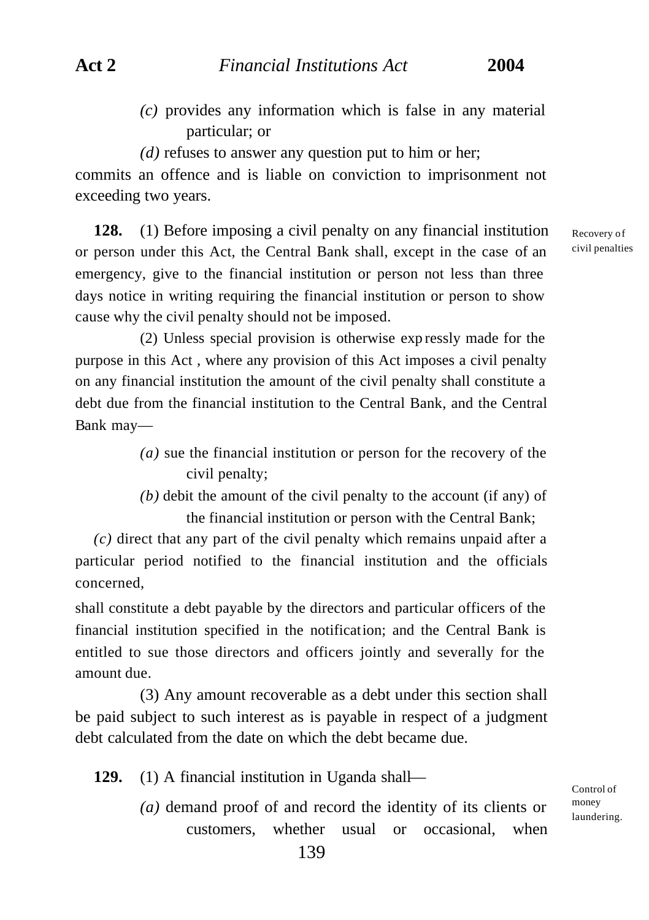- *(c)* provides any information which is false in any material particular; or
- *(d)* refuses to answer any question put to him or her;

commits an offence and is liable on conviction to imprisonment not exceeding two years.

**128.** (1) Before imposing a civil penalty on any financial institution or person under this Act, the Central Bank shall, except in the case of an emergency, give to the financial institution or person not less than three days notice in writing requiring the financial institution or person to show cause why the civil penalty should not be imposed.

(2) Unless special provision is otherwise exp ressly made for the purpose in this Act , where any provision of this Act imposes a civil penalty on any financial institution the amount of the civil penalty shall constitute a debt due from the financial institution to the Central Bank, and the Central Bank may—

- *(a)* sue the financial institution or person for the recovery of the civil penalty;
- *(b)* debit the amount of the civil penalty to the account (if any) of the financial institution or person with the Central Bank;

*(c)* direct that any part of the civil penalty which remains unpaid after a particular period notified to the financial institution and the officials concerned,

shall constitute a debt payable by the directors and particular officers of the financial institution specified in the notification; and the Central Bank is entitled to sue those directors and officers jointly and severally for the amount due.

(3) Any amount recoverable as a debt under this section shall be paid subject to such interest as is payable in respect of a judgment debt calculated from the date on which the debt became due.

**129.** (1) A financial institution in Uganda shall—

*(a)* demand proof of and record the identity of its clients or customers, whether usual or occasional, when Recovery of civil penalties

Control of money laundering.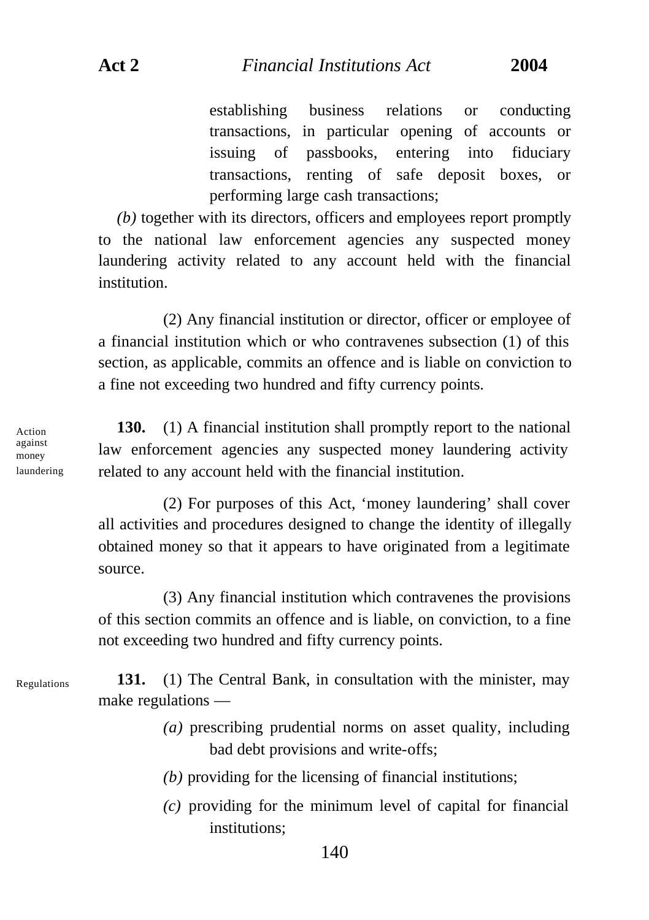establishing business relations or conducting transactions, in particular opening of accounts or issuing of passbooks, entering into fiduciary transactions, renting of safe deposit boxes, or performing large cash transactions;

*(b)* together with its directors, officers and employees report promptly to the national law enforcement agencies any suspected money laundering activity related to any account held with the financial institution.

(2) Any financial institution or director, officer or employee of a financial institution which or who contravenes subsection (1) of this section, as applicable, commits an offence and is liable on conviction to a fine not exceeding two hundred and fifty currency points.

**130.** (1) A financial institution shall promptly report to the national law enforcement agencies any suspected money laundering activity related to any account held with the financial institution.

(2) For purposes of this Act, 'money laundering' shall cover all activities and procedures designed to change the identity of illegally obtained money so that it appears to have originated from a legitimate source.

(3) Any financial institution which contravenes the provisions of this section commits an offence and is liable, on conviction, to a fine not exceeding two hundred and fifty currency points.

**131.** (1) The Central Bank, in consultation with the minister, may make regulations —

- *(a)* prescribing prudential norms on asset quality, including bad debt provisions and write-offs;
- *(b)* providing for the licensing of financial institutions;

140

*(c)* providing for the minimum level of capital for financial institutions;

against money laundering

Action

Regulations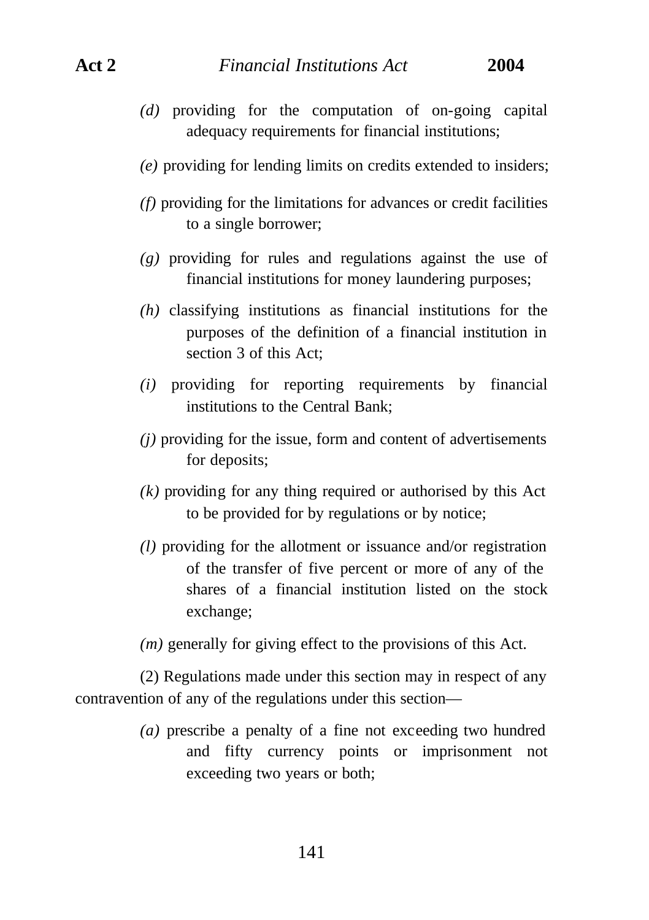- *(d)* providing for the computation of on-going capital adequacy requirements for financial institutions;
- *(e)* providing for lending limits on credits extended to insiders;
- *(f)* providing for the limitations for advances or credit facilities to a single borrower;
- *(g)* providing for rules and regulations against the use of financial institutions for money laundering purposes;
- *(h)* classifying institutions as financial institutions for the purposes of the definition of a financial institution in section 3 of this Act;
- *(i)* providing for reporting requirements by financial institutions to the Central Bank;
- *(j)* providing for the issue, form and content of advertisements for deposits;
- *(k)* providing for any thing required or authorised by this Act to be provided for by regulations or by notice;
- *(l)* providing for the allotment or issuance and/or registration of the transfer of five percent or more of any of the shares of a financial institution listed on the stock exchange;
- *(m)* generally for giving effect to the provisions of this Act.

(2) Regulations made under this section may in respect of any contravention of any of the regulations under this section—

> *(a)* prescribe a penalty of a fine not exceeding two hundred and fifty currency points or imprisonment not exceeding two years or both;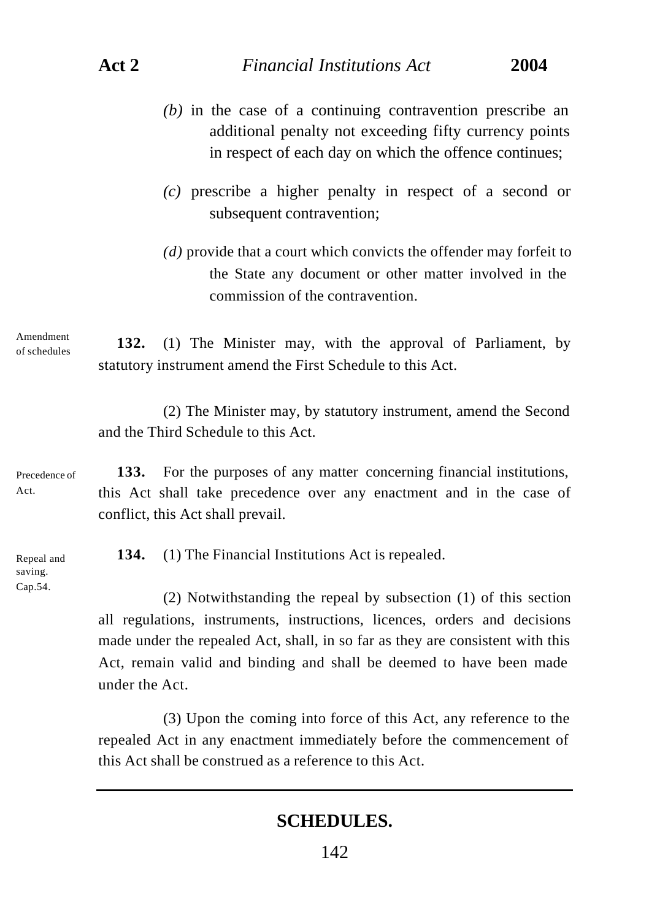- *(b)* in the case of a continuing contravention prescribe an additional penalty not exceeding fifty currency points in respect of each day on which the offence continues;
- *(c)* prescribe a higher penalty in respect of a second or subsequent contravention;
- *(d)* provide that a court which convicts the offender may forfeit to the State any document or other matter involved in the commission of the contravention.

Amendment of schedules

**132.** (1) The Minister may, with the approval of Parliament, by statutory instrument amend the First Schedule to this Act.

(2) The Minister may, by statutory instrument, amend the Second and the Third Schedule to this Act.

Precedence of Act.

**133.** For the purposes of any matter concerning financial institutions, this Act shall take precedence over any enactment and in the case of conflict, this Act shall prevail.

Repeal and saving. Cap.54.

**134.** (1) The Financial Institutions Act is repealed.

(2) Notwithstanding the repeal by subsection (1) of this section all regulations, instruments, instructions, licences, orders and decisions made under the repealed Act, shall, in so far as they are consistent with this Act, remain valid and binding and shall be deemed to have been made under the Act.

(3) Upon the coming into force of this Act, any reference to the repealed Act in any enactment immediately before the commencement of this Act shall be construed as a reference to this Act.

## **SCHEDULES.**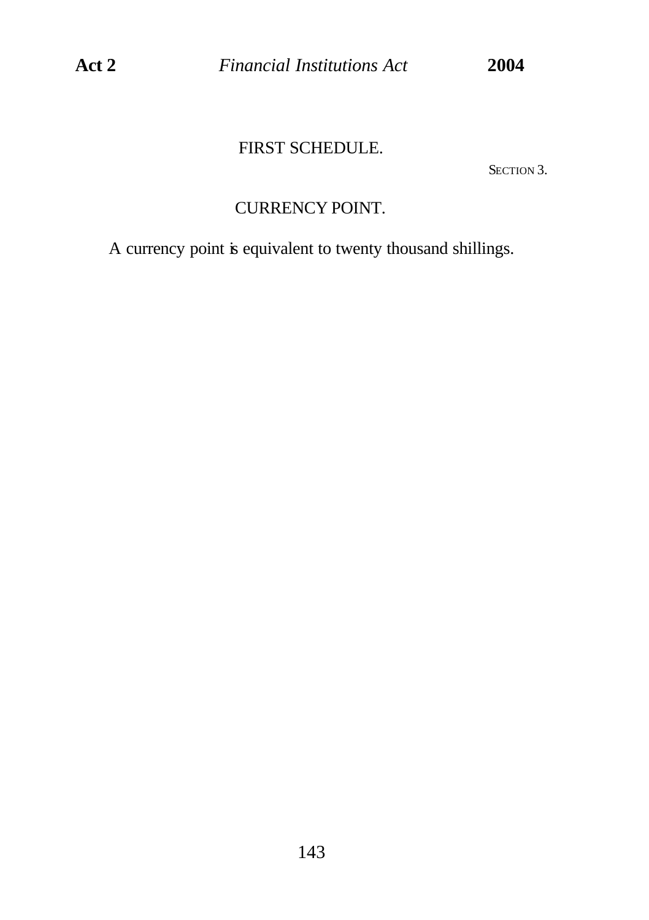FIRST SCHEDULE.

SECTION 3.

# CURRENCY POINT.

A currency point is equivalent to twenty thousand shillings.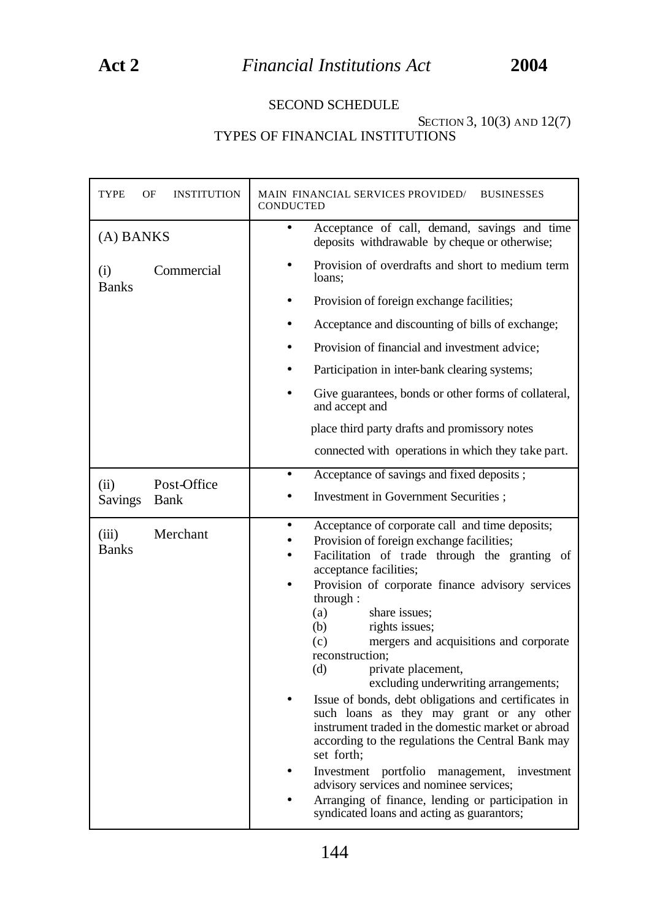### SECOND SCHEDULE

### SECTION 3, 10(3) AND 12(7) TYPES OF FINANCIAL INSTITUTIONS

| TYPE<br>ΟF<br><b>INSTITUTION</b>  | MAIN FINANCIAL SERVICES PROVIDED/<br><b>BUSINESSES</b><br><b>CONDUCTED</b>                                                                                                                                                                                                                                                                                                                                                                                                                                                                                                                                                                                                                                                                                                                                                                                      |
|-----------------------------------|-----------------------------------------------------------------------------------------------------------------------------------------------------------------------------------------------------------------------------------------------------------------------------------------------------------------------------------------------------------------------------------------------------------------------------------------------------------------------------------------------------------------------------------------------------------------------------------------------------------------------------------------------------------------------------------------------------------------------------------------------------------------------------------------------------------------------------------------------------------------|
| (A) BANKS                         | Acceptance of call, demand, savings and time<br>$\bullet$<br>deposits withdrawable by cheque or otherwise;                                                                                                                                                                                                                                                                                                                                                                                                                                                                                                                                                                                                                                                                                                                                                      |
| Commercial<br>(i)<br><b>Banks</b> | Provision of overdrafts and short to medium term<br>loans:                                                                                                                                                                                                                                                                                                                                                                                                                                                                                                                                                                                                                                                                                                                                                                                                      |
|                                   | Provision of foreign exchange facilities;                                                                                                                                                                                                                                                                                                                                                                                                                                                                                                                                                                                                                                                                                                                                                                                                                       |
|                                   | Acceptance and discounting of bills of exchange;                                                                                                                                                                                                                                                                                                                                                                                                                                                                                                                                                                                                                                                                                                                                                                                                                |
|                                   | Provision of financial and investment advice:                                                                                                                                                                                                                                                                                                                                                                                                                                                                                                                                                                                                                                                                                                                                                                                                                   |
|                                   | Participation in inter-bank clearing systems;                                                                                                                                                                                                                                                                                                                                                                                                                                                                                                                                                                                                                                                                                                                                                                                                                   |
|                                   | Give guarantees, bonds or other forms of collateral,<br>and accept and                                                                                                                                                                                                                                                                                                                                                                                                                                                                                                                                                                                                                                                                                                                                                                                          |
|                                   | place third party drafts and promissory notes                                                                                                                                                                                                                                                                                                                                                                                                                                                                                                                                                                                                                                                                                                                                                                                                                   |
|                                   | connected with operations in which they take part.                                                                                                                                                                                                                                                                                                                                                                                                                                                                                                                                                                                                                                                                                                                                                                                                              |
| Post-Office<br>(ii)               | Acceptance of savings and fixed deposits;                                                                                                                                                                                                                                                                                                                                                                                                                                                                                                                                                                                                                                                                                                                                                                                                                       |
| <b>Savings</b><br>Bank            | Investment in Government Securities ;                                                                                                                                                                                                                                                                                                                                                                                                                                                                                                                                                                                                                                                                                                                                                                                                                           |
| Merchant<br>(iii)<br><b>Banks</b> | Acceptance of corporate call and time deposits;<br>Provision of foreign exchange facilities;<br>Facilitation of trade through the granting of<br>acceptance facilities;<br>Provision of corporate finance advisory services<br>through:<br>(a)<br>share issues:<br>rights issues;<br>(b)<br>(c)<br>mergers and acquisitions and corporate<br>reconstruction:<br>(d)<br>private placement,<br>excluding underwriting arrangements;<br>Issue of bonds, debt obligations and certificates in<br>such loans as they may grant or any other<br>instrument traded in the domestic market or abroad<br>according to the regulations the Central Bank may<br>set forth;<br>Investment portfolio management,<br>investment<br>advisory services and nominee services;<br>Arranging of finance, lending or participation in<br>syndicated loans and acting as guarantors; |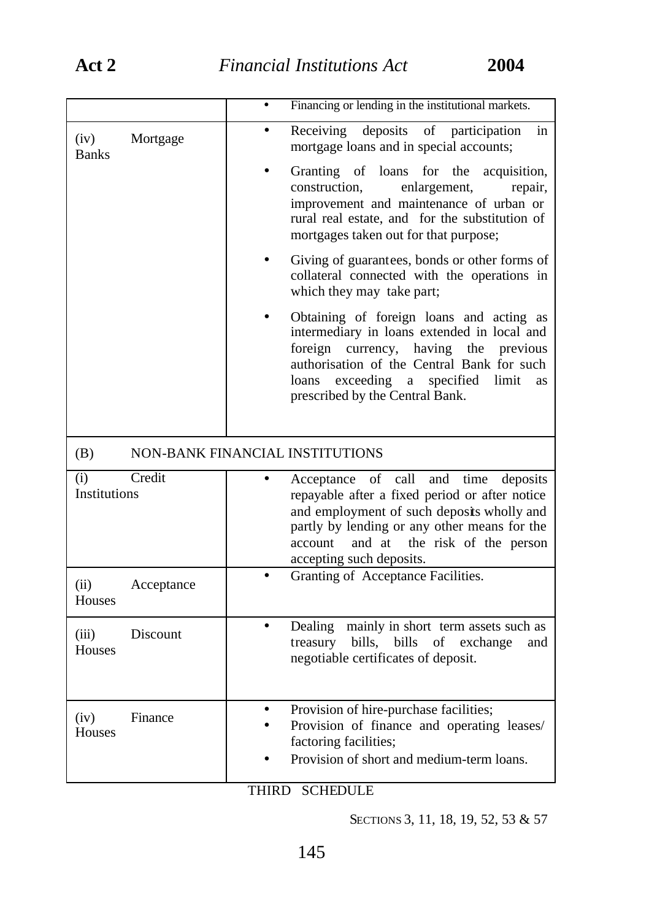|                                    | Financing or lending in the institutional markets.                                                                                                                                                                                                                    |
|------------------------------------|-----------------------------------------------------------------------------------------------------------------------------------------------------------------------------------------------------------------------------------------------------------------------|
| (iv)<br>Mortgage<br><b>Banks</b>   | deposits<br>of participation<br>Receiving<br>in<br>mortgage loans and in special accounts;                                                                                                                                                                            |
|                                    | Granting of loans for the<br>acquisition,<br>construction,<br>enlargement,<br>repair,<br>improvement and maintenance of urban or<br>rural real estate, and for the substitution of<br>mortgages taken out for that purpose;                                           |
|                                    | Giving of guarantees, bonds or other forms of<br>collateral connected with the operations in<br>which they may take part;                                                                                                                                             |
|                                    | Obtaining of foreign loans and acting as<br>intermediary in loans extended in local and<br>foreign currency, having the<br>previous<br>authorisation of the Central Bank for such<br>loans exceeding a specified limit<br>as<br>prescribed by the Central Bank.       |
|                                    |                                                                                                                                                                                                                                                                       |
| (B)                                | NON-BANK FINANCIAL INSTITUTIONS                                                                                                                                                                                                                                       |
| Credit<br>(i)<br>Institutions      | of call<br>and time deposits<br>Acceptance<br>repayable after a fixed period or after notice<br>and employment of such deposits wholly and<br>partly by lending or any other means for the<br>the risk of the person<br>and at<br>account<br>accepting such deposits. |
| (ii)<br>Acceptance<br>Houses       | Granting of Acceptance Facilities.                                                                                                                                                                                                                                    |
| Discount<br>(iii)<br><b>Houses</b> | Dealing mainly in short term assets such as<br>treasury bills, bills<br>of<br>exchange<br>and<br>negotiable certificates of deposit.                                                                                                                                  |

## THIRD SCHEDULE

SECTIONS 3, 11, 18, 19, 52, 53 & 57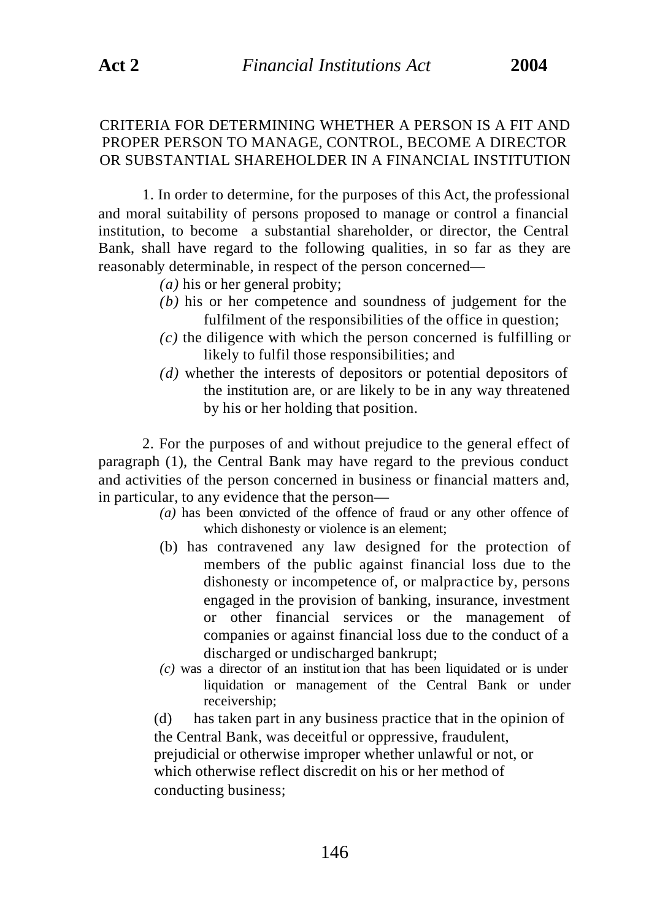## CRITERIA FOR DETERMINING WHETHER A PERSON IS A FIT AND PROPER PERSON TO MANAGE, CONTROL, BECOME A DIRECTOR OR SUBSTANTIAL SHAREHOLDER IN A FINANCIAL INSTITUTION

1. In order to determine, for the purposes of this Act, the professional and moral suitability of persons proposed to manage or control a financial institution, to become a substantial shareholder, or director, the Central Bank, shall have regard to the following qualities, in so far as they are reasonably determinable, in respect of the person concerned—

*(a)* his or her general probity;

- *(b)* his or her competence and soundness of judgement for the fulfilment of the responsibilities of the office in question;
- *(c)* the diligence with which the person concerned is fulfilling or likely to fulfil those responsibilities; and
- *(d)* whether the interests of depositors or potential depositors of the institution are, or are likely to be in any way threatened by his or her holding that position.

2. For the purposes of and without prejudice to the general effect of paragraph (1), the Central Bank may have regard to the previous conduct and activities of the person concerned in business or financial matters and, in particular, to any evidence that the person—

- *(a)* has been convicted of the offence of fraud or any other offence of which dishonesty or violence is an element;
- (b) has contravened any law designed for the protection of members of the public against financial loss due to the dishonesty or incompetence of, or malpractice by, persons engaged in the provision of banking, insurance, investment or other financial services or the management of companies or against financial loss due to the conduct of a discharged or undischarged bankrupt;
- *(c)* was a director of an institut ion that has been liquidated or is under liquidation or management of the Central Bank or under receivership;

(d) has taken part in any business practice that in the opinion of the Central Bank, was deceitful or oppressive, fraudulent, prejudicial or otherwise improper whether unlawful or not, or which otherwise reflect discredit on his or her method of conducting business;